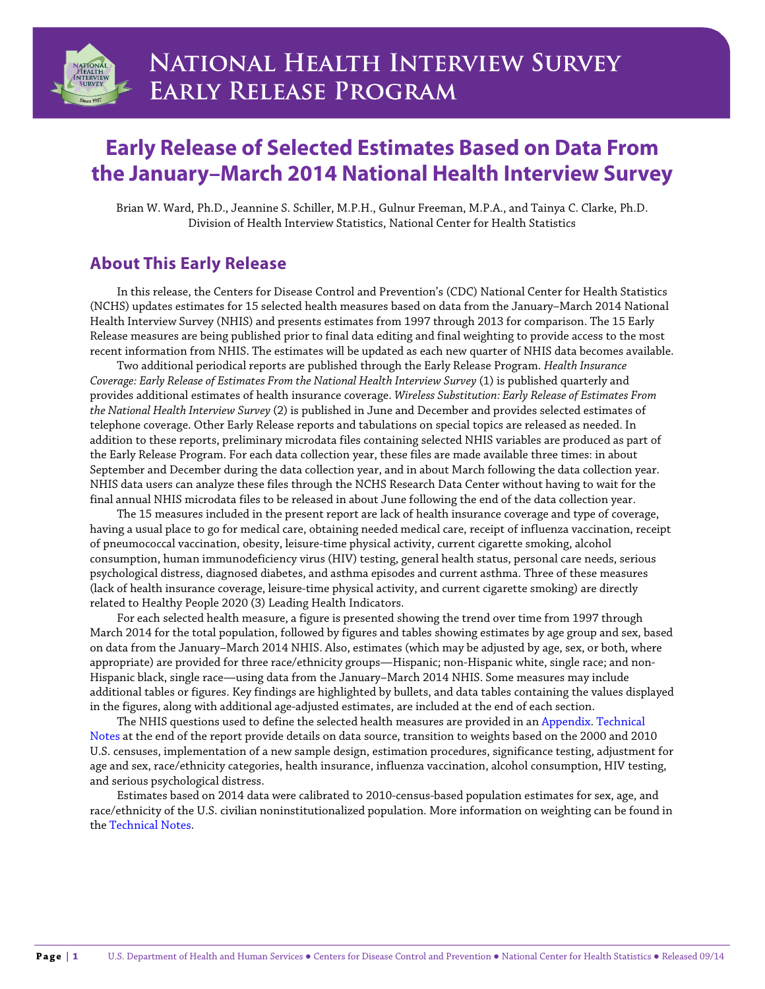

# **Early Release of Selected Estimates Based on Data From the January–March 2014 National Health Interview Survey**

Brian W. Ward, Ph.D., Jeannine S. Schiller, M.P.H., Gulnur Freeman, M.P.A., and Tainya C. Clarke, Ph.D. Division of Health Interview Statistics, National Center for Health Statistics

## **About This Early Release**

In this release, the Centers for Disease Control and Prevention's (CDC) National Center for Health Statistics (NCHS) updates estimates for 15 selected health measures based on data from the January–March 2014 National Health Interview Survey (NHIS) and presents estimates from 1997 through 2013 for comparison. The 15 Early Release measures are being published prior to final data editing and final weighting to provide access to the most recent information from NHIS. The estimates will be updated as each new quarter of NHIS data becomes available.

Two additional periodical reports are published through the Early Release Program. *Health Insurance Coverage: Early Release of Estimates From the National Health Interview Survey* (1) is published quarterly and provides additional estimates of health insurance coverage. *Wireless Substitution: Early Release of Estimates From the National Health Interview Survey* (2) is published in June and December and provides selected estimates of telephone coverage. Other Early Release reports and tabulations on special topics are released as needed. In addition to these reports, preliminary microdata files containing selected NHIS variables are produced as part of the Early Release Program. For each data collection year, these files are made available three times: in about September and December during the data collection year, and in about March following the data collection year. NHIS data users can analyze these files through the NCHS Research Data Center without having to wait for the final annual NHIS microdata files to be released in about June following the end of the data collection year.

The 15 measures included in the present report are lack of health insurance coverage and type of coverage, having a usual place to go for medical care, obtaining needed medical care, receipt of influenza vaccination, receipt of pneumococcal vaccination, obesity, leisure-time physical activity, current cigarette smoking, alcohol consumption, human immunodeficiency virus (HIV) testing, general health status, personal care needs, serious psychological distress, diagnosed diabetes, and asthma episodes and current asthma. Three of these measures (lack of health insurance coverage, leisure-time physical activity, and current cigarette smoking) are directly related to Healthy People 2020 (3) Leading Health Indicators.

For each selected health measure, a figure is presented showing the trend over time from 1997 through March 2014 for the total population, followed by figures and tables showing estimates by age group and sex, based on data from the January–March 2014 NHIS. Also, estimates (which may be adjusted by age, sex, or both, where appropriate) are provided for three race/ethnicity groups—Hispanic; non-Hispanic white, single race; and non-Hispanic black, single race—using data from the January–March 2014 NHIS. Some measures may include additional tables or figures. Key findings are highlighted by bullets, and data tables containing the values displayed in the figures, along with additional age-adjusted estimates, are included at the end of each section.

The NHIS questions used to define the selected health measures are provided in an Appendix. Technical Notes at the end of the report provide details on data source, transition to weights based on the 2000 and 2010 U.S. censuses, implementation of a new sample design, estimation procedures, significance testing, adjustment for age and sex, race/ethnicity categories, health insurance, influenza vaccination, alcohol consumption, HIV testing, and serious psychological distress.

Estimates based on 2014 data were calibrated to 2010-census-based population estimates for sex, age, and race/ethnicity of the U.S. civilian noninstitutionalized population. More information on weighting can be found in the Technical Notes.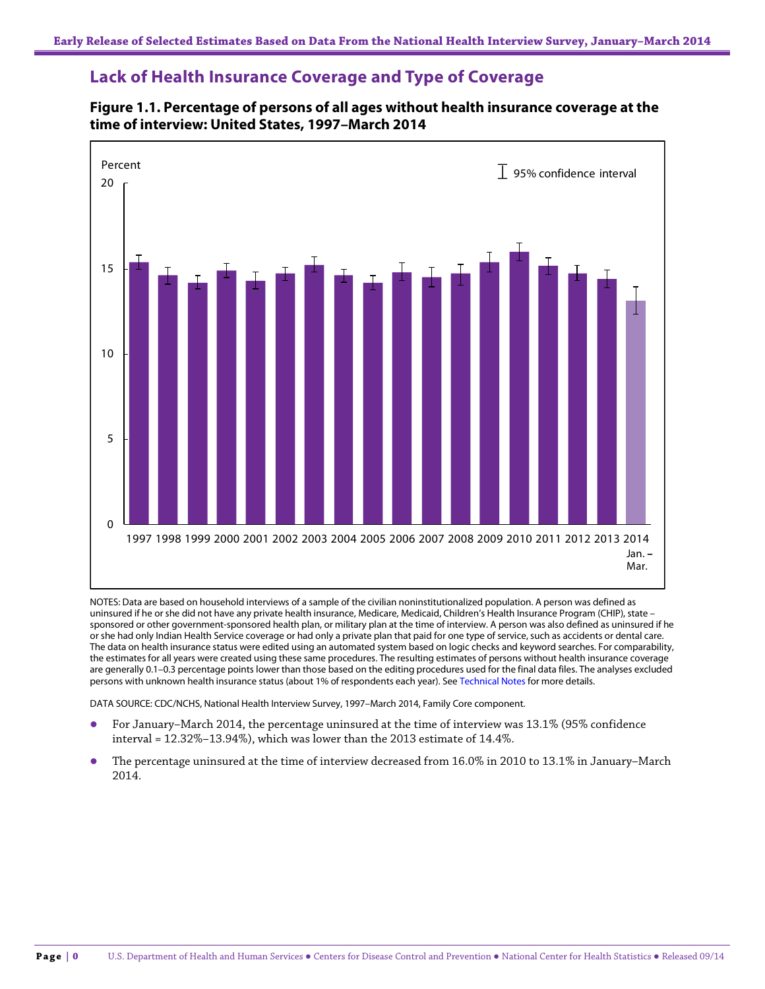### **Lack of Health Insurance Coverage and Type of Coverage**

### **Figure 1.1. Percentage of persons of all ages without health insurance coverage at the time of interview: United States, 1997–March 2014**



NOTES: Data are based on household interviews of a sample of the civilian noninstitutionalized population. A person was defined as uninsured if he or she did not have any private health insurance, Medicare, Medicaid, Children's Health Insurance Program (CHIP), state – sponsored or other government-sponsored health plan, or military plan at the time of interview. A person was also defined as uninsured if he or she had only Indian Health Service coverage or had only a private plan that paid for one type of service, such as accidents or dental care. The data on health insurance status were edited using an automated system based on logic checks and keyword searches. For comparability, the estimates for all years were created using these same procedures. The resulting estimates of persons without health insurance coverage are generally 0.1–0.3 percentage points lower than those based on the editing procedures used for the final data files. The analyses excluded persons with unknown health insurance status (about 1% of respondents each year). See Technical Notes for more details.

DATA SOURCE: CDC/NCHS, National Health Interview Survey, 1997–March 2014, Family Core component.

- For January–March 2014, the percentage uninsured at the time of interview was 13.1% (95% confidence interval = 12.32%–13.94%), which was lower than the 2013 estimate of 14.4%.
- The percentage uninsured at the time of interview decreased from 16.0% in 2010 to 13.1% in January–March 2014.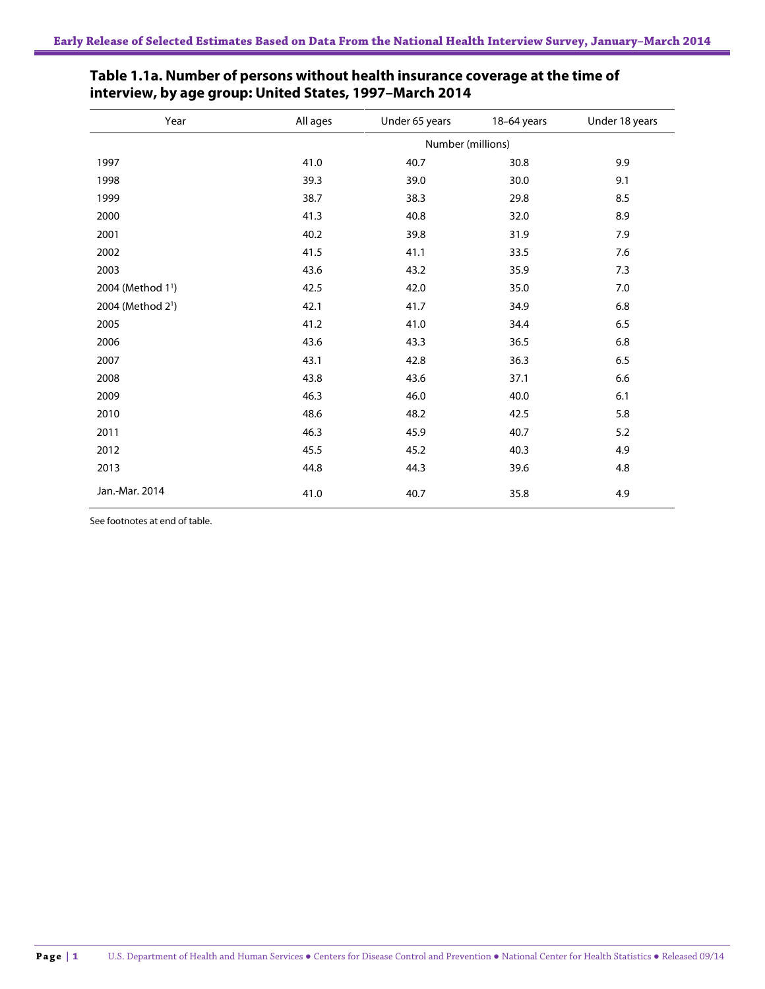| Year                          | All ages | Under 65 years    | 18-64 years | Under 18 years |
|-------------------------------|----------|-------------------|-------------|----------------|
|                               |          | Number (millions) |             |                |
| 1997                          | 41.0     | 40.7              | 30.8        | 9.9            |
| 1998                          | 39.3     | 39.0              | 30.0        | 9.1            |
| 1999                          | 38.7     | 38.3              | 29.8        | 8.5            |
| 2000                          | 41.3     | 40.8              | 32.0        | 8.9            |
| 2001                          | 40.2     | 39.8              | 31.9        | 7.9            |
| 2002                          | 41.5     | 41.1              | 33.5        | 7.6            |
| 2003                          | 43.6     | 43.2              | 35.9        | 7.3            |
| 2004 (Method 1 <sup>1</sup> ) | 42.5     | 42.0              | 35.0        | $7.0\,$        |
| 2004 (Method 2 <sup>1</sup> ) | 42.1     | 41.7              | 34.9        | 6.8            |
| 2005                          | 41.2     | 41.0              | 34.4        | 6.5            |
| 2006                          | 43.6     | 43.3              | 36.5        | 6.8            |
| 2007                          | 43.1     | 42.8              | 36.3        | 6.5            |
| 2008                          | 43.8     | 43.6              | 37.1        | 6.6            |
| 2009                          | 46.3     | 46.0              | 40.0        | 6.1            |
| 2010                          | 48.6     | 48.2              | 42.5        | 5.8            |
| 2011                          | 46.3     | 45.9              | 40.7        | 5.2            |
| 2012                          | 45.5     | 45.2              | 40.3        | 4.9            |
| 2013                          | 44.8     | 44.3              | 39.6        | 4.8            |
| Jan.-Mar. 2014                | 41.0     | 40.7              | 35.8        | 4.9            |

### **Table 1.1a. Number of persons without health insurance coverage at the time of interview, by age group: United States, 1997–March 2014**

See footnotes at end of table.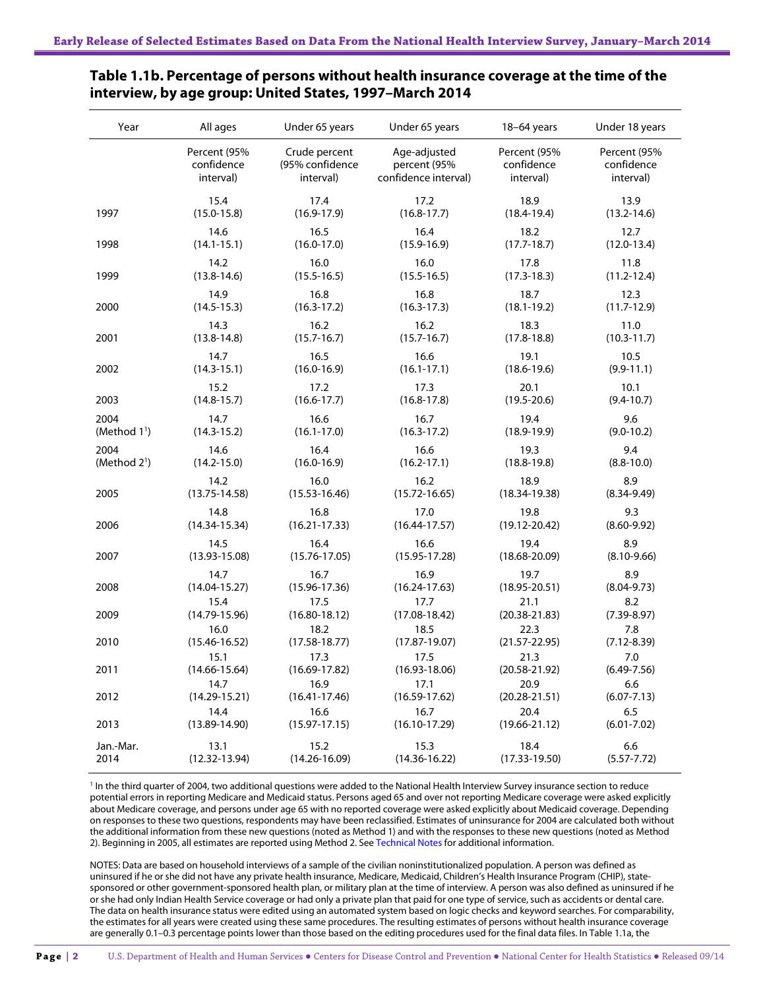| Year                     | All ages          | Under 65 years    | Under 65 years       | 18-64 years       | Under 18 years  |
|--------------------------|-------------------|-------------------|----------------------|-------------------|-----------------|
|                          | Percent (95%      | Crude percent     | Age-adjusted         | Percent (95%      | Percent (95%    |
|                          | confidence        | (95% confidence   | percent (95%         | confidence        | confidence      |
|                          | interval)         | interval)         | confidence interval) | interval)         | interval)       |
| 1997                     | 15.4              | 17.4              | 17.2                 | 18.9              | 13.9            |
|                          | $(15.0 - 15.8)$   | $(16.9 - 17.9)$   | $(16.8 - 17.7)$      | $(18.4 - 19.4)$   | $(13.2 - 14.6)$ |
| 1998                     | 14.6              | 16.5              | 16.4                 | 18.2              | 12.7            |
|                          | $(14.1 - 15.1)$   | $(16.0 - 17.0)$   | $(15.9 - 16.9)$      | $(17.7 - 18.7)$   | $(12.0-13.4)$   |
| 1999                     | 14.2              | 16.0              | 16.0                 | 17.8              | 11.8            |
|                          | $(13.8 - 14.6)$   | $(15.5 - 16.5)$   | $(15.5 - 16.5)$      | $(17.3 - 18.3)$   | $(11.2 - 12.4)$ |
| 2000                     | 14.9              | 16.8              | 16.8                 | 18.7              | 12.3            |
|                          | $(14.5 - 15.3)$   | $(16.3 - 17.2)$   | $(16.3 - 17.3)$      | $(18.1 - 19.2)$   | $(11.7 - 12.9)$ |
| 2001                     | 14.3              | 16.2              | 16.2                 | 18.3              | 11.0            |
|                          | $(13.8 - 14.8)$   | $(15.7 - 16.7)$   | $(15.7 - 16.7)$      | $(17.8 - 18.8)$   | $(10.3 - 11.7)$ |
| 2002                     | 14.7              | 16.5              | 16.6                 | 19.1              | 10.5            |
|                          | $(14.3 - 15.1)$   | $(16.0 - 16.9)$   | $(16.1 - 17.1)$      | $(18.6 - 19.6)$   | $(9.9 - 11.1)$  |
| 2003                     | 15.2              | 17.2              | 17.3                 | 20.1              | 10.1            |
|                          | $(14.8 - 15.7)$   | $(16.6 - 17.7)$   | $(16.8 - 17.8)$      | $(19.5 - 20.6)$   | $(9.4 - 10.7)$  |
| 2004                     | 14.7              | 16.6              | 16.7                 | 19.4              | 9.6             |
| (Method 1 <sup>1</sup> ) | $(14.3 - 15.2)$   | $(16.1 - 17.0)$   | $(16.3 - 17.2)$      | $(18.9 - 19.9)$   | $(9.0 - 10.2)$  |
| 2004                     | 14.6              | 16.4              | 16.6                 | 19.3              | 9.4             |
| (Method 2 <sup>1</sup> ) | $(14.2 - 15.0)$   | $(16.0 - 16.9)$   | $(16.2 - 17.1)$      | $(18.8 - 19.8)$   | $(8.8 - 10.0)$  |
| 2005                     | 14.2              | 16.0              | 16.2                 | 18.9              | 8.9             |
|                          | $(13.75 - 14.58)$ | $(15.53 - 16.46)$ | $(15.72 - 16.65)$    | $(18.34 - 19.38)$ | $(8.34 - 9.49)$ |
| 2006                     | 14.8              | 16.8              | 17.0                 | 19.8              | 9.3             |
|                          | $(14.34 - 15.34)$ | $(16.21 - 17.33)$ | $(16.44 - 17.57)$    | $(19.12 - 20.42)$ | $(8.60 - 9.92)$ |
| 2007                     | 14.5              | 16.4              | 16.6                 | 19.4              | 8.9             |
|                          | $(13.93 - 15.08)$ | $(15.76 - 17.05)$ | $(15.95 - 17.28)$    | $(18.68 - 20.09)$ | $(8.10 - 9.66)$ |
| 2008                     | 14.7              | 16.7              | 16.9                 | 19.7              | 8.9             |
|                          | $(14.04 - 15.27)$ | $(15.96 - 17.36)$ | $(16.24 - 17.63)$    | $(18.95 - 20.51)$ | $(8.04 - 9.73)$ |
| 2009                     | 15.4              | 17.5              | 17.7                 | 21.1              | 8.2             |
|                          | $(14.79 - 15.96)$ | $(16.80 - 18.12)$ | $(17.08 - 18.42)$    | $(20.38 - 21.83)$ | $(7.39 - 8.97)$ |
| 2010                     | 16.0              | 18.2              | 18.5                 | 22.3              | 7.8             |
|                          | $(15.46 - 16.52)$ | $(17.58 - 18.77)$ | $(17.87 - 19.07)$    | $(21.57 - 22.95)$ | $(7.12 - 8.39)$ |
|                          | 15.1              | 17.3              | 17.5                 | 21.3              | 7.0             |
| 2011                     | $(14.66 - 15.64)$ | $(16.69 - 17.82)$ | $(16.93 - 18.06)$    | $(20.58 - 21.92)$ | $(6.49 - 7.56)$ |
|                          | 14.7              | 16.9              | 17.1                 | 20.9              | 6.6             |
| 2012                     | $(14.29 - 15.21)$ | $(16.41 - 17.46)$ | $(16.59 - 17.62)$    | $(20.28 - 21.51)$ | $(6.07 - 7.13)$ |
|                          | 14.4              | 16.6              | 16.7                 | 20.4              | 6.5             |
| 2013                     | $(13.89 - 14.90)$ | $(15.97 - 17.15)$ | $(16.10 - 17.29)$    | $(19.66 - 21.12)$ | $(6.01 - 7.02)$ |
| Jan.-Mar.                | 13.1              | 15.2              | 15.3                 | 18.4              | 6.6             |
| 2014                     | $(12.32 - 13.94)$ | $(14.26 - 16.09)$ | $(14.36 - 16.22)$    | $(17.33 - 19.50)$ | $(5.57 - 7.72)$ |

### **Table 1.1b. Percentage of persons without health insurance coverage at the time of the interview, by age group: United States, 1997–March 2014**

<sup>1</sup> In the third quarter of 2004, two additional questions were added to the National Health Interview Survey insurance section to reduce potential errors in reporting Medicare and Medicaid status. Persons aged 65 and over not reporting Medicare coverage were asked explicitly about Medicare coverage, and persons under age 65 with no reported coverage were asked explicitly about Medicaid coverage. Depending on responses to these two questions, respondents may have been reclassified. Estimates of uninsurance for 2004 are calculated both without the additional information from these new questions (noted as Method 1) and with the responses to these new questions (noted as Method 2). Beginning in 2005, all estimates are reported using Method 2. See Technical Notes for additional information.

NOTES: Data are based on household interviews of a sample of the civilian noninstitutionalized population. A person was defined as uninsured if he or she did not have any private health insurance, Medicare, Medicaid, Children's Health Insurance Program (CHIP), statesponsored or other government-sponsored health plan, or military plan at the time of interview. A person was also defined as uninsured if he or she had only Indian Health Service coverage or had only a private plan that paid for one type of service, such as accidents or dental care. The data on health insurance status were edited using an automated system based on logic checks and keyword searches. For comparability, the estimates for all years were created using these same procedures. The resulting estimates of persons without health insurance coverage are generally 0.1–0.3 percentage points lower than those based on the editing procedures used for the final data files. In Table 1.1a, the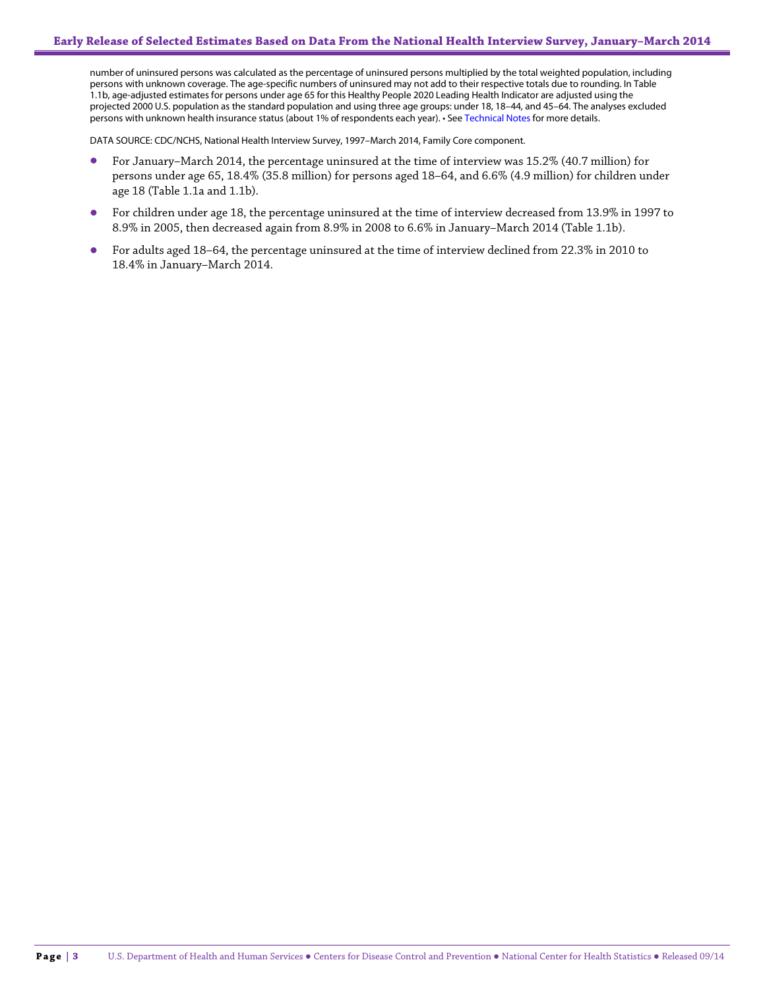number of uninsured persons was calculated as the percentage of uninsured persons multiplied by the total weighted population, including persons with unknown coverage. The age-specific numbers of uninsured may not add to their respective totals due to rounding. In Table 1.1b, age-adjusted estimates for persons under age 65 for this Healthy People 2020 Leading Health Indicator are adjusted using the projected 2000 U.S. population as the standard population and using three age groups: under 18, 18–44, and 45–64. The analyses excluded persons with unknown health insurance status (about 1% of respondents each year). • See Technical Notes for more details.

DATA SOURCE: CDC/NCHS, National Health Interview Survey, 1997–March 2014, Family Core component.

- For January–March 2014, the percentage uninsured at the time of interview was 15.2% (40.7 million) for persons under age 65, 18.4% (35.8 million) for persons aged 18–64, and 6.6% (4.9 million) for children under age 18 (Table 1.1a and 1.1b).
- For children under age 18, the percentage uninsured at the time of interview decreased from 13.9% in 1997 to 8.9% in 2005, then decreased again from 8.9% in 2008 to 6.6% in January–March 2014 (Table 1.1b).
- For adults aged 18–64, the percentage uninsured at the time of interview declined from 22.3% in 2010 to 18.4% in January–March 2014.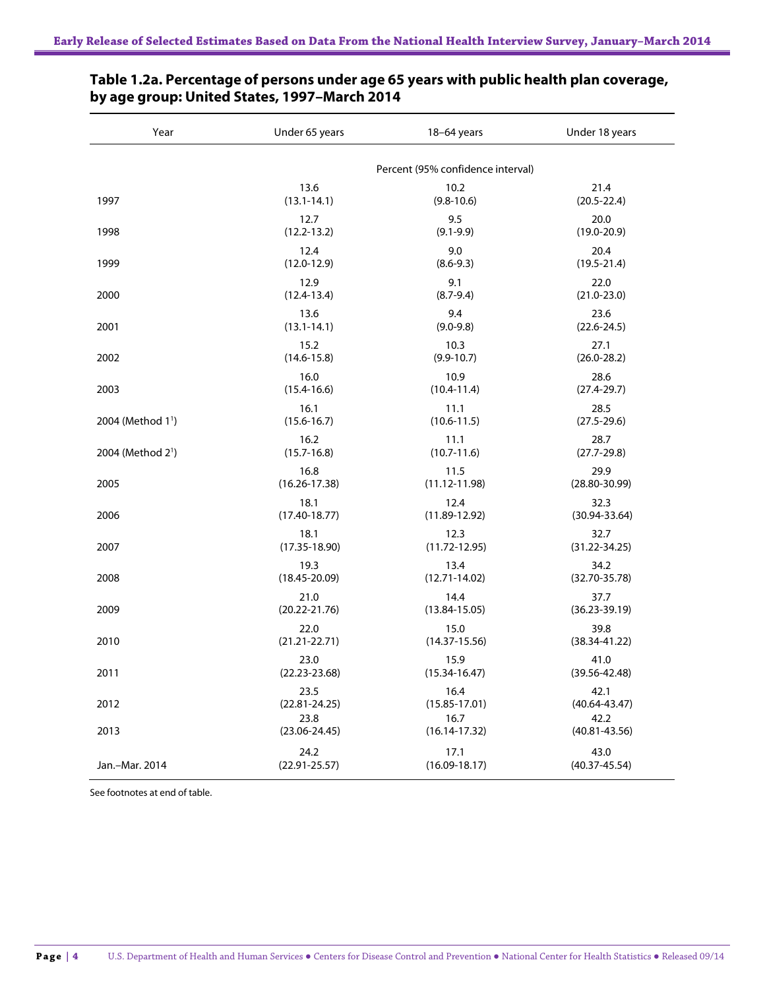| Year                          | Under 65 years    | 18-64 years                       | Under 18 years    |
|-------------------------------|-------------------|-----------------------------------|-------------------|
|                               |                   | Percent (95% confidence interval) |                   |
| 1997                          | 13.6              | 10.2                              | 21.4              |
|                               | $(13.1 - 14.1)$   | $(9.8 - 10.6)$                    | $(20.5 - 22.4)$   |
| 1998                          | 12.7              | 9.5                               | 20.0              |
|                               | $(12.2 - 13.2)$   | $(9.1 - 9.9)$                     | $(19.0 - 20.9)$   |
| 1999                          | 12.4              | 9.0                               | 20.4              |
|                               | $(12.0 - 12.9)$   | $(8.6 - 9.3)$                     | $(19.5 - 21.4)$   |
| 2000                          | 12.9              | 9.1                               | 22.0              |
|                               | $(12.4 - 13.4)$   | $(8.7 - 9.4)$                     | $(21.0 - 23.0)$   |
| 2001                          | 13.6              | 9.4                               | 23.6              |
|                               | $(13.1 - 14.1)$   | $(9.0 - 9.8)$                     | $(22.6 - 24.5)$   |
| 2002                          | 15.2              | 10.3                              | 27.1              |
|                               | $(14.6 - 15.8)$   | $(9.9 - 10.7)$                    | $(26.0 - 28.2)$   |
| 2003                          | 16.0              | 10.9                              | 28.6              |
|                               | $(15.4 - 16.6)$   | $(10.4 - 11.4)$                   | $(27.4 - 29.7)$   |
| 2004 (Method 1 <sup>1</sup> ) | 16.1              | 11.1                              | 28.5              |
|                               | $(15.6 - 16.7)$   | $(10.6 - 11.5)$                   | $(27.5 - 29.6)$   |
| 2004 (Method 2 <sup>1</sup> ) | 16.2              | 11.1                              | 28.7              |
|                               | $(15.7 - 16.8)$   | $(10.7 - 11.6)$                   | $(27.7 - 29.8)$   |
| 2005                          | 16.8              | 11.5                              | 29.9              |
|                               | $(16.26 - 17.38)$ | $(11.12 - 11.98)$                 | $(28.80 - 30.99)$ |
| 2006                          | 18.1              | 12.4                              | 32.3              |
|                               | $(17.40 - 18.77)$ | $(11.89 - 12.92)$                 | $(30.94 - 33.64)$ |
| 2007                          | 18.1              | 12.3                              | 32.7              |
|                               | $(17.35 - 18.90)$ | $(11.72 - 12.95)$                 | $(31.22 - 34.25)$ |
| 2008                          | 19.3              | 13.4                              | 34.2              |
|                               | $(18.45 - 20.09)$ | $(12.71 - 14.02)$                 | $(32.70 - 35.78)$ |
| 2009                          | 21.0              | 14.4                              | 37.7              |
|                               | $(20.22 - 21.76)$ | $(13.84 - 15.05)$                 | $(36.23 - 39.19)$ |
| 2010                          | 22.0              | 15.0                              | 39.8              |
|                               | $(21.21 - 22.71)$ | $(14.37 - 15.56)$                 | $(38.34 - 41.22)$ |
| 2011                          | 23.0              | 15.9                              | 41.0              |
|                               | $(22.23 - 23.68)$ | $(15.34 - 16.47)$                 | $(39.56 - 42.48)$ |
| 2012                          | 23.5              | 16.4                              | 42.1              |
|                               | $(22.81 - 24.25)$ | $(15.85 - 17.01)$                 | $(40.64 - 43.47)$ |
| 2013                          | 23.8              | 16.7                              | 42.2              |
|                               | $(23.06 - 24.45)$ | $(16.14 - 17.32)$                 | $(40.81 - 43.56)$ |
| Jan.-Mar. 2014                | 24.2              | 17.1                              | 43.0              |
|                               | $(22.91 - 25.57)$ | $(16.09 - 18.17)$                 | $(40.37 - 45.54)$ |

### **Table 1.2a. Percentage of persons under age 65 years with public health plan coverage, by age group: United States, 1997–March 2014**

See footnotes at end of table.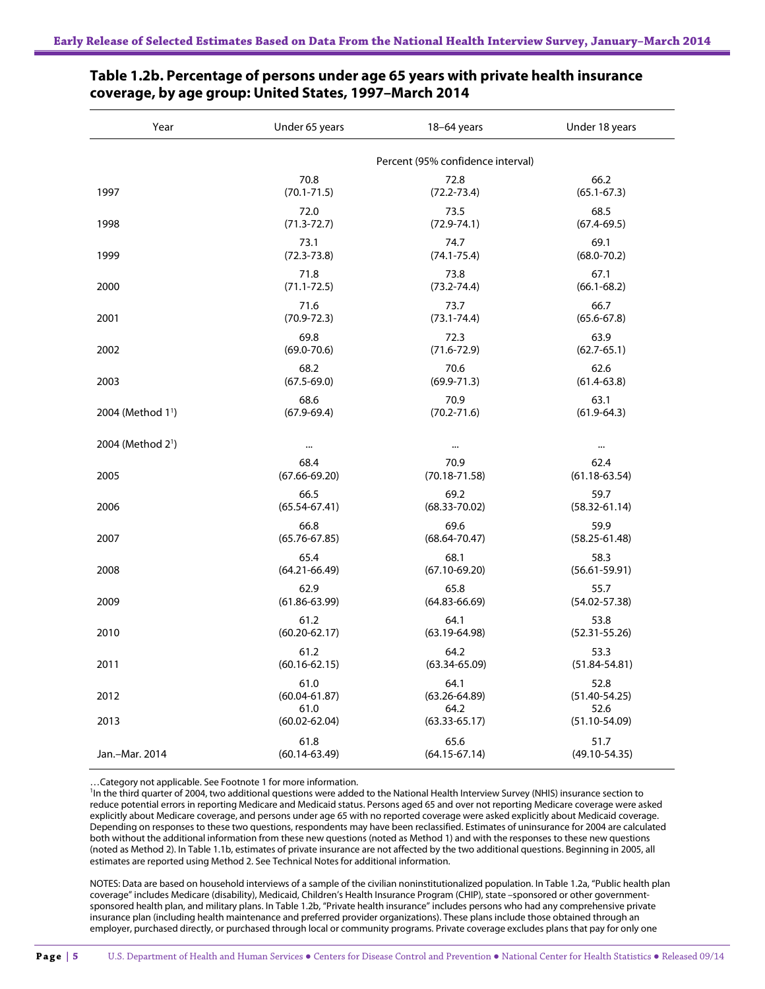| Year                          | Under 65 years    | $18-64$ years                     | Under 18 years    |
|-------------------------------|-------------------|-----------------------------------|-------------------|
|                               |                   | Percent (95% confidence interval) |                   |
| 1997                          | 70.8              | 72.8                              | 66.2              |
|                               | $(70.1 - 71.5)$   | $(72.2 - 73.4)$                   | $(65.1 - 67.3)$   |
| 1998                          | 72.0              | 73.5                              | 68.5              |
|                               | $(71.3 - 72.7)$   | $(72.9 - 74.1)$                   | $(67.4 - 69.5)$   |
| 1999                          | 73.1              | 74.7                              | 69.1              |
|                               | $(72.3 - 73.8)$   | $(74.1 - 75.4)$                   | $(68.0 - 70.2)$   |
| 2000                          | 71.8              | 73.8                              | 67.1              |
|                               | $(71.1 - 72.5)$   | $(73.2 - 74.4)$                   | $(66.1 - 68.2)$   |
| 2001                          | 71.6              | 73.7                              | 66.7              |
|                               | $(70.9 - 72.3)$   | $(73.1 - 74.4)$                   | $(65.6 - 67.8)$   |
| 2002                          | 69.8              | 72.3                              | 63.9              |
|                               | $(69.0 - 70.6)$   | $(71.6 - 72.9)$                   | $(62.7 - 65.1)$   |
| 2003                          | 68.2              | 70.6                              | 62.6              |
|                               | $(67.5 - 69.0)$   | $(69.9 - 71.3)$                   | $(61.4 - 63.8)$   |
| 2004 (Method 1 <sup>1</sup> ) | 68.6              | 70.9                              | 63.1              |
|                               | $(67.9 - 69.4)$   | $(70.2 - 71.6)$                   | $(61.9 - 64.3)$   |
| 2004 (Method 2 <sup>1</sup> ) |                   | $\cdots$                          | $\cdots$          |
| 2005                          | 68.4              | 70.9                              | 62.4              |
|                               | $(67.66 - 69.20)$ | $(70.18 - 71.58)$                 | $(61.18 - 63.54)$ |
| 2006                          | 66.5              | 69.2                              | 59.7              |
|                               | $(65.54 - 67.41)$ | $(68.33 - 70.02)$                 | $(58.32 - 61.14)$ |
| 2007                          | 66.8              | 69.6                              | 59.9              |
|                               | $(65.76 - 67.85)$ | $(68.64 - 70.47)$                 | $(58.25 - 61.48)$ |
| 2008                          | 65.4              | 68.1                              | 58.3              |
|                               | $(64.21 - 66.49)$ | $(67.10 - 69.20)$                 | $(56.61 - 59.91)$ |
| 2009                          | 62.9              | 65.8                              | 55.7              |
|                               | $(61.86 - 63.99)$ | $(64.83 - 66.69)$                 | $(54.02 - 57.38)$ |
| 2010                          | 61.2              | 64.1                              | 53.8              |
|                               | $(60.20 - 62.17)$ | $(63.19 - 64.98)$                 | $(52.31 - 55.26)$ |
| 2011                          | 61.2              | 64.2                              | 53.3              |
|                               | $(60.16 - 62.15)$ | $(63.34 - 65.09)$                 | $(51.84 - 54.81)$ |
| 2012                          | 61.0              | 64.1                              | 52.8              |
|                               | $(60.04 - 61.87)$ | $(63.26 - 64.89)$                 | $(51.40 - 54.25)$ |
| 2013                          | 61.0              | 64.2                              | 52.6              |
|                               | $(60.02 - 62.04)$ | $(63.33 - 65.17)$                 | $(51.10 - 54.09)$ |
| Jan.-Mar. 2014                | 61.8              | 65.6                              | 51.7              |
|                               | $(60.14 - 63.49)$ | $(64.15 - 67.14)$                 | $(49.10 - 54.35)$ |

#### **Table 1.2b. Percentage of persons under age 65 years with private health insurance coverage, by age group: United States, 1997–March 2014**

…Category not applicable. See Footnote 1 for more information.

<sup>1</sup>In the third quarter of 2004, two additional questions were added to the National Health Interview Survey (NHIS) insurance section to reduce potential errors in reporting Medicare and Medicaid status. Persons aged 65 and over not reporting Medicare coverage were asked explicitly about Medicare coverage, and persons under age 65 with no reported coverage were asked explicitly about Medicaid coverage. Depending on responses to these two questions, respondents may have been reclassified. Estimates of uninsurance for 2004 are calculated both without the additional information from these new questions (noted as Method 1) and with the responses to these new questions (noted as Method 2). In Table 1.1b, estimates of private insurance are not affected by the two additional questions. Beginning in 2005, all estimates are reported using Method 2. See Technical Notes for additional information.

NOTES: Data are based on household interviews of a sample of the civilian noninstitutionalized population. In Table 1.2a, "Public health plan coverage" includes Medicare (disability), Medicaid, Children's Health Insurance Program (CHIP), state –sponsored or other governmentsponsored health plan, and military plans. In Table 1.2b, "Private health insurance" includes persons who had any comprehensive private insurance plan (including health maintenance and preferred provider organizations). These plans include those obtained through an employer, purchased directly, or purchased through local or community programs. Private coverage excludes plans that pay for only one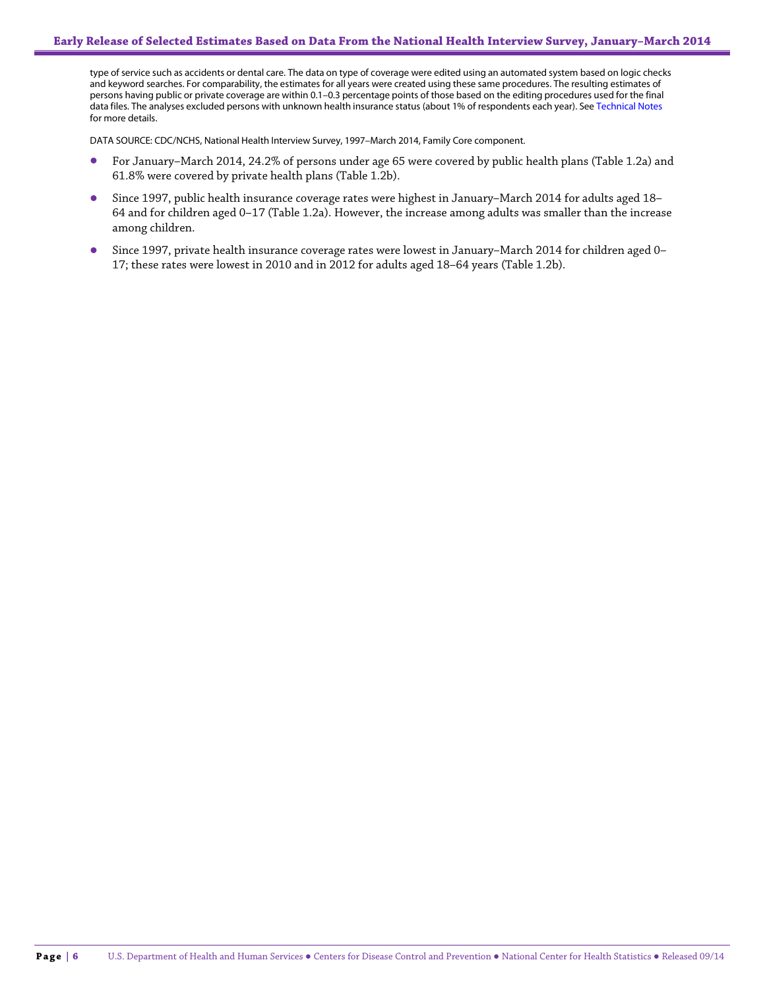type of service such as accidents or dental care. The data on type of coverage were edited using an automated system based on logic checks and keyword searches. For comparability, the estimates for all years were created using these same procedures. The resulting estimates of persons having public or private coverage are within 0.1–0.3 percentage points of those based on the editing procedures used for the final data files. The analyses excluded persons with unknown health insurance status (about 1% of respondents each year). See Technical Notes for more details.

DATA SOURCE: CDC/NCHS, National Health Interview Survey, 1997–March 2014, Family Core component.

- For January–March 2014, 24.2% of persons under age 65 were covered by public health plans (Table 1.2a) and 61.8% were covered by private health plans (Table 1.2b).
- Since 1997, public health insurance coverage rates were highest in January–March 2014 for adults aged 18– 64 and for children aged 0–17 (Table 1.2a). However, the increase among adults was smaller than the increase among children.
- Since 1997, private health insurance coverage rates were lowest in January–March 2014 for children aged 0– 17; these rates were lowest in 2010 and in 2012 for adults aged 18–64 years (Table 1.2b).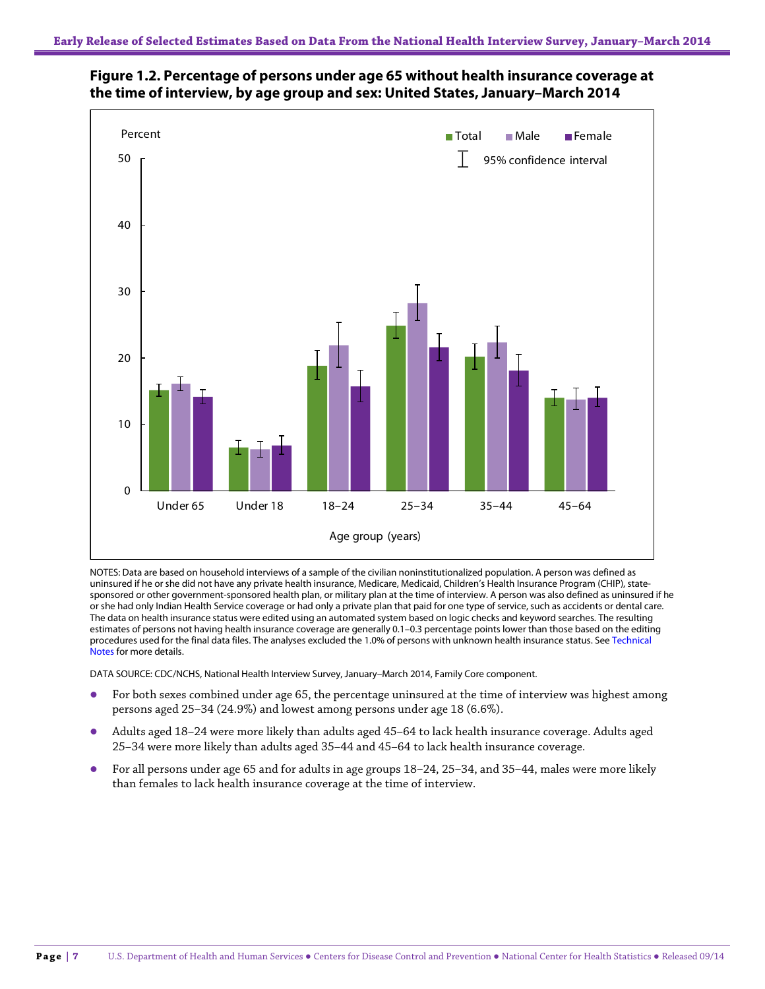

### **Figure 1.2. Percentage of persons under age 65 without health insurance coverage at the time of interview, by age group and sex: United States, January–March 2014**

NOTES: Data are based on household interviews of a sample of the civilian noninstitutionalized population. A person was defined as uninsured if he or she did not have any private health insurance, Medicare, Medicaid, Children's Health Insurance Program (CHIP), statesponsored or other government-sponsored health plan, or military plan at the time of interview. A person was also defined as uninsured if he or she had only Indian Health Service coverage or had only a private plan that paid for one type of service, such as accidents or dental care. The data on health insurance status were edited using an automated system based on logic checks and keyword searches. The resulting estimates of persons not having health insurance coverage are generally 0.1–0.3 percentage points lower than those based on the editing procedures used for the final data files. The analyses excluded the 1.0% of persons with unknown health insurance status. See Technical Notes for more details.

DATA SOURCE: CDC/NCHS, National Health Interview Survey, January–March 2014, Family Core component.

- For both sexes combined under age 65, the percentage uninsured at the time of interview was highest among persons aged 25–34 (24.9%) and lowest among persons under age 18 (6.6%).
- Adults aged 18–24 were more likely than adults aged 45–64 to lack health insurance coverage. Adults aged 25–34 were more likely than adults aged 35–44 and 45–64 to lack health insurance coverage.
- For all persons under age 65 and for adults in age groups 18–24, 25–34, and 35–44, males were more likely than females to lack health insurance coverage at the time of interview.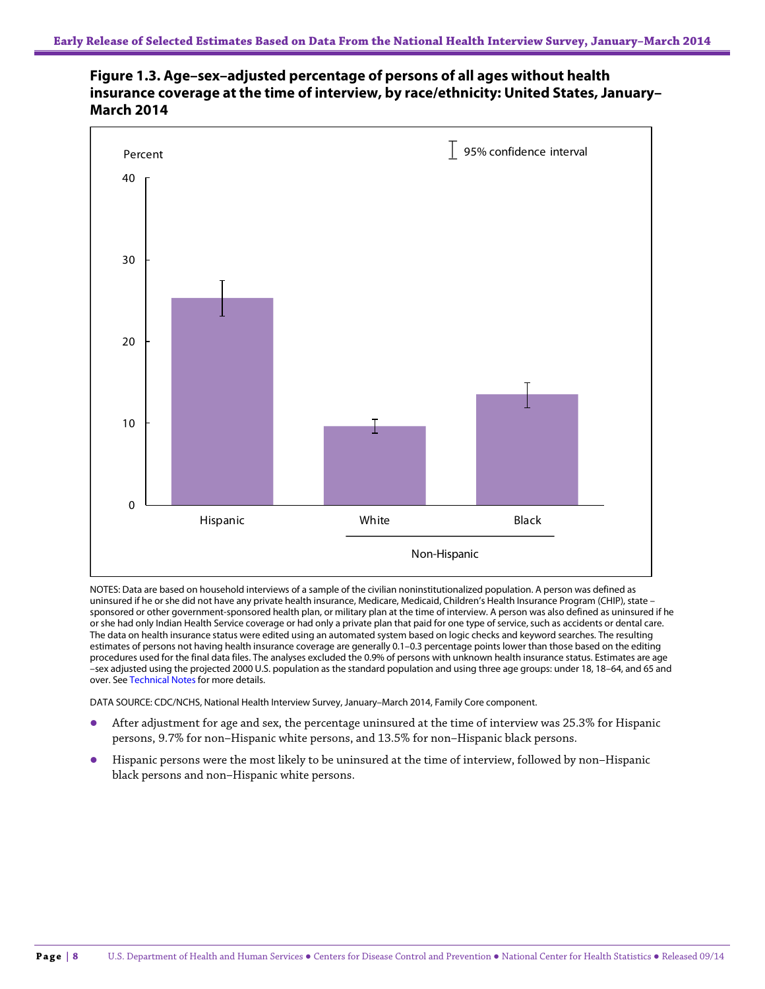

**Figure 1.3. Age–sex–adjusted percentage of persons of all ages without health insurance coverage at the time of interview, by race/ethnicity: United States, January– March 2014**

NOTES: Data are based on household interviews of a sample of the civilian noninstitutionalized population. A person was defined as uninsured if he or she did not have any private health insurance, Medicare, Medicaid, Children's Health Insurance Program (CHIP), state – sponsored or other government-sponsored health plan, or military plan at the time of interview. A person was also defined as uninsured if he or she had only Indian Health Service coverage or had only a private plan that paid for one type of service, such as accidents or dental care. The data on health insurance status were edited using an automated system based on logic checks and keyword searches. The resulting estimates of persons not having health insurance coverage are generally 0.1–0.3 percentage points lower than those based on the editing procedures used for the final data files. The analyses excluded the 0.9% of persons with unknown health insurance status. Estimates are age –sex adjusted using the projected 2000 U.S. population as the standard population and using three age groups: under 18, 18–64, and 65 and over. See Technical Notes for more details.

DATA SOURCE: CDC/NCHS, National Health Interview Survey, January–March 2014, Family Core component.

- After adjustment for age and sex, the percentage uninsured at the time of interview was 25.3% for Hispanic persons, 9.7% for non–Hispanic white persons, and 13.5% for non–Hispanic black persons.
- Hispanic persons were the most likely to be uninsured at the time of interview, followed by non–Hispanic black persons and non–Hispanic white persons.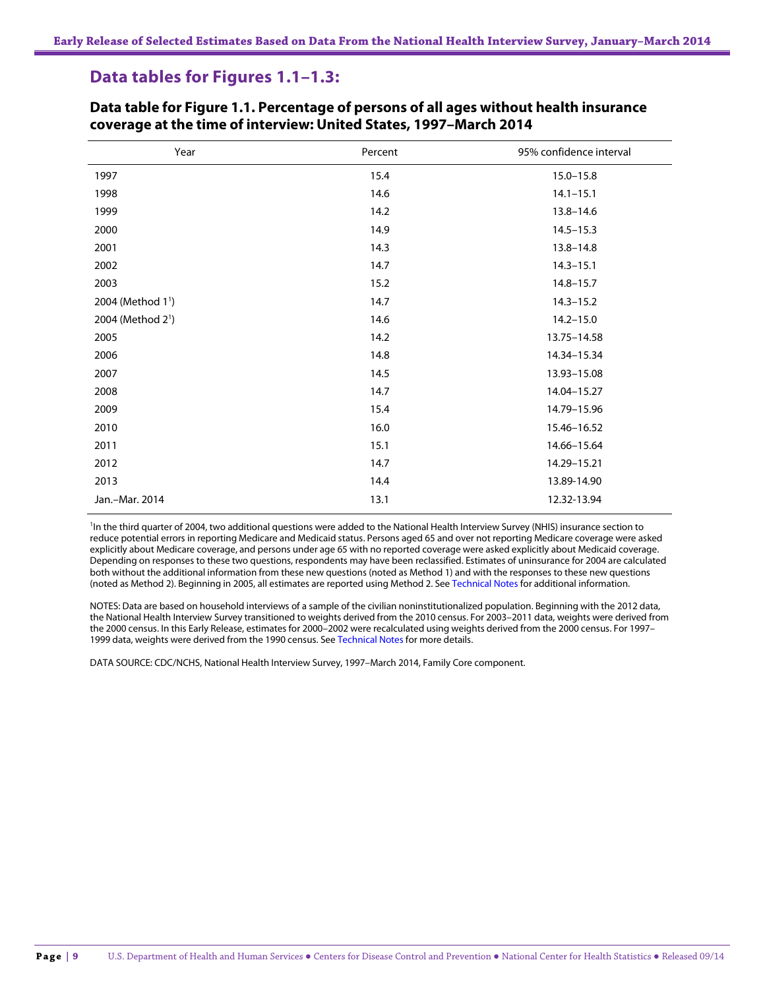### **Data tables for Figures 1.1–1.3:**

| Year                          | Percent | 95% confidence interval |
|-------------------------------|---------|-------------------------|
| 1997                          | 15.4    | $15.0 - 15.8$           |
| 1998                          | 14.6    | $14.1 - 15.1$           |
| 1999                          | 14.2    | $13.8 - 14.6$           |
| 2000                          | 14.9    | $14.5 - 15.3$           |
| 2001                          | 14.3    | $13.8 - 14.8$           |
| 2002                          | 14.7    | $14.3 - 15.1$           |
| 2003                          | 15.2    | $14.8 - 15.7$           |
| 2004 (Method 1 <sup>1</sup> ) | 14.7    | $14.3 - 15.2$           |
| 2004 (Method 2 <sup>1</sup> ) | 14.6    | $14.2 - 15.0$           |
| 2005                          | 14.2    | 13.75-14.58             |
| 2006                          | 14.8    | 14.34-15.34             |
| 2007                          | 14.5    | 13.93-15.08             |
| 2008                          | 14.7    | 14.04-15.27             |
| 2009                          | 15.4    | 14.79-15.96             |
| 2010                          | 16.0    | 15.46-16.52             |
| 2011                          | 15.1    | 14.66-15.64             |
| 2012                          | 14.7    | 14.29-15.21             |
| 2013                          | 14.4    | 13.89-14.90             |
| Jan.-Mar. 2014                | 13.1    | 12.32-13.94             |

#### **Data table for Figure 1.1. Percentage of persons of all ages without health insurance coverage at the time of interview: United States, 1997–March 2014**

<sup>1</sup>In the third quarter of 2004, two additional questions were added to the National Health Interview Survey (NHIS) insurance section to reduce potential errors in reporting Medicare and Medicaid status. Persons aged 65 and over not reporting Medicare coverage were asked explicitly about Medicare coverage, and persons under age 65 with no reported coverage were asked explicitly about Medicaid coverage. Depending on responses to these two questions, respondents may have been reclassified. Estimates of uninsurance for 2004 are calculated both without the additional information from these new questions (noted as Method 1) and with the responses to these new questions (noted as Method 2). Beginning in 2005, all estimates are reported using Method 2. See Technical Notes for additional information.

NOTES: Data are based on household interviews of a sample of the civilian noninstitutionalized population. Beginning with the 2012 data, the National Health Interview Survey transitioned to weights derived from the 2010 census. For 2003–2011 data, weights were derived from the 2000 census. In this Early Release, estimates for 2000–2002 were recalculated using weights derived from the 2000 census. For 1997– 1999 data, weights were derived from the 1990 census. See Technical Notes for more details.

DATA SOURCE: CDC/NCHS, National Health Interview Survey, 1997–March 2014, Family Core component.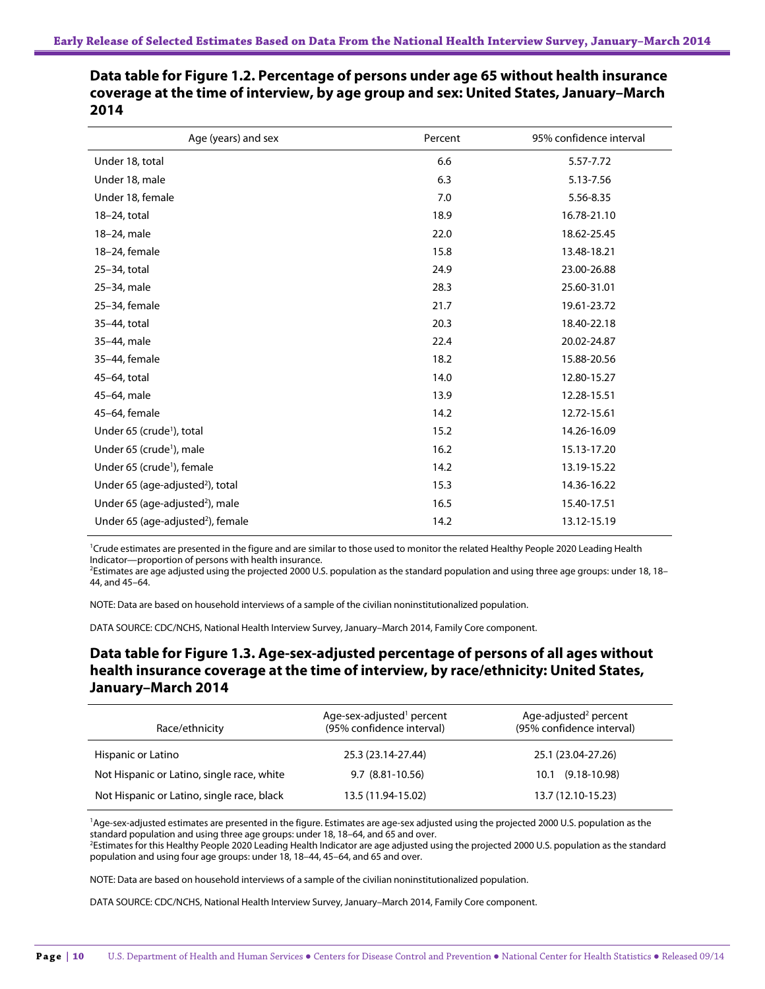| Age (years) and sex                           | Percent | 95% confidence interval |
|-----------------------------------------------|---------|-------------------------|
| Under 18, total                               | 6.6     | 5.57-7.72               |
| Under 18, male                                | 6.3     | 5.13-7.56               |
| Under 18, female                              | 7.0     | 5.56-8.35               |
| 18-24, total                                  | 18.9    | 16.78-21.10             |
| 18-24, male                                   | 22.0    | 18.62-25.45             |
| 18-24, female                                 | 15.8    | 13.48-18.21             |
| 25-34, total                                  | 24.9    | 23.00-26.88             |
| 25-34, male                                   | 28.3    | 25.60-31.01             |
| 25-34, female                                 | 21.7    | 19.61-23.72             |
| 35-44, total                                  | 20.3    | 18.40-22.18             |
| 35-44, male                                   | 22.4    | 20.02-24.87             |
| 35-44, female                                 | 18.2    | 15.88-20.56             |
| 45-64, total                                  | 14.0    | 12.80-15.27             |
| 45-64, male                                   | 13.9    | 12.28-15.51             |
| 45-64, female                                 | 14.2    | 12.72-15.61             |
| Under 65 (crude <sup>1</sup> ), total         | 15.2    | 14.26-16.09             |
| Under 65 (crude <sup>1</sup> ), male          | 16.2    | 15.13-17.20             |
| Under 65 (crude <sup>1</sup> ), female        | 14.2    | 13.19-15.22             |
| Under 65 (age-adjusted <sup>2</sup> ), total  | 15.3    | 14.36-16.22             |
| Under 65 (age-adjusted <sup>2</sup> ), male   | 16.5    | 15.40-17.51             |
| Under 65 (age-adjusted <sup>2</sup> ), female | 14.2    | 13.12-15.19             |

**Data table for Figure 1.2. Percentage of persons under age 65 without health insurance coverage at the time of interview, by age group and sex: United States, January–March 2014**

1 Crude estimates are presented in the figure and are similar to those used to monitor the related Healthy People 2020 Leading Health Indicator—proportion of persons with health insurance.

2 Estimates are age adjusted using the projected 2000 U.S. population as the standard population and using three age groups: under 18, 18– 44, and 45–64.

NOTE: Data are based on household interviews of a sample of the civilian noninstitutionalized population.

DATA SOURCE: CDC/NCHS, National Health Interview Survey, January–March 2014, Family Core component.

### **Data table for Figure 1.3. Age-sex-adjusted percentage of persons of all ages without health insurance coverage at the time of interview, by race/ethnicity: United States, January–March 2014**

| Race/ethnicity                             | Age-sex-adjusted <sup>1</sup> percent<br>(95% confidence interval) | Age-adjusted <sup>2</sup> percent<br>(95% confidence interval) |
|--------------------------------------------|--------------------------------------------------------------------|----------------------------------------------------------------|
| Hispanic or Latino                         | 25.3 (23.14-27.44)                                                 | 25.1 (23.04-27.26)                                             |
| Not Hispanic or Latino, single race, white | $9.7(8.81-10.56)$                                                  | 10.1 (9.18-10.98)                                              |
| Not Hispanic or Latino, single race, black | 13.5 (11.94-15.02)                                                 | 13.7 (12.10-15.23)                                             |

<sup>1</sup>Age-sex-adjusted estimates are presented in the figure. Estimates are age-sex adjusted using the projected 2000 U.S. population as the standard population and using three age groups: under 18, 18–64, and 65 and over. 2

<sup>2</sup>Estimates for this Healthy People 2020 Leading Health Indicator are age adjusted using the projected 2000 U.S. population as the standard population and using four age groups: under 18, 18–44, 45–64, and 65 and over.

NOTE: Data are based on household interviews of a sample of the civilian noninstitutionalized population.

DATA SOURCE: CDC/NCHS, National Health Interview Survey, January–March 2014, Family Core component.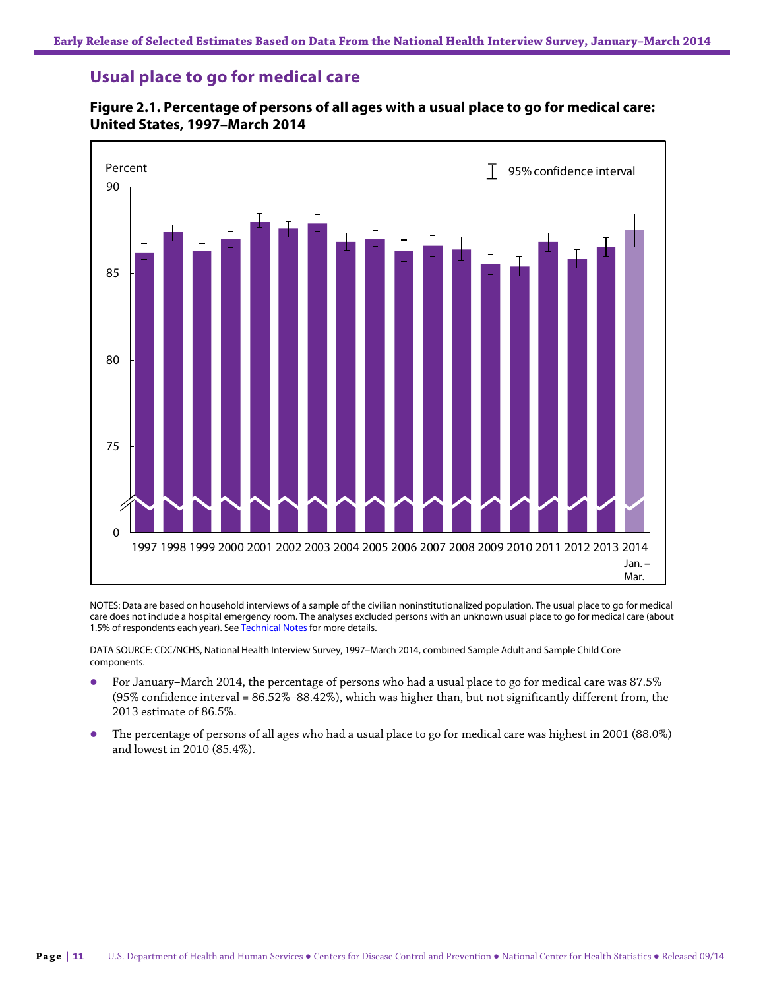### **Usual place to go for medical care**



#### **Figure 2.1. Percentage of persons of all ages with a usual place to go for medical care: United States, 1997–March 2014**

NOTES: Data are based on household interviews of a sample of the civilian noninstitutionalized population. The usual place to go for medical care does not include a hospital emergency room. The analyses excluded persons with an unknown usual place to go for medical care (about 1.5% of respondents each year). See Technical Notes for more details.

DATA SOURCE: CDC/NCHS, National Health Interview Survey, 1997–March 2014, combined Sample Adult and Sample Child Core components.

- For January–March 2014, the percentage of persons who had a usual place to go for medical care was 87.5% (95% confidence interval = 86.52%–88.42%), which was higher than, but not significantly different from, the 2013 estimate of 86.5%.
- The percentage of persons of all ages who had a usual place to go for medical care was highest in 2001 (88.0%) and lowest in 2010 (85.4%).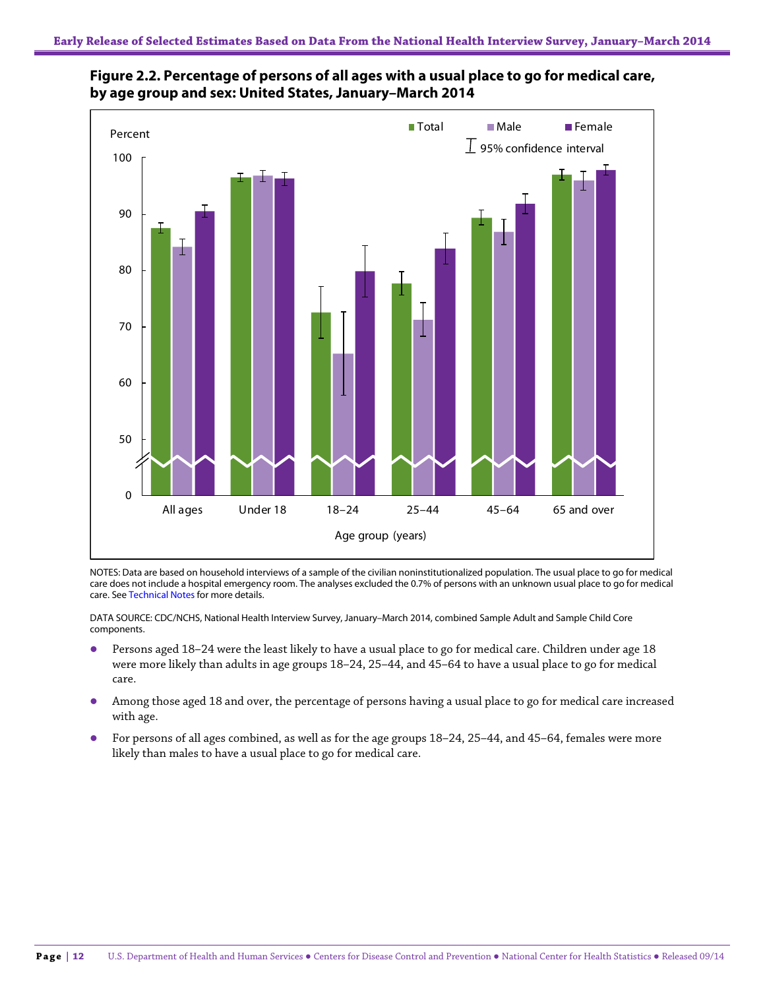



NOTES: Data are based on household interviews of a sample of the civilian noninstitutionalized population. The usual place to go for medical care does not include a hospital emergency room. The analyses excluded the 0.7% of persons with an unknown usual place to go for medical care. See Technical Notes for more details.

DATA SOURCE: CDC/NCHS, National Health Interview Survey, January–March 2014, combined Sample Adult and Sample Child Core components.

- Persons aged 18–24 were the least likely to have a usual place to go for medical care. Children under age 18 were more likely than adults in age groups 18–24, 25–44, and 45–64 to have a usual place to go for medical care.
- Among those aged 18 and over, the percentage of persons having a usual place to go for medical care increased with age.
- For persons of all ages combined, as well as for the age groups 18–24, 25–44, and 45–64, females were more likely than males to have a usual place to go for medical care.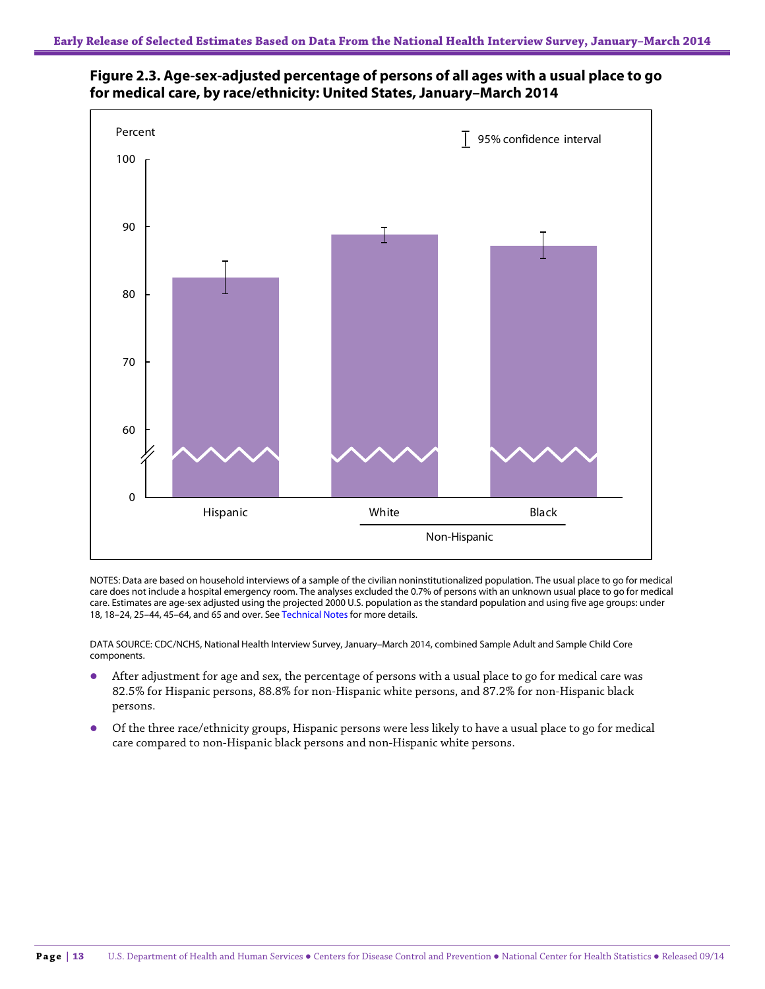



NOTES: Data are based on household interviews of a sample of the civilian noninstitutionalized population. The usual place to go for medical care does not include a hospital emergency room. The analyses excluded the 0.7% of persons with an unknown usual place to go for medical care. Estimates are age-sex adjusted using the projected 2000 U.S. population as the standard population and using five age groups: under 18, 18–24, 25–44, 45–64, and 65 and over. See Technical Notes for more details.

DATA SOURCE: CDC/NCHS, National Health Interview Survey, January–March 2014, combined Sample Adult and Sample Child Core components.

- After adjustment for age and sex, the percentage of persons with a usual place to go for medical care was 82.5% for Hispanic persons, 88.8% for non-Hispanic white persons, and 87.2% for non-Hispanic black persons.
- Of the three race/ethnicity groups, Hispanic persons were less likely to have a usual place to go for medical care compared to non-Hispanic black persons and non-Hispanic white persons.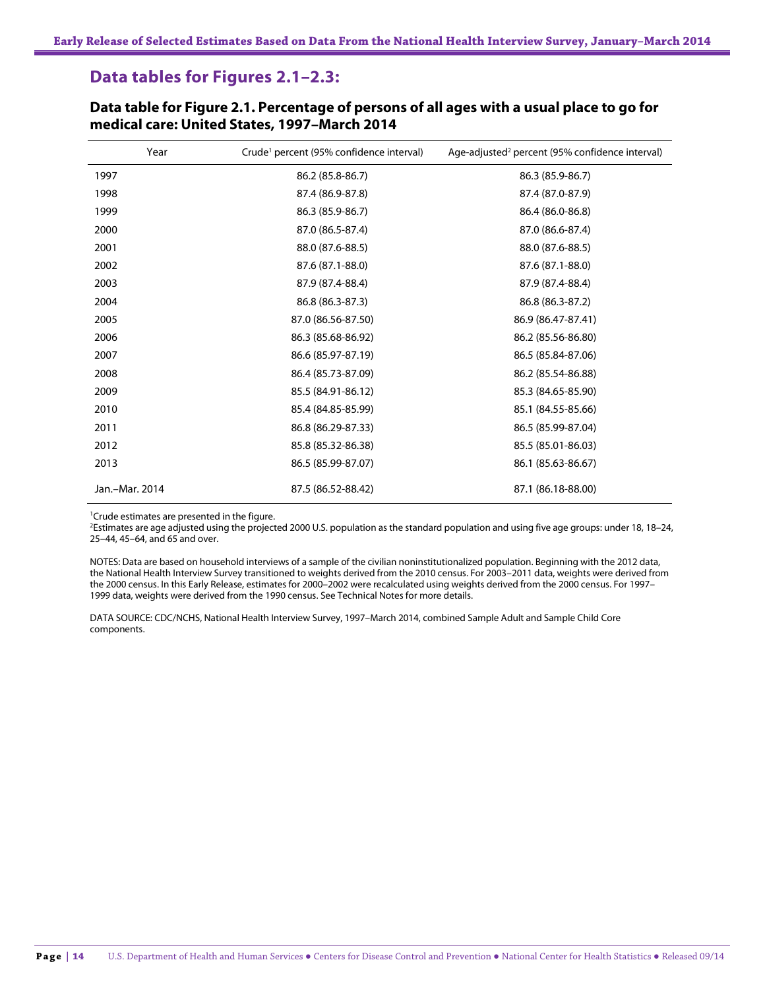### **Data tables for Figures 2.1–2.3:**

| Year           | Crude <sup>1</sup> percent (95% confidence interval) | Age-adjusted <sup>2</sup> percent (95% confidence interval) |
|----------------|------------------------------------------------------|-------------------------------------------------------------|
| 1997           | 86.2 (85.8-86.7)                                     | 86.3 (85.9-86.7)                                            |
| 1998           | 87.4 (86.9-87.8)                                     | 87.4 (87.0-87.9)                                            |
| 1999           | 86.3 (85.9-86.7)                                     | 86.4 (86.0-86.8)                                            |
| 2000           | 87.0 (86.5-87.4)                                     | 87.0 (86.6-87.4)                                            |
| 2001           | 88.0 (87.6-88.5)                                     | 88.0 (87.6-88.5)                                            |
| 2002           | 87.6 (87.1-88.0)                                     | 87.6 (87.1-88.0)                                            |
| 2003           | 87.9 (87.4-88.4)                                     | 87.9 (87.4-88.4)                                            |
| 2004           | 86.8 (86.3-87.3)                                     | 86.8 (86.3-87.2)                                            |
| 2005           | 87.0 (86.56-87.50)                                   | 86.9 (86.47-87.41)                                          |
| 2006           | 86.3 (85.68-86.92)                                   | 86.2 (85.56-86.80)                                          |
| 2007           | 86.6 (85.97-87.19)                                   | 86.5 (85.84-87.06)                                          |
| 2008           | 86.4 (85.73-87.09)                                   | 86.2 (85.54-86.88)                                          |
| 2009           | 85.5 (84.91-86.12)                                   | 85.3 (84.65-85.90)                                          |
| 2010           | 85.4 (84.85-85.99)                                   | 85.1 (84.55-85.66)                                          |
| 2011           | 86.8 (86.29-87.33)                                   | 86.5 (85.99-87.04)                                          |
| 2012           | 85.8 (85.32-86.38)                                   | 85.5 (85.01-86.03)                                          |
| 2013           | 86.5 (85.99-87.07)                                   | 86.1 (85.63-86.67)                                          |
| Jan.-Mar. 2014 | 87.5 (86.52-88.42)                                   | 87.1 (86.18-88.00)                                          |

**Data table for Figure 2.1. Percentage of persons of all ages with a usual place to go for medical care: United States, 1997–March 2014**

 $1$ Crude estimates are presented in the figure.<br> $2$ Estimates are age adjusted using the project

Estimates are age adjusted using the projected 2000 U.S. population as the standard population and using five age groups: under 18, 18–24, 25–44, 45–64, and 65 and over.

NOTES: Data are based on household interviews of a sample of the civilian noninstitutionalized population. Beginning with the 2012 data, the National Health Interview Survey transitioned to weights derived from the 2010 census. For 2003–2011 data, weights were derived from the 2000 census. In this Early Release, estimates for 2000–2002 were recalculated using weights derived from the 2000 census. For 1997– 1999 data, weights were derived from the 1990 census. See Technical Notes for more details.

DATA SOURCE: CDC/NCHS, National Health Interview Survey, 1997–March 2014, combined Sample Adult and Sample Child Core components.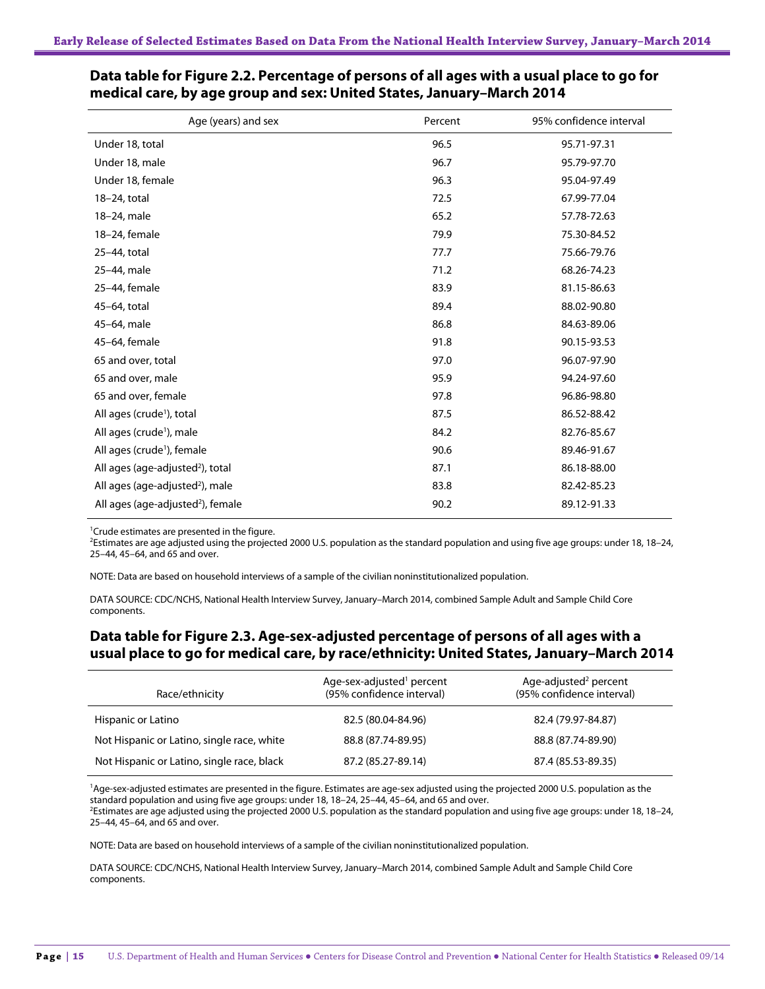| Age (years) and sex                           | Percent | 95% confidence interval |
|-----------------------------------------------|---------|-------------------------|
| Under 18, total                               | 96.5    | 95.71-97.31             |
| Under 18, male                                | 96.7    | 95.79-97.70             |
| Under 18, female                              | 96.3    | 95.04-97.49             |
| 18-24, total                                  | 72.5    | 67.99-77.04             |
| 18-24, male                                   | 65.2    | 57.78-72.63             |
| 18-24, female                                 | 79.9    | 75.30-84.52             |
| 25-44, total                                  | 77.7    | 75.66-79.76             |
| 25-44, male                                   | 71.2    | 68.26-74.23             |
| 25-44, female                                 | 83.9    | 81.15-86.63             |
| 45-64, total                                  | 89.4    | 88.02-90.80             |
| 45-64, male                                   | 86.8    | 84.63-89.06             |
| 45-64, female                                 | 91.8    | 90.15-93.53             |
| 65 and over, total                            | 97.0    | 96.07-97.90             |
| 65 and over, male                             | 95.9    | 94.24-97.60             |
| 65 and over, female                           | 97.8    | 96.86-98.80             |
| All ages (crude <sup>1</sup> ), total         | 87.5    | 86.52-88.42             |
| All ages (crude <sup>1</sup> ), male          | 84.2    | 82.76-85.67             |
| All ages (crude <sup>1</sup> ), female        | 90.6    | 89.46-91.67             |
| All ages (age-adjusted <sup>2</sup> ), total  | 87.1    | 86.18-88.00             |
| All ages (age-adjusted <sup>2</sup> ), male   | 83.8    | 82.42-85.23             |
| All ages (age-adjusted <sup>2</sup> ), female | 90.2    | 89.12-91.33             |

#### **Data table for Figure 2.2. Percentage of persons of all ages with a usual place to go for medical care, by age group and sex: United States, January–March 2014**

<sup>1</sup>Crude estimates are presented in the figure.

2 Estimates are age adjusted using the projected 2000 U.S. population as the standard population and using five age groups: under 18, 18–24, 25–44, 45–64, and 65 and over.

NOTE: Data are based on household interviews of a sample of the civilian noninstitutionalized population.

DATA SOURCE: CDC/NCHS, National Health Interview Survey, January–March 2014, combined Sample Adult and Sample Child Core components.

### **Data table for Figure 2.3. Age-sex-adjusted percentage of persons of all ages with a usual place to go for medical care, by race/ethnicity: United States, January–March 2014**

| Race/ethnicity                             | Age-sex-adjusted <sup>1</sup> percent<br>(95% confidence interval) | Age-adjusted <sup>2</sup> percent<br>(95% confidence interval) |
|--------------------------------------------|--------------------------------------------------------------------|----------------------------------------------------------------|
| Hispanic or Latino                         | 82.5 (80.04-84.96)                                                 | 82.4 (79.97-84.87)                                             |
| Not Hispanic or Latino, single race, white | 88.8 (87.74-89.95)                                                 | 88.8 (87.74-89.90)                                             |
| Not Hispanic or Latino, single race, black | 87.2 (85.27-89.14)                                                 | 87.4 (85.53-89.35)                                             |

<sup>1</sup>Age-sex-adjusted estimates are presented in the figure. Estimates are age-sex adjusted using the projected 2000 U.S. population as the standard population and using five age groups: under 18, 18–24, 25–44, 45–64, and 65 and over. 2

Estimates are age adjusted using the projected 2000 U.S. population as the standard population and using five age groups: under 18, 18–24, 25–44, 45–64, and 65 and over.

NOTE: Data are based on household interviews of a sample of the civilian noninstitutionalized population.

DATA SOURCE: CDC/NCHS, National Health Interview Survey, January–March 2014, combined Sample Adult and Sample Child Core components.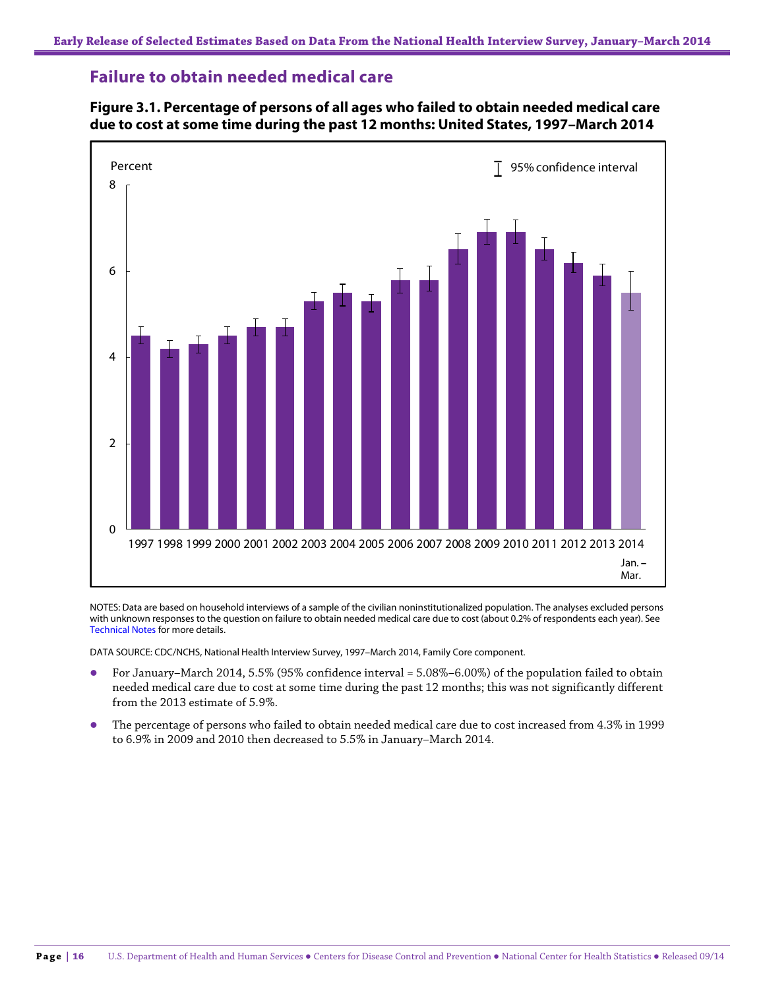### **Failure to obtain needed medical care**



### **Figure 3.1. Percentage of persons of all ages who failed to obtain needed medical care due to cost at some time during the past 12 months: United States, 1997–March 2014**

NOTES: Data are based on household interviews of a sample of the civilian noninstitutionalized population. The analyses excluded persons with unknown responses to the question on failure to obtain needed medical care due to cost (about 0.2% of respondents each year). See Technical Notes for more details.

DATA SOURCE: CDC/NCHS, National Health Interview Survey, 1997–March 2014, Family Core component.

- For January–March 2014, 5.5% (95% confidence interval = 5.08%–6.00%) of the population failed to obtain needed medical care due to cost at some time during the past 12 months; this was not significantly different from the 2013 estimate of 5.9%.
- The percentage of persons who failed to obtain needed medical care due to cost increased from 4.3% in 1999 to 6.9% in 2009 and 2010 then decreased to 5.5% in January–March 2014.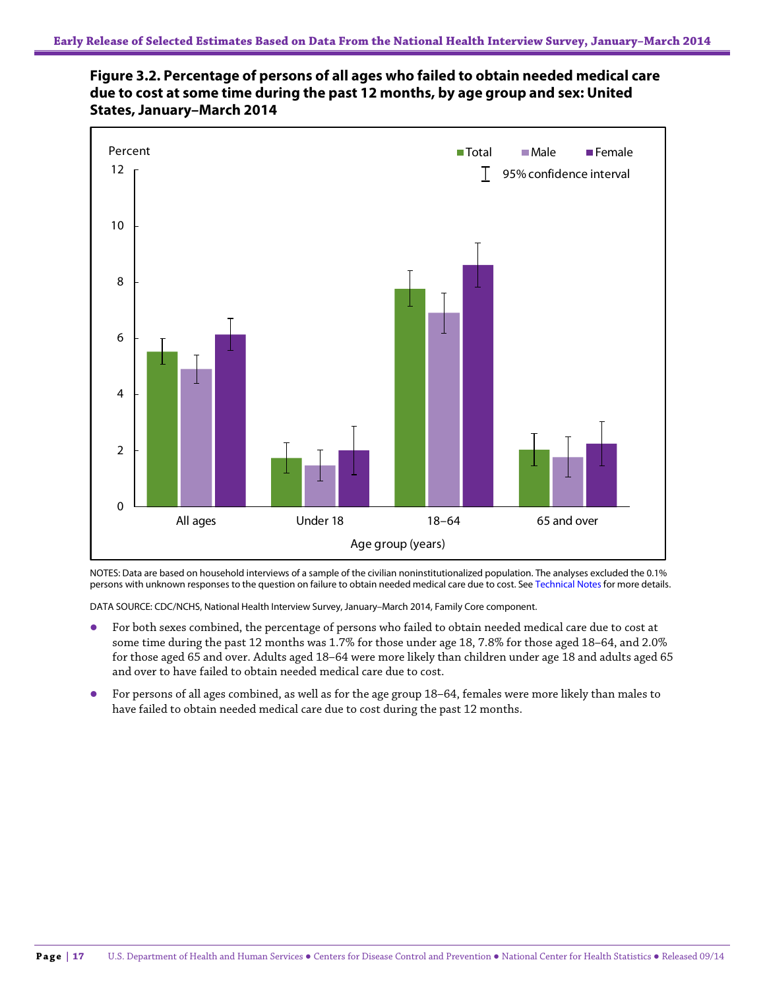



NOTES: Data are based on household interviews of a sample of the civilian noninstitutionalized population. The analyses excluded the 0.1% persons with unknown responses to the question on failure to obtain needed medical care due to cost. See Technical Notes for more details.

DATA SOURCE: CDC/NCHS, National Health Interview Survey, January–March 2014, Family Core component.

- For both sexes combined, the percentage of persons who failed to obtain needed medical care due to cost at some time during the past 12 months was 1.7% for those under age 18, 7.8% for those aged 18–64, and 2.0% for those aged 65 and over. Adults aged 18–64 were more likely than children under age 18 and adults aged 65 and over to have failed to obtain needed medical care due to cost.
- For persons of all ages combined, as well as for the age group 18–64, females were more likely than males to have failed to obtain needed medical care due to cost during the past 12 months.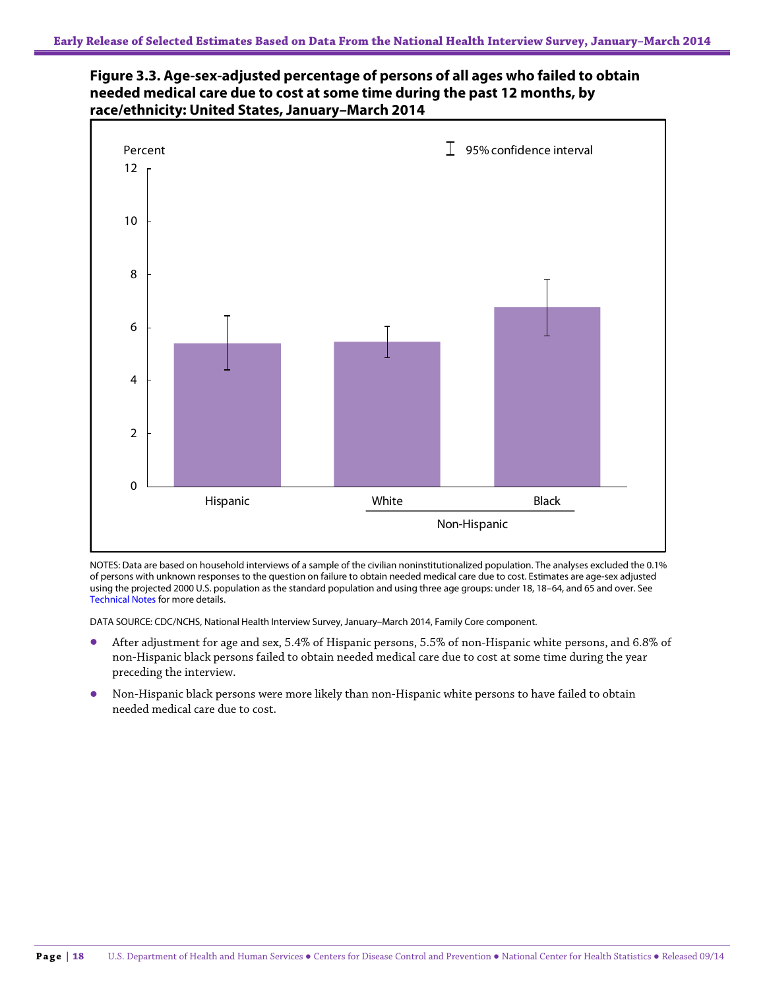



NOTES: Data are based on household interviews of a sample of the civilian noninstitutionalized population. The analyses excluded the 0.1% of persons with unknown responses to the question on failure to obtain needed medical care due to cost. Estimates are age-sex adjusted using the projected 2000 U.S. population as the standard population and using three age groups: under 18, 18–64, and 65 and over. See Technical Notes for more details.

DATA SOURCE: CDC/NCHS, National Health Interview Survey, January–March 2014, Family Core component.

- After adjustment for age and sex, 5.4% of Hispanic persons, 5.5% of non-Hispanic white persons, and 6.8% of non-Hispanic black persons failed to obtain needed medical care due to cost at some time during the year preceding the interview.
- Non-Hispanic black persons were more likely than non-Hispanic white persons to have failed to obtain needed medical care due to cost.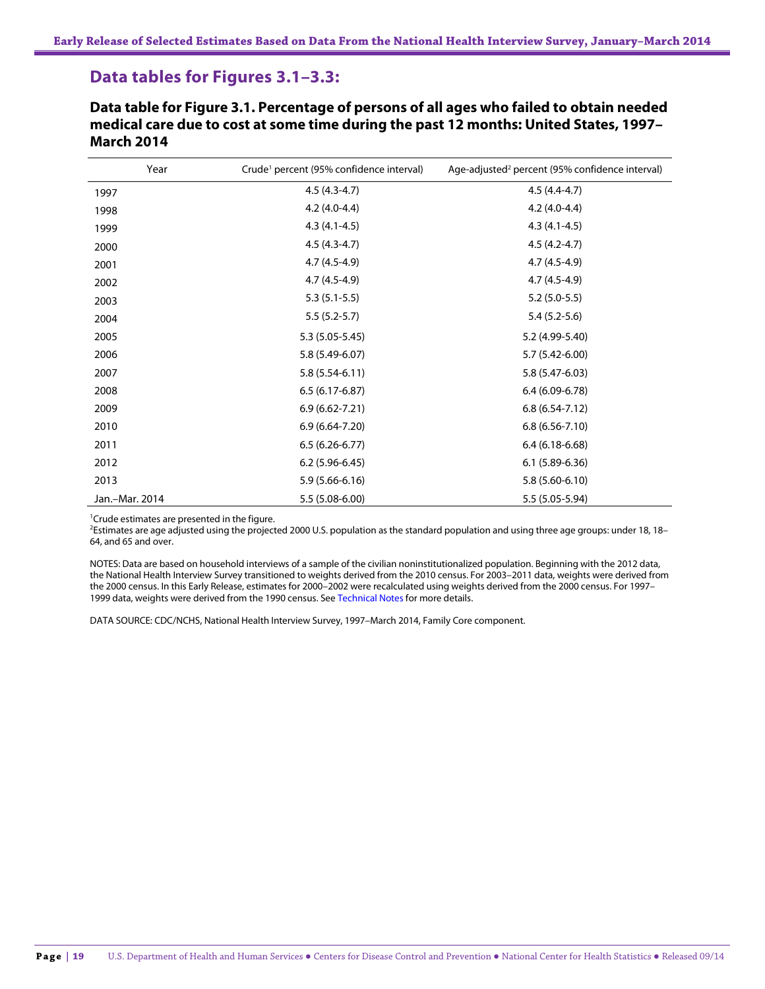### **Data tables for Figures 3.1–3.3:**

**Data table for Figure 3.1. Percentage of persons of all ages who failed to obtain needed medical care due to cost at some time during the past 12 months: United States, 1997– March 2014**

| Year           | Crude <sup>1</sup> percent (95% confidence interval) | Age-adjusted <sup>2</sup> percent (95% confidence interval) |
|----------------|------------------------------------------------------|-------------------------------------------------------------|
| 1997           | $4.5(4.3-4.7)$                                       | $4.5(4.4-4.7)$                                              |
| 1998           | $4.2(4.0-4.4)$                                       | $4.2(4.0-4.4)$                                              |
| 1999           | $4.3(4.1-4.5)$                                       | $4.3(4.1-4.5)$                                              |
| 2000           | $4.5(4.3-4.7)$                                       | $4.5(4.2 - 4.7)$                                            |
| 2001           | $4.7(4.5-4.9)$                                       | $4.7(4.5-4.9)$                                              |
| 2002           | $4.7(4.5-4.9)$                                       | $4.7(4.5-4.9)$                                              |
| 2003           | $5.3(5.1-5.5)$                                       | $5.2(5.0-5.5)$                                              |
| 2004           | $5.5(5.2-5.7)$                                       | $5.4(5.2-5.6)$                                              |
| 2005           | $5.3(5.05-5.45)$                                     | 5.2 (4.99-5.40)                                             |
| 2006           | 5.8 (5.49-6.07)                                      | 5.7 (5.42-6.00)                                             |
| 2007           | $5.8(5.54-6.11)$                                     | 5.8 (5.47-6.03)                                             |
| 2008           | $6.5(6.17-6.87)$                                     | $6.4(6.09-6.78)$                                            |
| 2009           | $6.9(6.62 - 7.21)$                                   | $6.8(6.54-7.12)$                                            |
| 2010           | $6.9(6.64-7.20)$                                     | $6.8(6.56 - 7.10)$                                          |
| 2011           | $6.5(6.26-6.77)$                                     | $6.4(6.18-6.68)$                                            |
| 2012           | $6.2(5.96-6.45)$                                     | $6.1(5.89-6.36)$                                            |
| 2013           | $5.9(5.66-6.16)$                                     | $5.8(5.60 - 6.10)$                                          |
| Jan.-Mar. 2014 | 5.5 (5.08-6.00)                                      | 5.5 (5.05-5.94)                                             |

<sup>1</sup>Crude estimates are presented in the figure.

2 Estimates are age adjusted using the projected 2000 U.S. population as the standard population and using three age groups: under 18, 18– 64, and 65 and over.

NOTES: Data are based on household interviews of a sample of the civilian noninstitutionalized population. Beginning with the 2012 data, the National Health Interview Survey transitioned to weights derived from the 2010 census. For 2003–2011 data, weights were derived from the 2000 census. In this Early Release, estimates for 2000–2002 were recalculated using weights derived from the 2000 census. For 1997– 1999 data, weights were derived from the 1990 census. See Technical Notes for more details.

DATA SOURCE: CDC/NCHS, National Health Interview Survey, 1997–March 2014, Family Core component.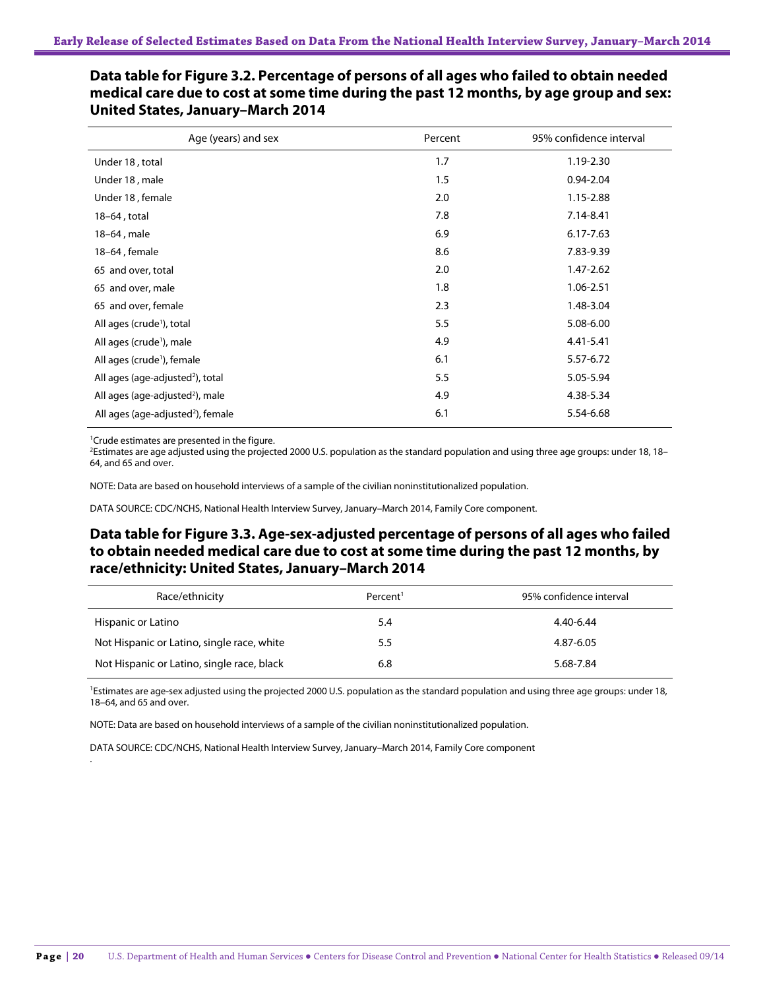#### Age (years) and sex exercise the set of the Percent Figure 15% confidence interval Under 18 , total 1.19-2.30 Under 18 , male 2.04 0.94-2.04 Under 18 , female 2.0 1.15-2.88 18–64 , total 7.8 7.14-8.41 18–64, male 6.17-7.63 and 6.9 ft matrix of the form of the form of the form of the form of the form of the form of the form of the form of the form of the form of the form of the form of the form of the form of the form of 18–64, female 7.83-9.39 and 7.83-9.39 65 and over, total 2.0 1.47-2.62 65 and over, male 1.8 1.06-2.51 65 and over, female 2.3 1.48-3.04 All ages (crude<sup>1</sup>), total ), total 5.5 5.08-6.00 All ages (crude<sup>1</sup>), male ), male **4.41-5.41 4.9 4.41-5.41** All ages (crude<sup>1</sup>), female ), female 6.1 5.57-6.72 All ages (age-adjusted<sup>2</sup>), total ), total 5.5 5.05-5.94 All ages (age-adjusted<sup>2</sup>), male ), male 4.38-5.34 All ages (age-adjusted<sup>2</sup>), female ), female 6.1 5.54-6.68

**Data table for Figure 3.2. Percentage of persons of all ages who failed to obtain needed medical care due to cost at some time during the past 12 months, by age group and sex: United States, January–March 2014**

1 Crude estimates are presented in the figure.

.

2 Estimates are age adjusted using the projected 2000 U.S. population as the standard population and using three age groups: under 18, 18– 64, and 65 and over.

NOTE: Data are based on household interviews of a sample of the civilian noninstitutionalized population.

DATA SOURCE: CDC/NCHS, National Health Interview Survey, January–March 2014, Family Core component.

#### **Data table for Figure 3.3. Age-sex-adjusted percentage of persons of all ages who failed to obtain needed medical care due to cost at some time during the past 12 months, by race/ethnicity: United States, January–March 2014**

| Race/ethnicity                             | Percent <sup>1</sup> | 95% confidence interval |
|--------------------------------------------|----------------------|-------------------------|
| Hispanic or Latino                         | 5.4                  | 4.40-6.44               |
| Not Hispanic or Latino, single race, white | 5.5                  | 4.87-6.05               |
| Not Hispanic or Latino, single race, black | 6.8                  | 5.68-7.84               |

<sup>1</sup>Estimates are age-sex adjusted using the projected 2000 U.S. population as the standard population and using three age groups: under 18, 18–64, and 65 and over.

NOTE: Data are based on household interviews of a sample of the civilian noninstitutionalized population.

DATA SOURCE: CDC/NCHS, National Health Interview Survey, January–March 2014, Family Core component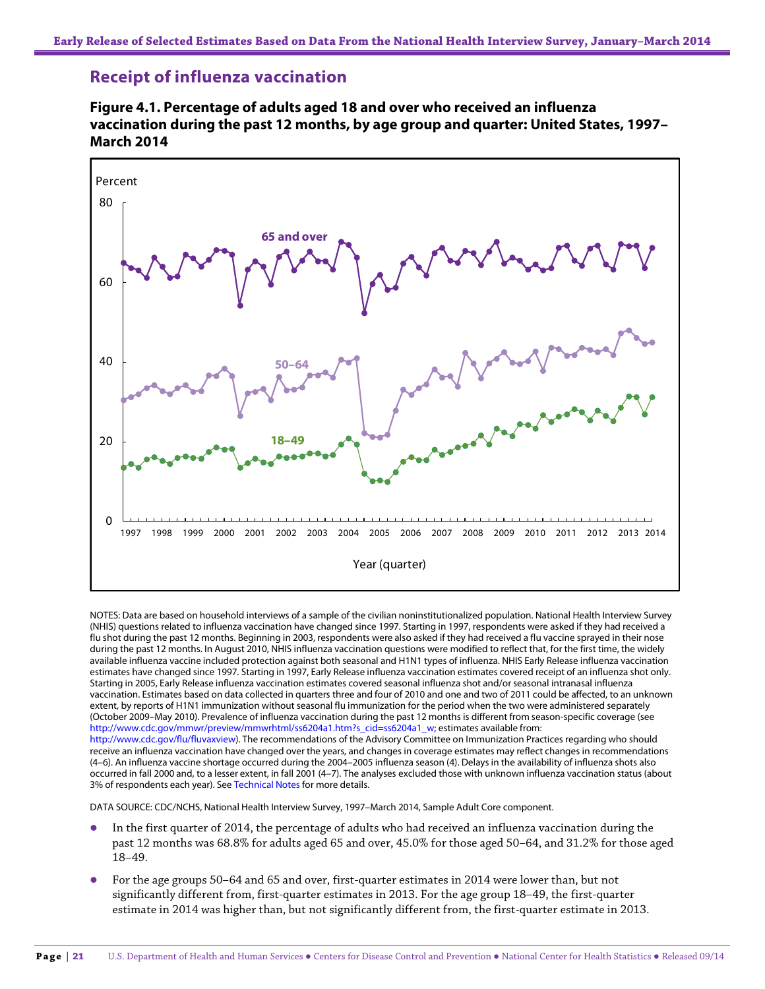### **Receipt of influenza vaccination**





NOTES: Data are based on household interviews of a sample of the civilian noninstitutionalized population. National Health Interview Survey (NHIS) questions related to influenza vaccination have changed since 1997. Starting in 1997, respondents were asked if they had received a flu shot during the past 12 months. Beginning in 2003, respondents were also asked if they had received a flu vaccine sprayed in their nose during the past 12 months. In August 2010, NHIS influenza vaccination questions were modified to reflect that, for the first time, the widely available influenza vaccine included protection against both seasonal and H1N1 types of influenza. NHIS Early Release influenza vaccination estimates have changed since 1997. Starting in 1997, Early Release influenza vaccination estimates covered receipt of an influenza shot only. Starting in 2005, Early Release influenza vaccination estimates covered seasonal influenza shot and/or seasonal intranasal influenza vaccination. Estimates based on data collected in quarters three and four of 2010 and one and two of 2011 could be affected, to an unknown extent, by reports of H1N1 immunization without seasonal flu immunization for the period when the two were administered separately (October 2009–May 2010). Prevalence of influenza vaccination during the past 12 months is different from season-specific coverage (see [http://www.cdc.gov/mmwr/preview/mmwrhtml/ss6204a1.htm?s\\_cid=ss6204a1\\_w;](http://www.cdc.gov/mmwr/preview/mmwrhtml/ss6204a1.htm?s_cid=ss6204a1_w) estimates available from: [http://www.cdc.gov/flu/fluvaxview\).](http://www.cdc.gov/flu/fluvaxview) The recommendations of the Advisory Committee on Immunization Practices regarding who should receive an influenza vaccination have changed over the years, and changes in coverage estimates may reflect changes in recommendations (4–6). An influenza vaccine shortage occurred during the 2004–2005 influenza season (4). Delays in the availability of influenza shots also occurred in fall 2000 and, to a lesser extent, in fall 2001 (4–7). The analyses excluded those with unknown influenza vaccination status (about

DATA SOURCE: CDC/NCHS, National Health Interview Survey, 1997–March 2014, Sample Adult Core component.

3% of respondents each year). See Technical Notes for more details.

- In the first quarter of 2014, the percentage of adults who had received an influenza vaccination during the past 12 months was 68.8% for adults aged 65 and over, 45.0% for those aged 50–64, and 31.2% for those aged 18–49.
- For the age groups 50–64 and 65 and over, first-quarter estimates in 2014 were lower than, but not significantly different from, first-quarter estimates in 2013. For the age group 18–49, the first-quarter estimate in 2014 was higher than, but not significantly different from, the first-quarter estimate in 2013.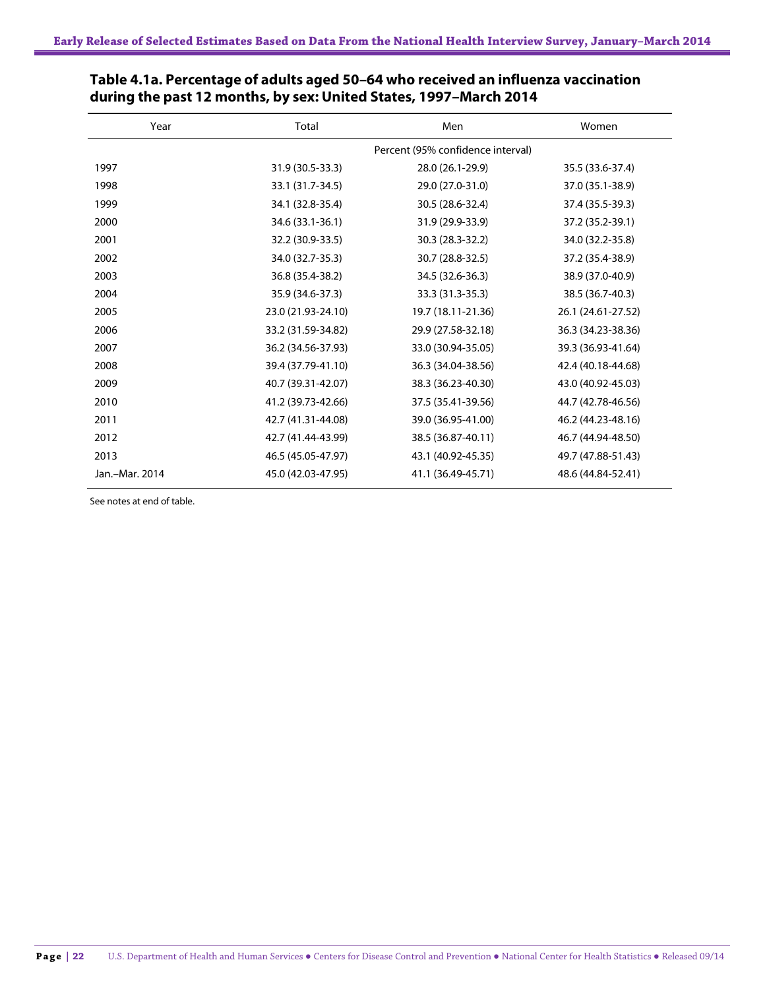| Year           | Total              | Men                               | Women              |
|----------------|--------------------|-----------------------------------|--------------------|
|                |                    | Percent (95% confidence interval) |                    |
| 1997           | 31.9 (30.5-33.3)   | 28.0 (26.1-29.9)                  | 35.5 (33.6-37.4)   |
| 1998           | 33.1 (31.7-34.5)   | 29.0 (27.0-31.0)                  | 37.0 (35.1-38.9)   |
| 1999           | 34.1 (32.8-35.4)   | 30.5 (28.6-32.4)                  | 37.4 (35.5-39.3)   |
| 2000           | 34.6 (33.1-36.1)   | 31.9 (29.9-33.9)                  | 37.2 (35.2-39.1)   |
| 2001           | 32.2 (30.9-33.5)   | 30.3 (28.3-32.2)                  | 34.0 (32.2-35.8)   |
| 2002           | 34.0 (32.7-35.3)   | 30.7 (28.8-32.5)                  | 37.2 (35.4-38.9)   |
| 2003           | 36.8 (35.4-38.2)   | 34.5 (32.6-36.3)                  | 38.9 (37.0-40.9)   |
| 2004           | 35.9 (34.6-37.3)   | 33.3 (31.3-35.3)                  | 38.5 (36.7-40.3)   |
| 2005           | 23.0 (21.93-24.10) | 19.7 (18.11-21.36)                | 26.1 (24.61-27.52) |
| 2006           | 33.2 (31.59-34.82) | 29.9 (27.58-32.18)                | 36.3 (34.23-38.36) |
| 2007           | 36.2 (34.56-37.93) | 33.0 (30.94-35.05)                | 39.3 (36.93-41.64) |
| 2008           | 39.4 (37.79-41.10) | 36.3 (34.04-38.56)                | 42.4 (40.18-44.68) |
| 2009           | 40.7 (39.31-42.07) | 38.3 (36.23-40.30)                | 43.0 (40.92-45.03) |
| 2010           | 41.2 (39.73-42.66) | 37.5 (35.41-39.56)                | 44.7 (42.78-46.56) |
| 2011           | 42.7 (41.31-44.08) | 39.0 (36.95-41.00)                | 46.2 (44.23-48.16) |
| 2012           | 42.7 (41.44-43.99) | 38.5 (36.87-40.11)                | 46.7 (44.94-48.50) |
| 2013           | 46.5 (45.05-47.97) | 43.1 (40.92-45.35)                | 49.7 (47.88-51.43) |
| Jan.-Mar. 2014 | 45.0 (42.03-47.95) | 41.1 (36.49-45.71)                | 48.6 (44.84-52.41) |

| Table 4.1a. Percentage of adults aged 50–64 who received an influenza vaccination |
|-----------------------------------------------------------------------------------|
| during the past 12 months, by sex: United States, 1997–March 2014                 |

See notes at end of table.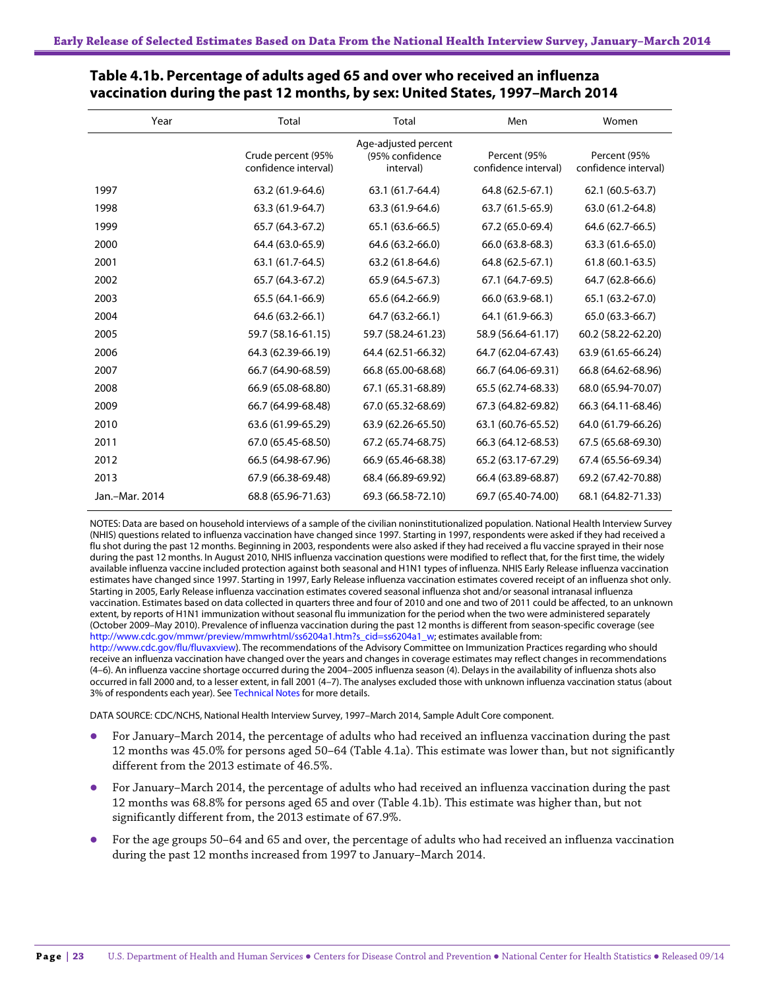| Year           | Total                                      | Total                                                | Men                                  | Women                                |
|----------------|--------------------------------------------|------------------------------------------------------|--------------------------------------|--------------------------------------|
|                | Crude percent (95%<br>confidence interval) | Age-adjusted percent<br>(95% confidence<br>interval) | Percent (95%<br>confidence interval) | Percent (95%<br>confidence interval) |
| 1997           | 63.2 (61.9-64.6)                           | 63.1 (61.7-64.4)                                     | 64.8 (62.5-67.1)                     | 62.1 (60.5-63.7)                     |
| 1998           | 63.3 (61.9-64.7)                           | 63.3 (61.9-64.6)                                     | 63.7 (61.5-65.9)                     | 63.0 (61.2-64.8)                     |
| 1999           | 65.7 (64.3-67.2)                           | 65.1 (63.6-66.5)                                     | 67.2 (65.0-69.4)                     | 64.6 (62.7-66.5)                     |
| 2000           | 64.4 (63.0-65.9)                           | 64.6 (63.2-66.0)                                     | 66.0 (63.8-68.3)                     | 63.3 (61.6-65.0)                     |
| 2001           | 63.1 (61.7-64.5)                           | 63.2 (61.8-64.6)                                     | 64.8 (62.5-67.1)                     | $61.8(60.1-63.5)$                    |
| 2002           | 65.7 (64.3-67.2)                           | 65.9 (64.5-67.3)                                     | 67.1 (64.7-69.5)                     | 64.7 (62.8-66.6)                     |
| 2003           | 65.5 (64.1-66.9)                           | 65.6 (64.2-66.9)                                     | 66.0 (63.9-68.1)                     | 65.1 (63.2-67.0)                     |
| 2004           | 64.6 (63.2-66.1)                           | 64.7 (63.2-66.1)                                     | 64.1 (61.9-66.3)                     | 65.0 (63.3-66.7)                     |
| 2005           | 59.7 (58.16-61.15)                         | 59.7 (58.24-61.23)                                   | 58.9 (56.64-61.17)                   | 60.2 (58.22-62.20)                   |
| 2006           | 64.3 (62.39-66.19)                         | 64.4 (62.51-66.32)                                   | 64.7 (62.04-67.43)                   | 63.9 (61.65-66.24)                   |
| 2007           | 66.7 (64.90-68.59)                         | 66.8 (65.00-68.68)                                   | 66.7 (64.06-69.31)                   | 66.8 (64.62-68.96)                   |
| 2008           | 66.9 (65.08-68.80)                         | 67.1 (65.31-68.89)                                   | 65.5 (62.74-68.33)                   | 68.0 (65.94-70.07)                   |
| 2009           | 66.7 (64.99-68.48)                         | 67.0 (65.32-68.69)                                   | 67.3 (64.82-69.82)                   | 66.3 (64.11-68.46)                   |
| 2010           | 63.6 (61.99-65.29)                         | 63.9 (62.26-65.50)                                   | 63.1 (60.76-65.52)                   | 64.0 (61.79-66.26)                   |
| 2011           | 67.0 (65.45-68.50)                         | 67.2 (65.74-68.75)                                   | 66.3 (64.12-68.53)                   | 67.5 (65.68-69.30)                   |
| 2012           | 66.5 (64.98-67.96)                         | 66.9 (65.46-68.38)                                   | 65.2 (63.17-67.29)                   | 67.4 (65.56-69.34)                   |
| 2013           | 67.9 (66.38-69.48)                         | 68.4 (66.89-69.92)                                   | 66.4 (63.89-68.87)                   | 69.2 (67.42-70.88)                   |
| Jan.-Mar. 2014 | 68.8 (65.96-71.63)                         | 69.3 (66.58-72.10)                                   | 69.7 (65.40-74.00)                   | 68.1 (64.82-71.33)                   |

#### **Table 4.1b. Percentage of adults aged 65 and over who received an influenza vaccination during the past 12 months, by sex: United States, 1997–March 2014**

NOTES: Data are based on household interviews of a sample of the civilian noninstitutionalized population. National Health Interview Survey (NHIS) questions related to influenza vaccination have changed since 1997. Starting in 1997, respondents were asked if they had received a flu shot during the past 12 months. Beginning in 2003, respondents were also asked if they had received a flu vaccine sprayed in their nose during the past 12 months. In August 2010, NHIS influenza vaccination questions were modified to reflect that, for the first time, the widely available influenza vaccine included protection against both seasonal and H1N1 types of influenza. NHIS Early Release influenza vaccination estimates have changed since 1997. Starting in 1997, Early Release influenza vaccination estimates covered receipt of an influenza shot only. Starting in 2005, Early Release influenza vaccination estimates covered seasonal influenza shot and/or seasonal intranasal influenza vaccination. Estimates based on data collected in quarters three and four of 2010 and one and two of 2011 could be affected, to an unknown extent, by reports of H1N1 immunization without seasonal flu immunization for the period when the two were administered separately (October 2009–May 2010). Prevalence of influenza vaccination during the past 12 months is different from season-specific coverage (see [http://www.cdc.gov/mmwr/preview/mmwrhtml/ss6204a1.htm?s\\_cid=ss6204a1\\_w;](http://www.cdc.gov/mmwr/preview/mmwrhtml/ss6204a1.htm?s_cid=ss6204a1_w) estimates available from: [http://www.cdc.gov/flu/fluvaxview\).](http://www.cdc.gov/flu/fluvaxview) The recommendations of the Advisory Committee on Immunization Practices regarding who should

receive an influenza vaccination have changed over the years and changes in coverage estimates may reflect changes in recommendations (4–6). An influenza vaccine shortage occurred during the 2004–2005 influenza season (4). Delays in the availability of influenza shots also occurred in fall 2000 and, to a lesser extent, in fall 2001 (4–7). The analyses excluded those with unknown influenza vaccination status (about 3% of respondents each year). See Technical Notes for more details.

DATA SOURCE: CDC/NCHS, National Health Interview Survey, 1997–March 2014, Sample Adult Core component.

- For January–March 2014, the percentage of adults who had received an influenza vaccination during the past 12 months was 45.0% for persons aged 50–64 (Table 4.1a). This estimate was lower than, but not significantly different from the 2013 estimate of 46.5%.
- For January–March 2014, the percentage of adults who had received an influenza vaccination during the past 12 months was 68.8% for persons aged 65 and over (Table 4.1b). This estimate was higher than, but not significantly different from, the 2013 estimate of 67.9%.
- For the age groups 50–64 and 65 and over, the percentage of adults who had received an influenza vaccination during the past 12 months increased from 1997 to January–March 2014.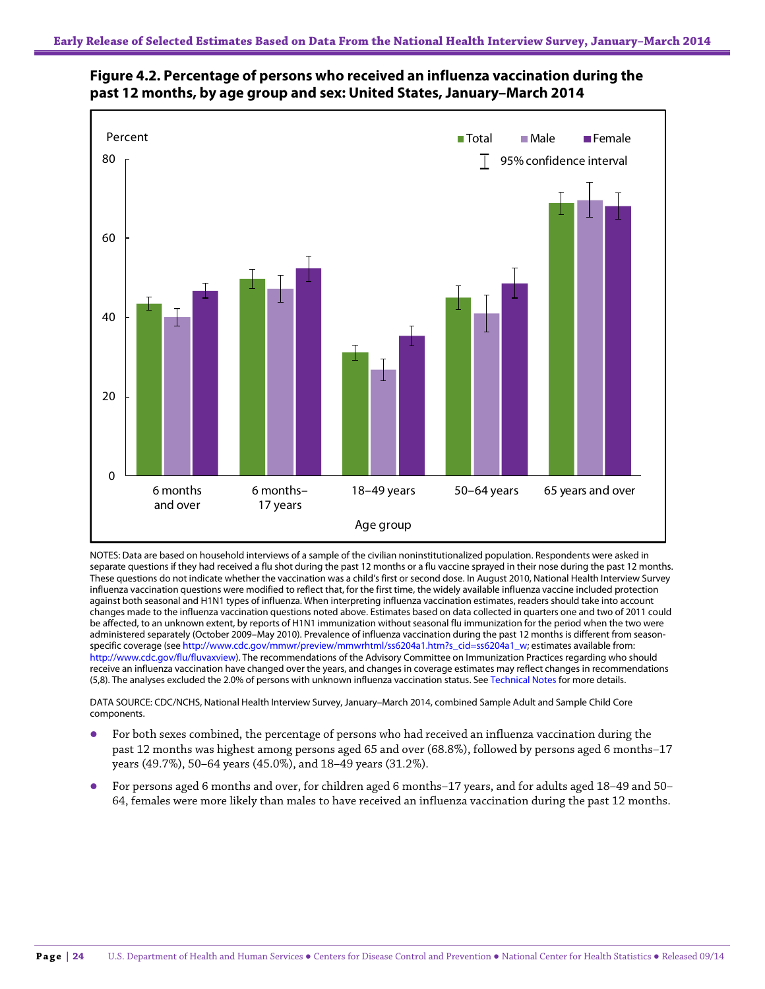

### **Figure 4.2. Percentage of persons who received an influenza vaccination during the past 12 months, by age group and sex: United States, January–March 2014**

NOTES: Data are based on household interviews of a sample of the civilian noninstitutionalized population. Respondents were asked in separate questions if they had received a flu shot during the past 12 months or a flu vaccine sprayed in their nose during the past 12 months. These questions do not indicate whether the vaccination was a child's first or second dose. In August 2010, National Health Interview Survey influenza vaccination questions were modified to reflect that, for the first time, the widely available influenza vaccine included protection against both seasonal and H1N1 types of influenza. When interpreting influenza vaccination estimates, readers should take into account changes made to the influenza vaccination questions noted above. Estimates based on data collected in quarters one and two of 2011 could be affected, to an unknown extent, by reports of H1N1 immunization without seasonal flu immunization for the period when the two were administered separately (October 2009–May 2010). Prevalence of influenza vaccination during the past 12 months is different from seasonspecific coverage (se[e http://www.cdc.gov/mmwr/preview/mmwrhtml/ss6204a1.htm?s\\_cid=ss6204a1\\_w;](http://www.cdc.gov/mmwr/preview/mmwrhtml/ss6204a1.htm?s_cid=ss6204a1_w) estimates available from: [http://www.cdc.gov/flu/fluvaxview\).](http://www.cdc.gov/flu/fluvaxview) The recommendations of the Advisory Committee on Immunization Practices regarding who should receive an influenza vaccination have changed over the years, and changes in coverage estimates may reflect changes in recommendations (5,8). The analyses excluded the 2.0% of persons with unknown influenza vaccination status. See Technical Notes for more details.

DATA SOURCE: CDC/NCHS, National Health Interview Survey, January–March 2014, combined Sample Adult and Sample Child Core components.

- For both sexes combined, the percentage of persons who had received an influenza vaccination during the past 12 months was highest among persons aged 65 and over (68.8%), followed by persons aged 6 months–17 years (49.7%), 50–64 years (45.0%), and 18–49 years (31.2%).
- For persons aged 6 months and over, for children aged 6 months–17 years, and for adults aged 18–49 and 50– 64, females were more likely than males to have received an influenza vaccination during the past 12 months.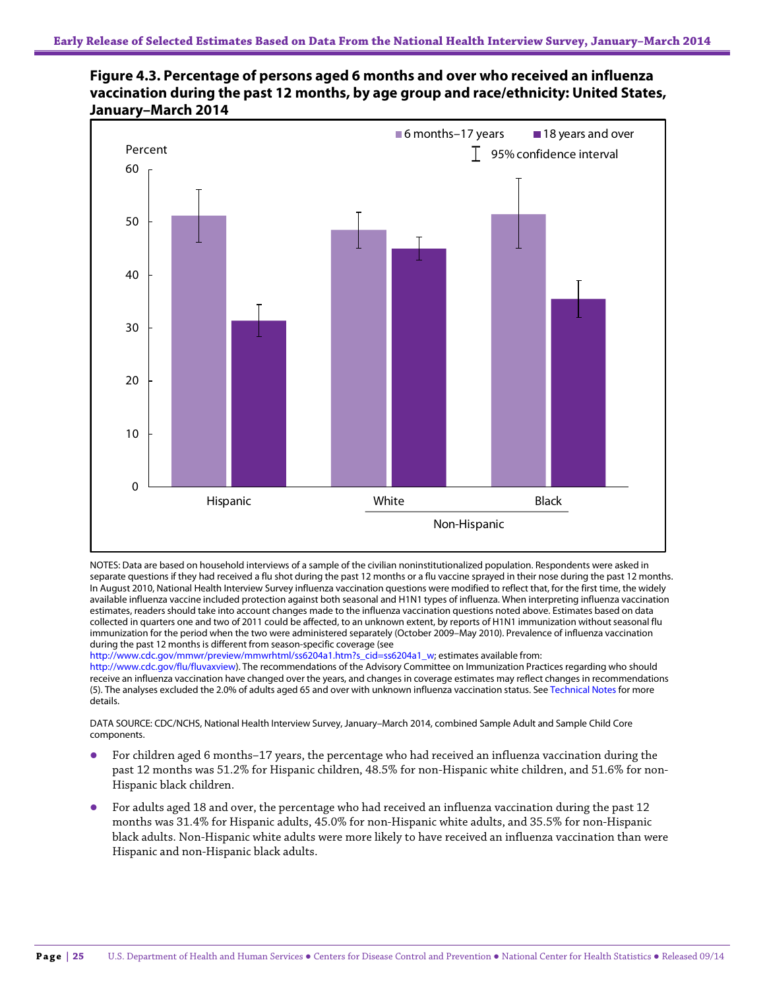



NOTES: Data are based on household interviews of a sample of the civilian noninstitutionalized population. Respondents were asked in separate questions if they had received a flu shot during the past 12 months or a flu vaccine sprayed in their nose during the past 12 months. In August 2010, National Health Interview Survey influenza vaccination questions were modified to reflect that, for the first time, the widely available influenza vaccine included protection against both seasonal and H1N1 types of influenza. When interpreting influenza vaccination estimates, readers should take into account changes made to the influenza vaccination questions noted above. Estimates based on data collected in quarters one and two of 2011 could be affected, to an unknown extent, by reports of H1N1 immunization without seasonal flu immunization for the period when the two were administered separately (October 2009–May 2010). Prevalence of influenza vaccination during the past 12 months is different from season-specific coverage (see

[http://www.cdc.gov/mmwr/preview/mmwrhtml/ss6204a1.htm?s\\_cid=ss6204a1\\_w;](http://www.cdc.gov/mmwr/preview/mmwrhtml/ss6204a1.htm?s_cid=ss6204a1_w) estimates available from:

[http://www.cdc.gov/flu/fluvaxview\).](http://www.cdc.gov/flu/fluvaxview) The recommendations of the Advisory Committee on Immunization Practices regarding who should receive an influenza vaccination have changed over the years, and changes in coverage estimates may reflect changes in recommendations (5). The analyses excluded the 2.0% of adults aged 65 and over with unknown influenza vaccination status. See Technical Notes for more details.

DATA SOURCE: CDC/NCHS, National Health Interview Survey, January–March 2014, combined Sample Adult and Sample Child Core components.

- For children aged 6 months–17 years, the percentage who had received an influenza vaccination during the past 12 months was 51.2% for Hispanic children, 48.5% for non-Hispanic white children, and 51.6% for non-Hispanic black children.
- For adults aged 18 and over, the percentage who had received an influenza vaccination during the past 12 months was 31.4% for Hispanic adults, 45.0% for non-Hispanic white adults, and 35.5% for non-Hispanic black adults. Non-Hispanic white adults were more likely to have received an influenza vaccination than were Hispanic and non-Hispanic black adults.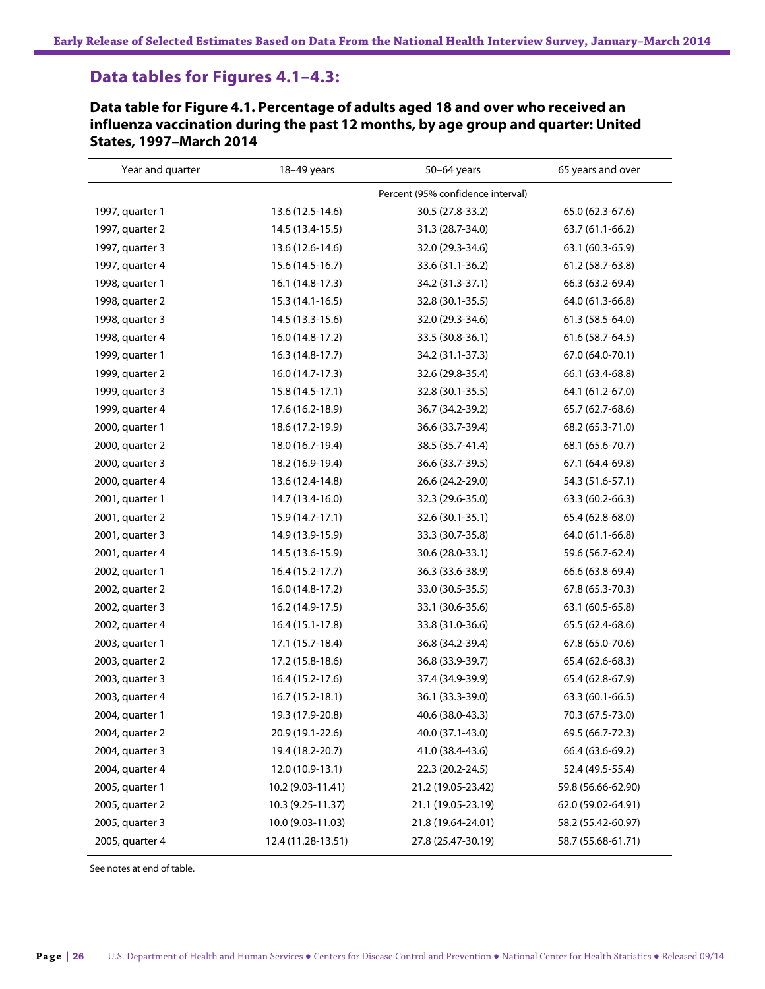### **Data tables for Figures 4.1–4.3:**

**Data table for Figure 4.1. Percentage of adults aged 18 and over who received an influenza vaccination during the past 12 months, by age group and quarter: United States, 1997–March 2014**

| Year and quarter | 18-49 years                       | 50-64 years        | 65 years and over  |
|------------------|-----------------------------------|--------------------|--------------------|
|                  | Percent (95% confidence interval) |                    |                    |
| 1997, quarter 1  | 13.6 (12.5-14.6)                  | 30.5 (27.8-33.2)   | 65.0 (62.3-67.6)   |
| 1997, quarter 2  | 14.5 (13.4-15.5)                  | 31.3 (28.7-34.0)   | 63.7 (61.1-66.2)   |
| 1997, quarter 3  | 13.6 (12.6-14.6)                  | 32.0 (29.3-34.6)   | 63.1 (60.3-65.9)   |
| 1997, quarter 4  | 15.6 (14.5-16.7)                  | 33.6 (31.1-36.2)   | 61.2 (58.7-63.8)   |
| 1998, quarter 1  | 16.1 (14.8-17.3)                  | 34.2 (31.3-37.1)   | 66.3 (63.2-69.4)   |
| 1998, quarter 2  | 15.3 (14.1-16.5)                  | 32.8 (30.1-35.5)   | 64.0 (61.3-66.8)   |
| 1998, quarter 3  | 14.5 (13.3-15.6)                  | 32.0 (29.3-34.6)   | 61.3 (58.5-64.0)   |
| 1998, quarter 4  | 16.0 (14.8-17.2)                  | 33.5 (30.8-36.1)   | 61.6 (58.7-64.5)   |
| 1999, quarter 1  | 16.3 (14.8-17.7)                  | 34.2 (31.1-37.3)   | 67.0 (64.0-70.1)   |
| 1999, quarter 2  | 16.0 (14.7-17.3)                  | 32.6 (29.8-35.4)   | 66.1 (63.4-68.8)   |
| 1999, quarter 3  | 15.8 (14.5-17.1)                  | 32.8 (30.1-35.5)   | 64.1 (61.2-67.0)   |
| 1999, quarter 4  | 17.6 (16.2-18.9)                  | 36.7 (34.2-39.2)   | 65.7 (62.7-68.6)   |
| 2000, quarter 1  | 18.6 (17.2-19.9)                  | 36.6 (33.7-39.4)   | 68.2 (65.3-71.0)   |
| 2000, quarter 2  | 18.0 (16.7-19.4)                  | 38.5 (35.7-41.4)   | 68.1 (65.6-70.7)   |
| 2000, quarter 3  | 18.2 (16.9-19.4)                  | 36.6 (33.7-39.5)   | 67.1 (64.4-69.8)   |
| 2000, quarter 4  | 13.6 (12.4-14.8)                  | 26.6 (24.2-29.0)   | 54.3 (51.6-57.1)   |
| 2001, quarter 1  | 14.7 (13.4-16.0)                  | 32.3 (29.6-35.0)   | 63.3 (60.2-66.3)   |
| 2001, quarter 2  | 15.9 (14.7-17.1)                  | 32.6 (30.1-35.1)   | 65.4 (62.8-68.0)   |
| 2001, quarter 3  | 14.9 (13.9-15.9)                  | 33.3 (30.7-35.8)   | 64.0 (61.1-66.8)   |
| 2001, quarter 4  | 14.5 (13.6-15.9)                  | 30.6 (28.0-33.1)   | 59.6 (56.7-62.4)   |
| 2002, quarter 1  | 16.4 (15.2-17.7)                  | 36.3 (33.6-38.9)   | 66.6 (63.8-69.4)   |
| 2002, quarter 2  | 16.0 (14.8-17.2)                  | 33.0 (30.5-35.5)   | 67.8 (65.3-70.3)   |
| 2002, quarter 3  | 16.2 (14.9-17.5)                  | 33.1 (30.6-35.6)   | 63.1 (60.5-65.8)   |
| 2002, quarter 4  | 16.4 (15.1-17.8)                  | 33.8 (31.0-36.6)   | 65.5 (62.4-68.6)   |
| 2003, quarter 1  | 17.1 (15.7-18.4)                  | 36.8 (34.2-39.4)   | 67.8 (65.0-70.6)   |
| 2003, quarter 2  | 17.2 (15.8-18.6)                  | 36.8 (33.9-39.7)   | 65.4 (62.6-68.3)   |
| 2003, quarter 3  | 16.4 (15.2-17.6)                  | 37.4 (34.9-39.9)   | 65.4 (62.8-67.9)   |
| 2003, quarter 4  | 16.7 (15.2-18.1)                  | 36.1 (33.3-39.0)   | 63.3 (60.1-66.5)   |
| 2004, quarter 1  | 19.3 (17.9-20.8)                  | 40.6 (38.0-43.3)   | 70.3 (67.5-73.0)   |
| 2004, quarter 2  | 20.9 (19.1-22.6)                  | 40.0 (37.1-43.0)   | 69.5 (66.7-72.3)   |
| 2004, quarter 3  | 19.4 (18.2-20.7)                  | 41.0 (38.4-43.6)   | 66.4 (63.6-69.2)   |
| 2004, quarter 4  | 12.0 (10.9-13.1)                  | 22.3 (20.2-24.5)   | 52.4 (49.5-55.4)   |
| 2005, quarter 1  | 10.2 (9.03-11.41)                 | 21.2 (19.05-23.42) | 59.8 (56.66-62.90) |
| 2005, quarter 2  | 10.3 (9.25-11.37)                 | 21.1 (19.05-23.19) | 62.0 (59.02-64.91) |
| 2005, quarter 3  | 10.0 (9.03-11.03)                 | 21.8 (19.64-24.01) | 58.2 (55.42-60.97) |
| 2005, quarter 4  | 12.4 (11.28-13.51)                | 27.8 (25.47-30.19) | 58.7 (55.68-61.71) |

See notes at end of table.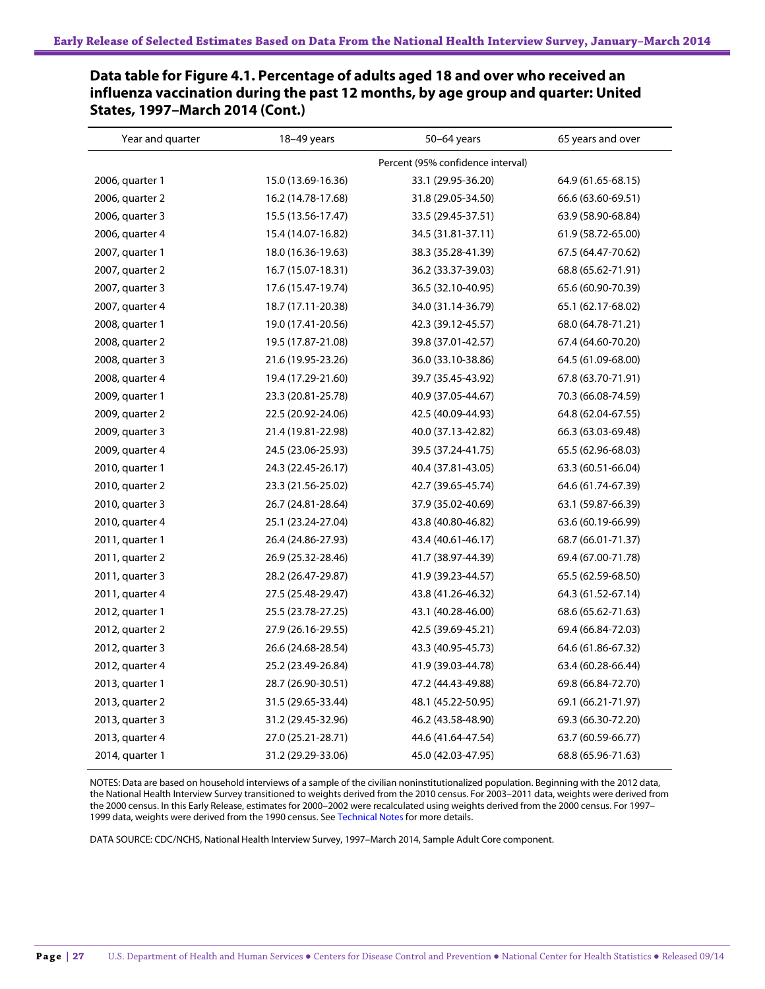| Year and quarter | 18-49 years        | 50-64 years                       | 65 years and over  |
|------------------|--------------------|-----------------------------------|--------------------|
|                  |                    | Percent (95% confidence interval) |                    |
| 2006, quarter 1  | 15.0 (13.69-16.36) | 33.1 (29.95-36.20)                | 64.9 (61.65-68.15) |
| 2006, quarter 2  | 16.2 (14.78-17.68) | 31.8 (29.05-34.50)                | 66.6 (63.60-69.51) |
| 2006, quarter 3  | 15.5 (13.56-17.47) | 33.5 (29.45-37.51)                | 63.9 (58.90-68.84) |
| 2006, quarter 4  | 15.4 (14.07-16.82) | 34.5 (31.81-37.11)                | 61.9 (58.72-65.00) |
| 2007, quarter 1  | 18.0 (16.36-19.63) | 38.3 (35.28-41.39)                | 67.5 (64.47-70.62) |
| 2007, quarter 2  | 16.7 (15.07-18.31) | 36.2 (33.37-39.03)                | 68.8 (65.62-71.91) |
| 2007, quarter 3  | 17.6 (15.47-19.74) | 36.5 (32.10-40.95)                | 65.6 (60.90-70.39) |
| 2007, quarter 4  | 18.7 (17.11-20.38) | 34.0 (31.14-36.79)                | 65.1 (62.17-68.02) |
| 2008, quarter 1  | 19.0 (17.41-20.56) | 42.3 (39.12-45.57)                | 68.0 (64.78-71.21) |
| 2008, quarter 2  | 19.5 (17.87-21.08) | 39.8 (37.01-42.57)                | 67.4 (64.60-70.20) |
| 2008, quarter 3  | 21.6 (19.95-23.26) | 36.0 (33.10-38.86)                | 64.5 (61.09-68.00) |
| 2008, quarter 4  | 19.4 (17.29-21.60) | 39.7 (35.45-43.92)                | 67.8 (63.70-71.91) |
| 2009, quarter 1  | 23.3 (20.81-25.78) | 40.9 (37.05-44.67)                | 70.3 (66.08-74.59) |
| 2009, quarter 2  | 22.5 (20.92-24.06) | 42.5 (40.09-44.93)                | 64.8 (62.04-67.55) |
| 2009, quarter 3  | 21.4 (19.81-22.98) | 40.0 (37.13-42.82)                | 66.3 (63.03-69.48) |
| 2009, quarter 4  | 24.5 (23.06-25.93) | 39.5 (37.24-41.75)                | 65.5 (62.96-68.03) |
| 2010, quarter 1  | 24.3 (22.45-26.17) | 40.4 (37.81-43.05)                | 63.3 (60.51-66.04) |
| 2010, quarter 2  | 23.3 (21.56-25.02) | 42.7 (39.65-45.74)                | 64.6 (61.74-67.39) |
| 2010, quarter 3  | 26.7 (24.81-28.64) | 37.9 (35.02-40.69)                | 63.1 (59.87-66.39) |
| 2010, quarter 4  | 25.1 (23.24-27.04) | 43.8 (40.80-46.82)                | 63.6 (60.19-66.99) |
| 2011, quarter 1  | 26.4 (24.86-27.93) | 43.4 (40.61-46.17)                | 68.7 (66.01-71.37) |
| 2011, quarter 2  | 26.9 (25.32-28.46) | 41.7 (38.97-44.39)                | 69.4 (67.00-71.78) |
| 2011, quarter 3  | 28.2 (26.47-29.87) | 41.9 (39.23-44.57)                | 65.5 (62.59-68.50) |
| 2011, quarter 4  | 27.5 (25.48-29.47) | 43.8 (41.26-46.32)                | 64.3 (61.52-67.14) |
| 2012, quarter 1  | 25.5 (23.78-27.25) | 43.1 (40.28-46.00)                | 68.6 (65.62-71.63) |
| 2012, quarter 2  | 27.9 (26.16-29.55) | 42.5 (39.69-45.21)                | 69.4 (66.84-72.03) |
| 2012, quarter 3  | 26.6 (24.68-28.54) | 43.3 (40.95-45.73)                | 64.6 (61.86-67.32) |
| 2012, quarter 4  | 25.2 (23.49-26.84) | 41.9 (39.03-44.78)                | 63.4 (60.28-66.44) |
| 2013, quarter 1  | 28.7 (26.90-30.51) | 47.2 (44.43-49.88)                | 69.8 (66.84-72.70) |
| 2013, quarter 2  | 31.5 (29.65-33.44) | 48.1 (45.22-50.95)                | 69.1 (66.21-71.97) |
| 2013, quarter 3  | 31.2 (29.45-32.96) | 46.2 (43.58-48.90)                | 69.3 (66.30-72.20) |
| 2013, quarter 4  | 27.0 (25.21-28.71) | 44.6 (41.64-47.54)                | 63.7 (60.59-66.77) |
| 2014, quarter 1  | 31.2 (29.29-33.06) | 45.0 (42.03-47.95)                | 68.8 (65.96-71.63) |

**Data table for Figure 4.1. Percentage of adults aged 18 and over who received an influenza vaccination during the past 12 months, by age group and quarter: United States, 1997–March 2014 (Cont.)**

NOTES: Data are based on household interviews of a sample of the civilian noninstitutionalized population. Beginning with the 2012 data, the National Health Interview Survey transitioned to weights derived from the 2010 census. For 2003–2011 data, weights were derived from the 2000 census. In this Early Release, estimates for 2000–2002 were recalculated using weights derived from the 2000 census. For 1997– 1999 data, weights were derived from the 1990 census. See Technical Notes for more details.

DATA SOURCE: CDC/NCHS, National Health Interview Survey, 1997–March 2014, Sample Adult Core component.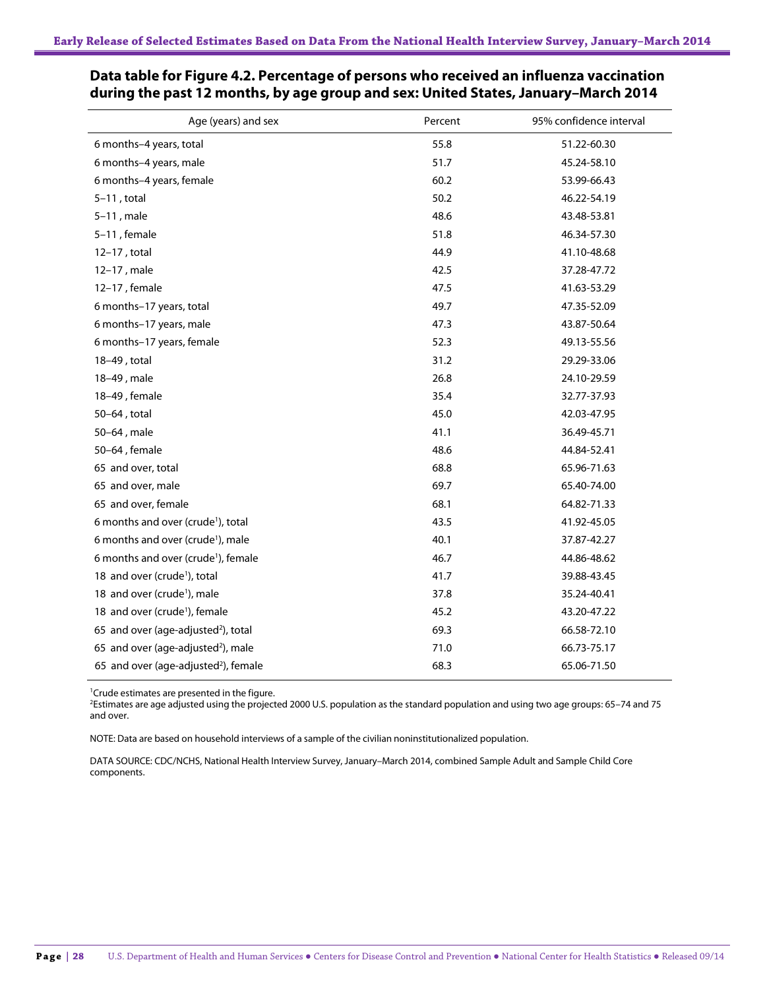| Age (years) and sex                              | Percent | 95% confidence interval |
|--------------------------------------------------|---------|-------------------------|
| 6 months-4 years, total                          | 55.8    | 51.22-60.30             |
| 6 months-4 years, male                           | 51.7    | 45.24-58.10             |
| 6 months-4 years, female                         | 60.2    | 53.99-66.43             |
| $5-11$ , total                                   | 50.2    | 46.22-54.19             |
| $5-11$ , male                                    | 48.6    | 43.48-53.81             |
| $5-11$ , female                                  | 51.8    | 46.34-57.30             |
| 12-17, total                                     | 44.9    | 41.10-48.68             |
| 12-17, male                                      | 42.5    | 37.28-47.72             |
| 12-17, female                                    | 47.5    | 41.63-53.29             |
| 6 months-17 years, total                         | 49.7    | 47.35-52.09             |
| 6 months-17 years, male                          | 47.3    | 43.87-50.64             |
| 6 months-17 years, female                        | 52.3    | 49.13-55.56             |
| 18-49, total                                     | 31.2    | 29.29-33.06             |
| 18-49, male                                      | 26.8    | 24.10-29.59             |
| 18-49, female                                    | 35.4    | 32.77-37.93             |
| 50-64, total                                     | 45.0    | 42.03-47.95             |
| 50-64, male                                      | 41.1    | 36.49-45.71             |
| 50-64, female                                    | 48.6    | 44.84-52.41             |
| 65 and over, total                               | 68.8    | 65.96-71.63             |
| 65 and over, male                                | 69.7    | 65.40-74.00             |
| 65 and over, female                              | 68.1    | 64.82-71.33             |
| 6 months and over (crude <sup>1</sup> ), total   | 43.5    | 41.92-45.05             |
| 6 months and over (crude <sup>1</sup> ), male    | 40.1    | 37.87-42.27             |
| 6 months and over (crude <sup>1</sup> ), female  | 46.7    | 44.86-48.62             |
| 18 and over (crude <sup>1</sup> ), total         | 41.7    | 39.88-43.45             |
| 18 and over (crude <sup>1</sup> ), male          | 37.8    | 35.24-40.41             |
| 18 and over (crude <sup>1</sup> ), female        | 45.2    | 43.20-47.22             |
| 65 and over (age-adjusted <sup>2</sup> ), total  | 69.3    | 66.58-72.10             |
| 65 and over (age-adjusted <sup>2</sup> ), male   | 71.0    | 66.73-75.17             |
| 65 and over (age-adjusted <sup>2</sup> ), female | 68.3    | 65.06-71.50             |

### **Data table for Figure 4.2. Percentage of persons who received an influenza vaccination during the past 12 months, by age group and sex: United States, January–March 2014**

<sup>1</sup>Crude estimates are presented in the figure.

2 Estimates are age adjusted using the projected 2000 U.S. population as the standard population and using two age groups: 65–74 and 75 and over.

NOTE: Data are based on household interviews of a sample of the civilian noninstitutionalized population.

DATA SOURCE: CDC/NCHS, National Health Interview Survey, January–March 2014, combined Sample Adult and Sample Child Core components.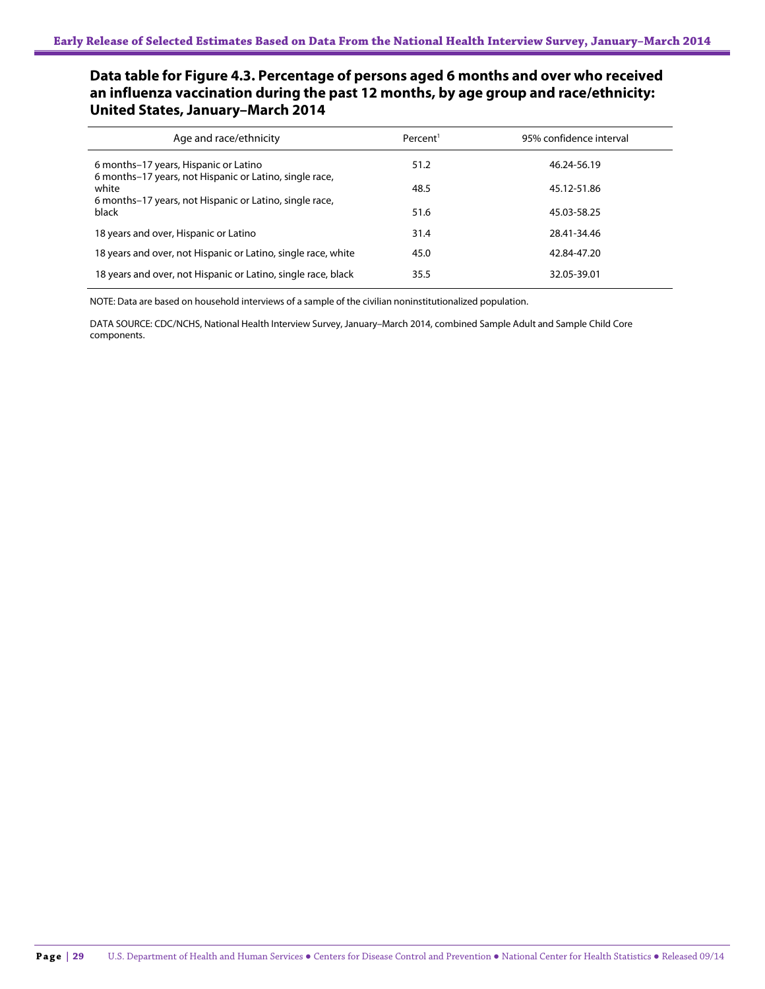### **Data table for Figure 4.3. Percentage of persons aged 6 months and over who received an influenza vaccination during the past 12 months, by age group and race/ethnicity: United States, January–March 2014**

| Age and race/ethnicity                                                                           | Percent <sup>1</sup> | 95% confidence interval |
|--------------------------------------------------------------------------------------------------|----------------------|-------------------------|
| 6 months–17 years, Hispanic or Latino<br>6 months-17 years, not Hispanic or Latino, single race, | 51.2                 | 46.24-56.19             |
| white<br>6 months–17 years, not Hispanic or Latino, single race,                                 | 48.5                 | 45.12-51.86             |
| black                                                                                            | 51.6                 | 45.03-58.25             |
| 18 years and over, Hispanic or Latino                                                            | 31.4                 | 28.41-34.46             |
| 18 years and over, not Hispanic or Latino, single race, white                                    | 45.0                 | 42.84-47.20             |
| 18 years and over, not Hispanic or Latino, single race, black                                    | 35.5                 | 32.05-39.01             |

NOTE: Data are based on household interviews of a sample of the civilian noninstitutionalized population.

DATA SOURCE: CDC/NCHS, National Health Interview Survey, January–March 2014, combined Sample Adult and Sample Child Core components.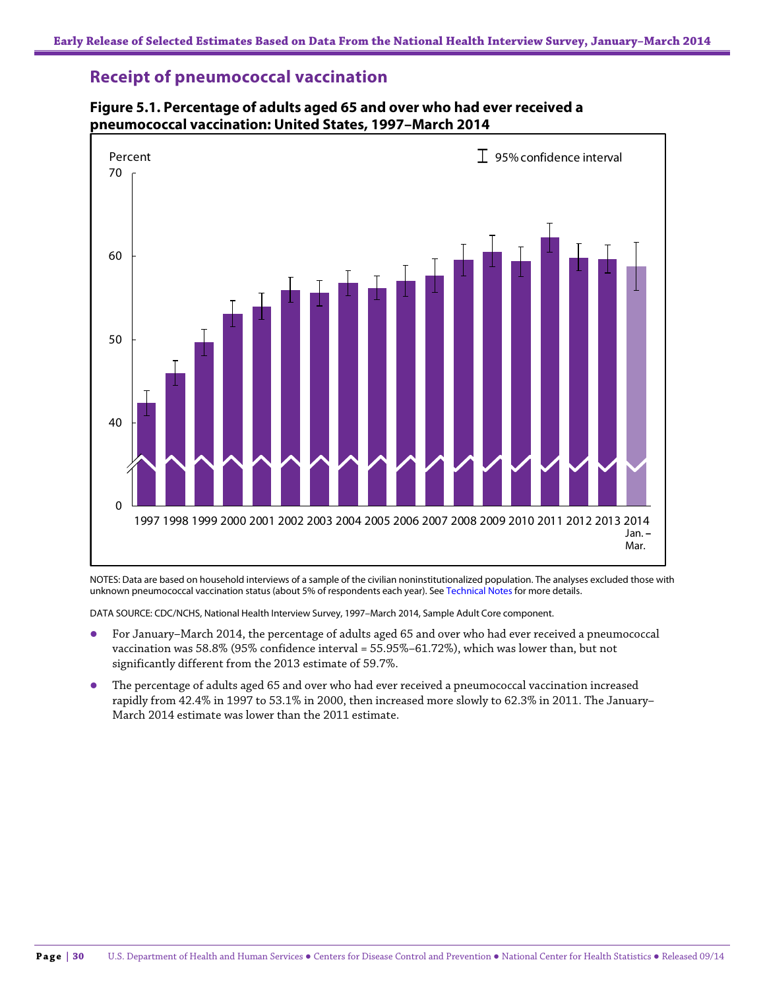### **Receipt of pneumococcal vaccination**



**Figure 5.1. Percentage of adults aged 65 and over who had ever received a pneumococcal vaccination: United States, 1997–March 2014**

NOTES: Data are based on household interviews of a sample of the civilian noninstitutionalized population. The analyses excluded those with unknown pneumococcal vaccination status (about 5% of respondents each year). See Technical Notes for more details.

DATA SOURCE: CDC/NCHS, National Health Interview Survey, 1997–March 2014, Sample Adult Core component.

- For January–March 2014, the percentage of adults aged 65 and over who had ever received a pneumococcal vaccination was 58.8% (95% confidence interval = 55.95%–61.72%), which was lower than, but not significantly different from the 2013 estimate of 59.7%.
- The percentage of adults aged 65 and over who had ever received a pneumococcal vaccination increased rapidly from 42.4% in 1997 to 53.1% in 2000, then increased more slowly to 62.3% in 2011. The January– March 2014 estimate was lower than the 2011 estimate.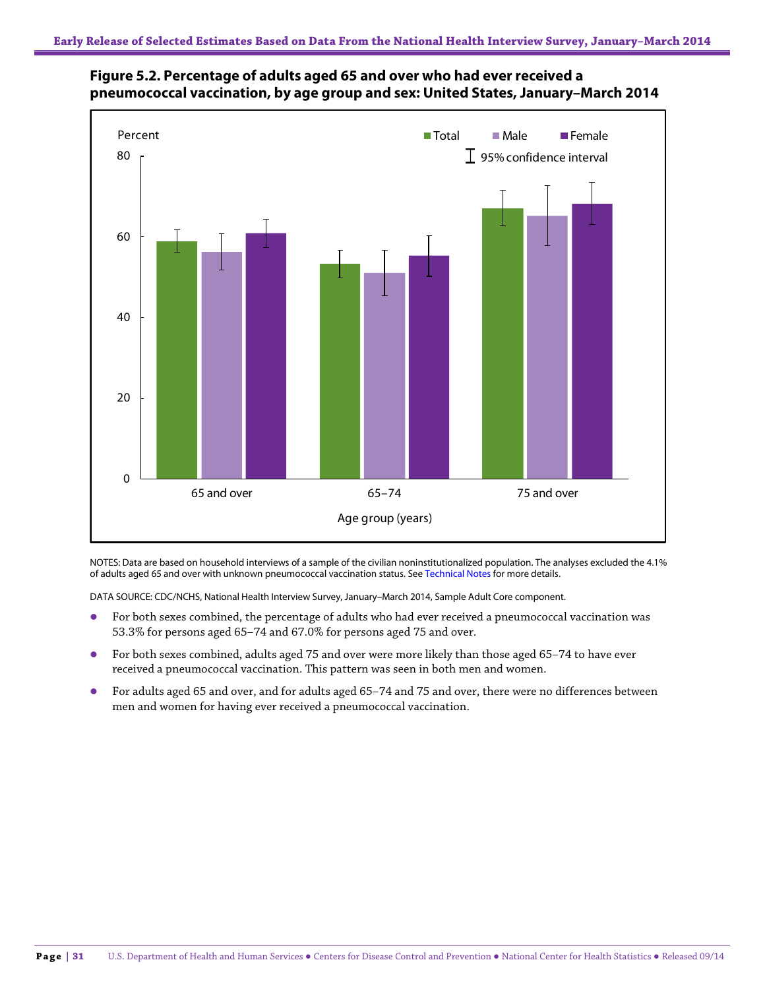



NOTES: Data are based on household interviews of a sample of the civilian noninstitutionalized population. The analyses excluded the 4.1% of adults aged 65 and over with unknown pneumococcal vaccination status. See Technical Notes for more details.

DATA SOURCE: CDC/NCHS, National Health Interview Survey, January–March 2014, Sample Adult Core component.

- For both sexes combined, the percentage of adults who had ever received a pneumococcal vaccination was 53.3% for persons aged 65–74 and 67.0% for persons aged 75 and over.
- For both sexes combined, adults aged 75 and over were more likely than those aged 65–74 to have ever received a pneumococcal vaccination. This pattern was seen in both men and women.
- For adults aged 65 and over, and for adults aged 65–74 and 75 and over, there were no differences between men and women for having ever received a pneumococcal vaccination.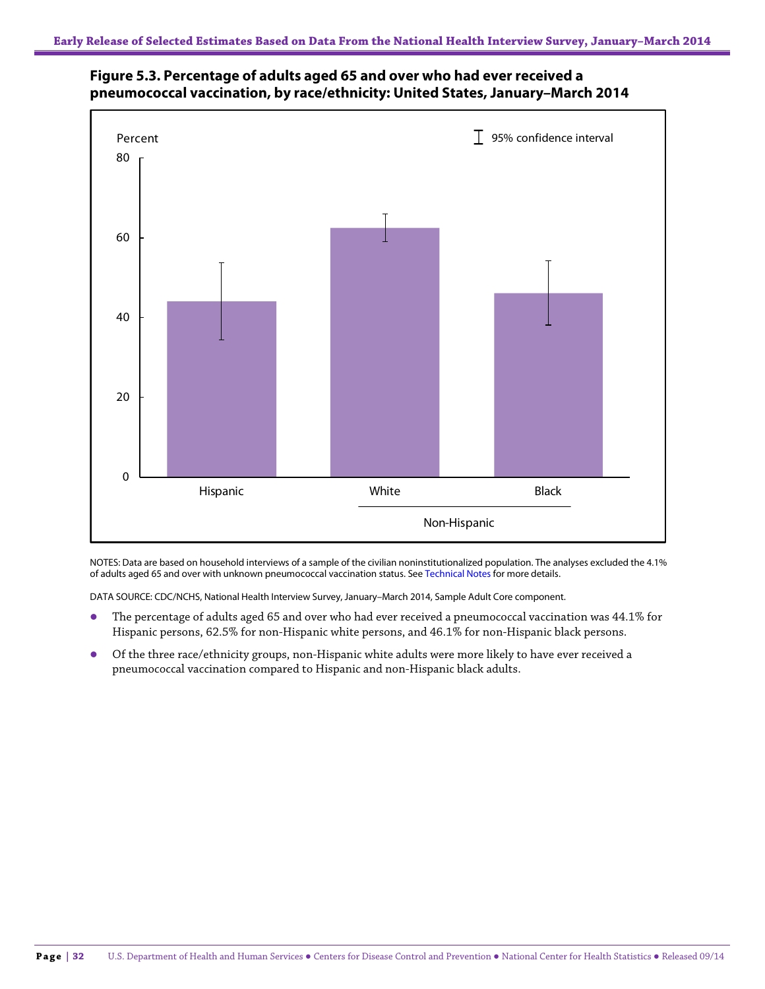



NOTES: Data are based on household interviews of a sample of the civilian noninstitutionalized population. The analyses excluded the 4.1% of adults aged 65 and over with unknown pneumococcal vaccination status. See Technical Notes for more details.

DATA SOURCE: CDC/NCHS, National Health Interview Survey, January–March 2014, Sample Adult Core component.

- The percentage of adults aged 65 and over who had ever received a pneumococcal vaccination was 44.1% for Hispanic persons, 62.5% for non-Hispanic white persons, and 46.1% for non-Hispanic black persons.
- Of the three race/ethnicity groups, non-Hispanic white adults were more likely to have ever received a pneumococcal vaccination compared to Hispanic and non-Hispanic black adults.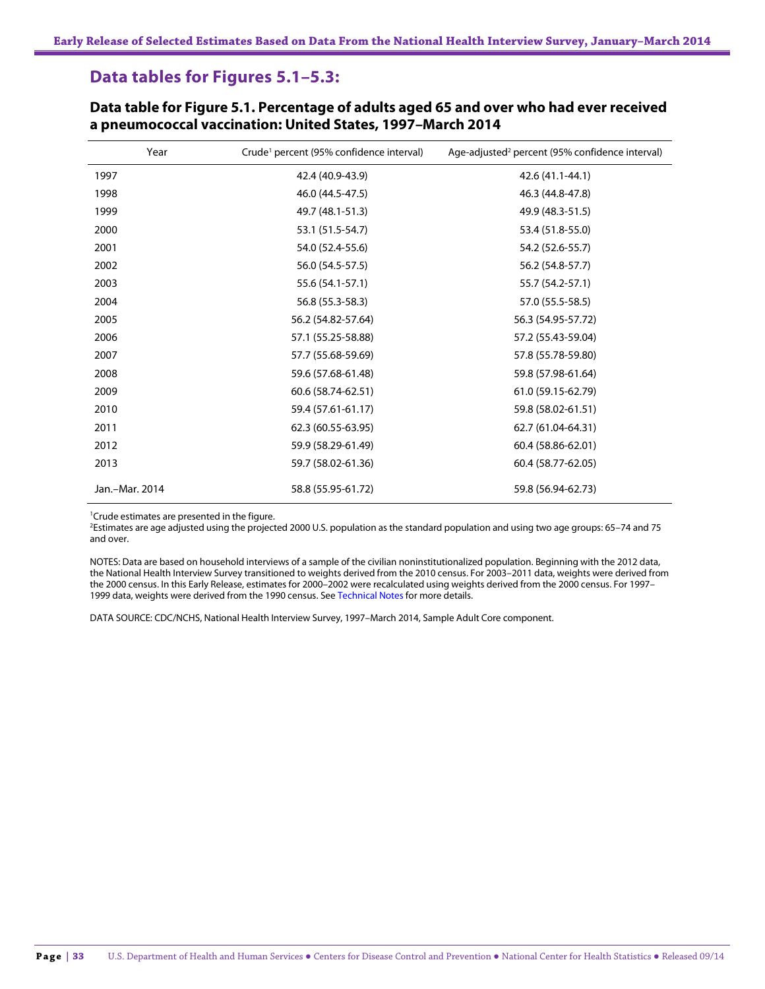### **Data tables for Figures 5.1–5.3:**

| Year           | Crude <sup>1</sup> percent (95% confidence interval) | Age-adjusted <sup>2</sup> percent (95% confidence interval) |
|----------------|------------------------------------------------------|-------------------------------------------------------------|
| 1997           | 42.4 (40.9-43.9)                                     | 42.6 (41.1-44.1)                                            |
| 1998           | 46.0 (44.5-47.5)                                     | 46.3 (44.8-47.8)                                            |
| 1999           | 49.7 (48.1-51.3)                                     | 49.9 (48.3-51.5)                                            |
| 2000           | 53.1 (51.5-54.7)                                     | 53.4 (51.8-55.0)                                            |
| 2001           | 54.0 (52.4-55.6)                                     | 54.2 (52.6-55.7)                                            |
| 2002           | 56.0 (54.5-57.5)                                     | 56.2 (54.8-57.7)                                            |
| 2003           | 55.6 (54.1-57.1)                                     | 55.7 (54.2-57.1)                                            |
| 2004           | 56.8 (55.3-58.3)                                     | 57.0 (55.5-58.5)                                            |
| 2005           | 56.2 (54.82-57.64)                                   | 56.3 (54.95-57.72)                                          |
| 2006           | 57.1 (55.25-58.88)                                   | 57.2 (55.43-59.04)                                          |
| 2007           | 57.7 (55.68-59.69)                                   | 57.8 (55.78-59.80)                                          |
| 2008           | 59.6 (57.68-61.48)                                   | 59.8 (57.98-61.64)                                          |
| 2009           | 60.6 (58.74-62.51)                                   | 61.0 (59.15-62.79)                                          |
| 2010           | 59.4 (57.61-61.17)                                   | 59.8 (58.02-61.51)                                          |
| 2011           | 62.3 (60.55-63.95)                                   | 62.7 (61.04-64.31)                                          |
| 2012           | 59.9 (58.29-61.49)                                   | 60.4 (58.86-62.01)                                          |
| 2013           | 59.7 (58.02-61.36)                                   | 60.4 (58.77-62.05)                                          |
| Jan.-Mar. 2014 | 58.8 (55.95-61.72)                                   | 59.8 (56.94-62.73)                                          |

**Data table for Figure 5.1. Percentage of adults aged 65 and over who had ever received a pneumococcal vaccination: United States, 1997–March 2014**

<sup>1</sup> Crude estimates are presented in the figure.

2 Estimates are age adjusted using the projected 2000 U.S. population as the standard population and using two age groups: 65–74 and 75 and over.

NOTES: Data are based on household interviews of a sample of the civilian noninstitutionalized population. Beginning with the 2012 data, the National Health Interview Survey transitioned to weights derived from the 2010 census. For 2003–2011 data, weights were derived from the 2000 census. In this Early Release, estimates for 2000–2002 were recalculated using weights derived from the 2000 census. For 1997– 1999 data, weights were derived from the 1990 census. See Technical Notes for more details.

DATA SOURCE: CDC/NCHS, National Health Interview Survey, 1997–March 2014, Sample Adult Core component.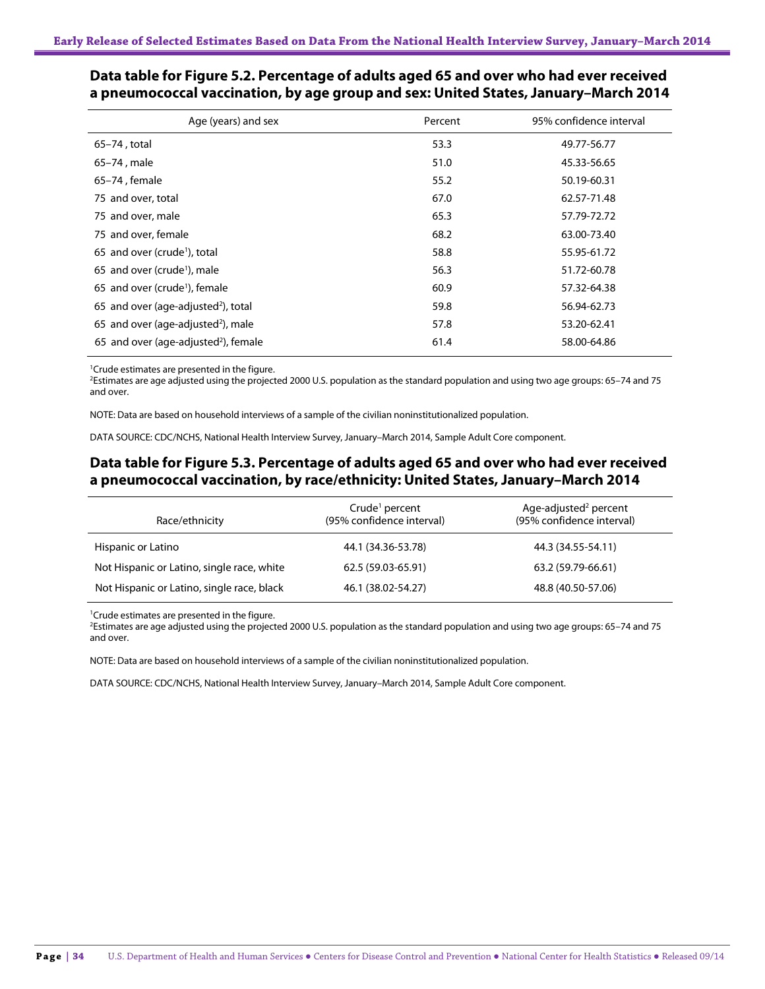| Age (years) and sex                              | Percent | 95% confidence interval |
|--------------------------------------------------|---------|-------------------------|
| 65–74, total                                     | 53.3    | 49.77-56.77             |
| 65-74, male                                      | 51.0    | 45.33-56.65             |
| 65-74, female                                    | 55.2    | 50.19-60.31             |
| 75 and over, total                               | 67.0    | 62.57-71.48             |
| 75 and over, male                                | 65.3    | 57.79-72.72             |
| 75 and over, female                              | 68.2    | 63.00-73.40             |
| 65 and over (crude <sup>1</sup> ), total         | 58.8    | 55.95-61.72             |
| 65 and over (crude <sup>1</sup> ), male          | 56.3    | 51.72-60.78             |
| 65 and over (crude <sup>1</sup> ), female        | 60.9    | 57.32-64.38             |
| 65 and over (age-adjusted <sup>2</sup> ), total  | 59.8    | 56.94-62.73             |
| 65 and over (age-adjusted <sup>2</sup> ), male   | 57.8    | 53.20-62.41             |
| 65 and over (age-adjusted <sup>2</sup> ), female | 61.4    | 58.00-64.86             |

### **Data table for Figure 5.2. Percentage of adults aged 65 and over who had ever received a pneumococcal vaccination, by age group and sex: United States, January–March 2014**

1 Crude estimates are presented in the figure.

2 Estimates are age adjusted using the projected 2000 U.S. population as the standard population and using two age groups: 65–74 and 75 and over.

NOTE: Data are based on household interviews of a sample of the civilian noninstitutionalized population.

DATA SOURCE: CDC/NCHS, National Health Interview Survey, January–March 2014, Sample Adult Core component.

#### **Data table for Figure 5.3. Percentage of adults aged 65 and over who had ever received a pneumococcal vaccination, by race/ethnicity: United States, January–March 2014**

| Race/ethnicity                             | Crude <sup>1</sup> percent<br>(95% confidence interval) | Age-adjusted <sup>2</sup> percent<br>(95% confidence interval) |
|--------------------------------------------|---------------------------------------------------------|----------------------------------------------------------------|
| Hispanic or Latino                         | 44.1 (34.36-53.78)                                      | 44.3 (34.55-54.11)                                             |
| Not Hispanic or Latino, single race, white | 62.5 (59.03-65.91)                                      | 63.2 (59.79-66.61)                                             |
| Not Hispanic or Latino, single race, black | 46.1 (38.02-54.27)                                      | 48.8 (40.50-57.06)                                             |

<sup>1</sup>Crude estimates are presented in the figure.

2 Estimates are age adjusted using the projected 2000 U.S. population as the standard population and using two age groups: 65–74 and 75 and over.

NOTE: Data are based on household interviews of a sample of the civilian noninstitutionalized population.

DATA SOURCE: CDC/NCHS, National Health Interview Survey, January–March 2014, Sample Adult Core component.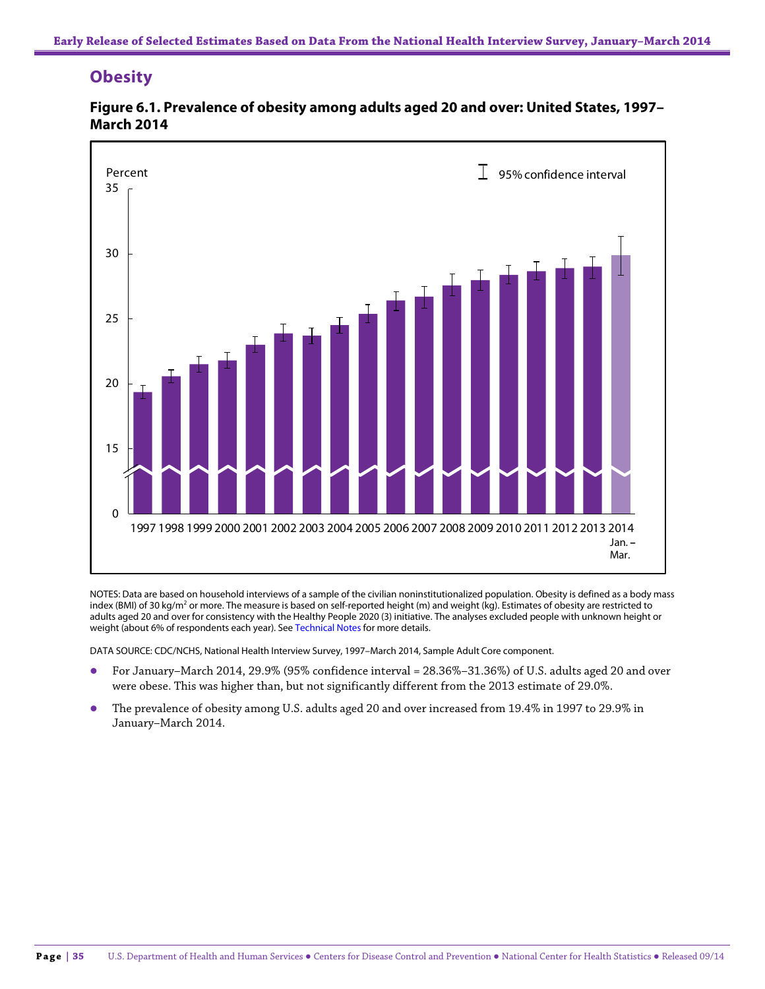# **Obesity**



**Figure 6.1. Prevalence of obesity among adults aged 20 and over: United States, 1997– March 2014**

NOTES: Data are based on household interviews of a sample of the civilian noninstitutionalized population. Obesity is defined as a body mass index (BMI) of 30 kg/m<sup>2</sup> or more. The measure is based on self-reported height (m) and weight (kg). Estimates of obesity are restricted to adults aged 20 and over for consistency with the Healthy People 2020 (3) initiative. The analyses excluded people with unknown height or weight (about 6% of respondents each year). See Technical Notes for more details.

- For January–March 2014, 29.9% (95% confidence interval = 28.36%–31.36%) of U.S. adults aged 20 and over were obese. This was higher than, but not significantly different from the 2013 estimate of 29.0%.
- The prevalence of obesity among U.S. adults aged 20 and over increased from 19.4% in 1997 to 29.9% in January–March 2014.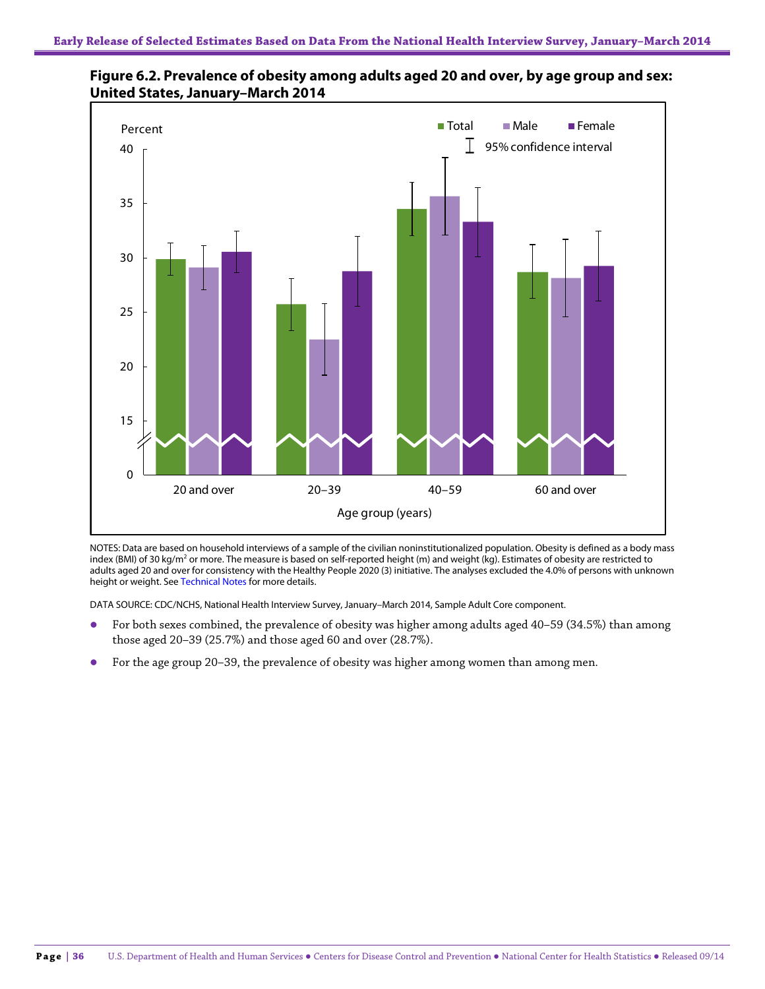

**Figure 6.2. Prevalence of obesity among adults aged 20 and over, by age group and sex: United States, January–March 2014**

NOTES: Data are based on household interviews of a sample of the civilian noninstitutionalized population. Obesity is defined as a body mass index (BMI) of 30 kg/m<sup>2</sup> or more. The measure is based on self-reported height (m) and weight (kg). Estimates of obesity are restricted to adults aged 20 and over for consistency with the Healthy People 2020 (3) initiative. The analyses excluded the 4.0% of persons with unknown height or weight. See Technical Notes for more details.

- For both sexes combined, the prevalence of obesity was higher among adults aged 40–59 (34.5%) than among those aged 20–39 (25.7%) and those aged 60 and over (28.7%).
- For the age group 20–39, the prevalence of obesity was higher among women than among men.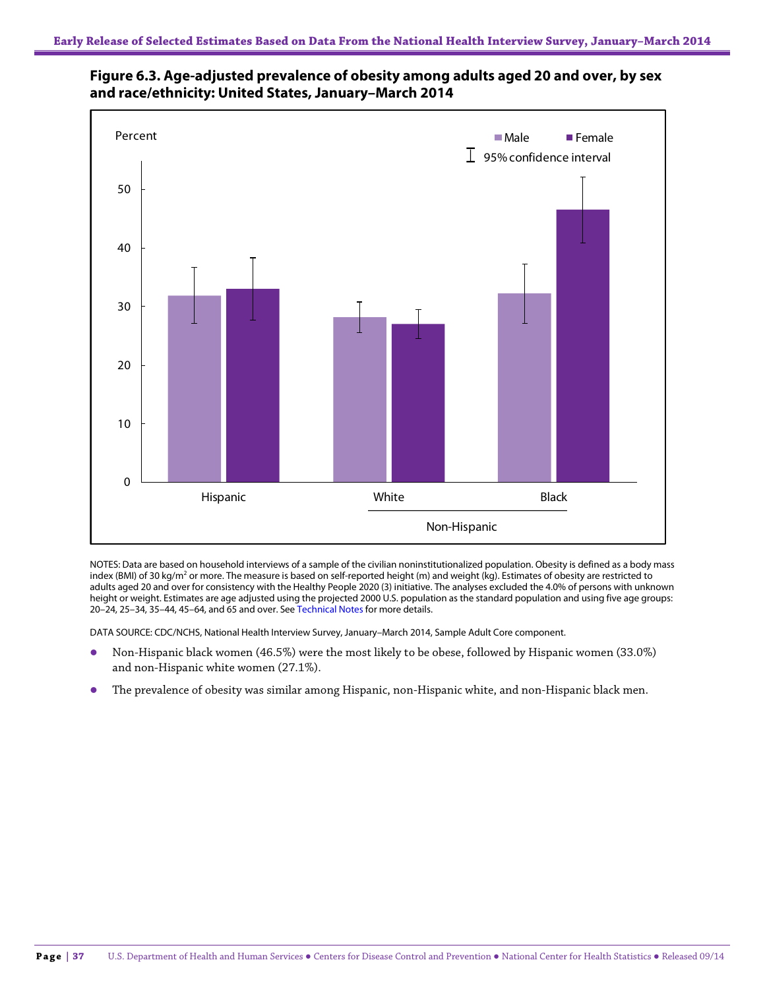



NOTES: Data are based on household interviews of a sample of the civilian noninstitutionalized population. Obesity is defined as a body mass index (BMI) of 30 kg/m<sup>2</sup> or more. The measure is based on self-reported height (m) and weight (kg). Estimates of obesity are restricted to adults aged 20 and over for consistency with the Healthy People 2020 (3) initiative. The analyses excluded the 4.0% of persons with unknown height or weight. Estimates are age adjusted using the projected 2000 U.S. population as the standard population and using five age groups: 20–24, 25–34, 35–44, 45–64, and 65 and over. See Technical Notes for more details.

- Non-Hispanic black women (46.5%) were the most likely to be obese, followed by Hispanic women (33.0%) and non-Hispanic white women (27.1%).
- The prevalence of obesity was similar among Hispanic, non-Hispanic white, and non-Hispanic black men.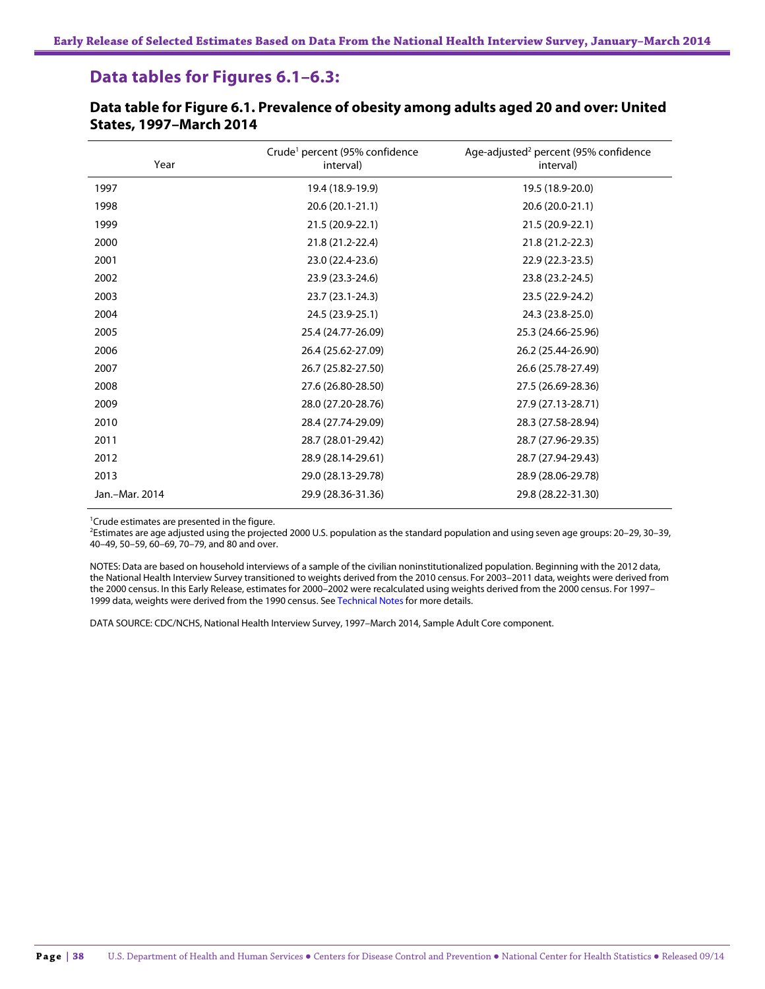# **Data tables for Figures 6.1–6.3:**

| Year           | Crude <sup>1</sup> percent (95% confidence<br>interval) | Age-adjusted <sup>2</sup> percent (95% confidence<br>interval) |
|----------------|---------------------------------------------------------|----------------------------------------------------------------|
| 1997           | 19.4 (18.9-19.9)                                        | 19.5 (18.9-20.0)                                               |
| 1998           | 20.6 (20.1-21.1)                                        | 20.6 (20.0-21.1)                                               |
| 1999           | 21.5 (20.9-22.1)                                        | 21.5 (20.9-22.1)                                               |
| 2000           | 21.8 (21.2-22.4)                                        | 21.8 (21.2-22.3)                                               |
| 2001           | 23.0 (22.4-23.6)                                        | 22.9 (22.3-23.5)                                               |
| 2002           | 23.9 (23.3-24.6)                                        | 23.8 (23.2-24.5)                                               |
| 2003           | 23.7 (23.1-24.3)                                        | 23.5 (22.9-24.2)                                               |
| 2004           | 24.5 (23.9-25.1)                                        | 24.3 (23.8-25.0)                                               |
| 2005           | 25.4 (24.77-26.09)                                      | 25.3 (24.66-25.96)                                             |
| 2006           | 26.4 (25.62-27.09)                                      | 26.2 (25.44-26.90)                                             |
| 2007           | 26.7 (25.82-27.50)                                      | 26.6 (25.78-27.49)                                             |
| 2008           | 27.6 (26.80-28.50)                                      | 27.5 (26.69-28.36)                                             |
| 2009           | 28.0 (27.20-28.76)                                      | 27.9 (27.13-28.71)                                             |
| 2010           | 28.4 (27.74-29.09)                                      | 28.3 (27.58-28.94)                                             |
| 2011           | 28.7 (28.01-29.42)                                      | 28.7 (27.96-29.35)                                             |
| 2012           | 28.9 (28.14-29.61)                                      | 28.7 (27.94-29.43)                                             |
| 2013           | 29.0 (28.13-29.78)                                      | 28.9 (28.06-29.78)                                             |
| Jan.-Mar. 2014 | 29.9 (28.36-31.36)                                      | 29.8 (28.22-31.30)                                             |

### **Data table for Figure 6.1. Prevalence of obesity among adults aged 20 and over: United States, 1997–March 2014**

<sup>1</sup> Crude estimates are presented in the figure.

2 Estimates are age adjusted using the projected 2000 U.S. population as the standard population and using seven age groups: 20–29, 30–39, 40–49, 50–59, 60–69, 70–79, and 80 and over.

NOTES: Data are based on household interviews of a sample of the civilian noninstitutionalized population. Beginning with the 2012 data, the National Health Interview Survey transitioned to weights derived from the 2010 census. For 2003–2011 data, weights were derived from the 2000 census. In this Early Release, estimates for 2000–2002 were recalculated using weights derived from the 2000 census. For 1997– 1999 data, weights were derived from the 1990 census. See Technical Notes for more details.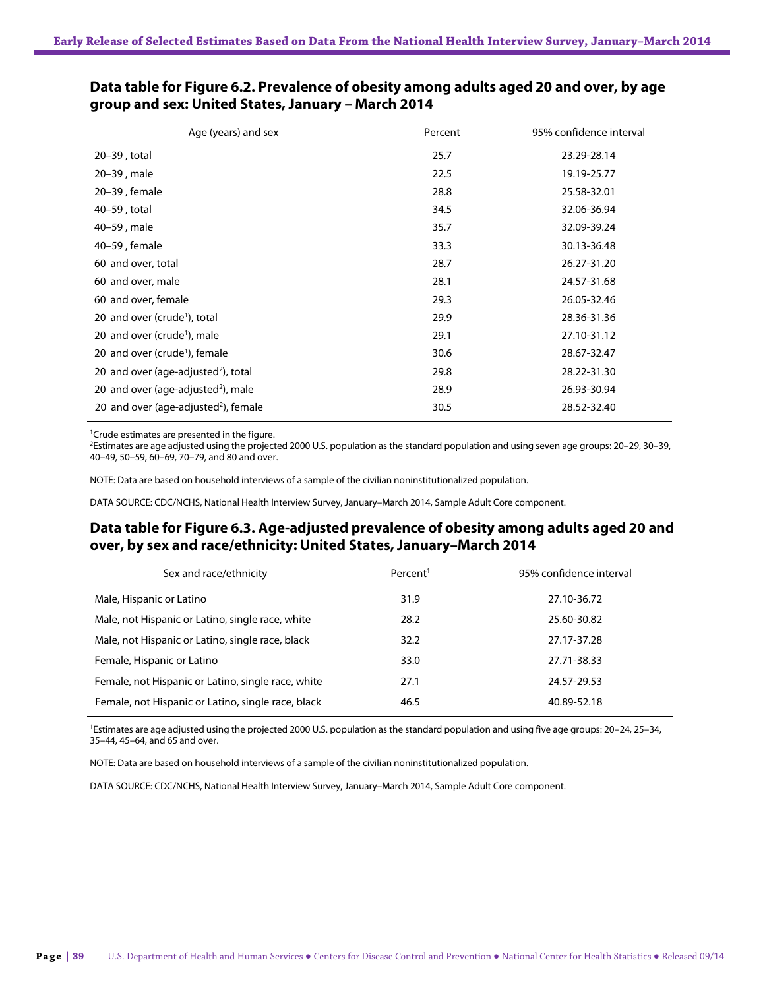| Age (years) and sex                              | Percent | 95% confidence interval |
|--------------------------------------------------|---------|-------------------------|
| 20-39, total                                     | 25.7    | 23.29-28.14             |
| 20-39, male                                      | 22.5    | 19.19-25.77             |
| 20-39, female                                    | 28.8    | 25.58-32.01             |
| 40-59, total                                     | 34.5    | 32.06-36.94             |
| 40-59, male                                      | 35.7    | 32.09-39.24             |
| 40–59, female                                    | 33.3    | 30.13-36.48             |
| 60 and over, total                               | 28.7    | 26.27-31.20             |
| 60 and over, male                                | 28.1    | 24.57-31.68             |
| 60 and over, female                              | 29.3    | 26.05-32.46             |
| 20 and over (crude <sup>1</sup> ), total         | 29.9    | 28.36-31.36             |
| 20 and over (crude <sup>1</sup> ), male          | 29.1    | 27.10-31.12             |
| 20 and over (crude <sup>1</sup> ), female        | 30.6    | 28.67-32.47             |
| 20 and over (age-adjusted <sup>2</sup> ), total  | 29.8    | 28.22-31.30             |
| 20 and over (age-adjusted <sup>2</sup> ), male   | 28.9    | 26.93-30.94             |
| 20 and over (age-adjusted <sup>2</sup> ), female | 30.5    | 28.52-32.40             |

### **Data table for Figure 6.2. Prevalence of obesity among adults aged 20 and over, by age group and sex: United States, January – March 2014**

<sup>1</sup> Crude estimates are presented in the figure.

2 Estimates are age adjusted using the projected 2000 U.S. population as the standard population and using seven age groups: 20–29, 30–39, 40–49, 50–59, 60–69, 70–79, and 80 and over.

NOTE: Data are based on household interviews of a sample of the civilian noninstitutionalized population.

DATA SOURCE: CDC/NCHS, National Health Interview Survey, January–March 2014, Sample Adult Core component.

### **Data table for Figure 6.3. Age-adjusted prevalence of obesity among adults aged 20 and over, by sex and race/ethnicity: United States, January–March 2014**

| Sex and race/ethnicity                             | Percent <sup>1</sup> | 95% confidence interval |
|----------------------------------------------------|----------------------|-------------------------|
| Male, Hispanic or Latino                           | 31.9                 | 27.10-36.72             |
| Male, not Hispanic or Latino, single race, white   | 28.2                 | 25.60-30.82             |
| Male, not Hispanic or Latino, single race, black   | 32.2                 | 27.17-37.28             |
| Female, Hispanic or Latino                         | 33.0                 | 27.71-38.33             |
| Female, not Hispanic or Latino, single race, white | 27.1                 | 24.57-29.53             |
| Female, not Hispanic or Latino, single race, black | 46.5                 | 40.89-52.18             |

<sup>1</sup>Estimates are age adjusted using the projected 2000 U.S. population as the standard population and using five age groups: 20-24, 25-34, 35–44, 45–64, and 65 and over.

NOTE: Data are based on household interviews of a sample of the civilian noninstitutionalized population.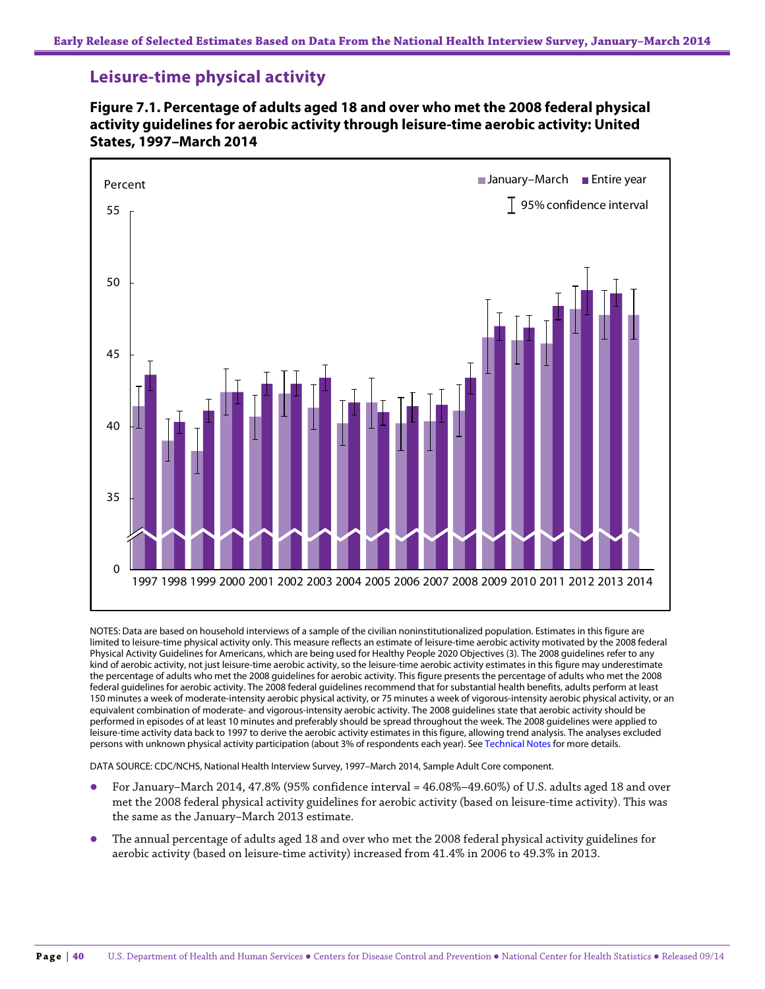# **Leisure-time physical activity**





NOTES: Data are based on household interviews of a sample of the civilian noninstitutionalized population. Estimates in this figure are limited to leisure-time physical activity only. This measure reflects an estimate of leisure-time aerobic activity motivated by the 2008 federal Physical Activity Guidelines for Americans, which are being used for Healthy People 2020 Objectives (3). The 2008 guidelines refer to any kind of aerobic activity, not just leisure-time aerobic activity, so the leisure-time aerobic activity estimates in this figure may underestimate the percentage of adults who met the 2008 guidelines for aerobic activity. This figure presents the percentage of adults who met the 2008 federal guidelines for aerobic activity. The 2008 federal guidelines recommend that for substantial health benefits, adults perform at least 150 minutes a week of moderate-intensity aerobic physical activity, or 75 minutes a week of vigorous-intensity aerobic physical activity, or an equivalent combination of moderate- and vigorous-intensity aerobic activity. The 2008 guidelines state that aerobic activity should be performed in episodes of at least 10 minutes and preferably should be spread throughout the week. The 2008 guidelines were applied to leisure-time activity data back to 1997 to derive the aerobic activity estimates in this figure, allowing trend analysis. The analyses excluded persons with unknown physical activity participation (about 3% of respondents each year). See Technical Notes for more details.

- For January–March 2014, 47.8% (95% confidence interval = 46.08%–49.60%) of U.S. adults aged 18 and over met the 2008 federal physical activity guidelines for aerobic activity (based on leisure-time activity). This was the same as the January–March 2013 estimate.
- The annual percentage of adults aged 18 and over who met the 2008 federal physical activity guidelines for aerobic activity (based on leisure-time activity) increased from 41.4% in 2006 to 49.3% in 2013.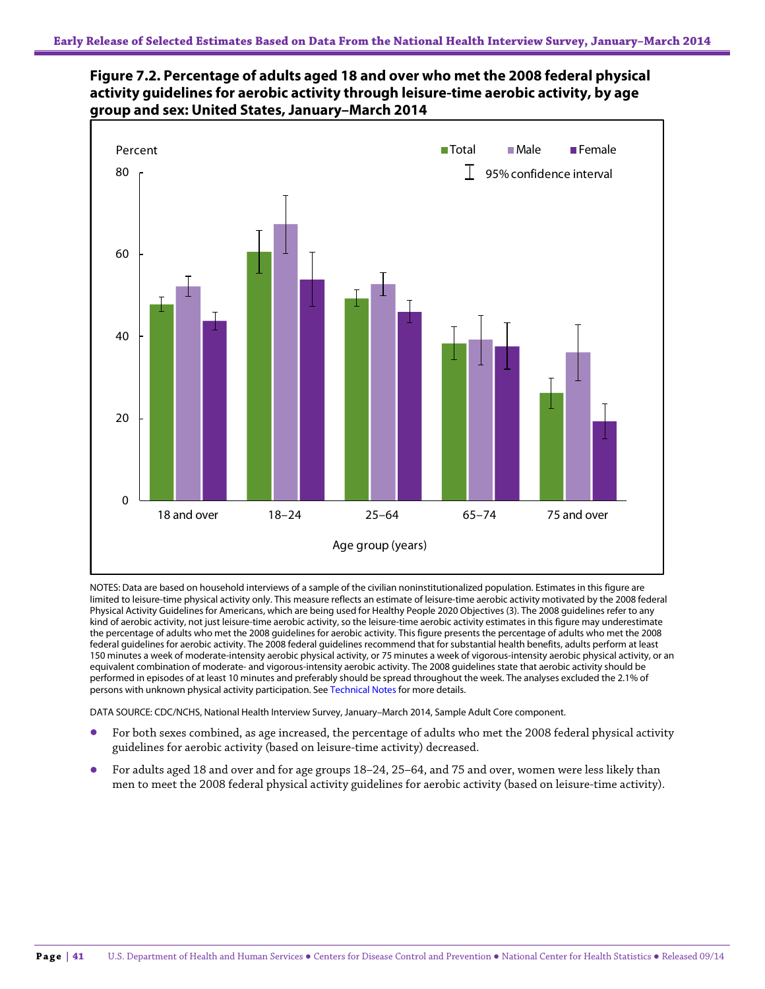



NOTES: Data are based on household interviews of a sample of the civilian noninstitutionalized population. Estimates in this figure are limited to leisure-time physical activity only. This measure reflects an estimate of leisure-time aerobic activity motivated by the 2008 federal Physical Activity Guidelines for Americans, which are being used for Healthy People 2020 Objectives (3). The 2008 guidelines refer to any kind of aerobic activity, not just leisure-time aerobic activity, so the leisure-time aerobic activity estimates in this figure may underestimate the percentage of adults who met the 2008 guidelines for aerobic activity. This figure presents the percentage of adults who met the 2008 federal guidelines for aerobic activity. The 2008 federal guidelines recommend that for substantial health benefits, adults perform at least 150 minutes a week of moderate-intensity aerobic physical activity, or 75 minutes a week of vigorous-intensity aerobic physical activity, or an equivalent combination of moderate- and vigorous-intensity aerobic activity. The 2008 guidelines state that aerobic activity should be performed in episodes of at least 10 minutes and preferably should be spread throughout the week. The analyses excluded the 2.1% of persons with unknown physical activity participation. See Technical Notes for more details.

- For both sexes combined, as age increased, the percentage of adults who met the 2008 federal physical activity guidelines for aerobic activity (based on leisure-time activity) decreased.
- For adults aged 18 and over and for age groups 18–24, 25–64, and 75 and over, women were less likely than men to meet the 2008 federal physical activity guidelines for aerobic activity (based on leisure-time activity).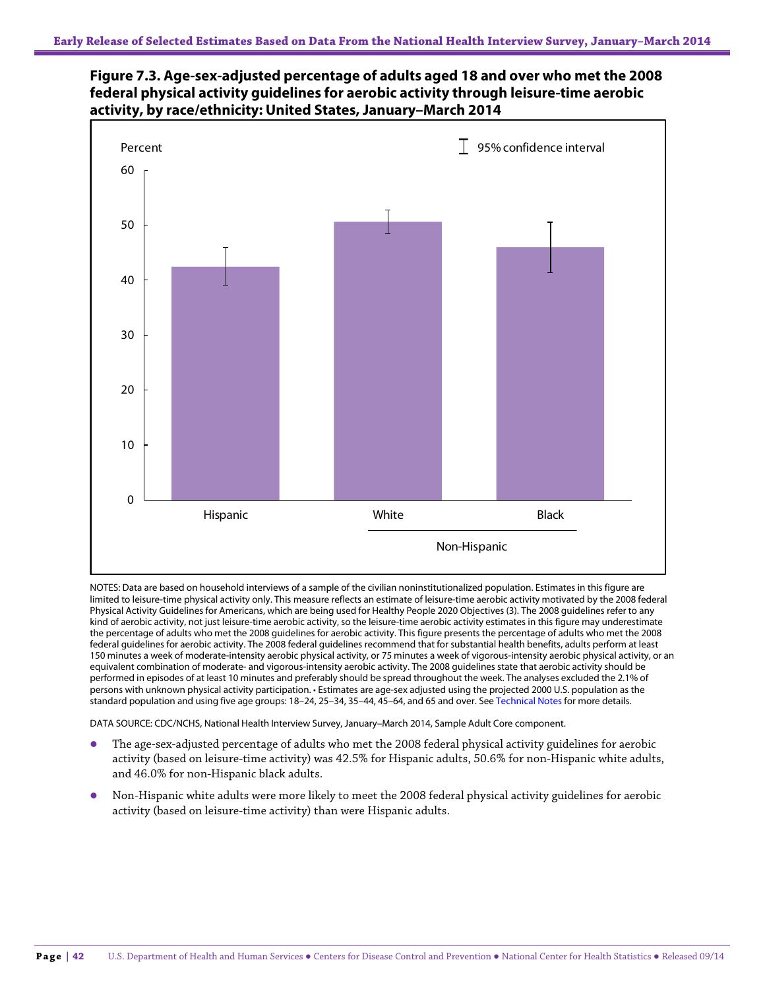



NOTES: Data are based on household interviews of a sample of the civilian noninstitutionalized population. Estimates in this figure are limited to leisure-time physical activity only. This measure reflects an estimate of leisure-time aerobic activity motivated by the 2008 federal Physical Activity Guidelines for Americans, which are being used for Healthy People 2020 Objectives (3). The 2008 guidelines refer to any kind of aerobic activity, not just leisure-time aerobic activity, so the leisure-time aerobic activity estimates in this figure may underestimate the percentage of adults who met the 2008 guidelines for aerobic activity. This figure presents the percentage of adults who met the 2008 federal guidelines for aerobic activity. The 2008 federal guidelines recommend that for substantial health benefits, adults perform at least 150 minutes a week of moderate-intensity aerobic physical activity, or 75 minutes a week of vigorous-intensity aerobic physical activity, or an equivalent combination of moderate- and vigorous-intensity aerobic activity. The 2008 guidelines state that aerobic activity should be performed in episodes of at least 10 minutes and preferably should be spread throughout the week. The analyses excluded the 2.1% of persons with unknown physical activity participation. • Estimates are age-sex adjusted using the projected 2000 U.S. population as the standard population and using five age groups: 18–24, 25–34, 35–44, 45–64, and 65 and over. See Technical Notes for more details.

- The age-sex-adjusted percentage of adults who met the 2008 federal physical activity guidelines for aerobic activity (based on leisure-time activity) was 42.5% for Hispanic adults, 50.6% for non-Hispanic white adults, and 46.0% for non-Hispanic black adults.
- Non-Hispanic white adults were more likely to meet the 2008 federal physical activity guidelines for aerobic activity (based on leisure-time activity) than were Hispanic adults.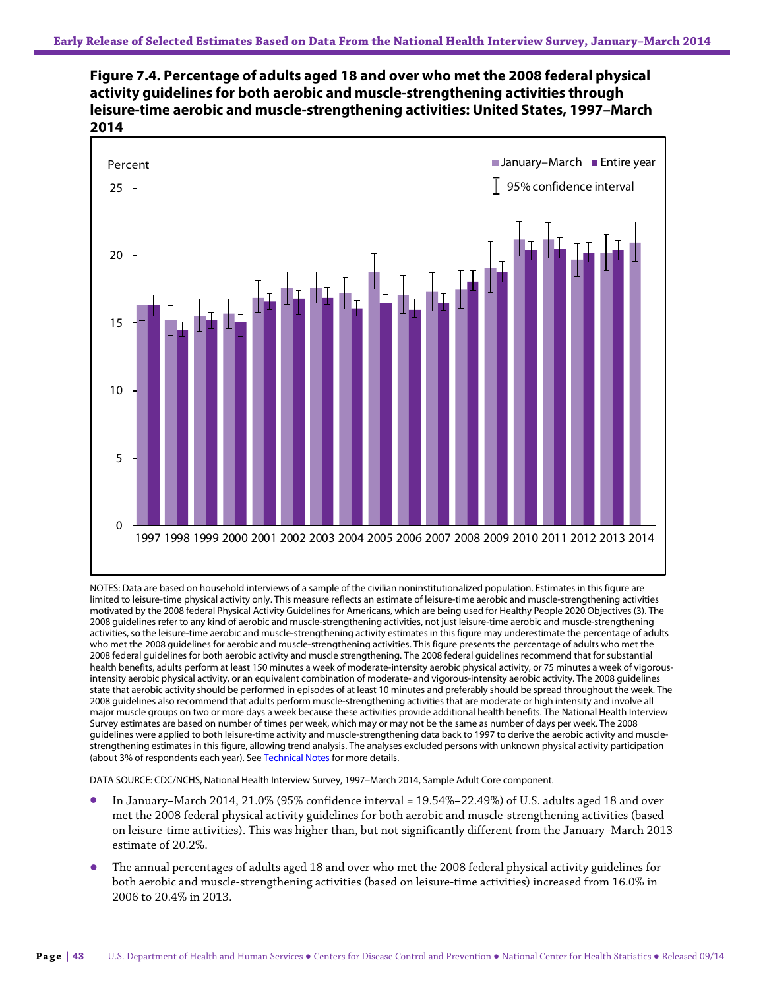



NOTES: Data are based on household interviews of a sample of the civilian noninstitutionalized population. Estimates in this figure are limited to leisure-time physical activity only. This measure reflects an estimate of leisure-time aerobic and muscle-strengthening activities motivated by the 2008 federal Physical Activity Guidelines for Americans, which are being used for Healthy People 2020 Objectives (3). The 2008 guidelines refer to any kind of aerobic and muscle-strengthening activities, not just leisure-time aerobic and muscle-strengthening activities, so the leisure-time aerobic and muscle-strengthening activity estimates in this figure may underestimate the percentage of adults who met the 2008 guidelines for aerobic and muscle-strengthening activities. This figure presents the percentage of adults who met the 2008 federal guidelines for both aerobic activity and muscle strengthening. The 2008 federal guidelines recommend that for substantial health benefits, adults perform at least 150 minutes a week of moderate-intensity aerobic physical activity, or 75 minutes a week of vigorousintensity aerobic physical activity, or an equivalent combination of moderate- and vigorous-intensity aerobic activity. The 2008 guidelines state that aerobic activity should be performed in episodes of at least 10 minutes and preferably should be spread throughout the week. The 2008 guidelines also recommend that adults perform muscle-strengthening activities that are moderate or high intensity and involve all major muscle groups on two or more days a week because these activities provide additional health benefits. The National Health Interview Survey estimates are based on number of times per week, which may or may not be the same as number of days per week. The 2008 guidelines were applied to both leisure-time activity and muscle-strengthening data back to 1997 to derive the aerobic activity and musclestrengthening estimates in this figure, allowing trend analysis. The analyses excluded persons with unknown physical activity participation (about 3% of respondents each year). See Technical Notes for more details.

- In January–March 2014, 21.0% (95% confidence interval = 19.54%–22.49%) of U.S. adults aged 18 and over met the 2008 federal physical activity guidelines for both aerobic and muscle-strengthening activities (based on leisure-time activities). This was higher than, but not significantly different from the January–March 2013 estimate of 20.2%.
- The annual percentages of adults aged 18 and over who met the 2008 federal physical activity guidelines for both aerobic and muscle-strengthening activities (based on leisure-time activities) increased from 16.0% in 2006 to 20.4% in 2013.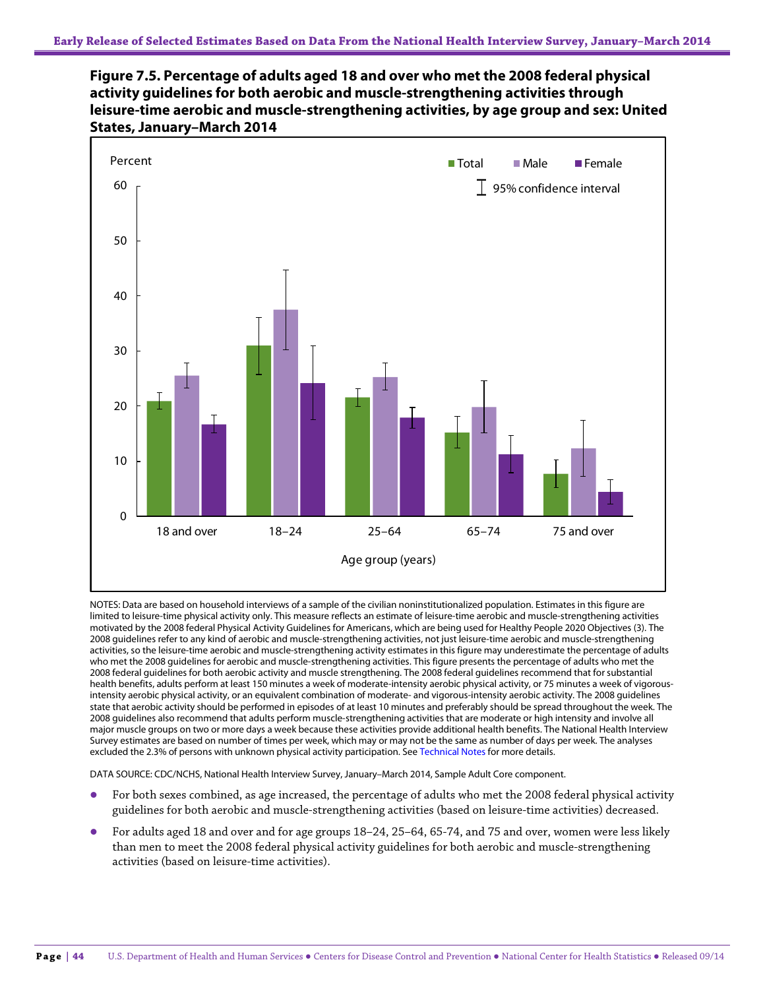



NOTES: Data are based on household interviews of a sample of the civilian noninstitutionalized population. Estimates in this figure are limited to leisure-time physical activity only. This measure reflects an estimate of leisure-time aerobic and muscle-strengthening activities motivated by the 2008 federal Physical Activity Guidelines for Americans, which are being used for Healthy People 2020 Objectives (3). The 2008 guidelines refer to any kind of aerobic and muscle-strengthening activities, not just leisure-time aerobic and muscle-strengthening activities, so the leisure-time aerobic and muscle-strengthening activity estimates in this figure may underestimate the percentage of adults who met the 2008 guidelines for aerobic and muscle-strengthening activities. This figure presents the percentage of adults who met the 2008 federal guidelines for both aerobic activity and muscle strengthening. The 2008 federal guidelines recommend that for substantial health benefits, adults perform at least 150 minutes a week of moderate-intensity aerobic physical activity, or 75 minutes a week of vigorousintensity aerobic physical activity, or an equivalent combination of moderate- and vigorous-intensity aerobic activity. The 2008 guidelines state that aerobic activity should be performed in episodes of at least 10 minutes and preferably should be spread throughout the week. The 2008 guidelines also recommend that adults perform muscle-strengthening activities that are moderate or high intensity and involve all major muscle groups on two or more days a week because these activities provide additional health benefits. The National Health Interview Survey estimates are based on number of times per week, which may or may not be the same as number of days per week. The analyses excluded the 2.3% of persons with unknown physical activity participation. See Technical Notes for more details.

- For both sexes combined, as age increased, the percentage of adults who met the 2008 federal physical activity guidelines for both aerobic and muscle-strengthening activities (based on leisure-time activities) decreased.
- For adults aged 18 and over and for age groups 18–24, 25–64, 65-74, and 75 and over, women were less likely than men to meet the 2008 federal physical activity guidelines for both aerobic and muscle-strengthening activities (based on leisure-time activities).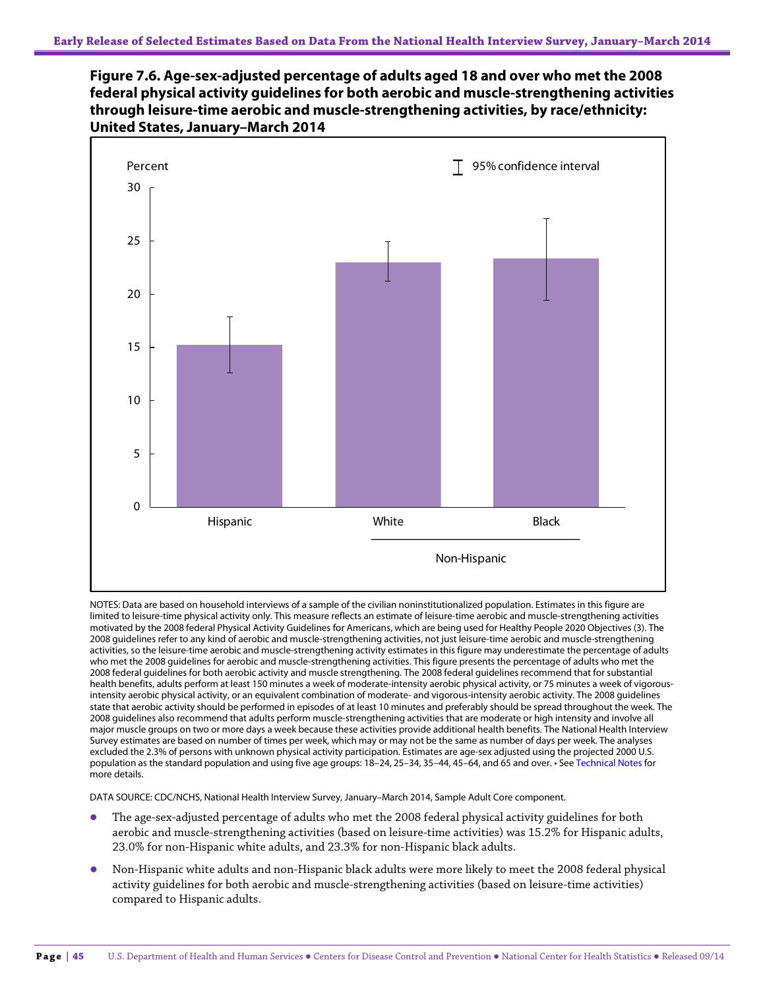



NOTES: Data are based on household interviews of a sample of the civilian noninstitutionalized population. Estimates in this figure are limited to leisure-time physical activity only. This measure reflects an estimate of leisure-time aerobic and muscle-strengthening activities motivated by the 2008 federal Physical Activity Guidelines for Americans, which are being used for Healthy People 2020 Objectives (3). The 2008 guidelines refer to any kind of aerobic and muscle-strengthening activities, not just leisure-time aerobic and muscle-strengthening activities, so the leisure-time aerobic and muscle-strengthening activity estimates in this figure may underestimate the percentage of adults who met the 2008 guidelines for aerobic and muscle-strengthening activities. This figure presents the percentage of adults who met the 2008 federal guidelines for both aerobic activity and muscle strengthening. The 2008 federal guidelines recommend that for substantial health benefits, adults perform at least 150 minutes a week of moderate-intensity aerobic physical activity, or 75 minutes a week of vigorousintensity aerobic physical activity, or an equivalent combination of moderate- and vigorous-intensity aerobic activity. The 2008 guidelines state that aerobic activity should be performed in episodes of at least 10 minutes and preferably should be spread throughout the week. The 2008 guidelines also recommend that adults perform muscle-strengthening activities that are moderate or high intensity and involve all major muscle groups on two or more days a week because these activities provide additional health benefits. The National Health Interview Survey estimates are based on number of times per week, which may or may not be the same as number of days per week. The analyses excluded the 2.3% of persons with unknown physical activity participation. Estimates are age-sex adjusted using the projected 2000 U.S. population as the standard population and using five age groups: 18–24, 25–34, 35–44, 45–64, and 65 and over. • See Technical Notes for more details.

- The age-sex-adjusted percentage of adults who met the 2008 federal physical activity guidelines for both aerobic and muscle-strengthening activities (based on leisure-time activities) was 15.2% for Hispanic adults, 23.0% for non-Hispanic white adults, and 23.3% for non-Hispanic black adults.
- Non-Hispanic white adults and non-Hispanic black adults were more likely to meet the 2008 federal physical activity guidelines for both aerobic and muscle-strengthening activities (based on leisure-time activities) compared to Hispanic adults.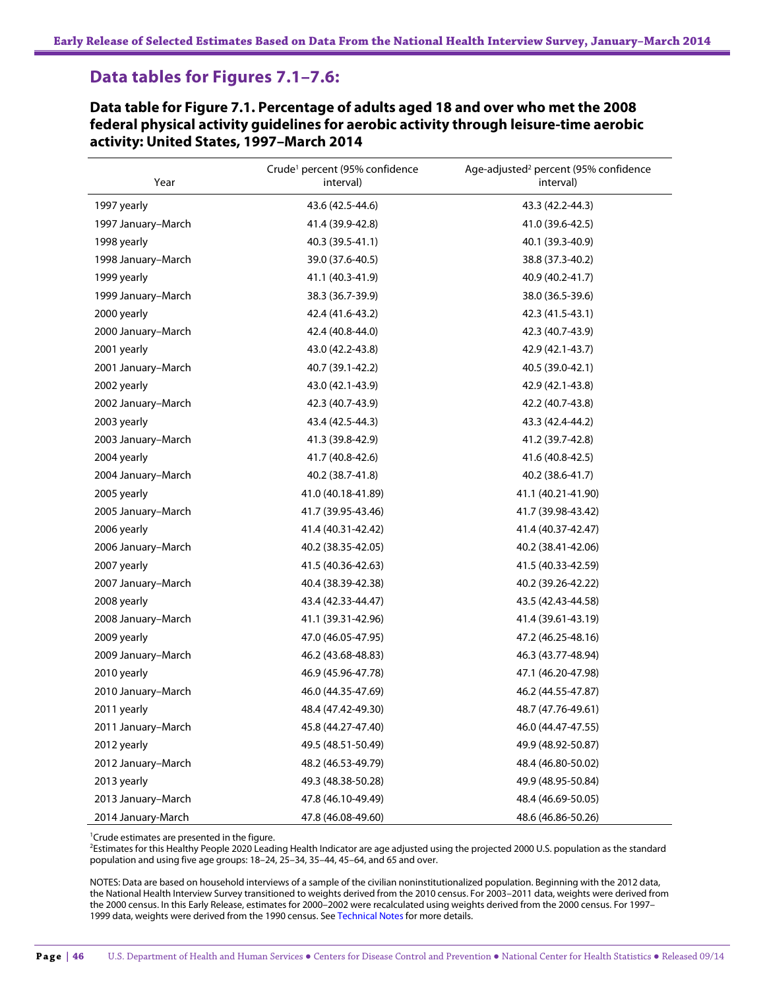# **Data tables for Figures 7.1–7.6:**

**Data table for Figure 7.1. Percentage of adults aged 18 and over who met the 2008 federal physical activity guidelines for aerobic activity through leisure-time aerobic activity: United States, 1997–March 2014**

| Year               | Crude <sup>1</sup> percent (95% confidence<br>interval) | Age-adjusted <sup>2</sup> percent (95% confidence<br>interval) |
|--------------------|---------------------------------------------------------|----------------------------------------------------------------|
| 1997 yearly        | 43.6 (42.5-44.6)                                        | 43.3 (42.2-44.3)                                               |
| 1997 January-March | 41.4 (39.9-42.8)                                        | 41.0 (39.6-42.5)                                               |
| 1998 yearly        | 40.3 (39.5-41.1)                                        | 40.1 (39.3-40.9)                                               |
| 1998 January-March | 39.0 (37.6-40.5)                                        | 38.8 (37.3-40.2)                                               |
| 1999 yearly        | 41.1 (40.3-41.9)                                        | 40.9 (40.2-41.7)                                               |
| 1999 January-March | 38.3 (36.7-39.9)                                        | 38.0 (36.5-39.6)                                               |
| 2000 yearly        | 42.4 (41.6-43.2)                                        | 42.3 (41.5-43.1)                                               |
| 2000 January-March | 42.4 (40.8-44.0)                                        | 42.3 (40.7-43.9)                                               |
| 2001 yearly        | 43.0 (42.2-43.8)                                        | 42.9 (42.1-43.7)                                               |
| 2001 January-March | 40.7 (39.1-42.2)                                        | 40.5 (39.0-42.1)                                               |
| 2002 yearly        | 43.0 (42.1-43.9)                                        | 42.9 (42.1-43.8)                                               |
| 2002 January-March | 42.3 (40.7-43.9)                                        | 42.2 (40.7-43.8)                                               |
| 2003 yearly        | 43.4 (42.5-44.3)                                        | 43.3 (42.4-44.2)                                               |
| 2003 January-March | 41.3 (39.8-42.9)                                        | 41.2 (39.7-42.8)                                               |
| 2004 yearly        | 41.7 (40.8-42.6)                                        | 41.6 (40.8-42.5)                                               |
| 2004 January-March | 40.2 (38.7-41.8)                                        | 40.2 (38.6-41.7)                                               |
| 2005 yearly        | 41.0 (40.18-41.89)                                      | 41.1 (40.21-41.90)                                             |
| 2005 January-March | 41.7 (39.95-43.46)                                      | 41.7 (39.98-43.42)                                             |
| 2006 yearly        | 41.4 (40.31-42.42)                                      | 41.4 (40.37-42.47)                                             |
| 2006 January-March | 40.2 (38.35-42.05)                                      | 40.2 (38.41-42.06)                                             |
| 2007 yearly        | 41.5 (40.36-42.63)                                      | 41.5 (40.33-42.59)                                             |
| 2007 January-March | 40.4 (38.39-42.38)                                      | 40.2 (39.26-42.22)                                             |
| 2008 yearly        | 43.4 (42.33-44.47)                                      | 43.5 (42.43-44.58)                                             |
| 2008 January-March | 41.1 (39.31-42.96)                                      | 41.4 (39.61-43.19)                                             |
| 2009 yearly        | 47.0 (46.05-47.95)                                      | 47.2 (46.25-48.16)                                             |
| 2009 January-March | 46.2 (43.68-48.83)                                      | 46.3 (43.77-48.94)                                             |
| 2010 yearly        | 46.9 (45.96-47.78)                                      | 47.1 (46.20-47.98)                                             |
| 2010 January-March | 46.0 (44.35-47.69)                                      | 46.2 (44.55-47.87)                                             |
| 2011 yearly        | 48.4 (47.42-49.30)                                      | 48.7 (47.76-49.61)                                             |
| 2011 January-March | 45.8 (44.27-47.40)                                      | 46.0 (44.47-47.55)                                             |
| 2012 yearly        | 49.5 (48.51-50.49)                                      | 49.9 (48.92-50.87)                                             |
| 2012 January-March | 48.2 (46.53-49.79)                                      | 48.4 (46.80-50.02)                                             |
| 2013 yearly        | 49.3 (48.38-50.28)                                      | 49.9 (48.95-50.84)                                             |
| 2013 January-March | 47.8 (46.10-49.49)                                      | 48.4 (46.69-50.05)                                             |
| 2014 January-March | 47.8 (46.08-49.60)                                      | 48.6 (46.86-50.26)                                             |

<sup>1</sup>Crude estimates are presented in the figure.

<sup>2</sup>Estimates for this Healthy People 2020 Leading Health Indicator are age adjusted using the projected 2000 U.S. population as the standard population and using five age groups: 18–24, 25–34, 35–44, 45–64, and 65 and over.

NOTES: Data are based on household interviews of a sample of the civilian noninstitutionalized population. Beginning with the 2012 data, the National Health Interview Survey transitioned to weights derived from the 2010 census. For 2003–2011 data, weights were derived from the 2000 census. In this Early Release, estimates for 2000–2002 were recalculated using weights derived from the 2000 census. For 1997– 1999 data, weights were derived from the 1990 census. See Technical Notes for more details.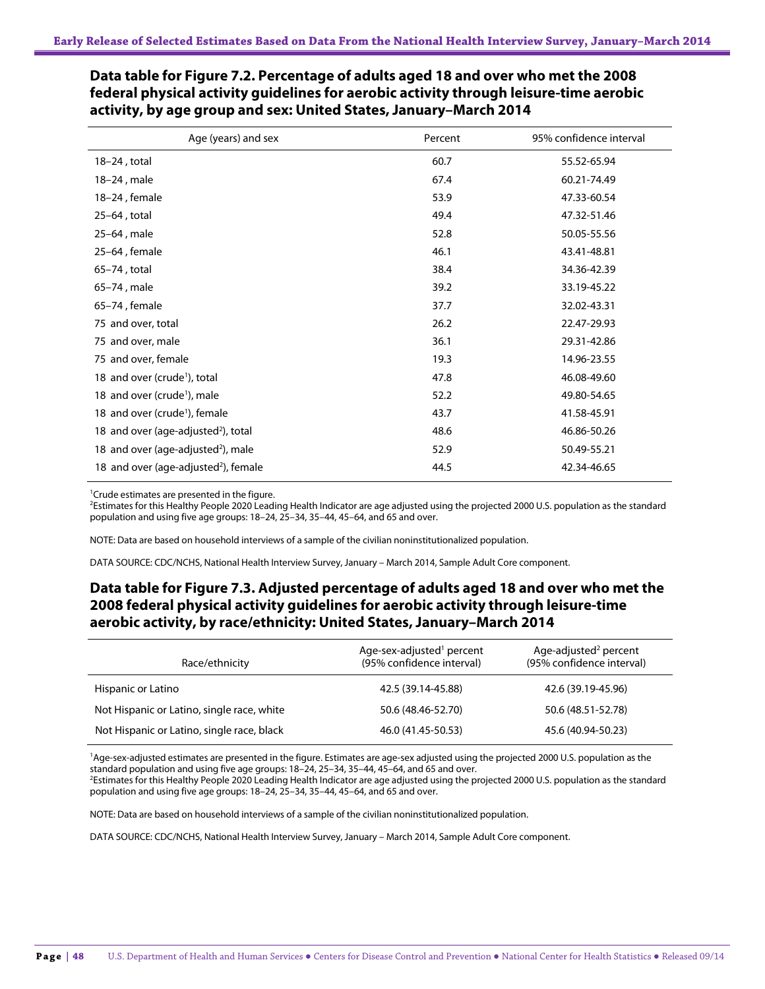| Age (years) and sex                              | Percent | 95% confidence interval |
|--------------------------------------------------|---------|-------------------------|
| $18-24$ , total                                  | 60.7    | 55.52-65.94             |
| 18-24, male                                      | 67.4    | 60.21-74.49             |
| 18-24, female                                    | 53.9    | 47.33-60.54             |
| 25-64, total                                     | 49.4    | 47.32-51.46             |
| 25-64, male                                      | 52.8    | 50.05-55.56             |
| 25-64, female                                    | 46.1    | 43.41-48.81             |
| 65-74, total                                     | 38.4    | 34.36-42.39             |
| 65-74, male                                      | 39.2    | 33.19-45.22             |
| 65-74, female                                    | 37.7    | 32.02-43.31             |
| 75 and over, total                               | 26.2    | 22.47-29.93             |
| 75 and over, male                                | 36.1    | 29.31-42.86             |
| 75 and over, female                              | 19.3    | 14.96-23.55             |
| 18 and over (crude <sup>1</sup> ), total         | 47.8    | 46.08-49.60             |
| 18 and over (crude <sup>1</sup> ), male          | 52.2    | 49.80-54.65             |
| 18 and over (crude <sup>1</sup> ), female        | 43.7    | 41.58-45.91             |
| 18 and over (age-adjusted <sup>2</sup> ), total  | 48.6    | 46.86-50.26             |
| 18 and over (age-adjusted <sup>2</sup> ), male   | 52.9    | 50.49-55.21             |
| 18 and over (age-adjusted <sup>2</sup> ), female | 44.5    | 42.34-46.65             |

### **Data table for Figure 7.2. Percentage of adults aged 18 and over who met the 2008 federal physical activity guidelines for aerobic activity through leisure-time aerobic activity, by age group and sex: United States, January–March 2014**

<sup>1</sup> Crude estimates are presented in the figure.

<sup>2</sup>Estimates for this Healthy People 2020 Leading Health Indicator are age adjusted using the projected 2000 U.S. population as the standard population and using five age groups: 18–24, 25–34, 35–44, 45–64, and 65 and over.

NOTE: Data are based on household interviews of a sample of the civilian noninstitutionalized population.

DATA SOURCE: CDC/NCHS, National Health Interview Survey, January – March 2014, Sample Adult Core component.

## **Data table for Figure 7.3. Adjusted percentage of adults aged 18 and over who met the 2008 federal physical activity guidelines for aerobic activity through leisure-time aerobic activity, by race/ethnicity: United States, January–March 2014**

| Race/ethnicity                             | Age-sex-adjusted <sup>1</sup> percent<br>(95% confidence interval) | Age-adjusted <sup>2</sup> percent<br>(95% confidence interval) |
|--------------------------------------------|--------------------------------------------------------------------|----------------------------------------------------------------|
| Hispanic or Latino                         | 42.5 (39.14-45.88)                                                 | 42.6 (39.19-45.96)                                             |
| Not Hispanic or Latino, single race, white | 50.6 (48.46-52.70)                                                 | 50.6 (48.51-52.78)                                             |
| Not Hispanic or Latino, single race, black | 46.0 (41.45-50.53)                                                 | 45.6 (40.94-50.23)                                             |

<sup>1</sup>Age-sex-adjusted estimates are presented in the figure. Estimates are age-sex adjusted using the projected 2000 U.S. population as the standard population and using five age groups: 18–24, 25–34, 35–44, 45–64, and 65 and over.

<sup>2</sup>Estimates for this Healthy People 2020 Leading Health Indicator are age adjusted using the projected 2000 U.S. population as the standard population and using five age groups: 18–24, 25–34, 35–44, 45–64, and 65 and over.

NOTE: Data are based on household interviews of a sample of the civilian noninstitutionalized population.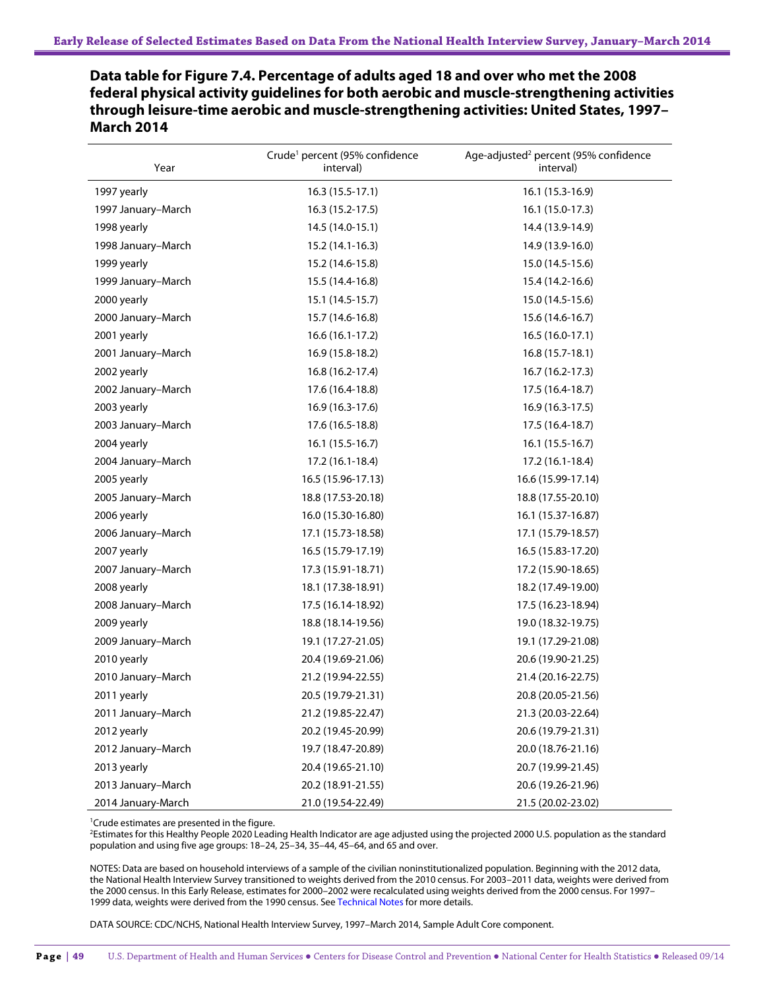**Data table for Figure 7.4. Percentage of adults aged 18 and over who met the 2008 federal physical activity guidelines for both aerobic and muscle-strengthening activities through leisure-time aerobic and muscle-strengthening activities: United States, 1997– March 2014**

| Year               | Crude <sup>1</sup> percent (95% confidence<br>interval) | Age-adjusted <sup>2</sup> percent (95% confidence<br>interval) |
|--------------------|---------------------------------------------------------|----------------------------------------------------------------|
| 1997 yearly        | $16.3(15.5-17.1)$                                       | 16.1 (15.3-16.9)                                               |
| 1997 January-March | 16.3 (15.2-17.5)                                        | 16.1 (15.0-17.3)                                               |
| 1998 yearly        | 14.5 (14.0-15.1)                                        | 14.4 (13.9-14.9)                                               |
| 1998 January-March | 15.2 (14.1-16.3)                                        | 14.9 (13.9-16.0)                                               |
| 1999 yearly        | 15.2 (14.6-15.8)                                        | 15.0 (14.5-15.6)                                               |
| 1999 January-March | 15.5 (14.4-16.8)                                        | 15.4 (14.2-16.6)                                               |
| 2000 yearly        | 15.1 (14.5-15.7)                                        | 15.0 (14.5-15.6)                                               |
| 2000 January-March | 15.7 (14.6-16.8)                                        | 15.6 (14.6-16.7)                                               |
| 2001 yearly        | $16.6(16.1-17.2)$                                       | $16.5(16.0-17.1)$                                              |
| 2001 January-March | 16.9 (15.8-18.2)                                        | 16.8 (15.7-18.1)                                               |
| 2002 yearly        | 16.8 (16.2-17.4)                                        | 16.7 (16.2-17.3)                                               |
| 2002 January-March | 17.6 (16.4-18.8)                                        | 17.5 (16.4-18.7)                                               |
| 2003 yearly        | 16.9 (16.3-17.6)                                        | 16.9 (16.3-17.5)                                               |
| 2003 January-March | 17.6 (16.5-18.8)                                        | 17.5 (16.4-18.7)                                               |
| 2004 yearly        | $16.1(15.5-16.7)$                                       | $16.1(15.5-16.7)$                                              |
| 2004 January-March | 17.2 (16.1-18.4)                                        | 17.2 (16.1-18.4)                                               |
| 2005 yearly        | 16.5 (15.96-17.13)                                      | 16.6 (15.99-17.14)                                             |
| 2005 January-March | 18.8 (17.53-20.18)                                      | 18.8 (17.55-20.10)                                             |
| 2006 yearly        | 16.0 (15.30-16.80)                                      | 16.1 (15.37-16.87)                                             |
| 2006 January-March | 17.1 (15.73-18.58)                                      | 17.1 (15.79-18.57)                                             |
| 2007 yearly        | 16.5 (15.79-17.19)                                      | 16.5 (15.83-17.20)                                             |
| 2007 January-March | 17.3 (15.91-18.71)                                      | 17.2 (15.90-18.65)                                             |
| 2008 yearly        | 18.1 (17.38-18.91)                                      | 18.2 (17.49-19.00)                                             |
| 2008 January-March | 17.5 (16.14-18.92)                                      | 17.5 (16.23-18.94)                                             |
| 2009 yearly        | 18.8 (18.14-19.56)                                      | 19.0 (18.32-19.75)                                             |
| 2009 January-March | 19.1 (17.27-21.05)                                      | 19.1 (17.29-21.08)                                             |
| 2010 yearly        | 20.4 (19.69-21.06)                                      | 20.6 (19.90-21.25)                                             |
| 2010 January-March | 21.2 (19.94-22.55)                                      | 21.4 (20.16-22.75)                                             |
| 2011 yearly        | 20.5 (19.79-21.31)                                      | 20.8 (20.05-21.56)                                             |
| 2011 January-March | 21.2 (19.85-22.47)                                      | 21.3 (20.03-22.64)                                             |
| 2012 yearly        | 20.2 (19.45-20.99)                                      | 20.6 (19.79-21.31)                                             |
| 2012 January-March | 19.7 (18.47-20.89)                                      | 20.0 (18.76-21.16)                                             |
| 2013 yearly        | 20.4 (19.65-21.10)                                      | 20.7 (19.99-21.45)                                             |
| 2013 January-March | 20.2 (18.91-21.55)                                      | 20.6 (19.26-21.96)                                             |
| 2014 January-March | 21.0 (19.54-22.49)                                      | 21.5 (20.02-23.02)                                             |

<sup>1</sup>Crude estimates are presented in the figure.

<sup>2</sup>Estimates for this Healthy People 2020 Leading Health Indicator are age adjusted using the projected 2000 U.S. population as the standard population and using five age groups: 18–24, 25–34, 35–44, 45–64, and 65 and over.

NOTES: Data are based on household interviews of a sample of the civilian noninstitutionalized population. Beginning with the 2012 data, the National Health Interview Survey transitioned to weights derived from the 2010 census. For 2003–2011 data, weights were derived from the 2000 census. In this Early Release, estimates for 2000–2002 were recalculated using weights derived from the 2000 census. For 1997– 1999 data, weights were derived from the 1990 census. See Technical Notes for more details.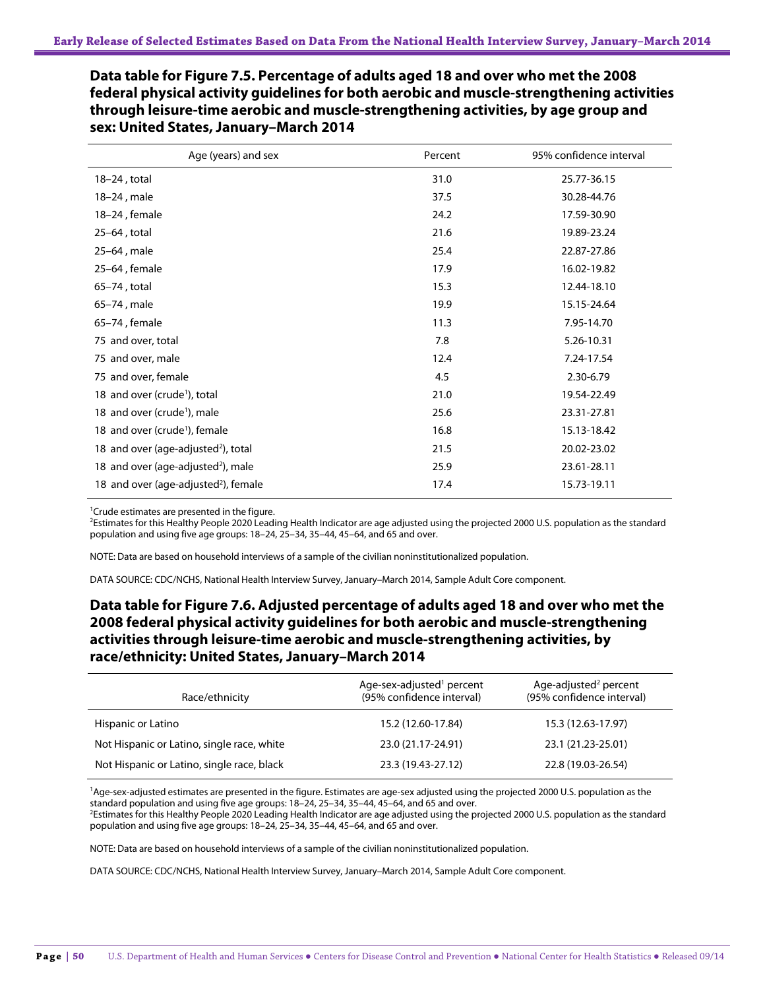**Data table for Figure 7.5. Percentage of adults aged 18 and over who met the 2008 federal physical activity guidelines for both aerobic and muscle-strengthening activities through leisure-time aerobic and muscle-strengthening activities, by age group and sex: United States, January–March 2014**

| Age (years) and sex                              | Percent | 95% confidence interval |
|--------------------------------------------------|---------|-------------------------|
| $18-24$ , total                                  | 31.0    | 25.77-36.15             |
| 18-24, male                                      | 37.5    | 30.28-44.76             |
| 18-24, female                                    | 24.2    | 17.59-30.90             |
| 25-64, total                                     | 21.6    | 19.89-23.24             |
| 25-64, male                                      | 25.4    | 22.87-27.86             |
| 25-64, female                                    | 17.9    | 16.02-19.82             |
| 65–74, total                                     | 15.3    | 12.44-18.10             |
| 65-74, male                                      | 19.9    | 15.15-24.64             |
| 65-74, female                                    | 11.3    | 7.95-14.70              |
| 75 and over, total                               | 7.8     | 5.26-10.31              |
| 75 and over, male                                | 12.4    | 7.24-17.54              |
| 75 and over, female                              | 4.5     | 2.30-6.79               |
| 18 and over (crude <sup>1</sup> ), total         | 21.0    | 19.54-22.49             |
| 18 and over (crude <sup>1</sup> ), male          | 25.6    | 23.31-27.81             |
| 18 and over (crude <sup>1</sup> ), female        | 16.8    | 15.13-18.42             |
| 18 and over (age-adjusted <sup>2</sup> ), total  | 21.5    | 20.02-23.02             |
| 18 and over (age-adjusted <sup>2</sup> ), male   | 25.9    | 23.61-28.11             |
| 18 and over (age-adjusted <sup>2</sup> ), female | 17.4    | 15.73-19.11             |

1 Crude estimates are presented in the figure.

2 Estimates for this Healthy People 2020 Leading Health Indicator are age adjusted using the projected 2000 U.S. population as the standard population and using five age groups: 18–24, 25–34, 35–44, 45–64, and 65 and over.

NOTE: Data are based on household interviews of a sample of the civilian noninstitutionalized population.

DATA SOURCE: CDC/NCHS, National Health Interview Survey, January–March 2014, Sample Adult Core component.

### **Data table for Figure 7.6. Adjusted percentage of adults aged 18 and over who met the 2008 federal physical activity guidelines for both aerobic and muscle-strengthening activities through leisure-time aerobic and muscle-strengthening activities, by race/ethnicity: United States, January–March 2014**

| Race/ethnicity                             | Age-sex-adjusted <sup>1</sup> percent<br>(95% confidence interval) | Age-adjusted <sup>2</sup> percent<br>(95% confidence interval) |
|--------------------------------------------|--------------------------------------------------------------------|----------------------------------------------------------------|
| Hispanic or Latino                         | 15.2 (12.60-17.84)                                                 | 15.3 (12.63-17.97)                                             |
| Not Hispanic or Latino, single race, white | 23.0 (21.17-24.91)                                                 | 23.1 (21.23-25.01)                                             |
| Not Hispanic or Latino, single race, black | 23.3 (19.43-27.12)                                                 | 22.8 (19.03-26.54)                                             |

<sup>1</sup>Age-sex-adjusted estimates are presented in the figure. Estimates are age-sex adjusted using the projected 2000 U.S. population as the standard population and using five age groups: 18–24, 25–34, 35–44, 45–64, and 65 and over.

<sup>2</sup>Estimates for this Healthy People 2020 Leading Health Indicator are age adjusted using the projected 2000 U.S. population as the standard population and using five age groups: 18–24, 25–34, 35–44, 45–64, and 65 and over.

NOTE: Data are based on household interviews of a sample of the civilian noninstitutionalized population.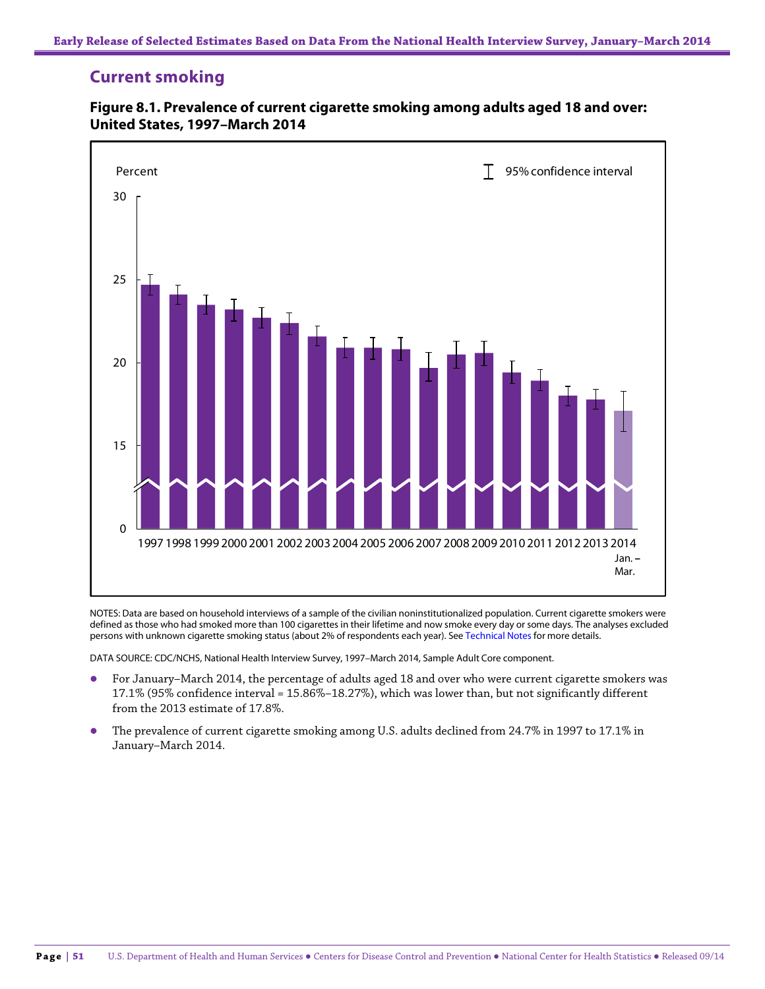# **Current smoking**



#### **Figure 8.1. Prevalence of current cigarette smoking among adults aged 18 and over: United States, 1997–March 2014**

NOTES: Data are based on household interviews of a sample of the civilian noninstitutionalized population. Current cigarette smokers were defined as those who had smoked more than 100 cigarettes in their lifetime and now smoke every day or some days. The analyses excluded persons with unknown cigarette smoking status (about 2% of respondents each year). See Technical Notes for more details.

- For January–March 2014, the percentage of adults aged 18 and over who were current cigarette smokers was 17.1% (95% confidence interval = 15.86%–18.27%), which was lower than, but not significantly different from the 2013 estimate of 17.8%.
- The prevalence of current cigarette smoking among U.S. adults declined from 24.7% in 1997 to 17.1% in January–March 2014.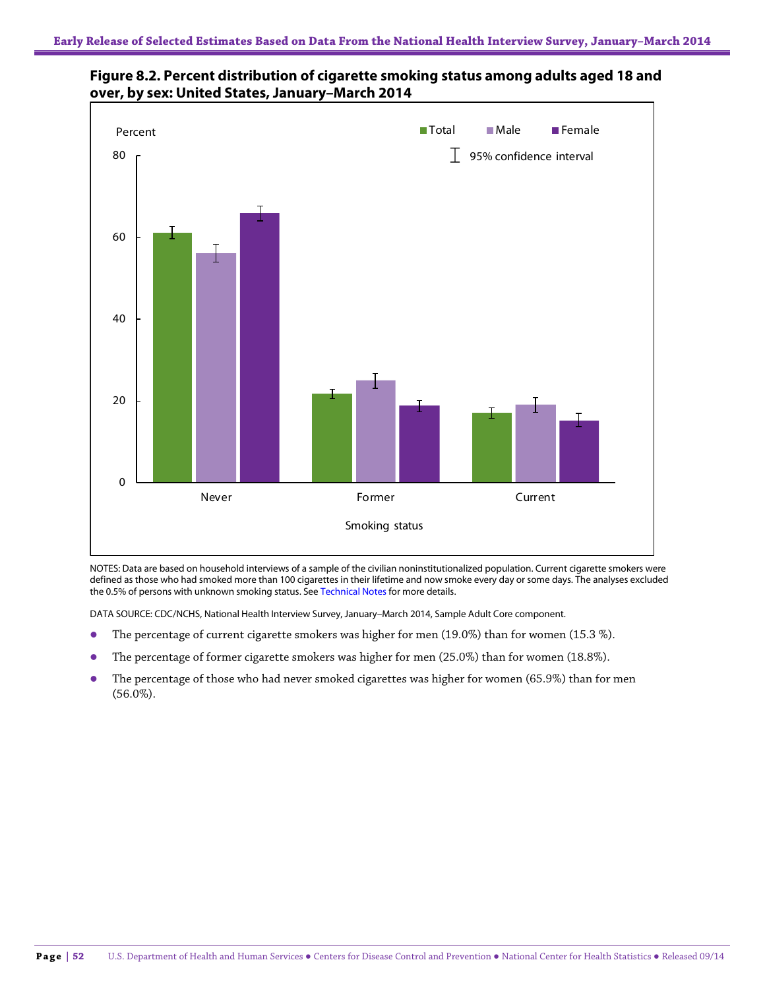



NOTES: Data are based on household interviews of a sample of the civilian noninstitutionalized population. Current cigarette smokers were defined as those who had smoked more than 100 cigarettes in their lifetime and now smoke every day or some days. The analyses excluded the 0.5% of persons with unknown smoking status. See Technical Notes for more details.

- The percentage of current cigarette smokers was higher for men (19.0%) than for women (15.3 %).
- The percentage of former cigarette smokers was higher for men (25.0%) than for women (18.8%).
- The percentage of those who had never smoked cigarettes was higher for women (65.9%) than for men (56.0%).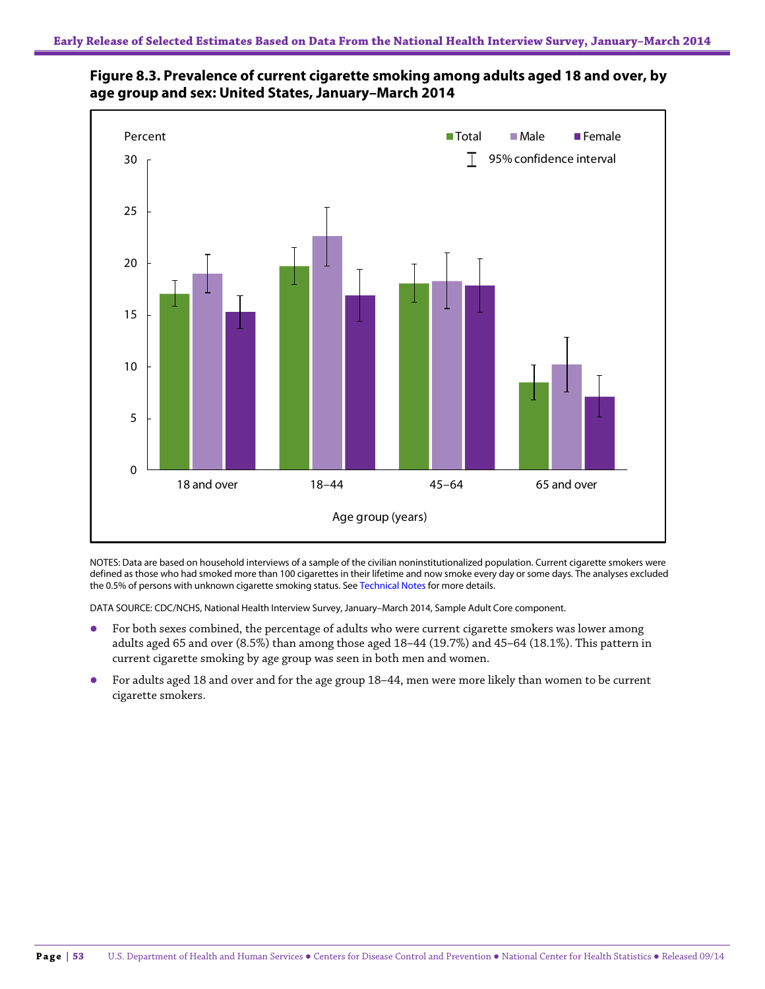



NOTES: Data are based on household interviews of a sample of the civilian noninstitutionalized population. Current cigarette smokers were defined as those who had smoked more than 100 cigarettes in their lifetime and now smoke every day or some days. The analyses excluded the 0.5% of persons with unknown cigarette smoking status. See Technical Notes for more details.

- For both sexes combined, the percentage of adults who were current cigarette smokers was lower among adults aged 65 and over (8.5%) than among those aged 18–44 (19.7%) and 45–64 (18.1%). This pattern in current cigarette smoking by age group was seen in both men and women.
- For adults aged 18 and over and for the age group 18–44, men were more likely than women to be current cigarette smokers.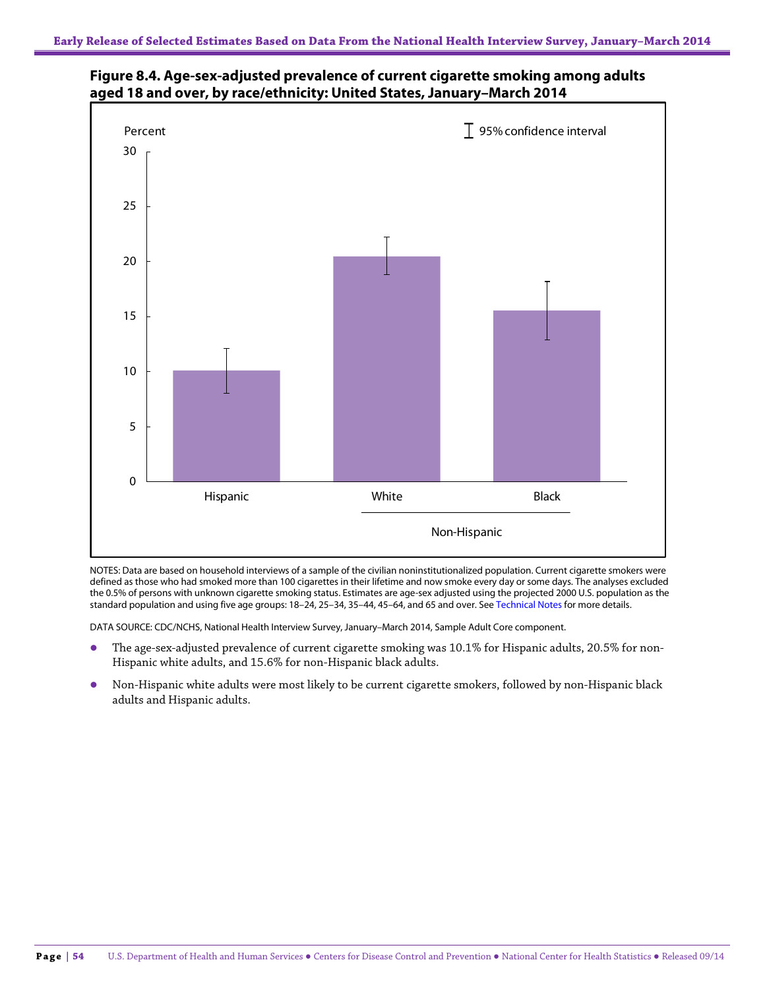



NOTES: Data are based on household interviews of a sample of the civilian noninstitutionalized population. Current cigarette smokers were defined as those who had smoked more than 100 cigarettes in their lifetime and now smoke every day or some days. The analyses excluded the 0.5% of persons with unknown cigarette smoking status. Estimates are age-sex adjusted using the projected 2000 U.S. population as the standard population and using five age groups: 18–24, 25–34, 35–44, 45–64, and 65 and over. See Technical Notes for more details.

- The age-sex-adjusted prevalence of current cigarette smoking was 10.1% for Hispanic adults, 20.5% for non-Hispanic white adults, and 15.6% for non-Hispanic black adults.
- Non-Hispanic white adults were most likely to be current cigarette smokers, followed by non-Hispanic black adults and Hispanic adults.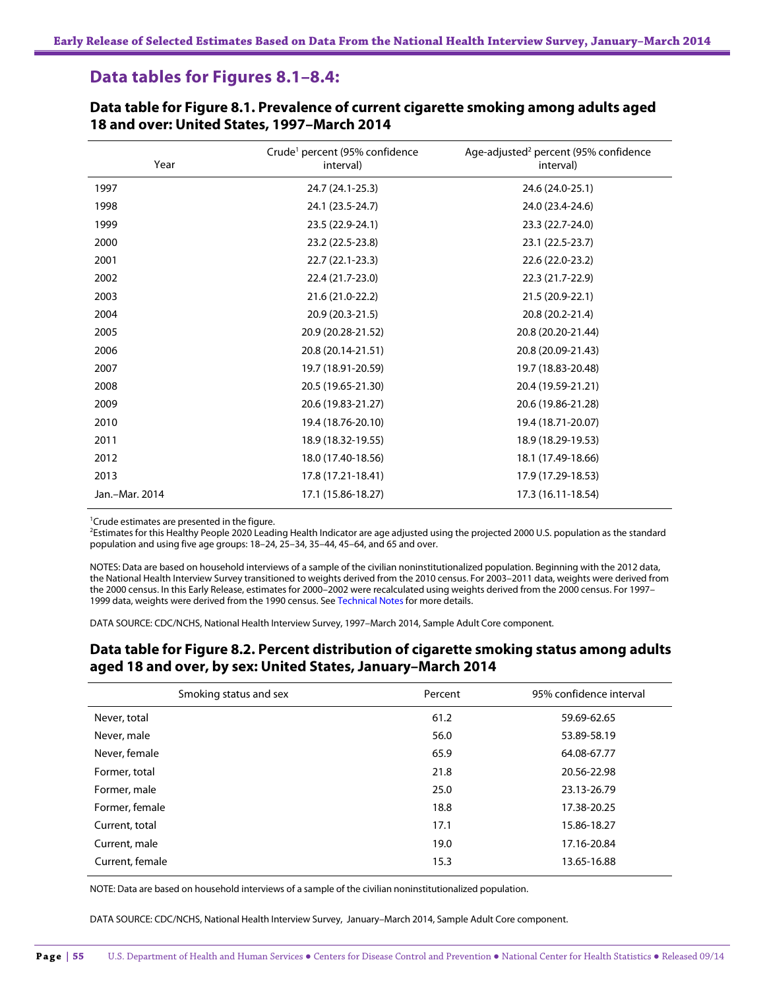## **Data tables for Figures 8.1–8.4:**

| Year           | Crude <sup>1</sup> percent (95% confidence<br>interval) | Age-adjusted <sup>2</sup> percent (95% confidence<br>interval) |
|----------------|---------------------------------------------------------|----------------------------------------------------------------|
| 1997           | 24.7 (24.1-25.3)                                        | 24.6 (24.0-25.1)                                               |
| 1998           | 24.1 (23.5-24.7)                                        | 24.0 (23.4-24.6)                                               |
| 1999           | 23.5 (22.9-24.1)                                        | 23.3 (22.7-24.0)                                               |
| 2000           | 23.2 (22.5-23.8)                                        | 23.1 (22.5-23.7)                                               |
| 2001           | 22.7 (22.1-23.3)                                        | 22.6 (22.0-23.2)                                               |
| 2002           | 22.4 (21.7-23.0)                                        | 22.3 (21.7-22.9)                                               |
| 2003           | 21.6 (21.0-22.2)                                        | 21.5 (20.9-22.1)                                               |
| 2004           | 20.9 (20.3-21.5)                                        | 20.8 (20.2-21.4)                                               |
| 2005           | 20.9 (20.28-21.52)                                      | 20.8 (20.20-21.44)                                             |
| 2006           | 20.8 (20.14-21.51)                                      | 20.8 (20.09-21.43)                                             |
| 2007           | 19.7 (18.91-20.59)                                      | 19.7 (18.83-20.48)                                             |
| 2008           | 20.5 (19.65-21.30)                                      | 20.4 (19.59-21.21)                                             |
| 2009           | 20.6 (19.83-21.27)                                      | 20.6 (19.86-21.28)                                             |
| 2010           | 19.4 (18.76-20.10)                                      | 19.4 (18.71-20.07)                                             |
| 2011           | 18.9 (18.32-19.55)                                      | 18.9 (18.29-19.53)                                             |
| 2012           | 18.0 (17.40-18.56)                                      | 18.1 (17.49-18.66)                                             |
| 2013           | 17.8 (17.21-18.41)                                      | 17.9 (17.29-18.53)                                             |
| Jan.-Mar. 2014 | 17.1 (15.86-18.27)                                      | 17.3 (16.11-18.54)                                             |

**Data table for Figure 8.1. Prevalence of current cigarette smoking among adults aged 18 and over: United States, 1997–March 2014**

<sup>1</sup> Crude estimates are presented in the figure.

<sup>2</sup>Estimates for this Healthy People 2020 Leading Health Indicator are age adjusted using the projected 2000 U.S. population as the standard population and using five age groups: 18–24, 25–34, 35–44, 45–64, and 65 and over.

NOTES: Data are based on household interviews of a sample of the civilian noninstitutionalized population. Beginning with the 2012 data, the National Health Interview Survey transitioned to weights derived from the 2010 census. For 2003–2011 data, weights were derived from the 2000 census. In this Early Release, estimates for 2000–2002 were recalculated using weights derived from the 2000 census. For 1997– 1999 data, weights were derived from the 1990 census. See Technical Notes for more details.

DATA SOURCE: CDC/NCHS, National Health Interview Survey, 1997–March 2014, Sample Adult Core component.

### **Data table for Figure 8.2. Percent distribution of cigarette smoking status among adults aged 18 and over, by sex: United States, January–March 2014**

| Smoking status and sex | Percent | 95% confidence interval |
|------------------------|---------|-------------------------|
| Never, total           | 61.2    | 59.69-62.65             |
| Never, male            | 56.0    | 53.89-58.19             |
| Never, female          | 65.9    | 64.08-67.77             |
| Former, total          | 21.8    | 20.56-22.98             |
| Former, male           | 25.0    | 23.13-26.79             |
| Former, female         | 18.8    | 17.38-20.25             |
| Current, total         | 17.1    | 15.86-18.27             |
| Current, male          | 19.0    | 17.16-20.84             |
| Current, female        | 15.3    | 13.65-16.88             |

NOTE: Data are based on household interviews of a sample of the civilian noninstitutionalized population.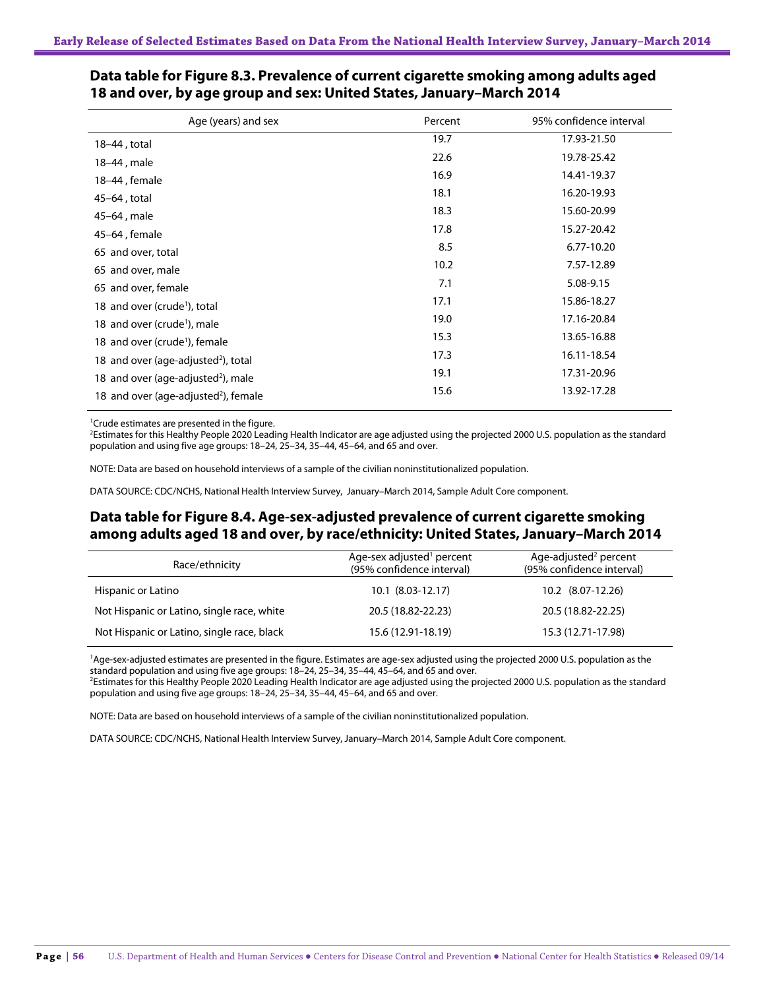| Age (years) and sex                              | Percent | 95% confidence interval |
|--------------------------------------------------|---------|-------------------------|
| 18-44, total                                     | 19.7    | 17.93-21.50             |
| 18–44, male                                      | 22.6    | 19.78-25.42             |
| 18-44, female                                    | 16.9    | 14.41-19.37             |
| 45-64, total                                     | 18.1    | 16.20-19.93             |
| 45-64, male                                      | 18.3    | 15.60-20.99             |
| 45-64, female                                    | 17.8    | 15.27-20.42             |
| 65 and over, total                               | 8.5     | 6.77-10.20              |
| 65 and over, male                                | 10.2    | 7.57-12.89              |
| 65 and over, female                              | 7.1     | 5.08-9.15               |
| 18 and over (crude <sup>1</sup> ), total         | 17.1    | 15.86-18.27             |
| 18 and over (crude <sup>1</sup> ), male          | 19.0    | 17.16-20.84             |
| 18 and over (crude <sup>1</sup> ), female        | 15.3    | 13.65-16.88             |
| 18 and over (age-adjusted <sup>2</sup> ), total  | 17.3    | 16.11-18.54             |
| 18 and over (age-adjusted <sup>2</sup> ), male   | 19.1    | 17.31-20.96             |
| 18 and over (age-adjusted <sup>2</sup> ), female | 15.6    | 13.92-17.28             |

#### **Data table for Figure 8.3. Prevalence of current cigarette smoking among adults aged 18 and over, by age group and sex: United States, January–March 2014**

<sup>1</sup> Crude estimates are presented in the figure.

<sup>2</sup>Estimates for this Healthy People 2020 Leading Health Indicator are age adjusted using the projected 2000 U.S. population as the standard population and using five age groups: 18–24, 25–34, 35–44, 45–64, and 65 and over.

NOTE: Data are based on household interviews of a sample of the civilian noninstitutionalized population.

DATA SOURCE: CDC/NCHS, National Health Interview Survey, January–March 2014, Sample Adult Core component.

## **Data table for Figure 8.4. Age-sex-adjusted prevalence of current cigarette smoking among adults aged 18 and over, by race/ethnicity: United States, January–March 2014**

| Race/ethnicity                             | Age-sex adjusted <sup>1</sup> percent<br>(95% confidence interval) | Age-adjusted <sup>2</sup> percent<br>(95% confidence interval) |
|--------------------------------------------|--------------------------------------------------------------------|----------------------------------------------------------------|
| Hispanic or Latino                         | 10.1 (8.03-12.17)                                                  | $10.2$ $(8.07-12.26)$                                          |
| Not Hispanic or Latino, single race, white | 20.5 (18.82-22.23)                                                 | 20.5 (18.82-22.25)                                             |
| Not Hispanic or Latino, single race, black | 15.6 (12.91-18.19)                                                 | 15.3 (12.71-17.98)                                             |

<sup>1</sup>Age-sex-adjusted estimates are presented in the figure. Estimates are age-sex adjusted using the projected 2000 U.S. population as the standard population and using five age groups: 18–24, 25–34, 35–44, 45–64, and 65 and over. 2

<sup>2</sup>Estimates for this Healthy People 2020 Leading Health Indicator are age adjusted using the projected 2000 U.S. population as the standard population and using five age groups: 18–24, 25–34, 35–44, 45–64, and 65 and over.

NOTE: Data are based on household interviews of a sample of the civilian noninstitutionalized population.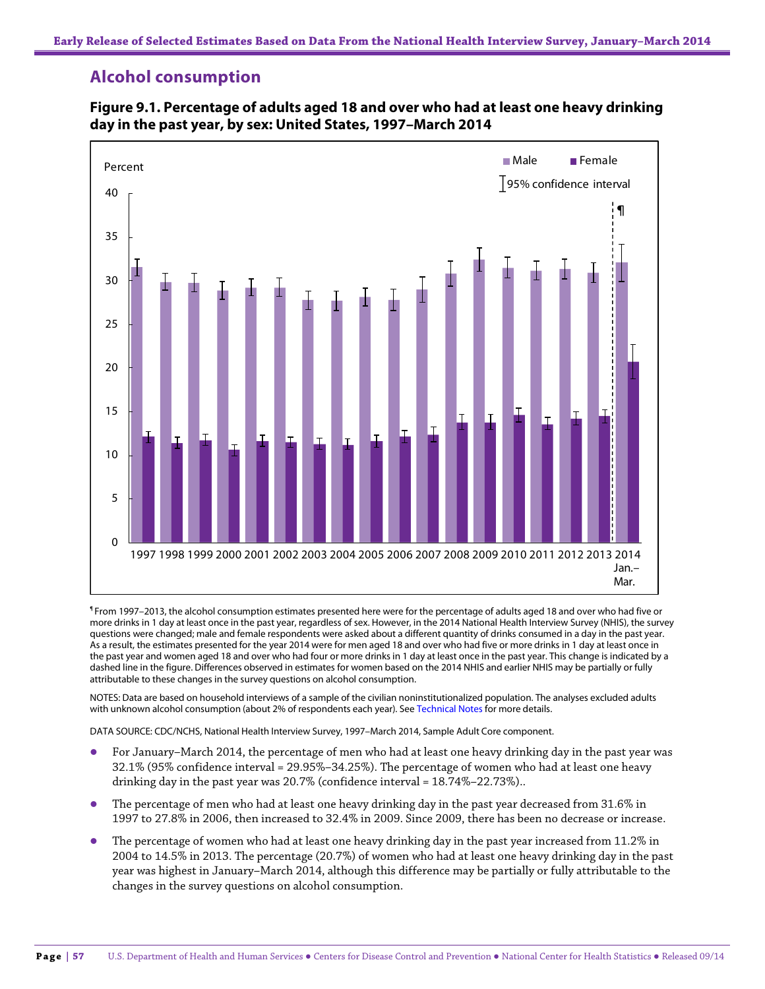# **Alcohol consumption**



### **Figure 9.1. Percentage of adults aged 18 and over who had at least one heavy drinking day in the past year, by sex: United States, 1997–March 2014**

¶ From 1997–2013, the alcohol consumption estimates presented here were for the percentage of adults aged 18 and over who had five or more drinks in 1 day at least once in the past year, regardless of sex. However, in the 2014 National Health Interview Survey (NHIS), the survey questions were changed; male and female respondents were asked about a different quantity of drinks consumed in a day in the past year. As a result, the estimates presented for the year 2014 were for men aged 18 and over who had five or more drinks in 1 day at least once in the past year and women aged 18 and over who had four or more drinks in 1 day at least once in the past year. This change is indicated by a dashed line in the figure. Differences observed in estimates for women based on the 2014 NHIS and earlier NHIS may be partially or fully attributable to these changes in the survey questions on alcohol consumption.

NOTES: Data are based on household interviews of a sample of the civilian noninstitutionalized population. The analyses excluded adults with unknown alcohol consumption (about 2% of respondents each year). See Technical Notes for more details.

- For January–March 2014, the percentage of men who had at least one heavy drinking day in the past year was 32.1% (95% confidence interval = 29.95%–34.25%). The percentage of women who had at least one heavy drinking day in the past year was 20.7% (confidence interval = 18.74%–22.73%)..
- The percentage of men who had at least one heavy drinking day in the past year decreased from 31.6% in 1997 to 27.8% in 2006, then increased to 32.4% in 2009. Since 2009, there has been no decrease or increase.
- The percentage of women who had at least one heavy drinking day in the past year increased from 11.2% in 2004 to 14.5% in 2013. The percentage (20.7%) of women who had at least one heavy drinking day in the past year was highest in January–March 2014, although this difference may be partially or fully attributable to the changes in the survey questions on alcohol consumption.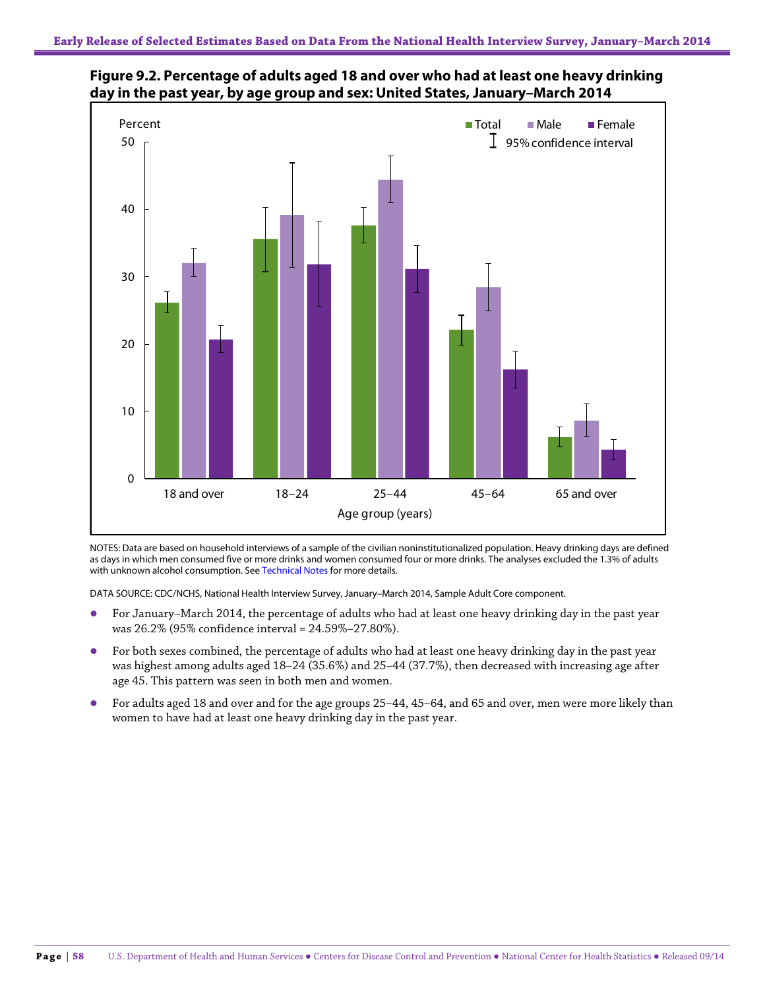

**Figure 9.2. Percentage of adults aged 18 and over who had at least one heavy drinking day in the past year, by age group and sex: United States, January–March 2014**

NOTES: Data are based on household interviews of a sample of the civilian noninstitutionalized population. Heavy drinking days are defined as days in which men consumed five or more drinks and women consumed four or more drinks. The analyses excluded the 1.3% of adults with unknown alcohol consumption. See Technical Notes for more details.

- For January–March 2014, the percentage of adults who had at least one heavy drinking day in the past year was 26.2% (95% confidence interval = 24.59%–27.80%).
- For both sexes combined, the percentage of adults who had at least one heavy drinking day in the past year was highest among adults aged 18–24 (35.6%) and 25–44 (37.7%), then decreased with increasing age after age 45. This pattern was seen in both men and women.
- For adults aged 18 and over and for the age groups 25–44, 45–64, and 65 and over, men were more likely than women to have had at least one heavy drinking day in the past year.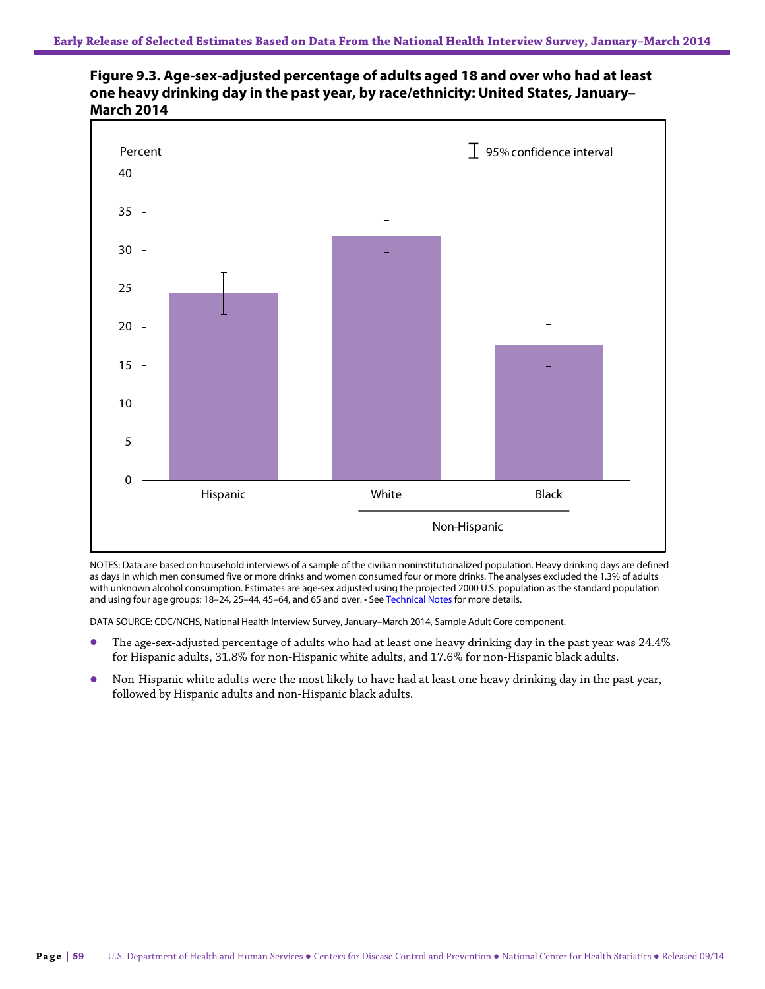



NOTES: Data are based on household interviews of a sample of the civilian noninstitutionalized population. Heavy drinking days are defined as days in which men consumed five or more drinks and women consumed four or more drinks. The analyses excluded the 1.3% of adults with unknown alcohol consumption. Estimates are age-sex adjusted using the projected 2000 U.S. population as the standard population and using four age groups: 18-24, 25-44, 45-64, and 65 and over. • See Technical Notes for more details.

- The age-sex-adjusted percentage of adults who had at least one heavy drinking day in the past year was 24.4% for Hispanic adults, 31.8% for non-Hispanic white adults, and 17.6% for non-Hispanic black adults.
- Non-Hispanic white adults were the most likely to have had at least one heavy drinking day in the past year, followed by Hispanic adults and non-Hispanic black adults.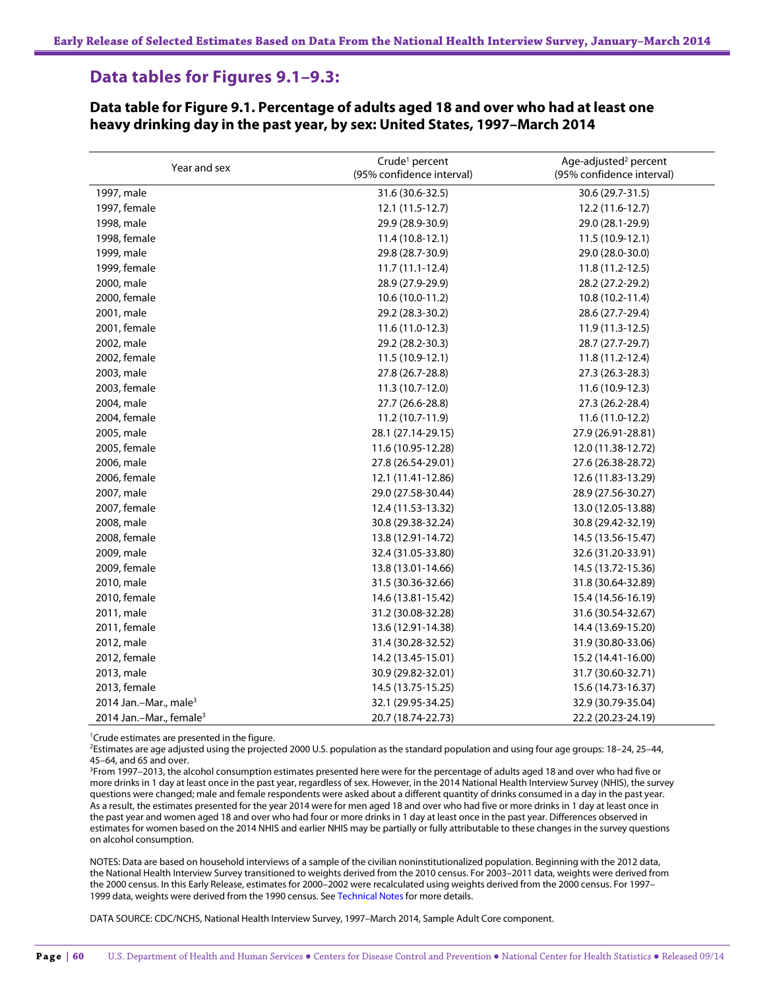# **Data tables for Figures 9.1–9.3:**

#### **Data table for Figure 9.1. Percentage of adults aged 18 and over who had at least one heavy drinking day in the past year, by sex: United States, 1997–March 2014**

| Year and sex                        | Crude <sup>1</sup> percent<br>(95% confidence interval) | Age-adjusted <sup>2</sup> percent<br>(95% confidence interval) |
|-------------------------------------|---------------------------------------------------------|----------------------------------------------------------------|
| 1997, male                          | 31.6 (30.6-32.5)                                        | 30.6 (29.7-31.5)                                               |
| 1997, female                        | $12.1(11.5-12.7)$                                       | 12.2 (11.6-12.7)                                               |
| 1998, male                          | 29.9 (28.9-30.9)                                        | 29.0 (28.1-29.9)                                               |
| 1998, female                        | $11.4(10.8-12.1)$                                       | 11.5 (10.9-12.1)                                               |
| 1999, male                          | 29.8 (28.7-30.9)                                        | 29.0 (28.0-30.0)                                               |
| 1999, female                        | $11.7(11.1-12.4)$                                       | $11.8(11.2-12.5)$                                              |
| 2000, male                          | 28.9 (27.9-29.9)                                        | 28.2 (27.2-29.2)                                               |
| 2000, female                        | 10.6 (10.0-11.2)                                        | 10.8 (10.2-11.4)                                               |
| 2001, male                          | 29.2 (28.3-30.2)                                        | 28.6 (27.7-29.4)                                               |
| 2001, female                        | $11.6(11.0-12.3)$                                       | $11.9(11.3-12.5)$                                              |
| 2002, male                          | 29.2 (28.2-30.3)                                        | 28.7 (27.7-29.7)                                               |
| 2002, female                        | 11.5 (10.9-12.1)                                        | 11.8 (11.2-12.4)                                               |
| 2003, male                          | 27.8 (26.7-28.8)                                        | 27.3 (26.3-28.3)                                               |
| 2003, female                        | 11.3 (10.7-12.0)                                        | 11.6 (10.9-12.3)                                               |
| 2004, male                          | 27.7 (26.6-28.8)                                        | 27.3 (26.2-28.4)                                               |
| 2004, female                        | 11.2 (10.7-11.9)                                        | 11.6 (11.0-12.2)                                               |
| 2005, male                          | 28.1 (27.14-29.15)                                      | 27.9 (26.91-28.81)                                             |
| 2005, female                        | 11.6 (10.95-12.28)                                      | 12.0 (11.38-12.72)                                             |
| 2006, male                          | 27.8 (26.54-29.01)                                      | 27.6 (26.38-28.72)                                             |
| 2006, female                        | 12.1 (11.41-12.86)                                      | 12.6 (11.83-13.29)                                             |
| 2007, male                          | 29.0 (27.58-30.44)                                      | 28.9 (27.56-30.27)                                             |
| 2007, female                        | 12.4 (11.53-13.32)                                      | 13.0 (12.05-13.88)                                             |
| 2008, male                          | 30.8 (29.38-32.24)                                      | 30.8 (29.42-32.19)                                             |
| 2008, female                        | 13.8 (12.91-14.72)                                      | 14.5 (13.56-15.47)                                             |
| 2009, male                          | 32.4 (31.05-33.80)                                      | 32.6 (31.20-33.91)                                             |
| 2009, female                        | 13.8 (13.01-14.66)                                      | 14.5 (13.72-15.36)                                             |
| 2010, male                          | 31.5 (30.36-32.66)                                      | 31.8 (30.64-32.89)                                             |
| 2010, female                        | 14.6 (13.81-15.42)                                      | 15.4 (14.56-16.19)                                             |
| 2011, male                          | 31.2 (30.08-32.28)                                      | 31.6 (30.54-32.67)                                             |
| 2011, female                        | 13.6 (12.91-14.38)                                      | 14.4 (13.69-15.20)                                             |
| 2012, male                          | 31.4 (30.28-32.52)                                      | 31.9 (30.80-33.06)                                             |
| 2012, female                        | 14.2 (13.45-15.01)                                      | 15.2 (14.41-16.00)                                             |
| 2013, male                          | 30.9 (29.82-32.01)                                      | 31.7 (30.60-32.71)                                             |
| 2013, female                        | 14.5 (13.75-15.25)                                      | 15.6 (14.73-16.37)                                             |
| 2014 Jan.-Mar., male <sup>3</sup>   | 32.1 (29.95-34.25)                                      | 32.9 (30.79-35.04)                                             |
| 2014 Jan.-Mar., female <sup>3</sup> | 20.7 (18.74-22.73)                                      | 22.2 (20.23-24.19)                                             |

<sup>1</sup>Crude estimates are presented in the figure.

2 Estimates are age adjusted using the projected 2000 U.S. population as the standard population and using four age groups: 18–24, 25–44, 45–64, and 65 and over.

3 From 1997–2013, the alcohol consumption estimates presented here were for the percentage of adults aged 18 and over who had five or more drinks in 1 day at least once in the past year, regardless of sex. However, in the 2014 National Health Interview Survey (NHIS), the survey questions were changed; male and female respondents were asked about a different quantity of drinks consumed in a day in the past year. As a result, the estimates presented for the year 2014 were for men aged 18 and over who had five or more drinks in 1 day at least once in the past year and women aged 18 and over who had four or more drinks in 1 day at least once in the past year. Differences observed in estimates for women based on the 2014 NHIS and earlier NHIS may be partially or fully attributable to these changes in the survey questions on alcohol consumption.

NOTES: Data are based on household interviews of a sample of the civilian noninstitutionalized population. Beginning with the 2012 data, the National Health Interview Survey transitioned to weights derived from the 2010 census. For 2003–2011 data, weights were derived from the 2000 census. In this Early Release, estimates for 2000–2002 were recalculated using weights derived from the 2000 census. For 1997– 1999 data, weights were derived from the 1990 census. See Technical Notes for more details.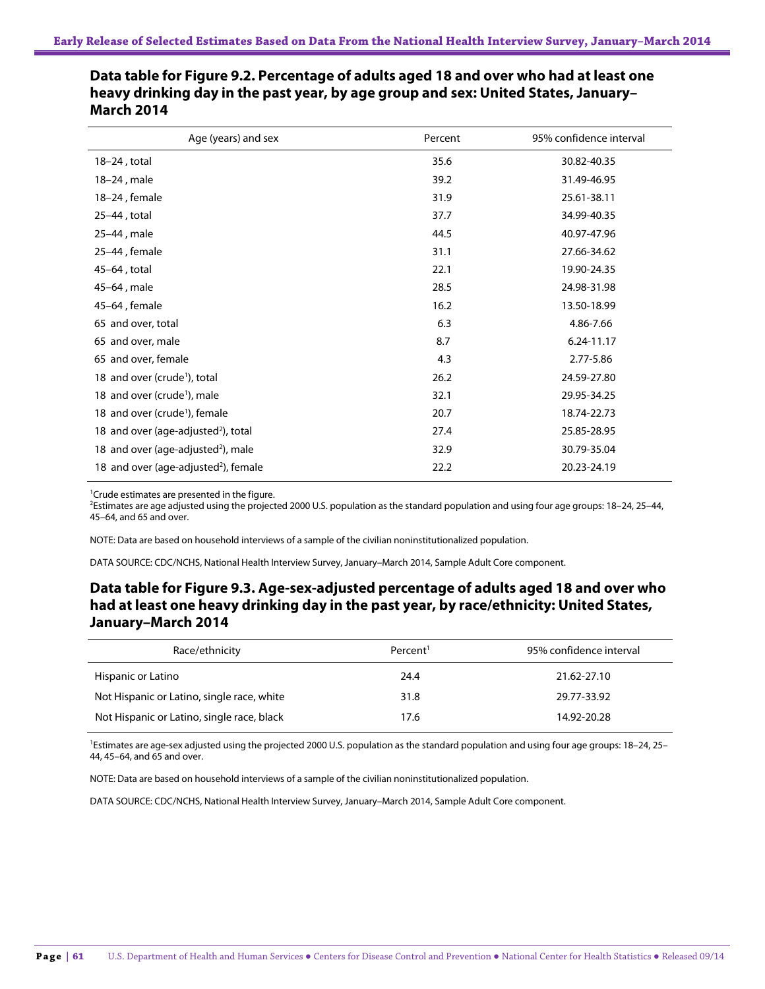| Age (years) and sex                              | Percent | 95% confidence interval |
|--------------------------------------------------|---------|-------------------------|
| $18-24$ , total                                  | 35.6    | 30.82-40.35             |
| 18-24, male                                      | 39.2    | 31.49-46.95             |
| 18-24, female                                    | 31.9    | 25.61-38.11             |
| 25-44, total                                     | 37.7    | 34.99-40.35             |
| 25-44, male                                      | 44.5    | 40.97-47.96             |
| 25-44, female                                    | 31.1    | 27.66-34.62             |
| 45-64, total                                     | 22.1    | 19.90-24.35             |
| 45-64, male                                      | 28.5    | 24.98-31.98             |
| 45-64, female                                    | 16.2    | 13.50-18.99             |
| 65 and over, total                               | 6.3     | 4.86-7.66               |
| 65 and over, male                                | 8.7     | 6.24-11.17              |
| 65 and over, female                              | 4.3     | 2.77-5.86               |
| 18 and over (crude <sup>1</sup> ), total         | 26.2    | 24.59-27.80             |
| 18 and over (crude <sup>1</sup> ), male          | 32.1    | 29.95-34.25             |
| 18 and over (crude <sup>1</sup> ), female        | 20.7    | 18.74-22.73             |
| 18 and over (age-adjusted <sup>2</sup> ), total  | 27.4    | 25.85-28.95             |
| 18 and over (age-adjusted <sup>2</sup> ), male   | 32.9    | 30.79-35.04             |
| 18 and over (age-adjusted <sup>2</sup> ), female | 22.2    | 20.23-24.19             |

**Data table for Figure 9.2. Percentage of adults aged 18 and over who had at least one heavy drinking day in the past year, by age group and sex: United States, January– March 2014**

<sup>1</sup> Crude estimates are presented in the figure.

2 Estimates are age adjusted using the projected 2000 U.S. population as the standard population and using four age groups: 18–24, 25–44, 45–64, and 65 and over.

NOTE: Data are based on household interviews of a sample of the civilian noninstitutionalized population.

DATA SOURCE: CDC/NCHS, National Health Interview Survey, January–March 2014, Sample Adult Core component.

## **Data table for Figure 9.3. Age-sex-adjusted percentage of adults aged 18 and over who had at least one heavy drinking day in the past year, by race/ethnicity: United States, January–March 2014**

| Race/ethnicity                             | Percent <sup>1</sup> | 95% confidence interval |
|--------------------------------------------|----------------------|-------------------------|
| Hispanic or Latino                         | 24.4                 | 21.62-27.10             |
| Not Hispanic or Latino, single race, white | 31.8                 | 29.77-33.92             |
| Not Hispanic or Latino, single race, black | 17.6                 | 14.92-20.28             |

<sup>1</sup>Estimates are age-sex adjusted using the projected 2000 U.S. population as the standard population and using four age groups: 18-24, 25-44, 45–64, and 65 and over.

NOTE: Data are based on household interviews of a sample of the civilian noninstitutionalized population.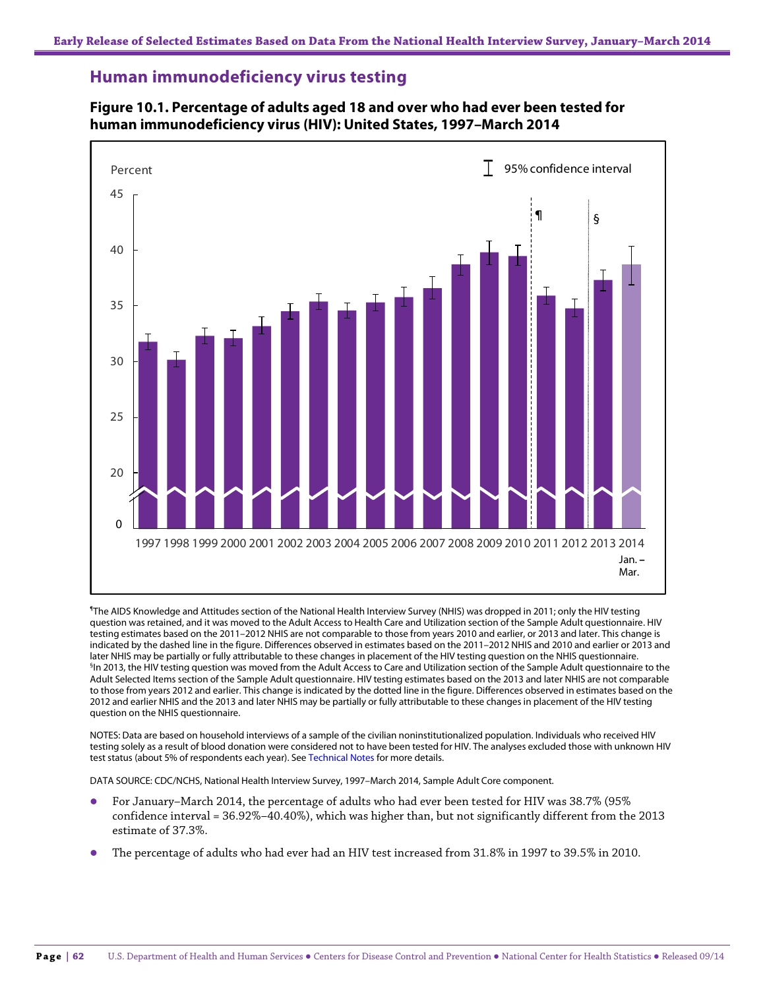## **Human immunodeficiency virus testing**



### **Figure 10.1. Percentage of adults aged 18 and over who had ever been tested for human immunodeficiency virus (HIV): United States, 1997–March 2014**

¶ The AIDS Knowledge and Attitudes section of the National Health Interview Survey (NHIS) was dropped in 2011; only the HIV testing question was retained, and it was moved to the Adult Access to Health Care and Utilization section of the Sample Adult questionnaire. HIV testing estimates based on the 2011–2012 NHIS are not comparable to those from years 2010 and earlier, or 2013 and later. This change is indicated by the dashed line in the figure. Differences observed in estimates based on the 2011–2012 NHIS and 2010 and earlier or 2013 and later NHIS may be partially or fully attributable to these changes in placement of the HIV testing question on the NHIS questionnaire. § In 2013, the HIV testing question was moved from the Adult Access to Care and Utilization section of the Sample Adult questionnaire to the Adult Selected Items section of the Sample Adult questionnaire. HIV testing estimates based on the 2013 and later NHIS are not comparable to those from years 2012 and earlier. This change is indicated by the dotted line in the figure. Differences observed in estimates based on the 2012 and earlier NHIS and the 2013 and later NHIS may be partially or fully attributable to these changes in placement of the HIV testing question on the NHIS questionnaire.

NOTES: Data are based on household interviews of a sample of the civilian noninstitutionalized population. Individuals who received HIV testing solely as a result of blood donation were considered not to have been tested for HIV. The analyses excluded those with unknown HIV test status (about 5% of respondents each year). See Technical Notes for more details.

- For January–March 2014, the percentage of adults who had ever been tested for HIV was 38.7% (95% confidence interval = 36.92%–40.40%), which was higher than, but not significantly different from the 2013 estimate of 37.3%.
- The percentage of adults who had ever had an HIV test increased from 31.8% in 1997 to 39.5% in 2010.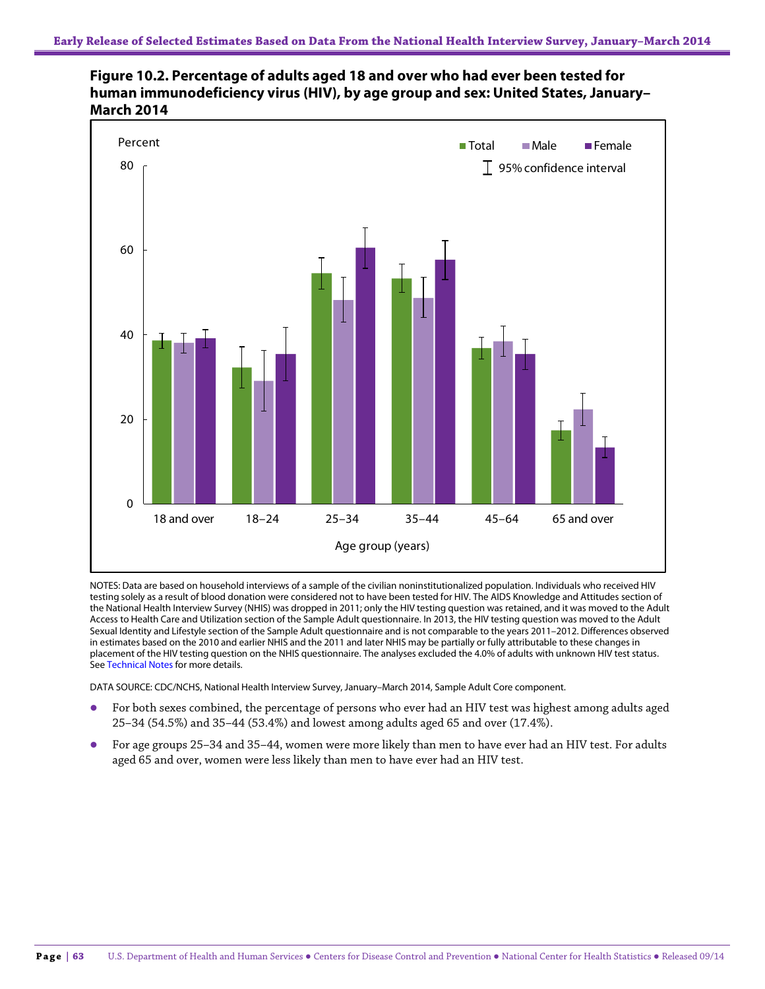



NOTES: Data are based on household interviews of a sample of the civilian noninstitutionalized population. Individuals who received HIV testing solely as a result of blood donation were considered not to have been tested for HIV. The AIDS Knowledge and Attitudes section of the National Health Interview Survey (NHIS) was dropped in 2011; only the HIV testing question was retained, and it was moved to the Adult Access to Health Care and Utilization section of the Sample Adult questionnaire. In 2013, the HIV testing question was moved to the Adult Sexual Identity and Lifestyle section of the Sample Adult questionnaire and is not comparable to the years 2011–2012. Differences observed in estimates based on the 2010 and earlier NHIS and the 2011 and later NHIS may be partially or fully attributable to these changes in placement of the HIV testing question on the NHIS questionnaire. The analyses excluded the 4.0% of adults with unknown HIV test status. See Technical Notes for more details.

- For both sexes combined, the percentage of persons who ever had an HIV test was highest among adults aged 25–34 (54.5%) and 35–44 (53.4%) and lowest among adults aged 65 and over (17.4%).
- For age groups 25–34 and 35–44, women were more likely than men to have ever had an HIV test. For adults aged 65 and over, women were less likely than men to have ever had an HIV test.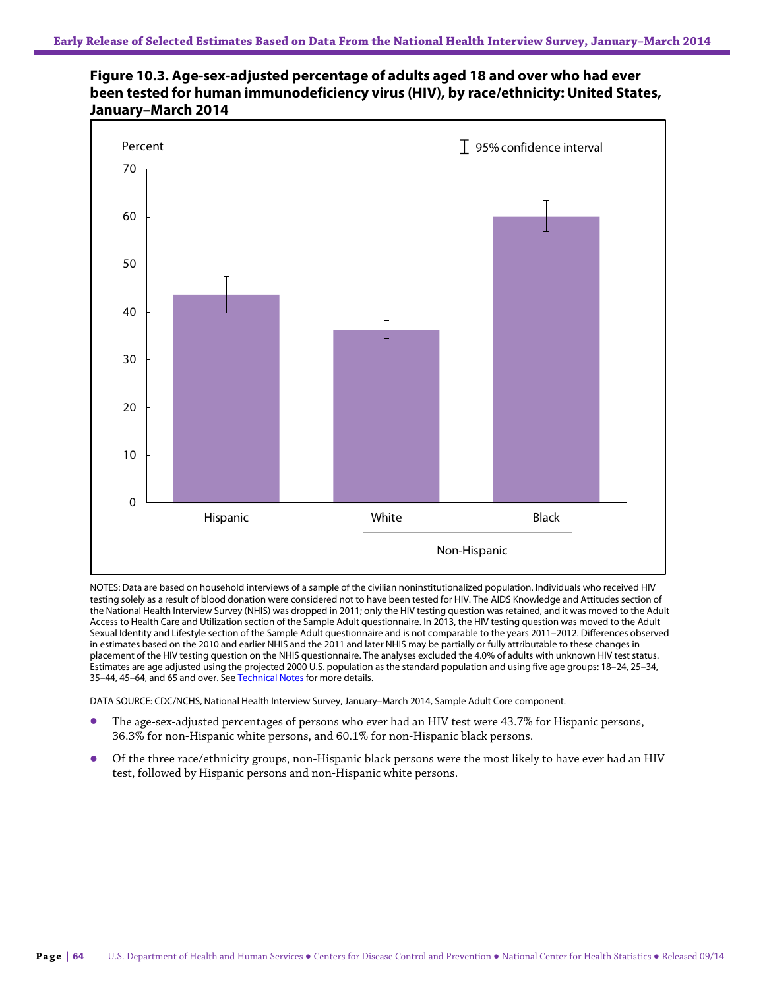



NOTES: Data are based on household interviews of a sample of the civilian noninstitutionalized population. Individuals who received HIV testing solely as a result of blood donation were considered not to have been tested for HIV. The AIDS Knowledge and Attitudes section of the National Health Interview Survey (NHIS) was dropped in 2011; only the HIV testing question was retained, and it was moved to the Adult Access to Health Care and Utilization section of the Sample Adult questionnaire. In 2013, the HIV testing question was moved to the Adult Sexual Identity and Lifestyle section of the Sample Adult questionnaire and is not comparable to the years 2011–2012. Differences observed in estimates based on the 2010 and earlier NHIS and the 2011 and later NHIS may be partially or fully attributable to these changes in placement of the HIV testing question on the NHIS questionnaire. The analyses excluded the 4.0% of adults with unknown HIV test status. Estimates are age adjusted using the projected 2000 U.S. population as the standard population and using five age groups: 18–24, 25–34, 35–44, 45–64, and 65 and over. See Technical Notes for more details.

- The age-sex-adjusted percentages of persons who ever had an HIV test were 43.7% for Hispanic persons, 36.3% for non-Hispanic white persons, and 60.1% for non-Hispanic black persons.
- Of the three race/ethnicity groups, non-Hispanic black persons were the most likely to have ever had an HIV test, followed by Hispanic persons and non-Hispanic white persons.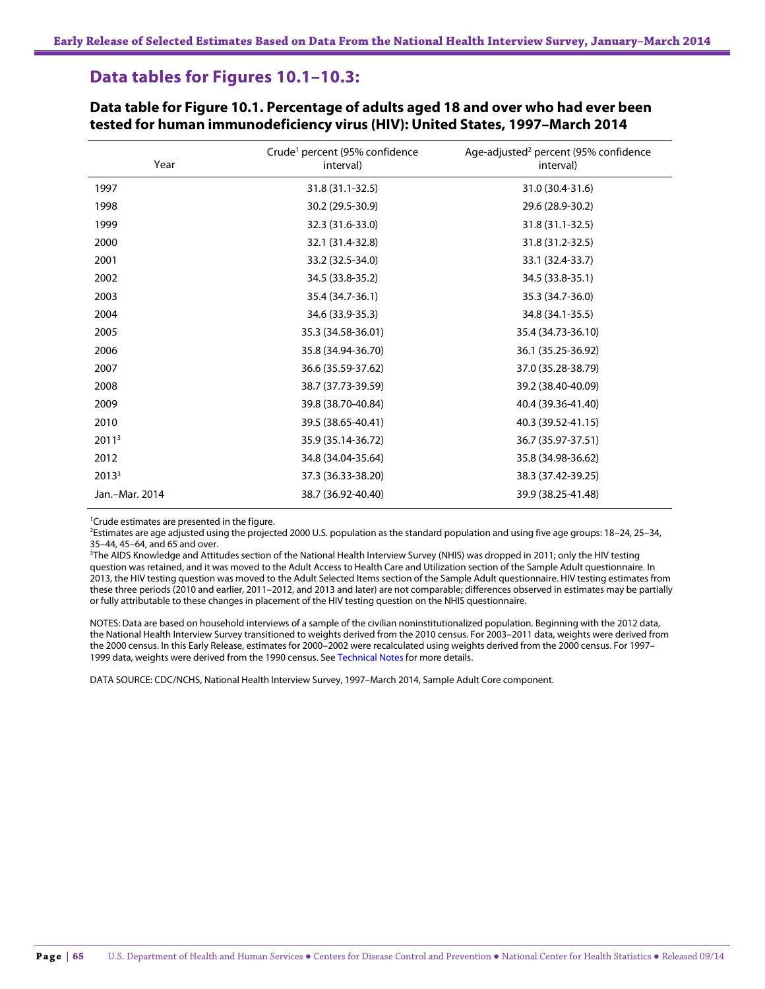# **Data tables for Figures 10.1–10.3:**

| Year              | Crude <sup>1</sup> percent (95% confidence<br>interval) | Age-adjusted <sup>2</sup> percent (95% confidence<br>interval) |
|-------------------|---------------------------------------------------------|----------------------------------------------------------------|
| 1997              | 31.8 (31.1-32.5)                                        | 31.0 (30.4-31.6)                                               |
| 1998              | 30.2 (29.5-30.9)                                        | 29.6 (28.9-30.2)                                               |
| 1999              | 32.3 (31.6-33.0)                                        | 31.8 (31.1-32.5)                                               |
| 2000              | 32.1 (31.4-32.8)                                        | 31.8 (31.2-32.5)                                               |
| 2001              | 33.2 (32.5-34.0)                                        | 33.1 (32.4-33.7)                                               |
| 2002              | 34.5 (33.8-35.2)                                        | 34.5 (33.8-35.1)                                               |
| 2003              | 35.4 (34.7-36.1)                                        | 35.3 (34.7-36.0)                                               |
| 2004              | 34.6 (33.9-35.3)                                        | 34.8 (34.1-35.5)                                               |
| 2005              | 35.3 (34.58-36.01)                                      | 35.4 (34.73-36.10)                                             |
| 2006              | 35.8 (34.94-36.70)                                      | 36.1 (35.25-36.92)                                             |
| 2007              | 36.6 (35.59-37.62)                                      | 37.0 (35.28-38.79)                                             |
| 2008              | 38.7 (37.73-39.59)                                      | 39.2 (38.40-40.09)                                             |
| 2009              | 39.8 (38.70-40.84)                                      | 40.4 (39.36-41.40)                                             |
| 2010              | 39.5 (38.65-40.41)                                      | 40.3 (39.52-41.15)                                             |
| 2011 <sup>3</sup> | 35.9 (35.14-36.72)                                      | 36.7 (35.97-37.51)                                             |
| 2012              | 34.8 (34.04-35.64)                                      | 35.8 (34.98-36.62)                                             |
| 2013 <sup>3</sup> | 37.3 (36.33-38.20)                                      | 38.3 (37.42-39.25)                                             |
| Jan.-Mar. 2014    | 38.7 (36.92-40.40)                                      | 39.9 (38.25-41.48)                                             |

**Data table for Figure 10.1. Percentage of adults aged 18 and over who had ever been tested for human immunodeficiency virus (HIV): United States, 1997–March 2014**

<sup>1</sup>Crude estimates are presented in the figure.

2 Estimates are age adjusted using the projected 2000 U.S. population as the standard population and using five age groups: 18–24, 25–34, 35–44, 45–64, and 65 and over.

3 The AIDS Knowledge and Attitudes section of the National Health Interview Survey (NHIS) was dropped in 2011; only the HIV testing question was retained, and it was moved to the Adult Access to Health Care and Utilization section of the Sample Adult questionnaire. In 2013, the HIV testing question was moved to the Adult Selected Items section of the Sample Adult questionnaire. HIV testing estimates from these three periods (2010 and earlier, 2011–2012, and 2013 and later) are not comparable; differences observed in estimates may be partially or fully attributable to these changes in placement of the HIV testing question on the NHIS questionnaire.

NOTES: Data are based on household interviews of a sample of the civilian noninstitutionalized population. Beginning with the 2012 data, the National Health Interview Survey transitioned to weights derived from the 2010 census. For 2003–2011 data, weights were derived from the 2000 census. In this Early Release, estimates for 2000–2002 were recalculated using weights derived from the 2000 census. For 1997– 1999 data, weights were derived from the 1990 census. See Technical Notes for more details.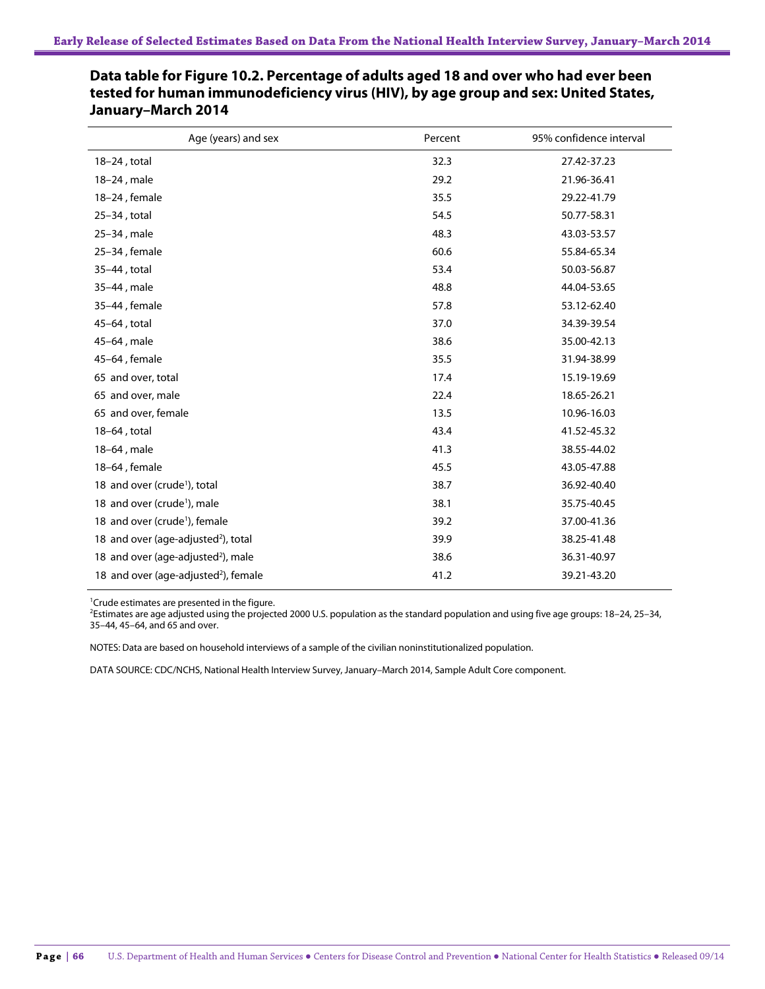| Age (years) and sex                              | Percent | 95% confidence interval |
|--------------------------------------------------|---------|-------------------------|
| $18-24$ , total                                  | 32.3    | 27.42-37.23             |
| 18-24, male                                      | 29.2    | 21.96-36.41             |
| 18-24, female                                    | 35.5    | 29.22-41.79             |
| 25-34, total                                     | 54.5    | 50.77-58.31             |
| 25-34, male                                      | 48.3    | 43.03-53.57             |
| 25-34, female                                    | 60.6    | 55.84-65.34             |
| 35-44, total                                     | 53.4    | 50.03-56.87             |
| 35-44, male                                      | 48.8    | 44.04-53.65             |
| 35-44, female                                    | 57.8    | 53.12-62.40             |
| 45-64, total                                     | 37.0    | 34.39-39.54             |
| 45-64, male                                      | 38.6    | 35.00-42.13             |
| 45-64, female                                    | 35.5    | 31.94-38.99             |
| 65 and over, total                               | 17.4    | 15.19-19.69             |
| 65 and over, male                                | 22.4    | 18.65-26.21             |
| 65 and over, female                              | 13.5    | 10.96-16.03             |
| 18-64, total                                     | 43.4    | 41.52-45.32             |
| 18-64, male                                      | 41.3    | 38.55-44.02             |
| 18-64, female                                    | 45.5    | 43.05-47.88             |
| 18 and over (crude <sup>1</sup> ), total         | 38.7    | 36.92-40.40             |
| 18 and over (crude <sup>1</sup> ), male          | 38.1    | 35.75-40.45             |
| 18 and over (crude <sup>1</sup> ), female        | 39.2    | 37.00-41.36             |
| 18 and over (age-adjusted <sup>2</sup> ), total  | 39.9    | 38.25-41.48             |
| 18 and over (age-adjusted <sup>2</sup> ), male   | 38.6    | 36.31-40.97             |
| 18 and over (age-adjusted <sup>2</sup> ), female | 41.2    | 39.21-43.20             |
|                                                  |         |                         |

## **Data table for Figure 10.2. Percentage of adults aged 18 and over who had ever been tested for human immunodeficiency virus (HIV), by age group and sex: United States, January–March 2014**

<sup>1</sup> Crude estimates are presented in the figure.

2 Estimates are age adjusted using the projected 2000 U.S. population as the standard population and using five age groups: 18–24, 25–34, 35–44, 45–64, and 65 and over.

NOTES: Data are based on household interviews of a sample of the civilian noninstitutionalized population.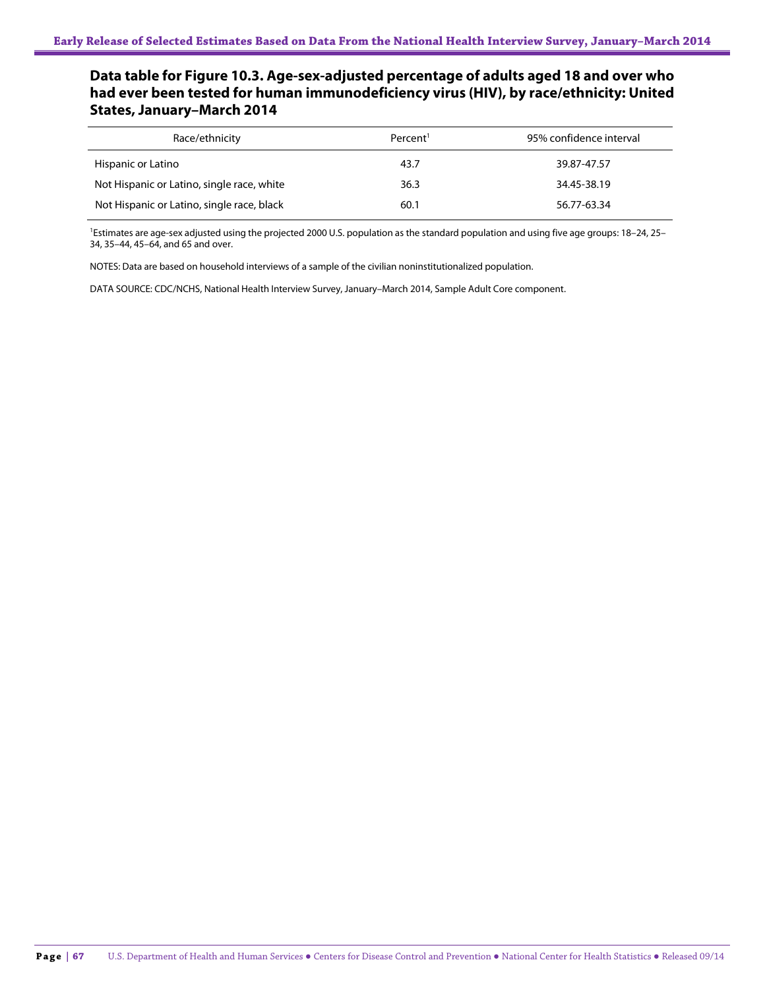## **Data table for Figure 10.3. Age-sex-adjusted percentage of adults aged 18 and over who had ever been tested for human immunodeficiency virus (HIV), by race/ethnicity: United States, January–March 2014**

| Race/ethnicity                             | Percent <sup>1</sup> | 95% confidence interval |
|--------------------------------------------|----------------------|-------------------------|
| Hispanic or Latino                         | 43.7                 | 39.87-47.57             |
| Not Hispanic or Latino, single race, white | 36.3                 | 34.45-38.19             |
| Not Hispanic or Latino, single race, black | 60.1                 | 56.77-63.34             |

<sup>1</sup>Estimates are age-sex adjusted using the projected 2000 U.S. population as the standard population and using five age groups: 18-24, 25-34, 35–44, 45–64, and 65 and over.

NOTES: Data are based on household interviews of a sample of the civilian noninstitutionalized population.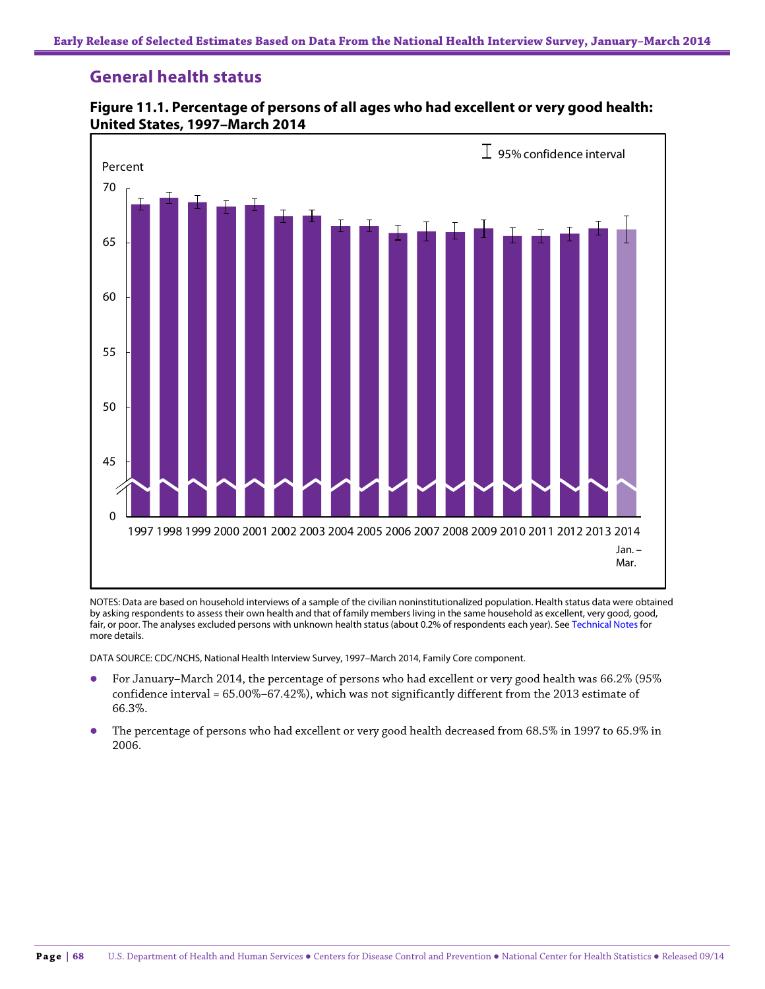# **General health status**



**Figure 11.1. Percentage of persons of all ages who had excellent or very good health: United States, 1997–March 2014**

NOTES: Data are based on household interviews of a sample of the civilian noninstitutionalized population. Health status data were obtained by asking respondents to assess their own health and that of family members living in the same household as excellent, very good, good, fair, or poor. The analyses excluded persons with unknown health status (about 0.2% of respondents each year). See Technical Notes for more details.

- For January–March 2014, the percentage of persons who had excellent or very good health was 66.2% (95% confidence interval = 65.00%–67.42%), which was not significantly different from the 2013 estimate of 66.3%.
- The percentage of persons who had excellent or very good health decreased from 68.5% in 1997 to 65.9% in 2006.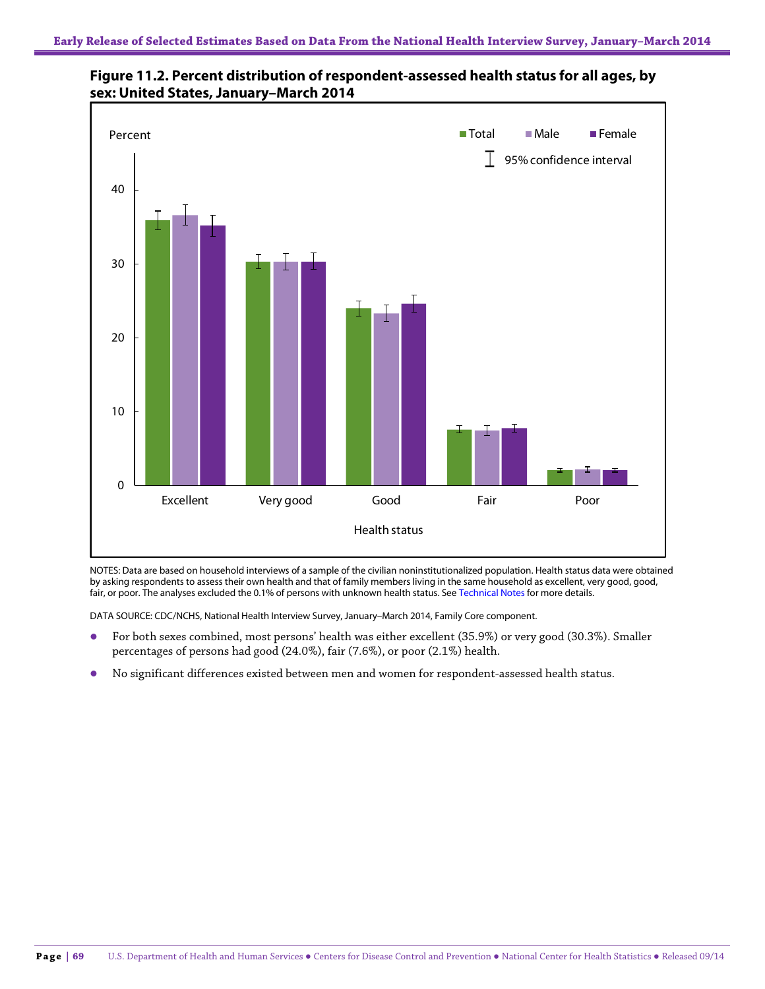



NOTES: Data are based on household interviews of a sample of the civilian noninstitutionalized population. Health status data were obtained by asking respondents to assess their own health and that of family members living in the same household as excellent, very good, good, fair, or poor. The analyses excluded the 0.1% of persons with unknown health status. See Technical Notes for more details.

- For both sexes combined, most persons' health was either excellent (35.9%) or very good (30.3%). Smaller percentages of persons had good (24.0%), fair (7.6%), or poor (2.1%) health.
- No significant differences existed between men and women for respondent-assessed health status.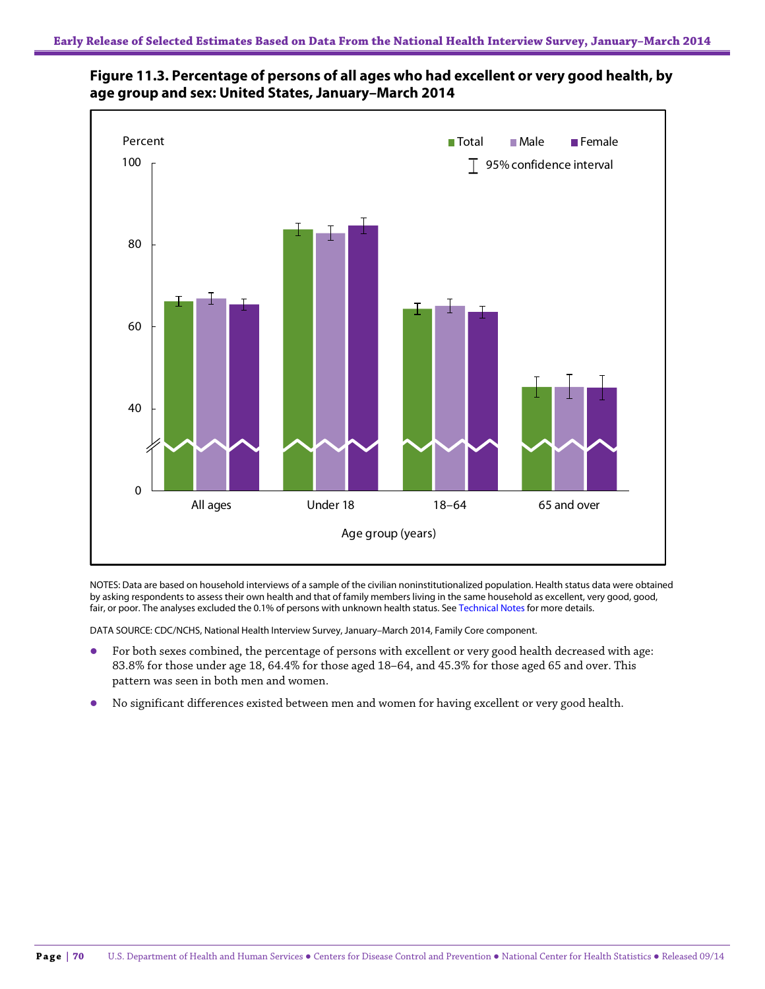



NOTES: Data are based on household interviews of a sample of the civilian noninstitutionalized population. Health status data were obtained by asking respondents to assess their own health and that of family members living in the same household as excellent, very good, good, fair, or poor. The analyses excluded the 0.1% of persons with unknown health status. See Technical Notes for more details.

- For both sexes combined, the percentage of persons with excellent or very good health decreased with age: 83.8% for those under age 18, 64.4% for those aged 18–64, and 45.3% for those aged 65 and over. This pattern was seen in both men and women.
- No significant differences existed between men and women for having excellent or very good health.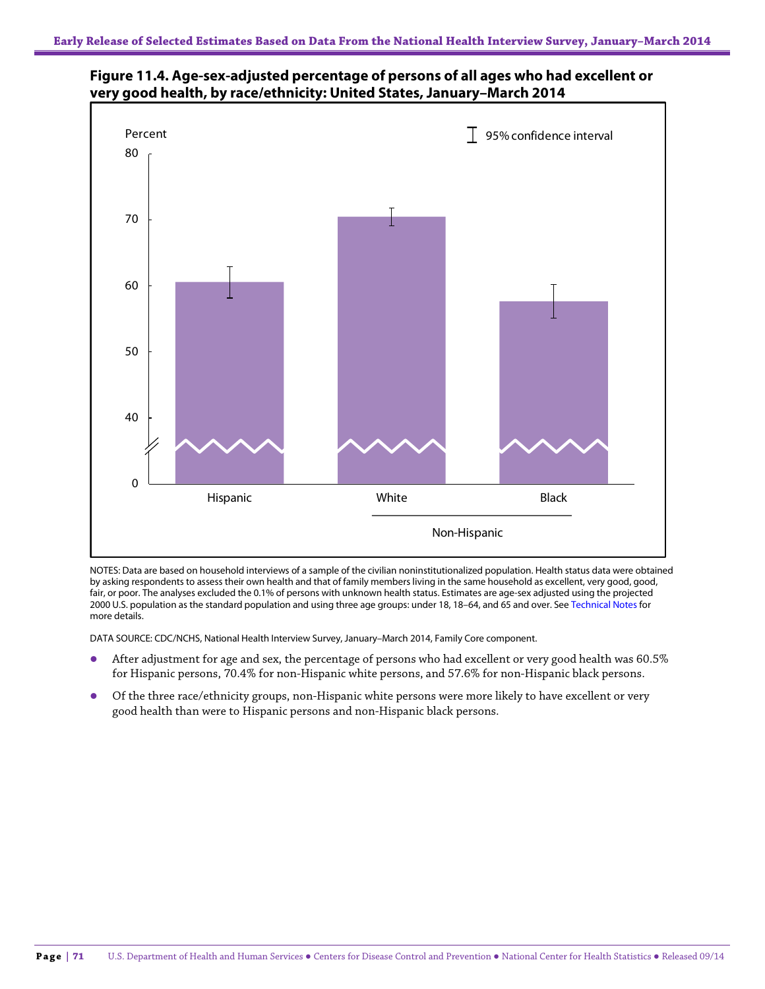



NOTES: Data are based on household interviews of a sample of the civilian noninstitutionalized population. Health status data were obtained by asking respondents to assess their own health and that of family members living in the same household as excellent, very good, good, fair, or poor. The analyses excluded the 0.1% of persons with unknown health status. Estimates are age-sex adjusted using the projected 2000 U.S. population as the standard population and using three age groups: under 18, 18–64, and 65 and over. See Technical Notes for more details.

DATA SOURCE: CDC/NCHS, National Health Interview Survey, January–March 2014, Family Core component.

- After adjustment for age and sex, the percentage of persons who had excellent or very good health was 60.5% for Hispanic persons, 70.4% for non-Hispanic white persons, and 57.6% for non-Hispanic black persons.
- Of the three race/ethnicity groups, non-Hispanic white persons were more likely to have excellent or very good health than were to Hispanic persons and non-Hispanic black persons.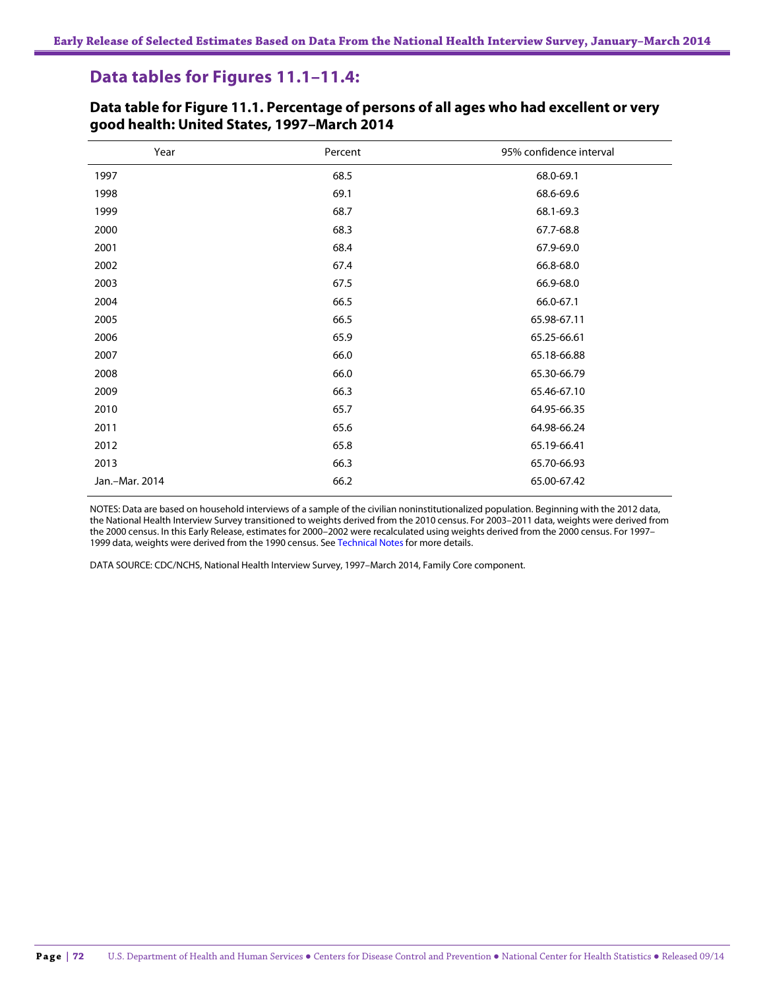# **Data tables for Figures 11.1–11.4:**

| Year           | Percent | 95% confidence interval |
|----------------|---------|-------------------------|
| 1997           | 68.5    | 68.0-69.1               |
| 1998           | 69.1    | 68.6-69.6               |
| 1999           | 68.7    | 68.1-69.3               |
| 2000           | 68.3    | 67.7-68.8               |
| 2001           | 68.4    | 67.9-69.0               |
| 2002           | 67.4    | 66.8-68.0               |
| 2003           | 67.5    | 66.9-68.0               |
| 2004           | 66.5    | 66.0-67.1               |
| 2005           | 66.5    | 65.98-67.11             |
| 2006           | 65.9    | 65.25-66.61             |
| 2007           | 66.0    | 65.18-66.88             |
| 2008           | 66.0    | 65.30-66.79             |
| 2009           | 66.3    | 65.46-67.10             |
| 2010           | 65.7    | 64.95-66.35             |
| 2011           | 65.6    | 64.98-66.24             |
| 2012           | 65.8    | 65.19-66.41             |
| 2013           | 66.3    | 65.70-66.93             |
| Jan.-Mar. 2014 | 66.2    | 65.00-67.42             |

### **Data table for Figure 11.1. Percentage of persons of all ages who had excellent or very good health: United States, 1997–March 2014**

NOTES: Data are based on household interviews of a sample of the civilian noninstitutionalized population. Beginning with the 2012 data, the National Health Interview Survey transitioned to weights derived from the 2010 census. For 2003–2011 data, weights were derived from the 2000 census. In this Early Release, estimates for 2000–2002 were recalculated using weights derived from the 2000 census. For 1997– 1999 data, weights were derived from the 1990 census. See Technical Notes for more details.

DATA SOURCE: CDC/NCHS, National Health Interview Survey, 1997–March 2014, Family Core component.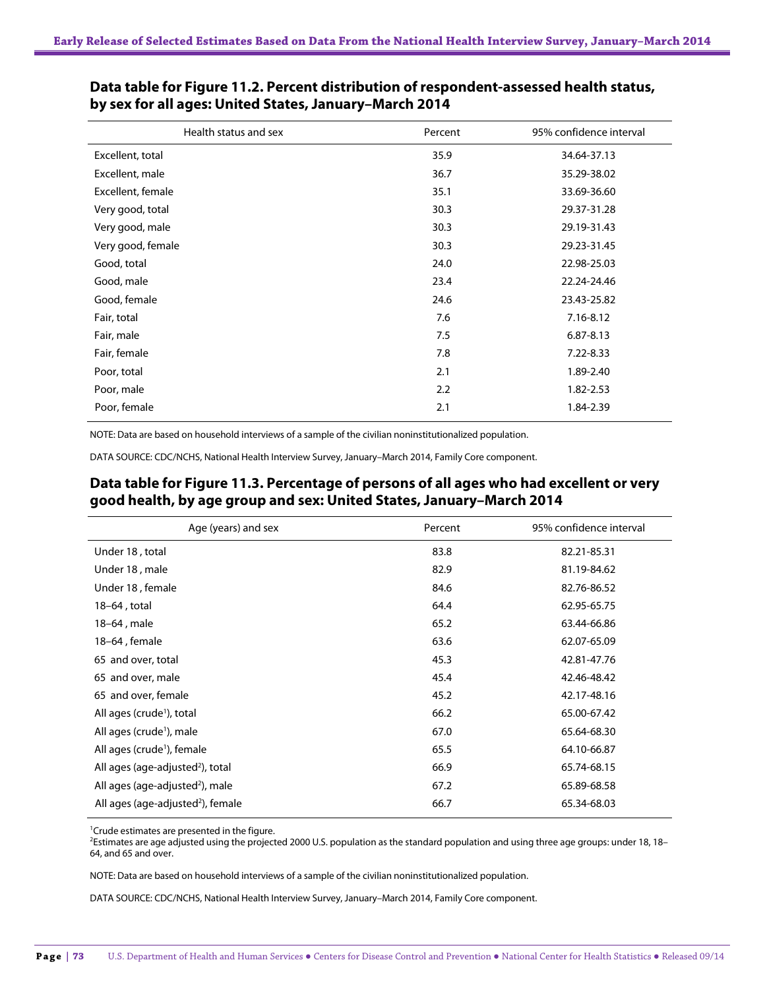| Percent | 95% confidence interval |
|---------|-------------------------|
| 35.9    | 34.64-37.13             |
| 36.7    | 35.29-38.02             |
| 35.1    | 33.69-36.60             |
| 30.3    | 29.37-31.28             |
| 30.3    | 29.19-31.43             |
| 30.3    | 29.23-31.45             |
| 24.0    | 22.98-25.03             |
| 23.4    | 22.24-24.46             |
| 24.6    | 23.43-25.82             |
| 7.6     | 7.16-8.12               |
| 7.5     | $6.87 - 8.13$           |
| 7.8     | 7.22-8.33               |
| 2.1     | 1.89-2.40               |
| 2.2     | 1.82-2.53               |
| 2.1     | 1.84-2.39               |
|         |                         |

#### **Data table for Figure 11.2. Percent distribution of respondent-assessed health status, by sex for all ages: United States, January–March 2014**

NOTE: Data are based on household interviews of a sample of the civilian noninstitutionalized population.

DATA SOURCE: CDC/NCHS, National Health Interview Survey, January–March 2014, Family Core component.

### **Data table for Figure 11.3. Percentage of persons of all ages who had excellent or very good health, by age group and sex: United States, January–March 2014**

| Age (years) and sex                           | Percent | 95% confidence interval |
|-----------------------------------------------|---------|-------------------------|
| Under 18, total                               | 83.8    | 82.21-85.31             |
| Under 18, male                                | 82.9    | 81.19-84.62             |
| Under 18, female                              | 84.6    | 82.76-86.52             |
| 18-64, total                                  | 64.4    | 62.95-65.75             |
| 18–64, male                                   | 65.2    | 63.44-66.86             |
| 18-64, female                                 | 63.6    | 62.07-65.09             |
| 65 and over, total                            | 45.3    | 42.81-47.76             |
| 65 and over, male                             | 45.4    | 42.46-48.42             |
| 65 and over, female                           | 45.2    | 42.17-48.16             |
| All ages (crude <sup>1</sup> ), total         | 66.2    | 65.00-67.42             |
| All ages (crude <sup>1</sup> ), male          | 67.0    | 65.64-68.30             |
| All ages (crude <sup>1</sup> ), female        | 65.5    | 64.10-66.87             |
| All ages (age-adjusted <sup>2</sup> ), total  | 66.9    | 65.74-68.15             |
| All ages (age-adjusted <sup>2</sup> ), male   | 67.2    | 65.89-68.58             |
| All ages (age-adjusted <sup>2</sup> ), female | 66.7    | 65.34-68.03             |

<sup>1</sup> Crude estimates are presented in the figure.

2 Estimates are age adjusted using the projected 2000 U.S. population as the standard population and using three age groups: under 18, 18– 64, and 65 and over.

NOTE: Data are based on household interviews of a sample of the civilian noninstitutionalized population.

DATA SOURCE: CDC/NCHS, National Health Interview Survey, January–March 2014, Family Core component.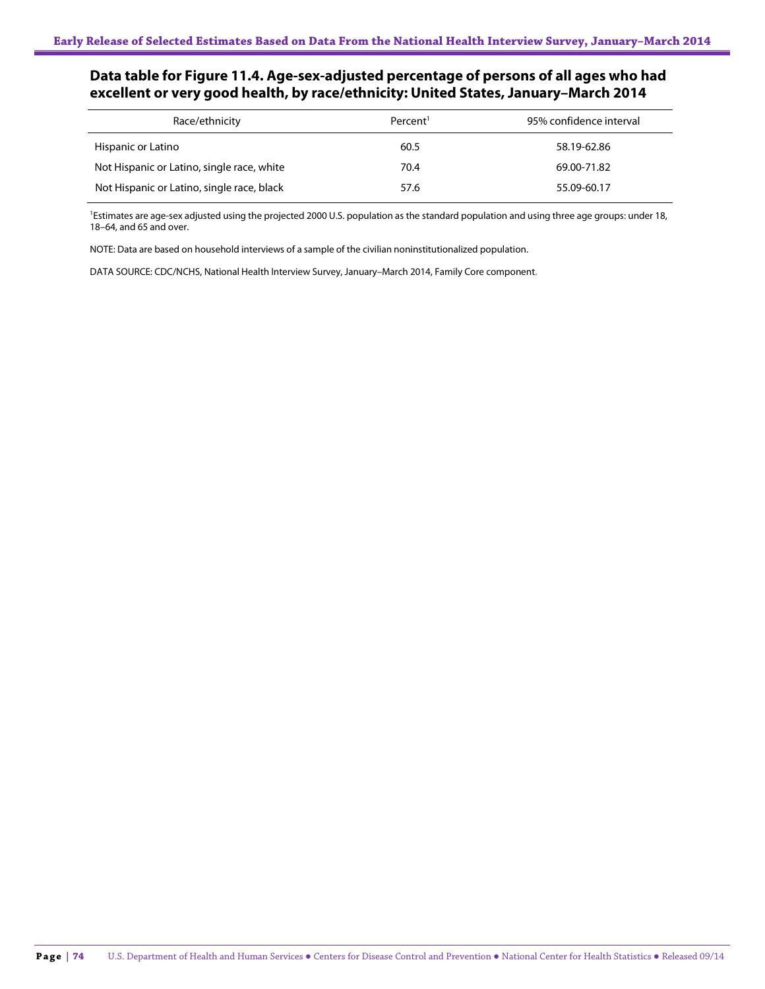## **Data table for Figure 11.4. Age-sex-adjusted percentage of persons of all ages who had excellent or very good health, by race/ethnicity: United States, January–March 2014**

| Race/ethnicity                             | Percent <sup>1</sup> | 95% confidence interval |
|--------------------------------------------|----------------------|-------------------------|
| Hispanic or Latino                         | 60.5                 | 58.19-62.86             |
| Not Hispanic or Latino, single race, white | 70.4                 | 69.00-71.82             |
| Not Hispanic or Latino, single race, black | 57.6                 | 55.09-60.17             |

<sup>1</sup>Estimates are age-sex adjusted using the projected 2000 U.S. population as the standard population and using three age groups: under 18, 18–64, and 65 and over.

NOTE: Data are based on household interviews of a sample of the civilian noninstitutionalized population.

DATA SOURCE: CDC/NCHS, National Health Interview Survey, January–March 2014, Family Core component.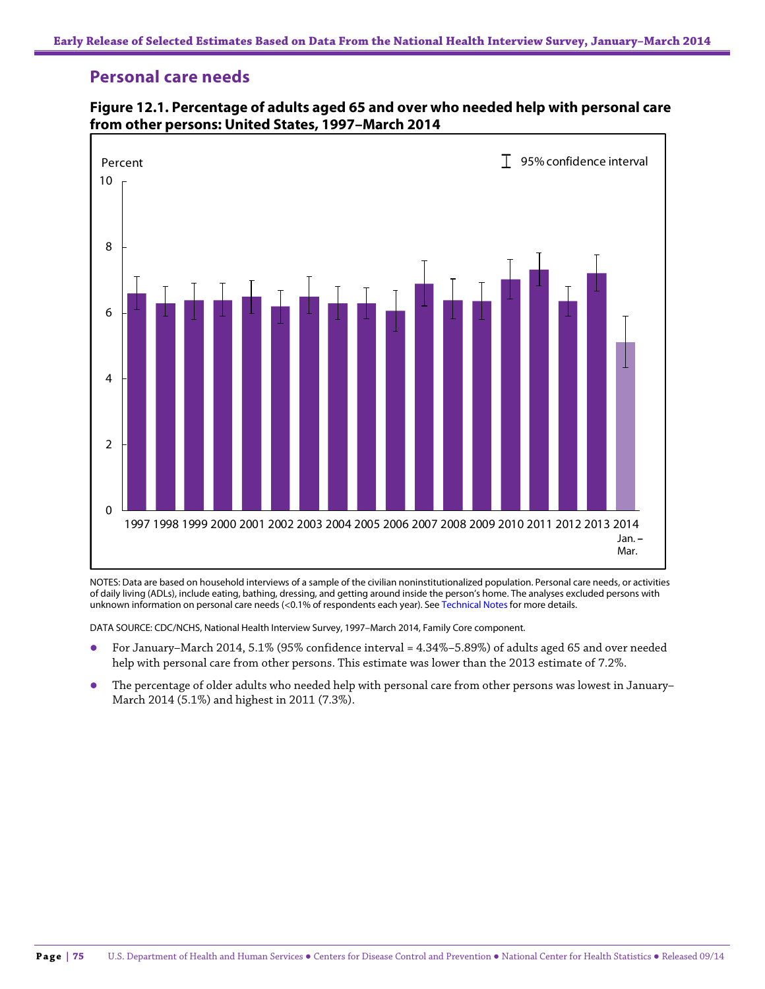## **Personal care needs**



**Figure 12.1. Percentage of adults aged 65 and over who needed help with personal care from other persons: United States, 1997–March 2014**

NOTES: Data are based on household interviews of a sample of the civilian noninstitutionalized population. Personal care needs, or activities of daily living (ADLs), include eating, bathing, dressing, and getting around inside the person's home. The analyses excluded persons with unknown information on personal care needs (<0.1% of respondents each year). See Technical Notes for more details.

DATA SOURCE: CDC/NCHS, National Health Interview Survey, 1997–March 2014, Family Core component.

- For January–March 2014, 5.1% (95% confidence interval = 4.34%–5.89%) of adults aged 65 and over needed help with personal care from other persons. This estimate was lower than the 2013 estimate of 7.2%.
- The percentage of older adults who needed help with personal care from other persons was lowest in January– March 2014 (5.1%) and highest in 2011 (7.3%).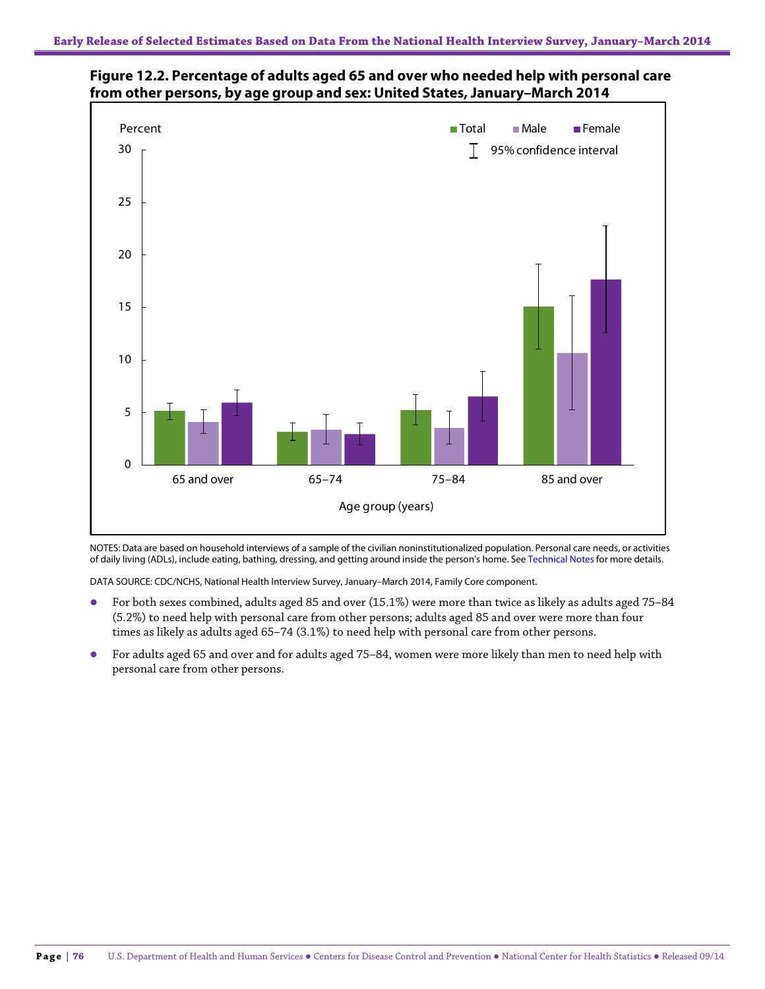

**Figure 12.2. Percentage of adults aged 65 and over who needed help with personal care from other persons, by age group and sex: United States, January–March 2014**

NOTES: Data are based on household interviews of a sample of the civilian noninstitutionalized population. Personal care needs, or activities of daily living (ADLs), include eating, bathing, dressing, and getting around inside the person's home. See Technical Notes for more details.

DATA SOURCE: CDC/NCHS, National Health Interview Survey, January–March 2014, Family Core component.

- For both sexes combined, adults aged 85 and over (15.1%) were more than twice as likely as adults aged 75–84 (5.2%) to need help with personal care from other persons; adults aged 85 and over were more than four times as likely as adults aged 65–74 (3.1%) to need help with personal care from other persons.
- For adults aged 65 and over and for adults aged 75–84, women were more likely than men to need help with personal care from other persons.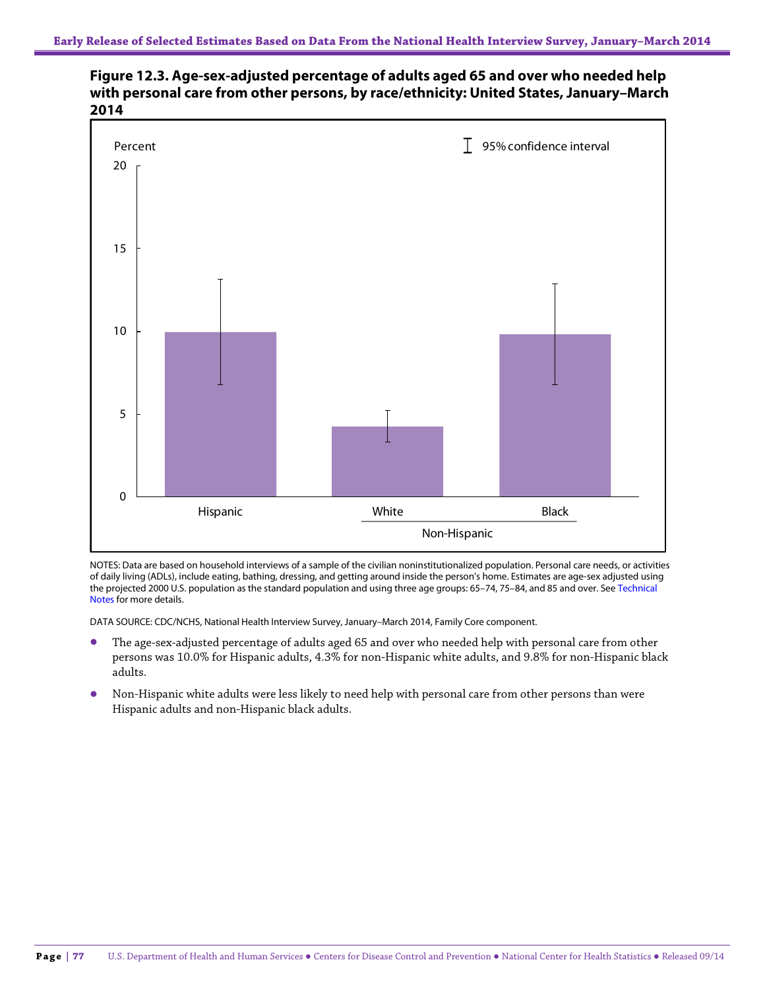



NOTES: Data are based on household interviews of a sample of the civilian noninstitutionalized population. Personal care needs, or activities of daily living (ADLs), include eating, bathing, dressing, and getting around inside the person's home. Estimates are age-sex adjusted using the projected 2000 U.S. population as the standard population and using three age groups: 65–74, 75–84, and 85 and over. See Technical Notes for more details.

DATA SOURCE: CDC/NCHS, National Health Interview Survey, January–March 2014, Family Core component.

- The age-sex-adjusted percentage of adults aged 65 and over who needed help with personal care from other persons was 10.0% for Hispanic adults, 4.3% for non-Hispanic white adults, and 9.8% for non-Hispanic black adults.
- Non-Hispanic white adults were less likely to need help with personal care from other persons than were Hispanic adults and non-Hispanic black adults.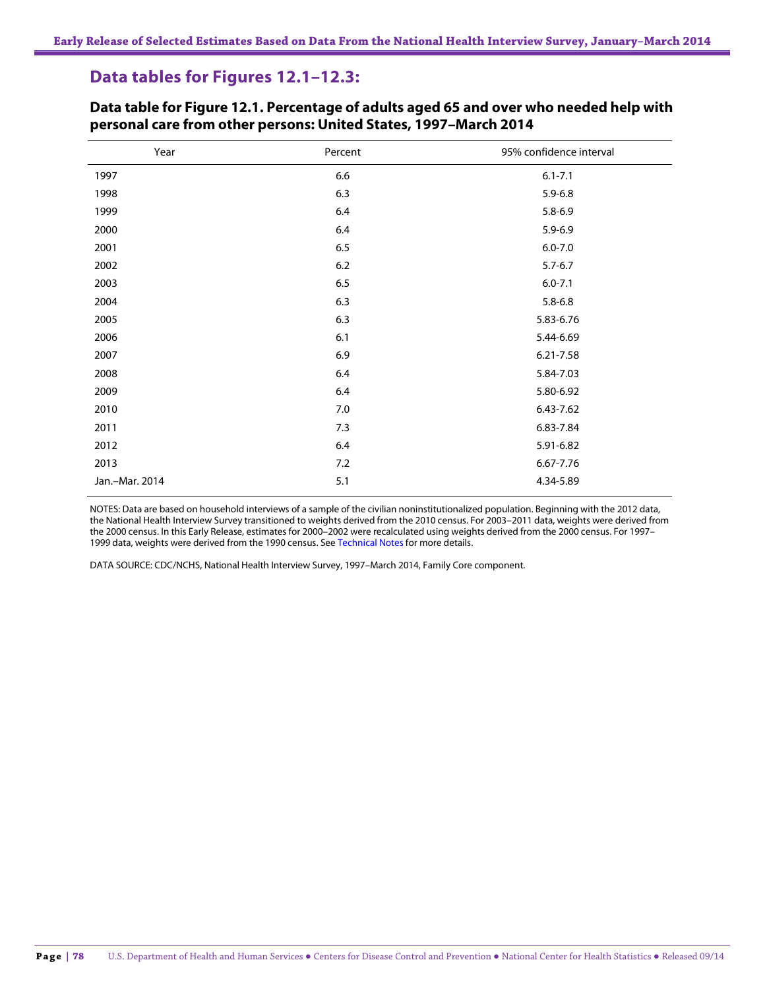# **Data tables for Figures 12.1–12.3:**

| Year           | Percent | 95% confidence interval |
|----------------|---------|-------------------------|
| 1997           | 6.6     | $6.1 - 7.1$             |
| 1998           | 6.3     | $5.9 - 6.8$             |
| 1999           | 6.4     | $5.8 - 6.9$             |
| 2000           | 6.4     | $5.9 - 6.9$             |
| 2001           | 6.5     | $6.0 - 7.0$             |
| 2002           | 6.2     | $5.7 - 6.7$             |
| 2003           | $6.5\,$ | $6.0 - 7.1$             |
| 2004           | 6.3     | $5.8 - 6.8$             |
| 2005           | 6.3     | 5.83-6.76               |
| 2006           | 6.1     | 5.44-6.69               |
| 2007           | 6.9     | 6.21-7.58               |
| 2008           | 6.4     | 5.84-7.03               |
| 2009           | $6.4\,$ | 5.80-6.92               |
| 2010           | 7.0     | 6.43-7.62               |
| 2011           | 7.3     | 6.83-7.84               |
| 2012           | 6.4     | 5.91-6.82               |
| 2013           | 7.2     | 6.67-7.76               |
| Jan.-Mar. 2014 | 5.1     | 4.34-5.89               |

**Data table for Figure 12.1. Percentage of adults aged 65 and over who needed help with personal care from other persons: United States, 1997–March 2014**

NOTES: Data are based on household interviews of a sample of the civilian noninstitutionalized population. Beginning with the 2012 data, the National Health Interview Survey transitioned to weights derived from the 2010 census. For 2003–2011 data, weights were derived from the 2000 census. In this Early Release, estimates for 2000–2002 were recalculated using weights derived from the 2000 census. For 1997– 1999 data, weights were derived from the 1990 census. See Technical Notes for more details.

DATA SOURCE: CDC/NCHS, National Health Interview Survey, 1997–March 2014, Family Core component.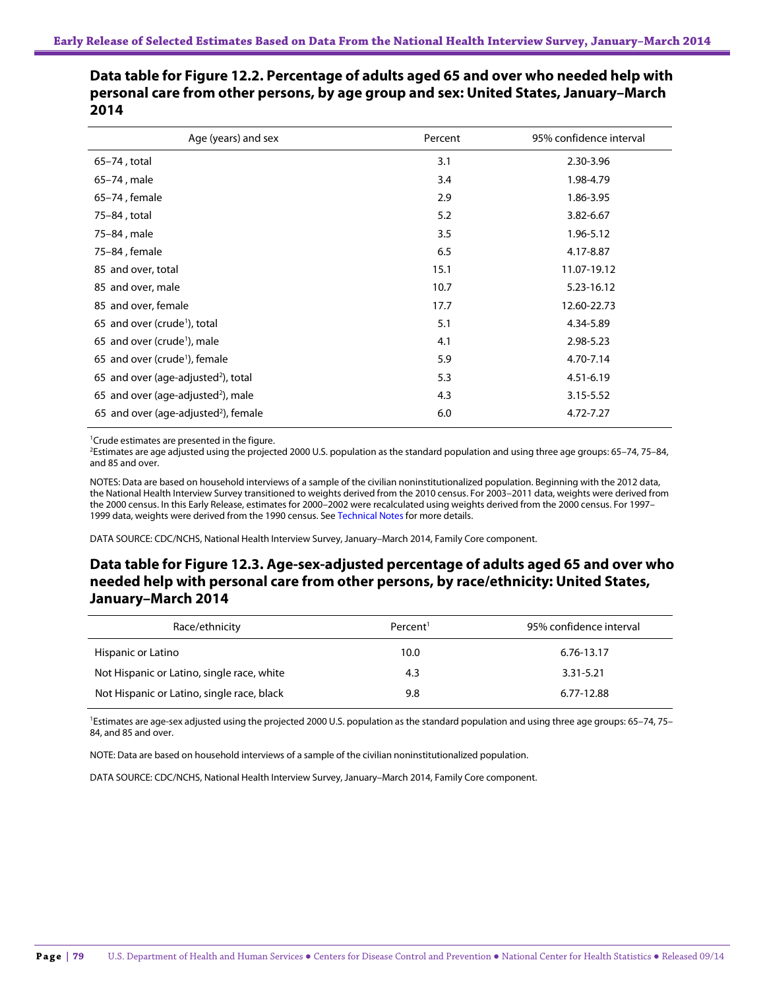| Data table for Figure 12.2. Percentage of adults aged 65 and over who needed help with |
|----------------------------------------------------------------------------------------|
| personal care from other persons, by age group and sex: United States, January–March   |
| 2014                                                                                   |

| Age (years) and sex                              | Percent | 95% confidence interval |
|--------------------------------------------------|---------|-------------------------|
| 65-74, total                                     | 3.1     | 2.30-3.96               |
| 65–74, male                                      | 3.4     | 1.98-4.79               |
| 65-74, female                                    | 2.9     | 1.86-3.95               |
| 75-84, total                                     | 5.2     | 3.82-6.67               |
| 75-84, male                                      | 3.5     | 1.96-5.12               |
| 75-84, female                                    | 6.5     | 4.17-8.87               |
| 85 and over, total                               | 15.1    | 11.07-19.12             |
| 85 and over, male                                | 10.7    | 5.23-16.12              |
| 85 and over, female                              | 17.7    | 12.60-22.73             |
| 65 and over (crude <sup>1</sup> ), total         | 5.1     | 4.34-5.89               |
| 65 and over (crude <sup>1</sup> ), male          | 4.1     | 2.98-5.23               |
| 65 and over (crude <sup>1</sup> ), female        | 5.9     | 4.70-7.14               |
| 65 and over (age-adjusted <sup>2</sup> ), total  | 5.3     | 4.51-6.19               |
| 65 and over (age-adjusted <sup>2</sup> ), male   | 4.3     | 3.15-5.52               |
| 65 and over (age-adjusted <sup>2</sup> ), female | 6.0     | 4.72-7.27               |

1 Crude estimates are presented in the figure.

2 Estimates are age adjusted using the projected 2000 U.S. population as the standard population and using three age groups: 65–74, 75–84, and 85 and over.

NOTES: Data are based on household interviews of a sample of the civilian noninstitutionalized population. Beginning with the 2012 data, the National Health Interview Survey transitioned to weights derived from the 2010 census. For 2003–2011 data, weights were derived from the 2000 census. In this Early Release, estimates for 2000–2002 were recalculated using weights derived from the 2000 census. For 1997– 1999 data, weights were derived from the 1990 census. See Technical Notes for more details.

DATA SOURCE: CDC/NCHS, National Health Interview Survey, January–March 2014, Family Core component.

## **Data table for Figure 12.3. Age-sex-adjusted percentage of adults aged 65 and over who needed help with personal care from other persons, by race/ethnicity: United States, January–March 2014**

| Race/ethnicity                             | Percent <sup>1</sup> | 95% confidence interval |
|--------------------------------------------|----------------------|-------------------------|
| Hispanic or Latino                         | 10.0                 | 6.76-13.17              |
| Not Hispanic or Latino, single race, white | 4.3                  | $3.31 - 5.21$           |
| Not Hispanic or Latino, single race, black | 9.8                  | 6.77-12.88              |

<sup>1</sup>Estimates are age-sex adjusted using the projected 2000 U.S. population as the standard population and using three age groups: 65-74, 75-84, and 85 and over.

NOTE: Data are based on household interviews of a sample of the civilian noninstitutionalized population.

DATA SOURCE: CDC/NCHS, National Health Interview Survey, January–March 2014, Family Core component.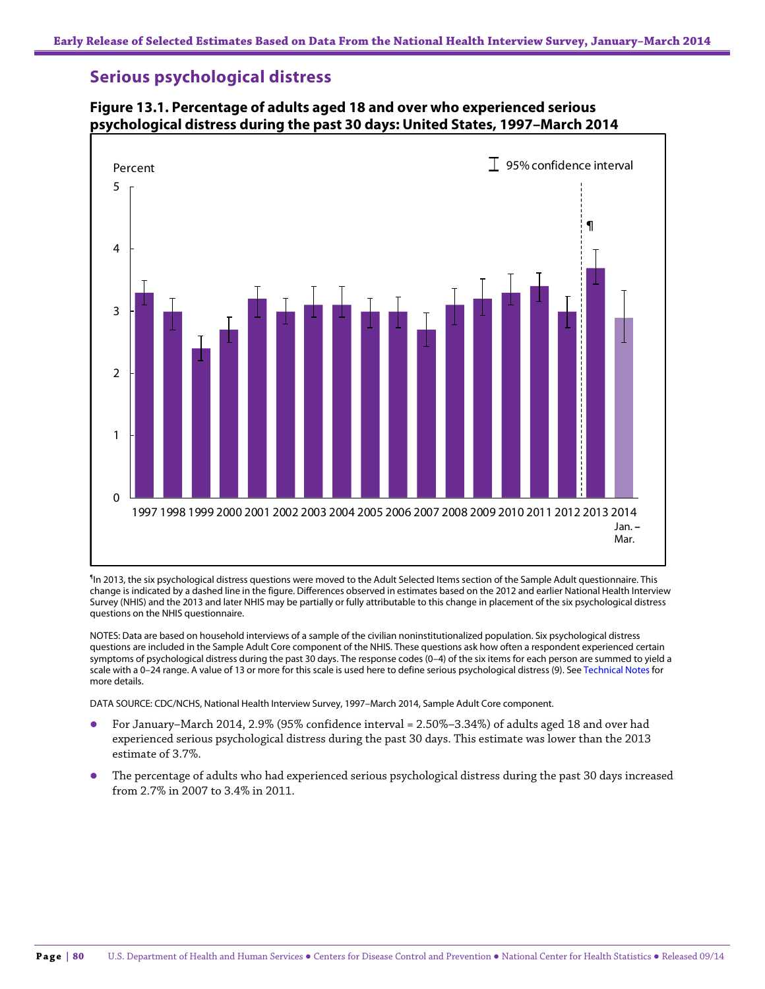## **Serious psychological distress**



#### **Figure 13.1. Percentage of adults aged 18 and over who experienced serious psychological distress during the past 30 days: United States, 1997–March 2014**

¶ In 2013, the six psychological distress questions were moved to the Adult Selected Items section of the Sample Adult questionnaire. This change is indicated by a dashed line in the figure. Differences observed in estimates based on the 2012 and earlier National Health Interview Survey (NHIS) and the 2013 and later NHIS may be partially or fully attributable to this change in placement of the six psychological distress questions on the NHIS questionnaire.

NOTES: Data are based on household interviews of a sample of the civilian noninstitutionalized population. Six psychological distress questions are included in the Sample Adult Core component of the NHIS. These questions ask how often a respondent experienced certain symptoms of psychological distress during the past 30 days. The response codes (0–4) of the six items for each person are summed to yield a scale with a 0-24 range. A value of 13 or more for this scale is used here to define serious psychological distress (9). See Technical Notes for more details.

DATA SOURCE: CDC/NCHS, National Health Interview Survey, 1997–March 2014, Sample Adult Core component.

- For January–March 2014, 2.9% (95% confidence interval = 2.50%–3.34%) of adults aged 18 and over had experienced serious psychological distress during the past 30 days. This estimate was lower than the 2013 estimate of 3.7%.
- The percentage of adults who had experienced serious psychological distress during the past 30 days increased from 2.7% in 2007 to 3.4% in 2011.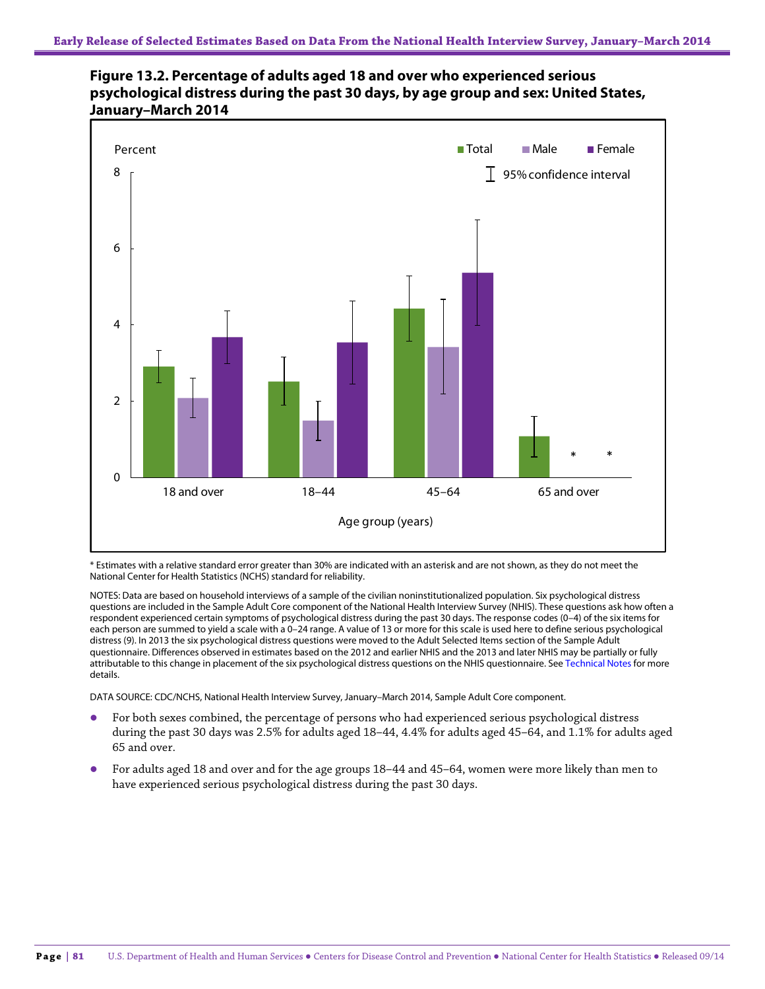



\* Estimates with a relative standard error greater than 30% are indicated with an asterisk and are not shown, as they do not meet the National Center for Health Statistics (NCHS) standard for reliability.

NOTES: Data are based on household interviews of a sample of the civilian noninstitutionalized population. Six psychological distress questions are included in the Sample Adult Core component of the National Health Interview Survey (NHIS). These questions ask how often a respondent experienced certain symptoms of psychological distress during the past 30 days. The response codes (0–4) of the six items for each person are summed to yield a scale with a 0–24 range. A value of 13 or more for this scale is used here to define serious psychological distress (9). In 2013 the six psychological distress questions were moved to the Adult Selected Items section of the Sample Adult questionnaire. Differences observed in estimates based on the 2012 and earlier NHIS and the 2013 and later NHIS may be partially or fully attributable to this change in placement of the six psychological distress questions on the NHIS questionnaire. See Technical Notes for more details.

DATA SOURCE: CDC/NCHS, National Health Interview Survey, January–March 2014, Sample Adult Core component.

- For both sexes combined, the percentage of persons who had experienced serious psychological distress during the past 30 days was 2.5% for adults aged 18–44, 4.4% for adults aged 45–64, and 1.1% for adults aged 65 and over.
- For adults aged 18 and over and for the age groups 18–44 and 45–64, women were more likely than men to have experienced serious psychological distress during the past 30 days.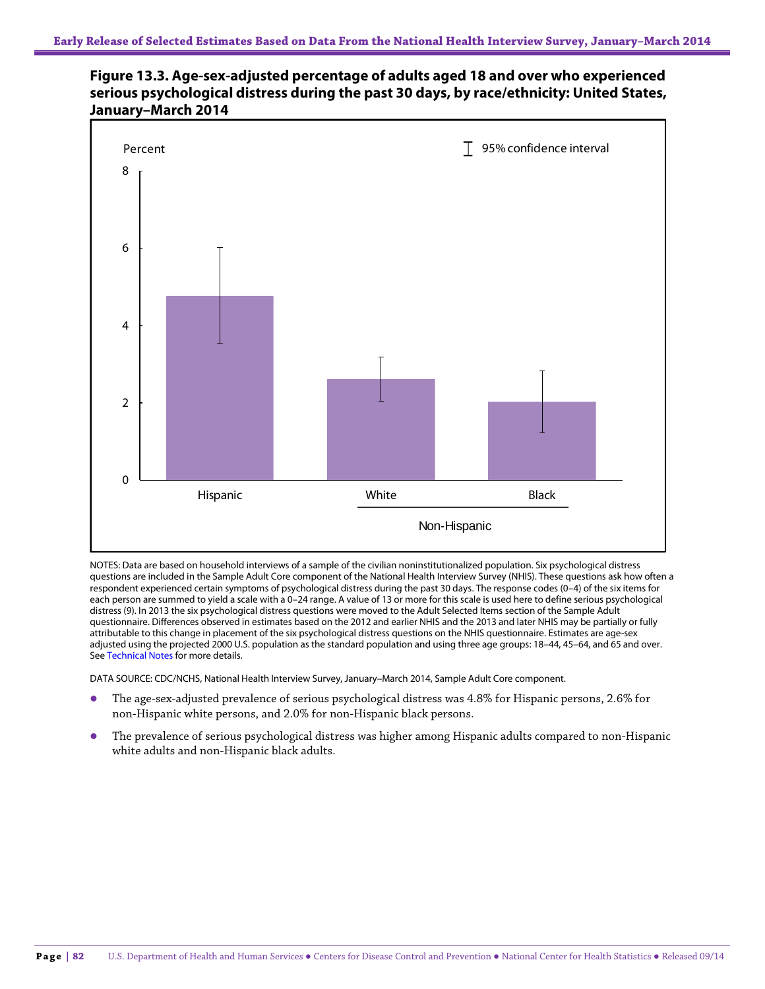## **Figure 13.3. Age-sex-adjusted percentage of adults aged 18 and over who experienced serious psychological distress during the past 30 days, by race/ethnicity: United States, January–March 2014**



NOTES: Data are based on household interviews of a sample of the civilian noninstitutionalized population. Six psychological distress questions are included in the Sample Adult Core component of the National Health Interview Survey (NHIS). These questions ask how often a respondent experienced certain symptoms of psychological distress during the past 30 days. The response codes (0–4) of the six items for each person are summed to yield a scale with a 0–24 range. A value of 13 or more for this scale is used here to define serious psychological distress (9). In 2013 the six psychological distress questions were moved to the Adult Selected Items section of the Sample Adult questionnaire. Differences observed in estimates based on the 2012 and earlier NHIS and the 2013 and later NHIS may be partially or fully attributable to this change in placement of the six psychological distress questions on the NHIS questionnaire. Estimates are age-sex adjusted using the projected 2000 U.S. population as the standard population and using three age groups: 18–44, 45–64, and 65 and over. See Technical Notes for more details.

DATA SOURCE: CDC/NCHS, National Health Interview Survey, January–March 2014, Sample Adult Core component.

- The age-sex-adjusted prevalence of serious psychological distress was 4.8% for Hispanic persons, 2.6% for non-Hispanic white persons, and 2.0% for non-Hispanic black persons.
- The prevalence of serious psychological distress was higher among Hispanic adults compared to non-Hispanic white adults and non-Hispanic black adults.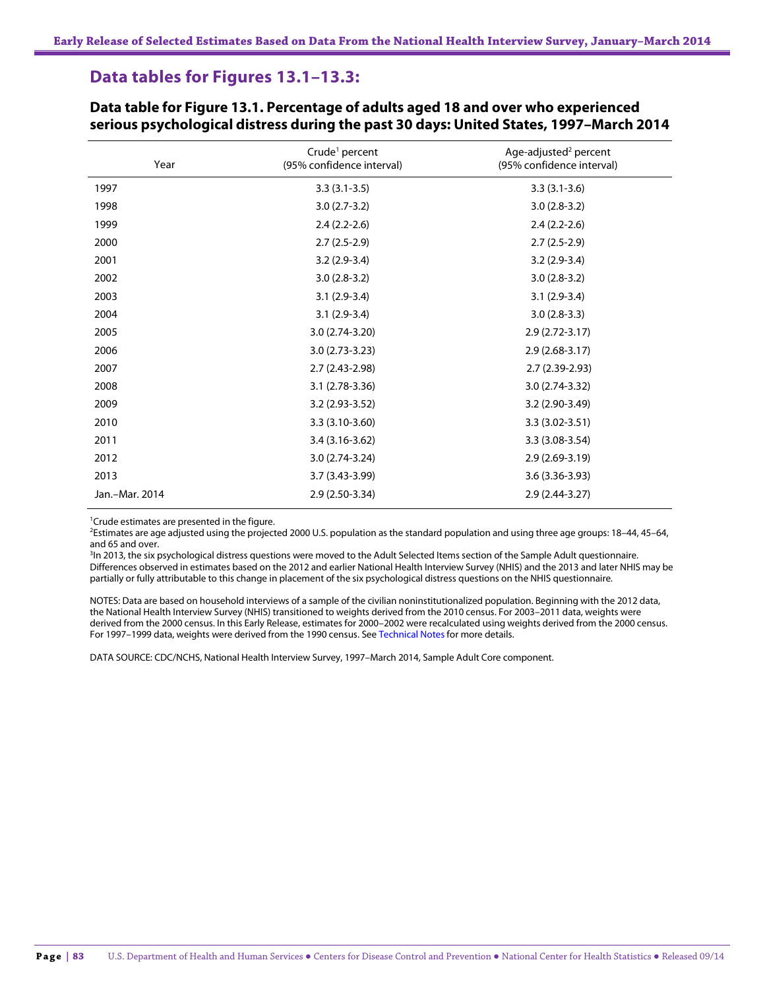# **Data tables for Figures 13.1–13.3:**

| Year           | Crude <sup>1</sup> percent<br>(95% confidence interval) | Age-adjusted <sup>2</sup> percent<br>(95% confidence interval) |
|----------------|---------------------------------------------------------|----------------------------------------------------------------|
| 1997           | $3.3(3.1-3.5)$                                          | $3.3(3.1-3.6)$                                                 |
| 1998           | $3.0(2.7-3.2)$                                          | $3.0(2.8-3.2)$                                                 |
| 1999           | $2.4(2.2-2.6)$                                          | $2.4(2.2-2.6)$                                                 |
| 2000           | $2.7(2.5-2.9)$                                          | $2.7(2.5-2.9)$                                                 |
| 2001           | $3.2(2.9-3.4)$                                          | $3.2(2.9-3.4)$                                                 |
| 2002           | $3.0(2.8-3.2)$                                          | $3.0(2.8-3.2)$                                                 |
| 2003           | $3.1(2.9-3.4)$                                          | $3.1(2.9-3.4)$                                                 |
| 2004           | $3.1(2.9-3.4)$                                          | $3.0(2.8-3.3)$                                                 |
| 2005           | 3.0 (2.74-3.20)                                         | $2.9(2.72-3.17)$                                               |
| 2006           | $3.0(2.73-3.23)$                                        | $2.9(2.68-3.17)$                                               |
| 2007           | $2.7(2.43-2.98)$                                        | $2.7(2.39-2.93)$                                               |
| 2008           | $3.1(2.78-3.36)$                                        | $3.0(2.74-3.32)$                                               |
| 2009           | 3.2 (2.93-3.52)                                         | 3.2 (2.90-3.49)                                                |
| 2010           | $3.3(3.10-3.60)$                                        | $3.3(3.02 - 3.51)$                                             |
| 2011           | $3.4(3.16-3.62)$                                        | $3.3(3.08-3.54)$                                               |
| 2012           | $3.0(2.74-3.24)$                                        | $2.9(2.69-3.19)$                                               |
| 2013           | $3.7(3.43 - 3.99)$                                      | $3.6(3.36-3.93)$                                               |
| Jan.-Mar. 2014 | $2.9(2.50-3.34)$                                        | $2.9(2.44-3.27)$                                               |

**Data table for Figure 13.1. Percentage of adults aged 18 and over who experienced serious psychological distress during the past 30 days: United States, 1997–March 2014**

<sup>1</sup>Crude estimates are presented in the figure.

2 Estimates are age adjusted using the projected 2000 U.S. population as the standard population and using three age groups: 18–44, 45–64, and 65 and over.

<sup>3</sup>In 2013, the six psychological distress questions were moved to the Adult Selected Items section of the Sample Adult questionnaire. Differences observed in estimates based on the 2012 and earlier National Health Interview Survey (NHIS) and the 2013 and later NHIS may be partially or fully attributable to this change in placement of the six psychological distress questions on the NHIS questionnaire.

NOTES: Data are based on household interviews of a sample of the civilian noninstitutionalized population. Beginning with the 2012 data, the National Health Interview Survey (NHIS) transitioned to weights derived from the 2010 census. For 2003–2011 data, weights were derived from the 2000 census. In this Early Release, estimates for 2000–2002 were recalculated using weights derived from the 2000 census. For 1997–1999 data, weights were derived from the 1990 census. See Technical Notes for more details.

DATA SOURCE: CDC/NCHS, National Health Interview Survey, 1997–March 2014, Sample Adult Core component.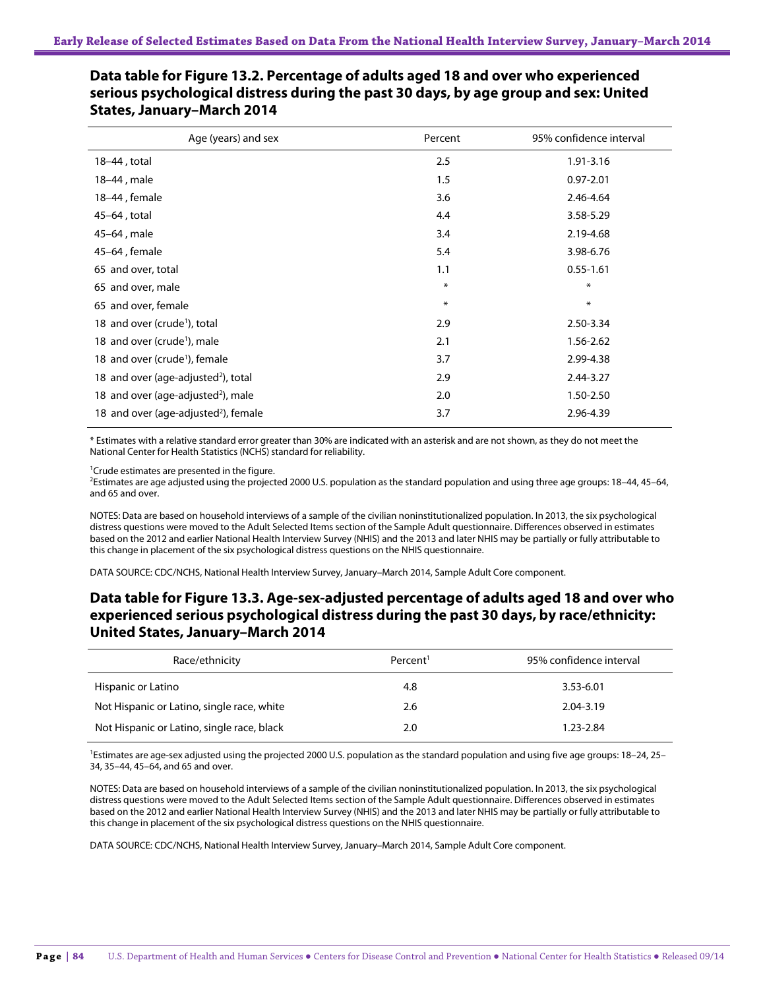| Age (years) and sex                              | Percent | 95% confidence interval |
|--------------------------------------------------|---------|-------------------------|
| 18-44, total                                     | 2.5     | 1.91-3.16               |
| 18-44, male                                      | 1.5     | $0.97 - 2.01$           |
| 18-44, female                                    | 3.6     | 2.46-4.64               |
| 45-64, total                                     | 4.4     | 3.58-5.29               |
| 45-64, male                                      | 3.4     | 2.19-4.68               |
| 45-64, female                                    | 5.4     | 3.98-6.76               |
| 65 and over, total                               | 1.1     | $0.55 - 1.61$           |
| 65 and over, male                                | $\ast$  | $\ast$                  |
| 65 and over, female                              | $\ast$  | $\ast$                  |
| 18 and over (crude <sup>1</sup> ), total         | 2.9     | 2.50-3.34               |
| 18 and over (crude <sup>1</sup> ), male          | 2.1     | 1.56-2.62               |
| 18 and over (crude <sup>1</sup> ), female        | 3.7     | 2.99-4.38               |
| 18 and over (age-adjusted <sup>2</sup> ), total  | 2.9     | 2.44-3.27               |
| 18 and over (age-adjusted <sup>2</sup> ), male   | 2.0     | 1.50-2.50               |
| 18 and over (age-adjusted <sup>2</sup> ), female | 3.7     | 2.96-4.39               |

## **Data table for Figure 13.2. Percentage of adults aged 18 and over who experienced serious psychological distress during the past 30 days, by age group and sex: United States, January–March 2014**

\* Estimates with a relative standard error greater than 30% are indicated with an asterisk and are not shown, as they do not meet the National Center for Health Statistics (NCHS) standard for reliability.

<sup>1</sup>Crude estimates are presented in the figure.

2 Estimates are age adjusted using the projected 2000 U.S. population as the standard population and using three age groups: 18–44, 45–64, and 65 and over.

NOTES: Data are based on household interviews of a sample of the civilian noninstitutionalized population. In 2013, the six psychological distress questions were moved to the Adult Selected Items section of the Sample Adult questionnaire. Differences observed in estimates based on the 2012 and earlier National Health Interview Survey (NHIS) and the 2013 and later NHIS may be partially or fully attributable to this change in placement of the six psychological distress questions on the NHIS questionnaire.

DATA SOURCE: CDC/NCHS, National Health Interview Survey, January–March 2014, Sample Adult Core component.

## **Data table for Figure 13.3. Age-sex-adjusted percentage of adults aged 18 and over who experienced serious psychological distress during the past 30 days, by race/ethnicity: United States, January–March 2014**

| Race/ethnicity                             | Percent <sup>1</sup> | 95% confidence interval |
|--------------------------------------------|----------------------|-------------------------|
| Hispanic or Latino                         | 4.8                  | 3.53-6.01               |
| Not Hispanic or Latino, single race, white | 2.6                  | 2.04-3.19               |
| Not Hispanic or Latino, single race, black | 2.0                  | 1.23-2.84               |

<sup>1</sup>Estimates are age-sex adjusted using the projected 2000 U.S. population as the standard population and using five age groups: 18-24, 25-34, 35–44, 45–64, and 65 and over.

NOTES: Data are based on household interviews of a sample of the civilian noninstitutionalized population. In 2013, the six psychological distress questions were moved to the Adult Selected Items section of the Sample Adult questionnaire. Differences observed in estimates based on the 2012 and earlier National Health Interview Survey (NHIS) and the 2013 and later NHIS may be partially or fully attributable to this change in placement of the six psychological distress questions on the NHIS questionnaire.

DATA SOURCE: CDC/NCHS, National Health Interview Survey, January–March 2014, Sample Adult Core component.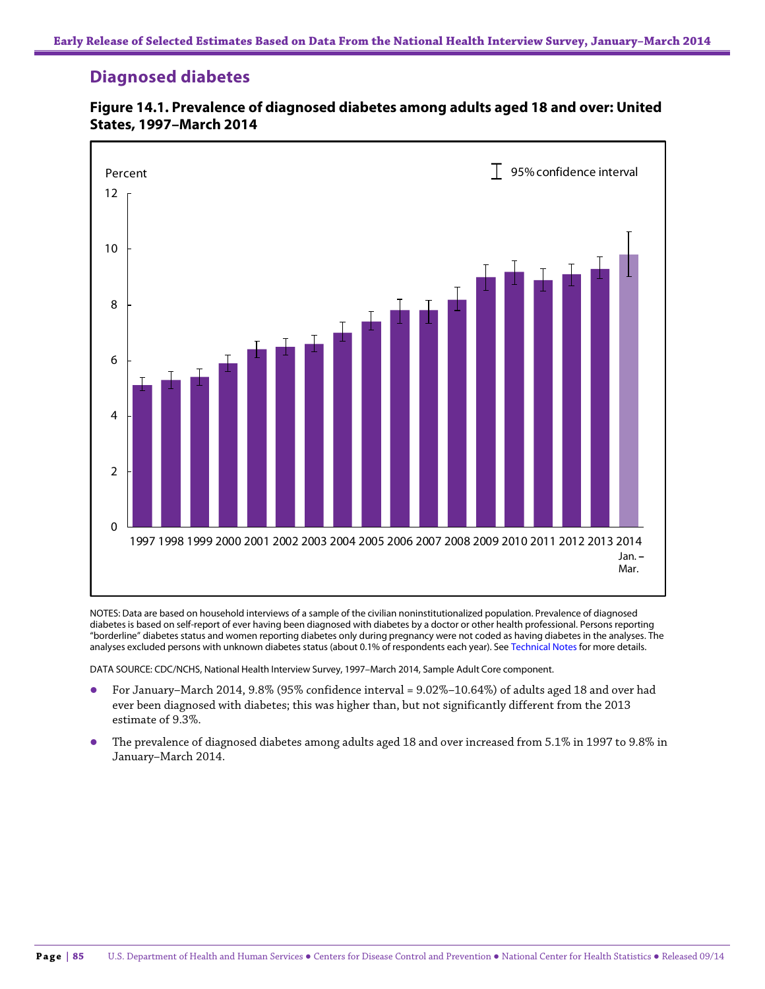# **Diagnosed diabetes**



**Figure 14.1. Prevalence of diagnosed diabetes among adults aged 18 and over: United States, 1997–March 2014**

NOTES: Data are based on household interviews of a sample of the civilian noninstitutionalized population. Prevalence of diagnosed diabetes is based on self-report of ever having been diagnosed with diabetes by a doctor or other health professional. Persons reporting "borderline" diabetes status and women reporting diabetes only during pregnancy were not coded as having diabetes in the analyses. The analyses excluded persons with unknown diabetes status (about 0.1% of respondents each year). See Technical Notes for more details.

DATA SOURCE: CDC/NCHS, National Health Interview Survey, 1997–March 2014, Sample Adult Core component.

- For January–March 2014, 9.8% (95% confidence interval = 9.02%–10.64%) of adults aged 18 and over had ever been diagnosed with diabetes; this was higher than, but not significantly different from the 2013 estimate of 9.3%.
- The prevalence of diagnosed diabetes among adults aged 18 and over increased from 5.1% in 1997 to 9.8% in January–March 2014.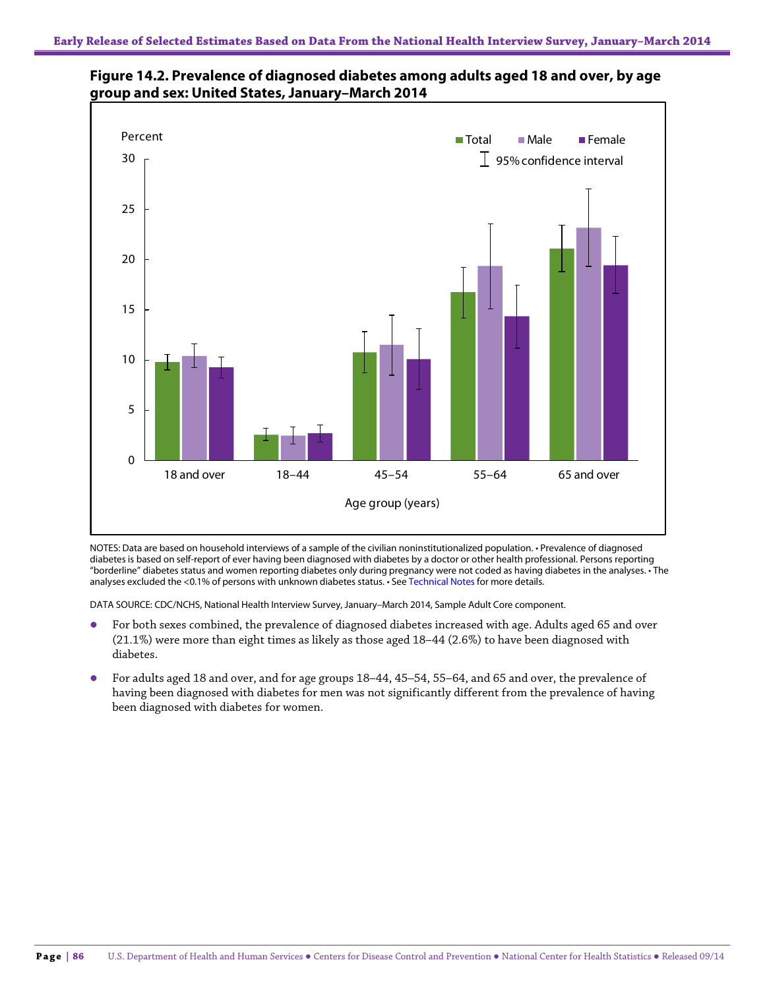



NOTES: Data are based on household interviews of a sample of the civilian noninstitutionalized population. • Prevalence of diagnosed diabetes is based on self-report of ever having been diagnosed with diabetes by a doctor or other health professional. Persons reporting "borderline" diabetes status and women reporting diabetes only during pregnancy were not coded as having diabetes in the analyses. • The analyses excluded the <0.1% of persons with unknown diabetes status. • See Technical Notes for more details.

DATA SOURCE: CDC/NCHS, National Health Interview Survey, January–March 2014, Sample Adult Core component.

- For both sexes combined, the prevalence of diagnosed diabetes increased with age. Adults aged 65 and over (21.1%) were more than eight times as likely as those aged 18–44 (2.6%) to have been diagnosed with diabetes.
- For adults aged 18 and over, and for age groups 18–44, 45–54, 55–64, and 65 and over, the prevalence of having been diagnosed with diabetes for men was not significantly different from the prevalence of having been diagnosed with diabetes for women.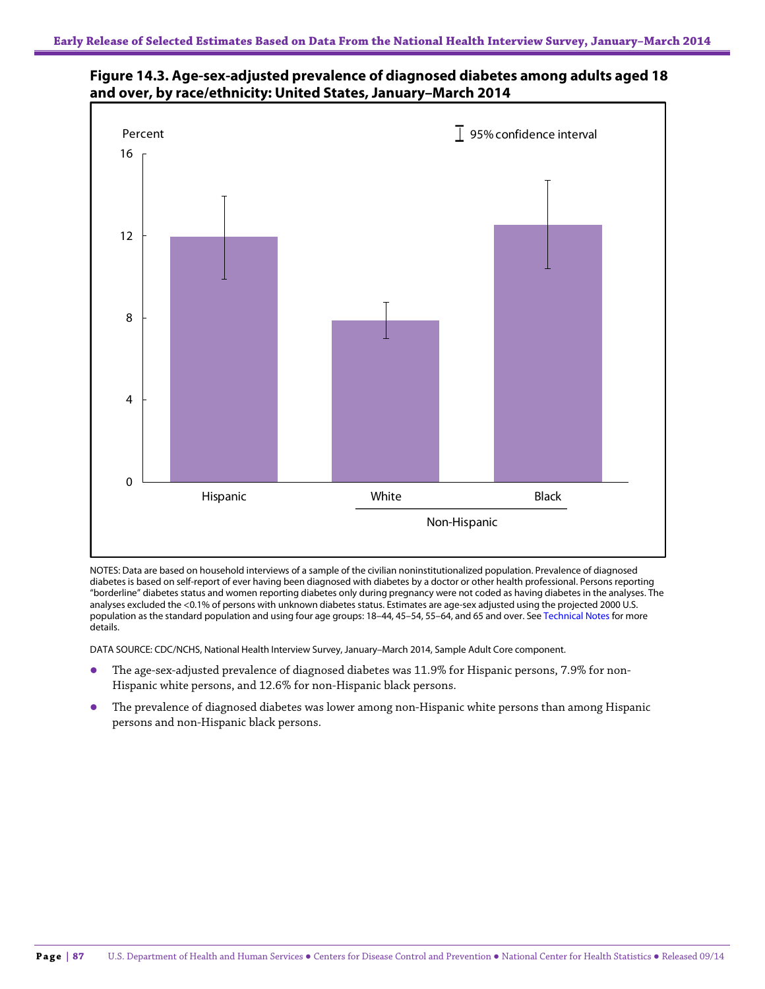



NOTES: Data are based on household interviews of a sample of the civilian noninstitutionalized population. Prevalence of diagnosed diabetes is based on self-report of ever having been diagnosed with diabetes by a doctor or other health professional. Persons reporting "borderline" diabetes status and women reporting diabetes only during pregnancy were not coded as having diabetes in the analyses. The analyses excluded the <0.1% of persons with unknown diabetes status. Estimates are age-sex adjusted using the projected 2000 U.S. population as the standard population and using four age groups: 18–44, 45–54, 55–64, and 65 and over. See Technical Notes for more details.

DATA SOURCE: CDC/NCHS, National Health Interview Survey, January–March 2014, Sample Adult Core component.

- The age-sex-adjusted prevalence of diagnosed diabetes was 11.9% for Hispanic persons, 7.9% for non-Hispanic white persons, and 12.6% for non-Hispanic black persons.
- The prevalence of diagnosed diabetes was lower among non-Hispanic white persons than among Hispanic persons and non-Hispanic black persons.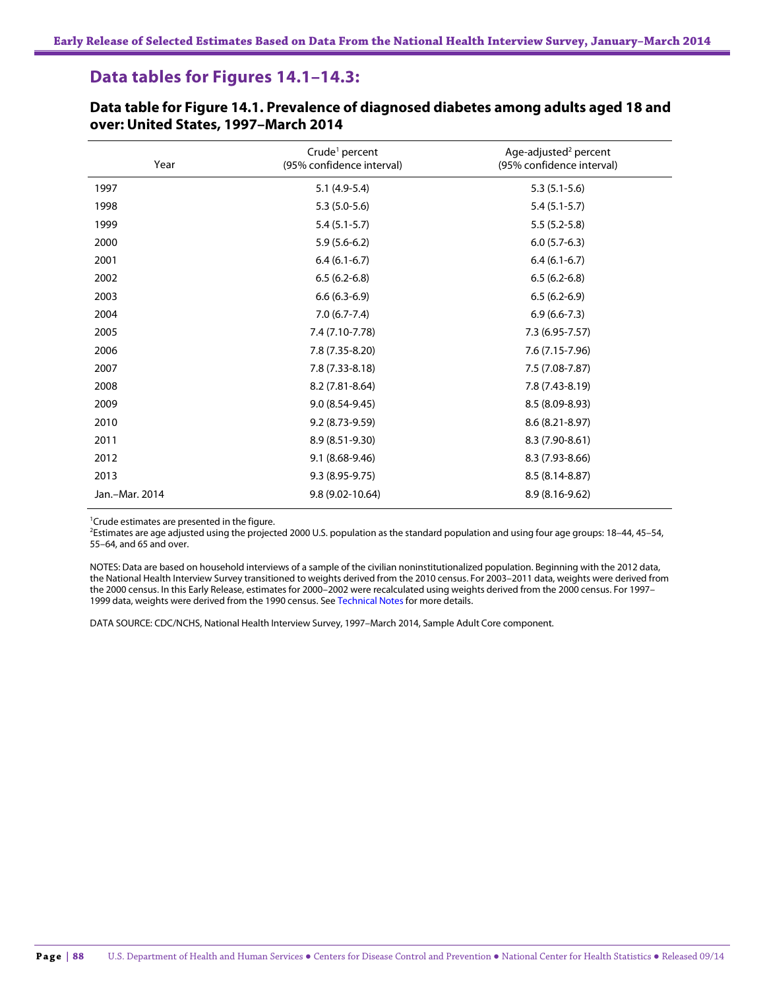# **Data tables for Figures 14.1–14.3:**

| Year           | Crude <sup>1</sup> percent<br>(95% confidence interval) | Age-adjusted <sup>2</sup> percent<br>(95% confidence interval) |
|----------------|---------------------------------------------------------|----------------------------------------------------------------|
| 1997           | $5.1(4.9-5.4)$                                          | $5.3(5.1-5.6)$                                                 |
| 1998           | $5.3(5.0-5.6)$                                          | $5.4(5.1-5.7)$                                                 |
| 1999           | $5.4(5.1-5.7)$                                          | $5.5(5.2-5.8)$                                                 |
| 2000           | $5.9(5.6-6.2)$                                          | $6.0(5.7-6.3)$                                                 |
| 2001           | $6.4(6.1-6.7)$                                          | $6.4(6.1-6.7)$                                                 |
| 2002           | $6.5(6.2-6.8)$                                          | $6.5(6.2-6.8)$                                                 |
| 2003           | $6.6(6.3-6.9)$                                          | $6.5(6.2-6.9)$                                                 |
| 2004           | $7.0(6.7-7.4)$                                          | $6.9(6.6-7.3)$                                                 |
| 2005           | 7.4 (7.10-7.78)                                         | 7.3 (6.95-7.57)                                                |
| 2006           | 7.8 (7.35-8.20)                                         | 7.6 (7.15-7.96)                                                |
| 2007           | $7.8(7.33 - 8.18)$                                      | 7.5 (7.08-7.87)                                                |
| 2008           | 8.2 (7.81-8.64)                                         | 7.8 (7.43-8.19)                                                |
| 2009           | $9.0(8.54-9.45)$                                        | 8.5 (8.09-8.93)                                                |
| 2010           | 9.2 (8.73-9.59)                                         | 8.6 (8.21-8.97)                                                |
| 2011           | 8.9 (8.51-9.30)                                         | 8.3 (7.90-8.61)                                                |
| 2012           | 9.1 (8.68-9.46)                                         | 8.3 (7.93-8.66)                                                |
| 2013           | $9.3(8.95-9.75)$                                        | 8.5 (8.14-8.87)                                                |
| Jan.-Mar. 2014 | 9.8 (9.02-10.64)                                        | 8.9 (8.16-9.62)                                                |

**Data table for Figure 14.1. Prevalence of diagnosed diabetes among adults aged 18 and over: United States, 1997–March 2014**

<sup>1</sup>Crude estimates are presented in the figure.

2 Estimates are age adjusted using the projected 2000 U.S. population as the standard population and using four age groups: 18–44, 45–54, 55–64, and 65 and over.

NOTES: Data are based on household interviews of a sample of the civilian noninstitutionalized population. Beginning with the 2012 data, the National Health Interview Survey transitioned to weights derived from the 2010 census. For 2003–2011 data, weights were derived from the 2000 census. In this Early Release, estimates for 2000–2002 were recalculated using weights derived from the 2000 census. For 1997– 1999 data, weights were derived from the 1990 census. See Technical Notes for more details.

DATA SOURCE: CDC/NCHS, National Health Interview Survey, 1997–March 2014, Sample Adult Core component.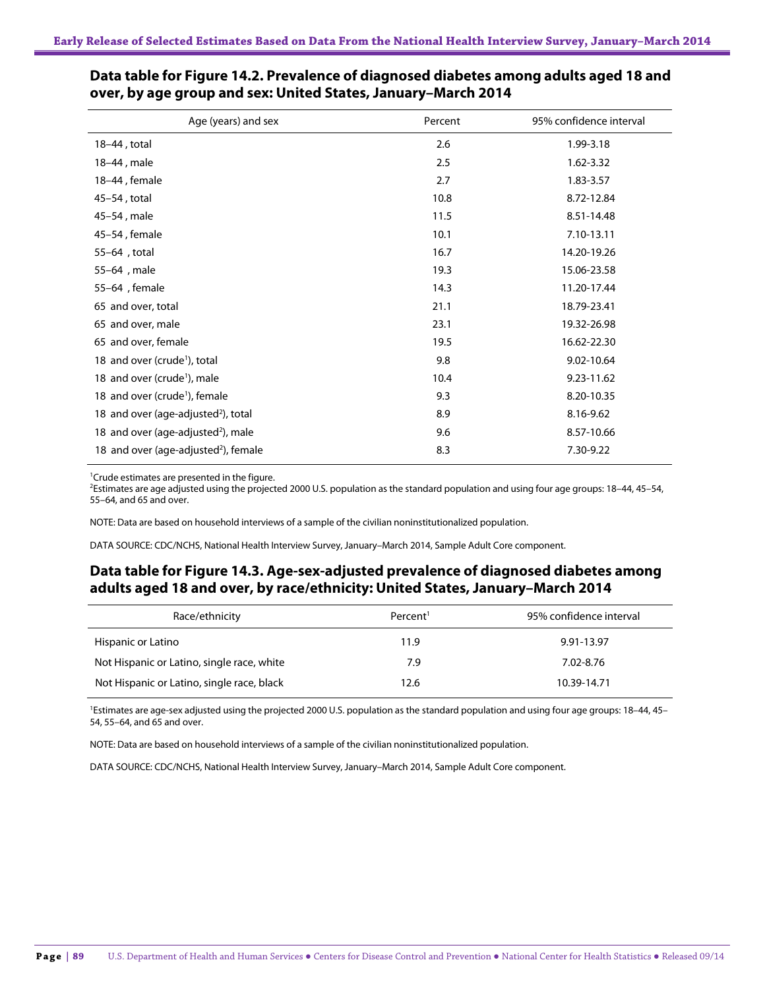| Age (years) and sex                              | Percent | 95% confidence interval |
|--------------------------------------------------|---------|-------------------------|
| 18-44, total                                     | 2.6     | 1.99-3.18               |
| 18-44, male                                      | 2.5     | 1.62-3.32               |
| 18-44, female                                    | 2.7     | 1.83-3.57               |
| 45-54, total                                     | 10.8    | 8.72-12.84              |
| 45-54, male                                      | 11.5    | 8.51-14.48              |
| 45-54, female                                    | 10.1    | 7.10-13.11              |
| 55-64, total                                     | 16.7    | 14.20-19.26             |
| 55-64, male                                      | 19.3    | 15.06-23.58             |
| 55-64, female                                    | 14.3    | 11.20-17.44             |
| 65 and over, total                               | 21.1    | 18.79-23.41             |
| 65 and over, male                                | 23.1    | 19.32-26.98             |
| 65 and over, female                              | 19.5    | 16.62-22.30             |
| 18 and over (crude <sup>1</sup> ), total         | 9.8     | 9.02-10.64              |
| 18 and over (crude <sup>1</sup> ), male          | 10.4    | 9.23-11.62              |
| 18 and over (crude <sup>1</sup> ), female        | 9.3     | 8.20-10.35              |
| 18 and over (age-adjusted <sup>2</sup> ), total  | 8.9     | 8.16-9.62               |
| 18 and over (age-adjusted <sup>2</sup> ), male   | 9.6     | 8.57-10.66              |
| 18 and over (age-adjusted <sup>2</sup> ), female | 8.3     | 7.30-9.22               |

#### **Data table for Figure 14.2. Prevalence of diagnosed diabetes among adults aged 18 and over, by age group and sex: United States, January–March 2014**

<sup>1</sup>Crude estimates are presented in the figure.

2 Estimates are age adjusted using the projected 2000 U.S. population as the standard population and using four age groups: 18–44, 45–54, 55–64, and 65 and over.

NOTE: Data are based on household interviews of a sample of the civilian noninstitutionalized population.

DATA SOURCE: CDC/NCHS, National Health Interview Survey, January–March 2014, Sample Adult Core component.

#### **Data table for Figure 14.3. Age-sex-adjusted prevalence of diagnosed diabetes among adults aged 18 and over, by race/ethnicity: United States, January–March 2014**

| Race/ethnicity                             | Percent <sup>1</sup> | 95% confidence interval |
|--------------------------------------------|----------------------|-------------------------|
| Hispanic or Latino                         | 11.9                 | 9.91-13.97              |
| Not Hispanic or Latino, single race, white | 7.9                  | 7.02-8.76               |
| Not Hispanic or Latino, single race, black | 12.6                 | 10.39-14.71             |

<sup>1</sup>Estimates are age-sex adjusted using the projected 2000 U.S. population as the standard population and using four age groups: 18-44, 45-54, 55–64, and 65 and over.

NOTE: Data are based on household interviews of a sample of the civilian noninstitutionalized population.

DATA SOURCE: CDC/NCHS, National Health Interview Survey, January–March 2014, Sample Adult Core component.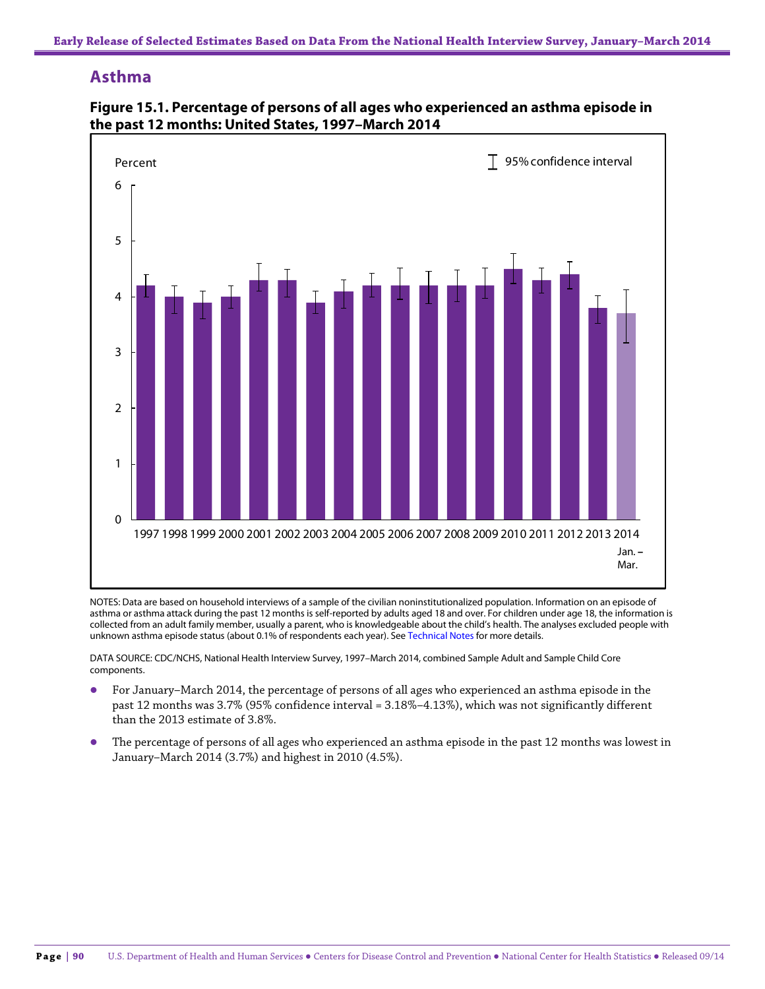# **Asthma**



**Figure 15.1. Percentage of persons of all ages who experienced an asthma episode in the past 12 months: United States, 1997–March 2014**

NOTES: Data are based on household interviews of a sample of the civilian noninstitutionalized population. Information on an episode of asthma or asthma attack during the past 12 months is self-reported by adults aged 18 and over. For children under age 18, the information is collected from an adult family member, usually a parent, who is knowledgeable about the child's health. The analyses excluded people with unknown asthma episode status (about 0.1% of respondents each year). See Technical Notes for more details.

DATA SOURCE: CDC/NCHS, National Health Interview Survey, 1997–March 2014, combined Sample Adult and Sample Child Core components.

- For January–March 2014, the percentage of persons of all ages who experienced an asthma episode in the past 12 months was 3.7% (95% confidence interval = 3.18%–4.13%), which was not significantly different than the 2013 estimate of 3.8%.
- The percentage of persons of all ages who experienced an asthma episode in the past 12 months was lowest in January–March 2014 (3.7%) and highest in 2010 (4.5%).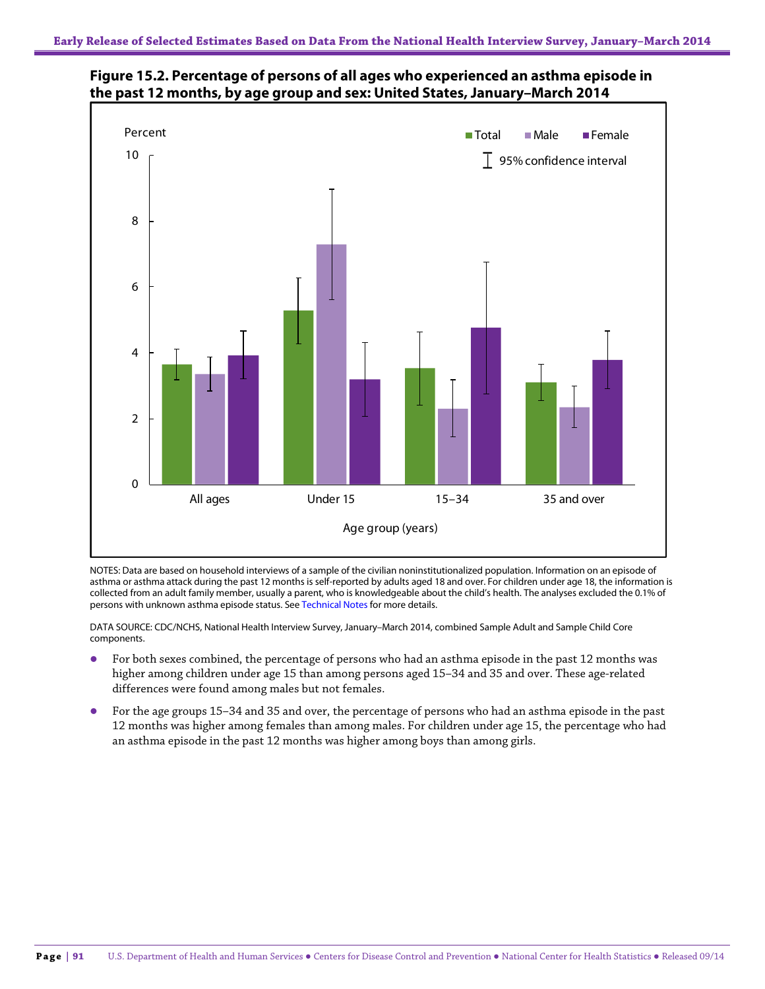



NOTES: Data are based on household interviews of a sample of the civilian noninstitutionalized population. Information on an episode of asthma or asthma attack during the past 12 months is self-reported by adults aged 18 and over. For children under age 18, the information is collected from an adult family member, usually a parent, who is knowledgeable about the child's health. The analyses excluded the 0.1% of persons with unknown asthma episode status. See Technical Notes for more details.

DATA SOURCE: CDC/NCHS, National Health Interview Survey, January–March 2014, combined Sample Adult and Sample Child Core components.

- For both sexes combined, the percentage of persons who had an asthma episode in the past 12 months was higher among children under age 15 than among persons aged 15–34 and 35 and over. These age-related differences were found among males but not females.
- For the age groups 15–34 and 35 and over, the percentage of persons who had an asthma episode in the past 12 months was higher among females than among males. For children under age 15, the percentage who had an asthma episode in the past 12 months was higher among boys than among girls.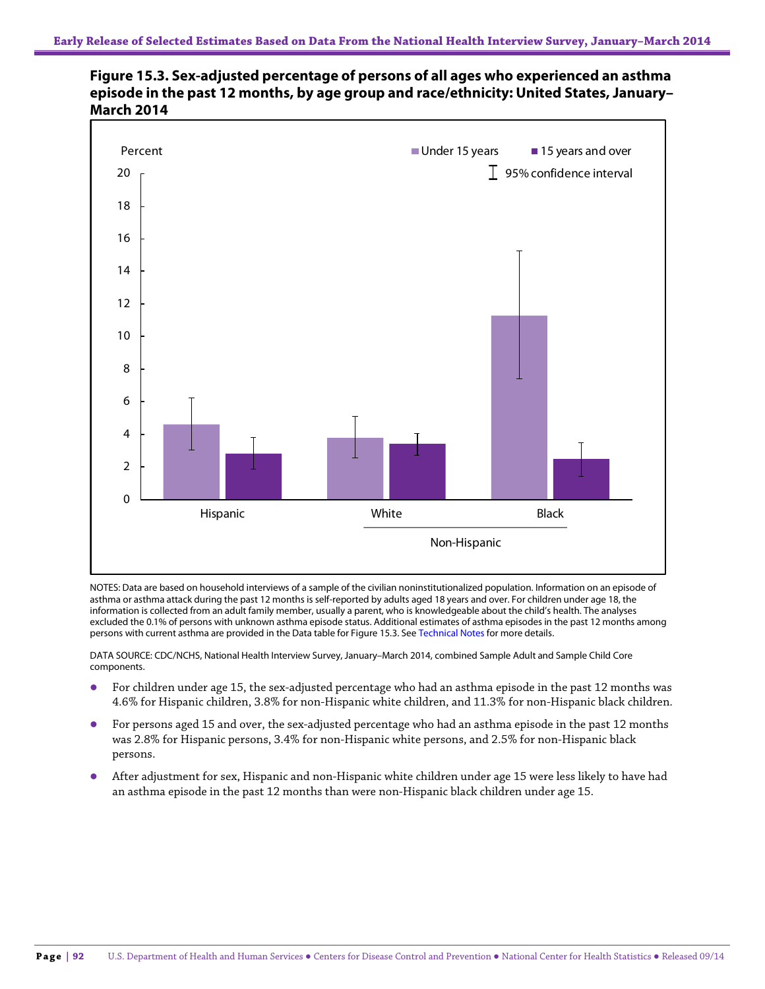



NOTES: Data are based on household interviews of a sample of the civilian noninstitutionalized population. Information on an episode of asthma or asthma attack during the past 12 months is self-reported by adults aged 18 years and over. For children under age 18, the information is collected from an adult family member, usually a parent, who is knowledgeable about the child's health. The analyses excluded the 0.1% of persons with unknown asthma episode status. Additional estimates of asthma episodes in the past 12 months among persons with current asthma are provided in the Data table for Figure 15.3. See Technical Notes for more details.

DATA SOURCE: CDC/NCHS, National Health Interview Survey, January–March 2014, combined Sample Adult and Sample Child Core components.

- For children under age 15, the sex-adjusted percentage who had an asthma episode in the past 12 months was 4.6% for Hispanic children, 3.8% for non-Hispanic white children, and 11.3% for non-Hispanic black children.
- For persons aged 15 and over, the sex-adjusted percentage who had an asthma episode in the past 12 months was 2.8% for Hispanic persons, 3.4% for non-Hispanic white persons, and 2.5% for non-Hispanic black persons.
- After adjustment for sex, Hispanic and non-Hispanic white children under age 15 were less likely to have had an asthma episode in the past 12 months than were non-Hispanic black children under age 15.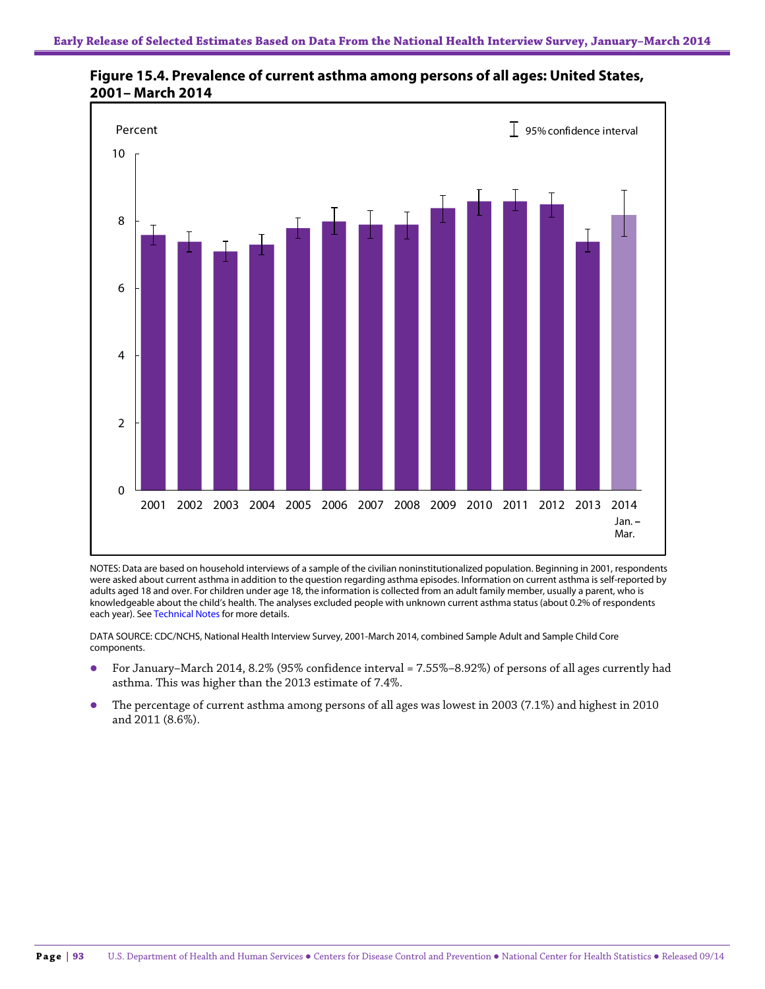

**Figure 15.4. Prevalence of current asthma among persons of all ages: United States, 2001– March 2014**

NOTES: Data are based on household interviews of a sample of the civilian noninstitutionalized population. Beginning in 2001, respondents were asked about current asthma in addition to the question regarding asthma episodes. Information on current asthma is self-reported by adults aged 18 and over. For children under age 18, the information is collected from an adult family member, usually a parent, who is knowledgeable about the child's health. The analyses excluded people with unknown current asthma status (about 0.2% of respondents each year). See Technical Notes for more details.

DATA SOURCE: CDC/NCHS, National Health Interview Survey, 2001-March 2014, combined Sample Adult and Sample Child Core components.

- For January–March 2014, 8.2% (95% confidence interval = 7.55%–8.92%) of persons of all ages currently had asthma. This was higher than the 2013 estimate of 7.4%.
- The percentage of current asthma among persons of all ages was lowest in 2003 (7.1%) and highest in 2010 and 2011 (8.6%).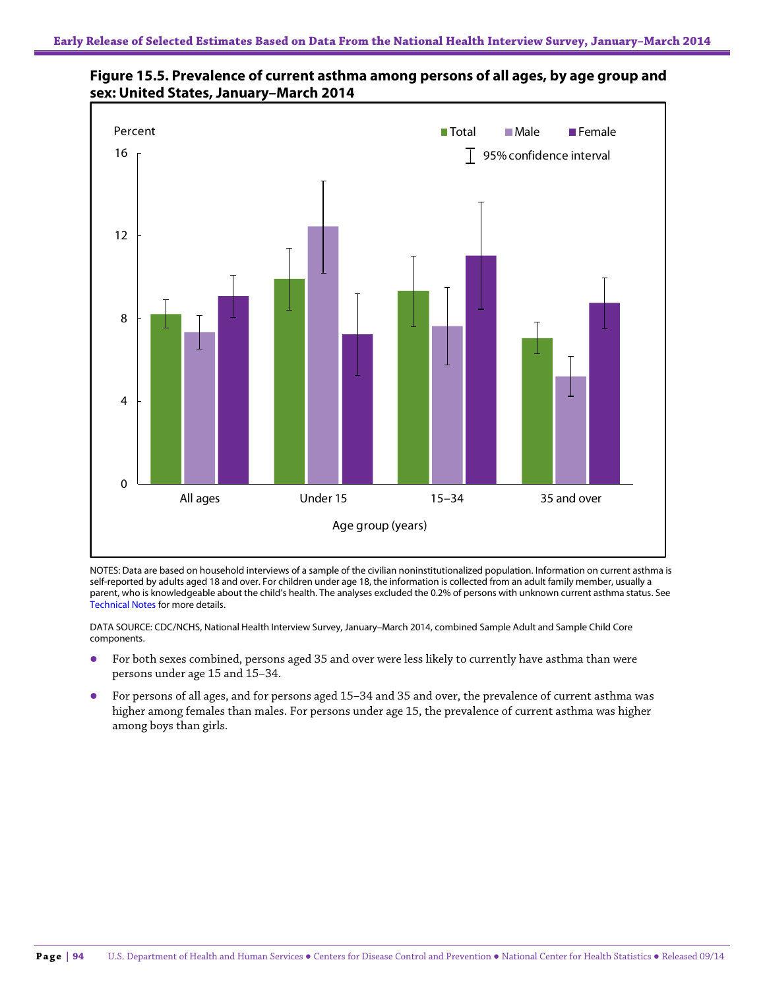

**Figure 15.5. Prevalence of current asthma among persons of all ages, by age group and sex: United States, January–March 2014**

NOTES: Data are based on household interviews of a sample of the civilian noninstitutionalized population. Information on current asthma is self-reported by adults aged 18 and over. For children under age 18, the information is collected from an adult family member, usually a parent, who is knowledgeable about the child's health. The analyses excluded the 0.2% of persons with unknown current asthma status. See Technical Notes for more details.

DATA SOURCE: CDC/NCHS, National Health Interview Survey, January–March 2014, combined Sample Adult and Sample Child Core components.

- For both sexes combined, persons aged 35 and over were less likely to currently have asthma than were persons under age 15 and 15–34.
- For persons of all ages, and for persons aged 15–34 and 35 and over, the prevalence of current asthma was higher among females than males. For persons under age 15, the prevalence of current asthma was higher among boys than girls.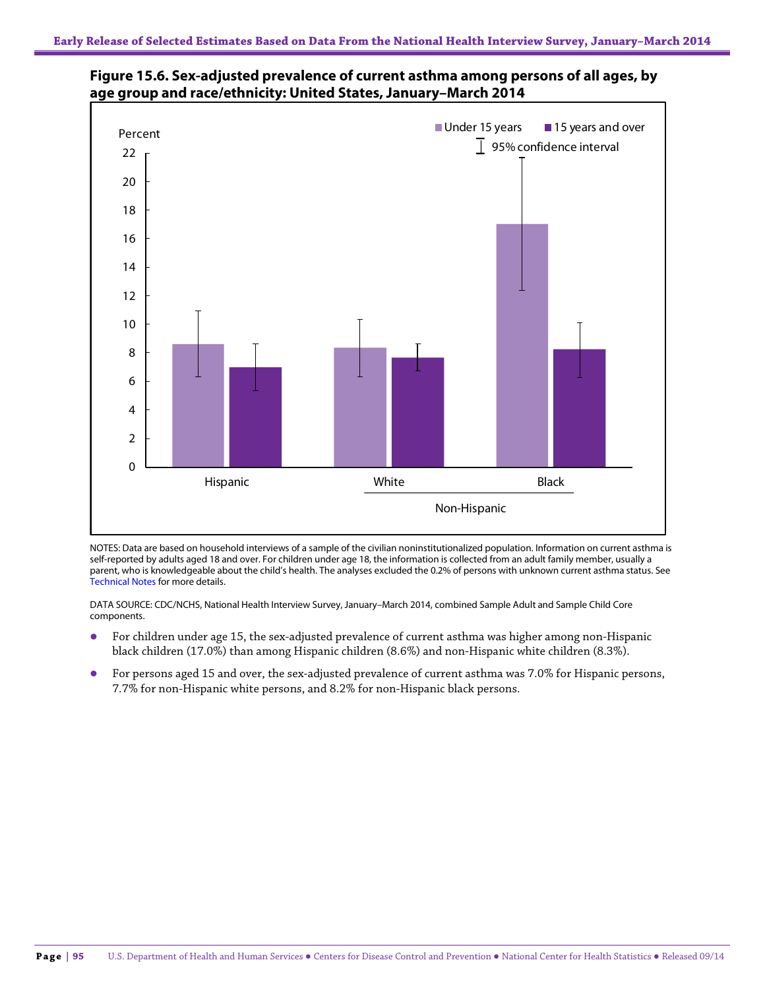



NOTES: Data are based on household interviews of a sample of the civilian noninstitutionalized population. Information on current asthma is self-reported by adults aged 18 and over. For children under age 18, the information is collected from an adult family member, usually a parent, who is knowledgeable about the child's health. The analyses excluded the 0.2% of persons with unknown current asthma status. See Technical Notes for more details.

DATA SOURCE: CDC/NCHS, National Health Interview Survey, January–March 2014, combined Sample Adult and Sample Child Core components.

- For children under age 15, the sex-adjusted prevalence of current asthma was higher among non-Hispanic black children (17.0%) than among Hispanic children (8.6%) and non-Hispanic white children (8.3%).
- For persons aged 15 and over, the sex-adjusted prevalence of current asthma was 7.0% for Hispanic persons, 7.7% for non-Hispanic white persons, and 8.2% for non-Hispanic black persons.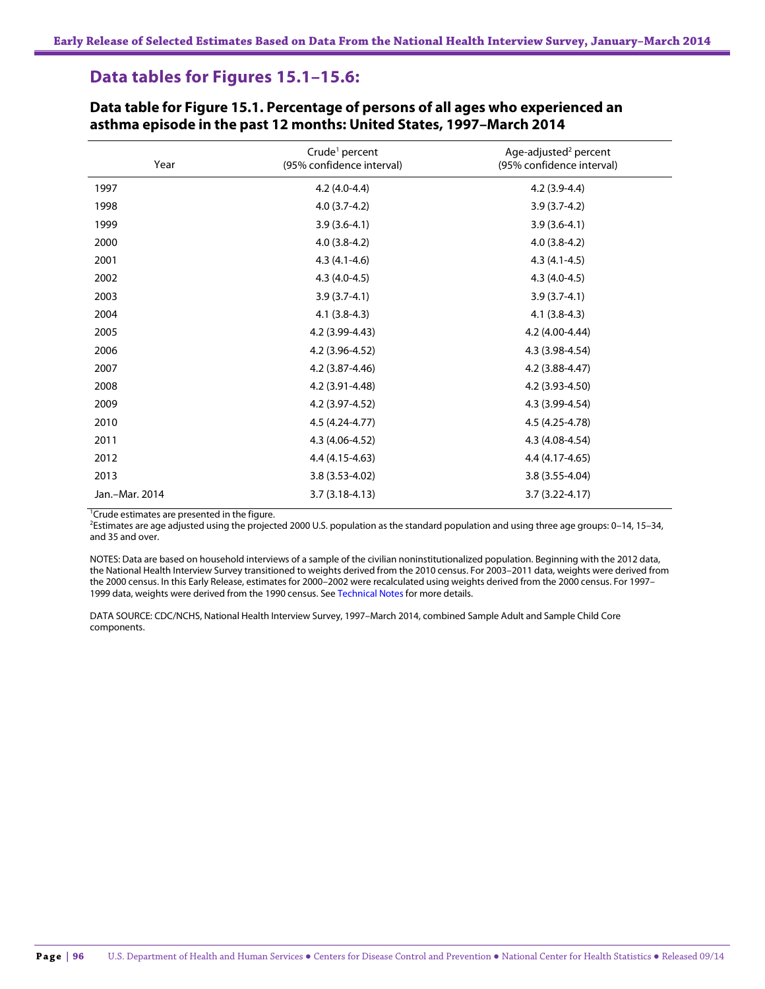# **Data tables for Figures 15.1–15.6:**

| Year           | Crude <sup>1</sup> percent<br>(95% confidence interval) | Age-adjusted <sup>2</sup> percent<br>(95% confidence interval) |
|----------------|---------------------------------------------------------|----------------------------------------------------------------|
| 1997           | $4.2(4.0-4.4)$                                          | $4.2(3.9-4.4)$                                                 |
| 1998           | $4.0(3.7-4.2)$                                          | $3.9(3.7-4.2)$                                                 |
| 1999           | $3.9(3.6-4.1)$                                          | $3.9(3.6-4.1)$                                                 |
| 2000           | $4.0(3.8-4.2)$                                          | $4.0(3.8-4.2)$                                                 |
| 2001           | $4.3(4.1-4.6)$                                          | $4.3(4.1-4.5)$                                                 |
| 2002           | $4.3(4.0-4.5)$                                          | $4.3(4.0-4.5)$                                                 |
| 2003           | $3.9(3.7-4.1)$                                          | $3.9(3.7-4.1)$                                                 |
| 2004           | $4.1(3.8-4.3)$                                          | $4.1(3.8-4.3)$                                                 |
| 2005           | 4.2 (3.99-4.43)                                         | 4.2 (4.00-4.44)                                                |
| 2006           | 4.2 (3.96-4.52)                                         | 4.3 (3.98-4.54)                                                |
| 2007           | 4.2 (3.87-4.46)                                         | 4.2 (3.88-4.47)                                                |
| 2008           | 4.2 (3.91-4.48)                                         | 4.2 (3.93-4.50)                                                |
| 2009           | 4.2 (3.97-4.52)                                         | 4.3 (3.99-4.54)                                                |
| 2010           | 4.5 (4.24-4.77)                                         | 4.5 (4.25-4.78)                                                |
| 2011           | 4.3 (4.06-4.52)                                         | 4.3 (4.08-4.54)                                                |
| 2012           | $4.4(4.15-4.63)$                                        | 4.4 (4.17-4.65)                                                |
| 2013           | $3.8(3.53 - 4.02)$                                      | 3.8 (3.55-4.04)                                                |
| Jan.-Mar. 2014 | $3.7(3.18-4.13)$                                        | $3.7(3.22 - 4.17)$                                             |

#### **Data table for Figure 15.1. Percentage of persons of all ages who experienced an asthma episode in the past 12 months: United States, 1997–March 2014**

<sup>1</sup>Crude estimates are presented in the figure.

2 Estimates are age adjusted using the projected 2000 U.S. population as the standard population and using three age groups: 0–14, 15–34, and 35 and over.

NOTES: Data are based on household interviews of a sample of the civilian noninstitutionalized population. Beginning with the 2012 data, the National Health Interview Survey transitioned to weights derived from the 2010 census. For 2003–2011 data, weights were derived from the 2000 census. In this Early Release, estimates for 2000–2002 were recalculated using weights derived from the 2000 census. For 1997– 1999 data, weights were derived from the 1990 census. See Technical Notes for more details.

DATA SOURCE: CDC/NCHS, National Health Interview Survey, 1997–March 2014, combined Sample Adult and Sample Child Core components.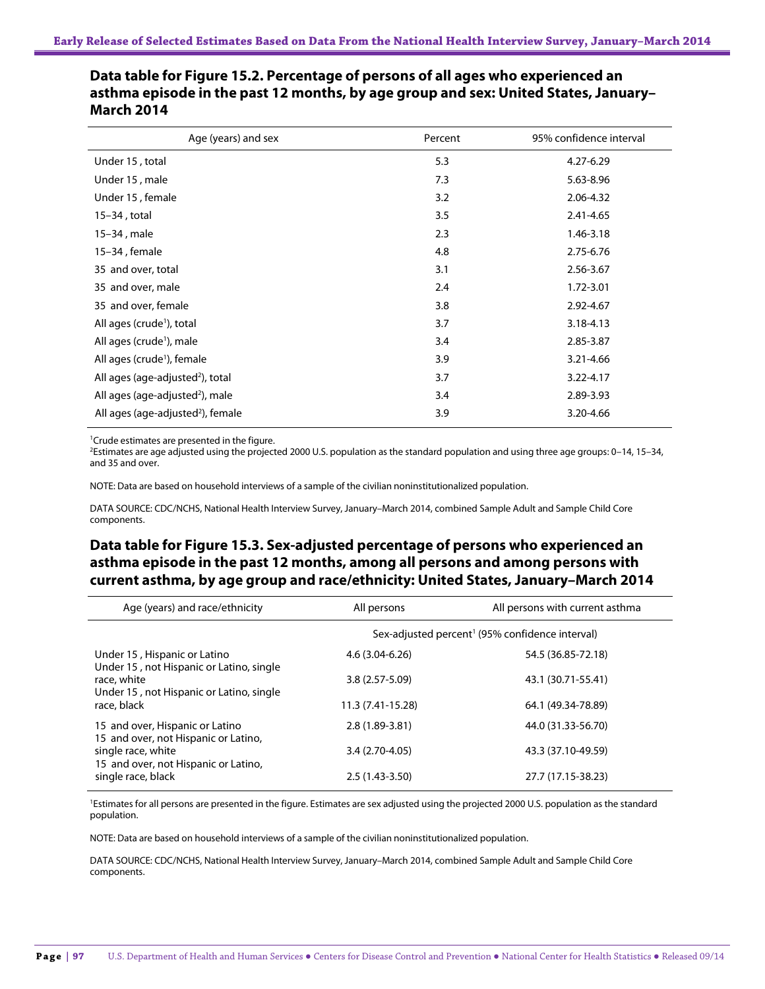| Age (years) and sex                           | Percent | 95% confidence interval |
|-----------------------------------------------|---------|-------------------------|
| Under 15, total                               | 5.3     | 4.27-6.29               |
| Under 15, male                                | 7.3     | 5.63-8.96               |
| Under 15, female                              | 3.2     | 2.06-4.32               |
| 15-34, total                                  | 3.5     | 2.41-4.65               |
| 15-34, male                                   | 2.3     | 1.46-3.18               |
| 15-34, female                                 | 4.8     | 2.75-6.76               |
| 35 and over, total                            | 3.1     | 2.56-3.67               |
| 35 and over, male                             | 2.4     | 1.72-3.01               |
| 35 and over, female                           | 3.8     | 2.92-4.67               |
| All ages (crude <sup>1</sup> ), total         | 3.7     | 3.18-4.13               |
| All ages (crude <sup>1</sup> ), male          | 3.4     | 2.85-3.87               |
| All ages (crude <sup>1</sup> ), female        | 3.9     | 3.21-4.66               |
| All ages (age-adjusted <sup>2</sup> ), total  | 3.7     | 3.22-4.17               |
| All ages (age-adjusted <sup>2</sup> ), male   | 3.4     | 2.89-3.93               |
| All ages (age-adjusted <sup>2</sup> ), female | 3.9     | 3.20-4.66               |

## **Data table for Figure 15.2. Percentage of persons of all ages who experienced an asthma episode in the past 12 months, by age group and sex: United States, January– March 2014**

1 Crude estimates are presented in the figure.

2 Estimates are age adjusted using the projected 2000 U.S. population as the standard population and using three age groups: 0–14, 15–34, and 35 and over.

NOTE: Data are based on household interviews of a sample of the civilian noninstitutionalized population.

DATA SOURCE: CDC/NCHS, National Health Interview Survey, January–March 2014, combined Sample Adult and Sample Child Core components.

## **Data table for Figure 15.3. Sex-adjusted percentage of persons who experienced an asthma episode in the past 12 months, among all persons and among persons with current asthma, by age group and race/ethnicity: United States, January–March 2014**

| Age (years) and race/ethnicity                                                   | All persons        | All persons with current asthma                             |
|----------------------------------------------------------------------------------|--------------------|-------------------------------------------------------------|
|                                                                                  |                    | Sex-adjusted percent <sup>1</sup> (95% confidence interval) |
| Under 15, Hispanic or Latino<br>Under 15, not Hispanic or Latino, single         | $4.6(3.04 - 6.26)$ | 54.5 (36.85-72.18)                                          |
| race, white<br>Under 15, not Hispanic or Latino, single                          | $3.8(2.57 - 5.09)$ | 43.1 (30.71-55.41)                                          |
| race, black                                                                      | 11.3 (7.41-15.28)  | 64.1 (49.34-78.89)                                          |
| 15 and over, Hispanic or Latino<br>15 and over, not Hispanic or Latino,          | $2.8(1.89-3.81)$   | 44.0 (31.33-56.70)                                          |
| single race, white<br>15 and over, not Hispanic or Latino,<br>single race, black | $3.4(2.70-4.05)$   | 43.3 (37.10-49.59)                                          |
|                                                                                  | $2.5(1.43-3.50)$   | 27.7 (17.15-38.23)                                          |

<sup>1</sup>Estimates for all persons are presented in the figure. Estimates are sex adjusted using the projected 2000 U.S. population as the standard population.

NOTE: Data are based on household interviews of a sample of the civilian noninstitutionalized population.

DATA SOURCE: CDC/NCHS, National Health Interview Survey, January–March 2014, combined Sample Adult and Sample Child Core components.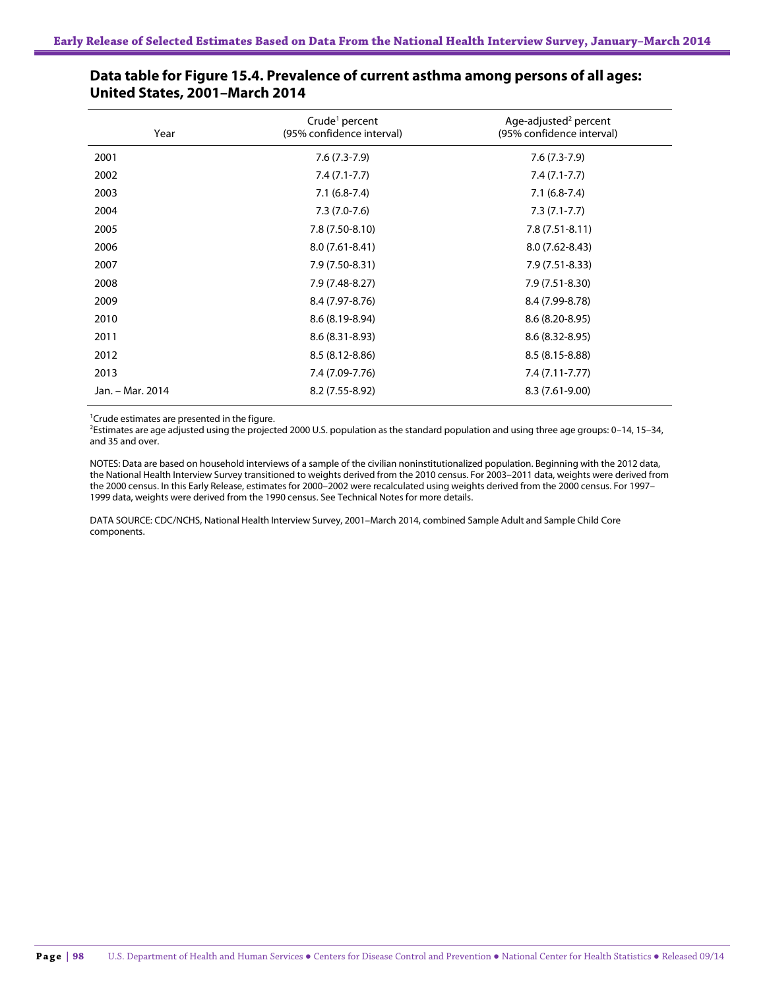| Year             | Crude <sup>1</sup> percent<br>(95% confidence interval) | Age-adjusted <sup>2</sup> percent<br>(95% confidence interval) |
|------------------|---------------------------------------------------------|----------------------------------------------------------------|
| 2001             | $7.6(7.3-7.9)$                                          | $7.6(7.3-7.9)$                                                 |
| 2002             | $7.4(7.1-7.7)$                                          | $7.4(7.1-7.7)$                                                 |
| 2003             | $7.1(6.8-7.4)$                                          | $7.1(6.8-7.4)$                                                 |
| 2004             | $7.3(7.0-7.6)$                                          | $7.3(7.1-7.7)$                                                 |
| 2005             | 7.8 (7.50-8.10)                                         | $7.8(7.51-8.11)$                                               |
| 2006             | $8.0(7.61 - 8.41)$                                      | $8.0(7.62 - 8.43)$                                             |
| 2007             | 7.9 (7.50-8.31)                                         | $7.9(7.51-8.33)$                                               |
| 2008             | 7.9 (7.48-8.27)                                         | 7.9 (7.51-8.30)                                                |
| 2009             | 8.4 (7.97-8.76)                                         | 8.4 (7.99-8.78)                                                |
| 2010             | 8.6 (8.19-8.94)                                         | $8.6(8.20-8.95)$                                               |
| 2011             | $8.6(8.31 - 8.93)$                                      | $8.6(8.32 - 8.95)$                                             |
| 2012             | $8.5(8.12-8.86)$                                        | $8.5(8.15-8.88)$                                               |
| 2013             | 7.4 (7.09-7.76)                                         | $7.4(7.11 - 7.77)$                                             |
| Jan. – Mar. 2014 | 8.2 (7.55-8.92)                                         | 8.3 (7.61-9.00)                                                |

#### **Data table for Figure 15.4. Prevalence of current asthma among persons of all ages: United States, 2001–March 2014**

<sup>1</sup>Crude estimates are presented in the figure.

2 Estimates are age adjusted using the projected 2000 U.S. population as the standard population and using three age groups: 0–14, 15–34, and 35 and over.

NOTES: Data are based on household interviews of a sample of the civilian noninstitutionalized population. Beginning with the 2012 data, the National Health Interview Survey transitioned to weights derived from the 2010 census. For 2003–2011 data, weights were derived from the 2000 census. In this Early Release, estimates for 2000–2002 were recalculated using weights derived from the 2000 census. For 1997– 1999 data, weights were derived from the 1990 census. See Technical Notes for more details.

DATA SOURCE: CDC/NCHS, National Health Interview Survey, 2001–March 2014, combined Sample Adult and Sample Child Core components.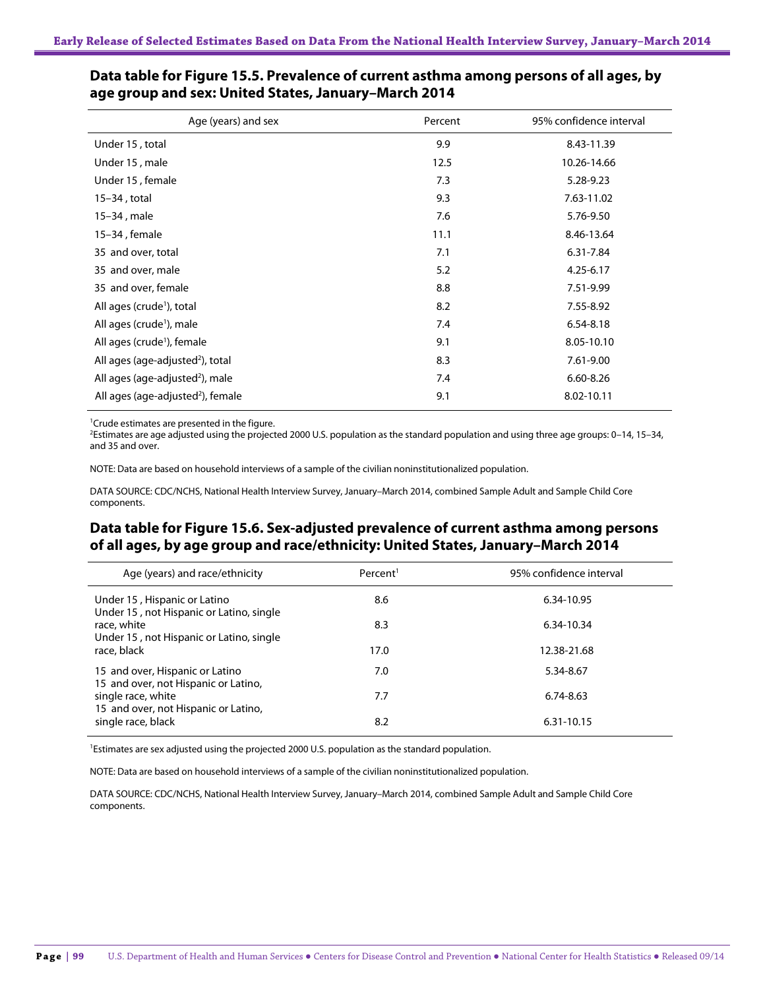| Age (years) and sex                           | Percent | 95% confidence interval |
|-----------------------------------------------|---------|-------------------------|
| Under 15, total                               | 9.9     | 8.43-11.39              |
| Under 15, male                                | 12.5    | 10.26-14.66             |
| Under 15, female                              | 7.3     | 5.28-9.23               |
| 15-34, total                                  | 9.3     | 7.63-11.02              |
| 15-34, male                                   | 7.6     | 5.76-9.50               |
| 15-34, female                                 | 11.1    | 8.46-13.64              |
| 35 and over, total                            | 7.1     | 6.31-7.84               |
| 35 and over, male                             | 5.2     | $4.25 - 6.17$           |
| 35 and over, female                           | 8.8     | 7.51-9.99               |
| All ages (crude <sup>1</sup> ), total         | 8.2     | 7.55-8.92               |
| All ages (crude <sup>1</sup> ), male          | 7.4     | 6.54-8.18               |
| All ages (crude <sup>1</sup> ), female        | 9.1     | 8.05-10.10              |
| All ages (age-adjusted <sup>2</sup> ), total  | 8.3     | 7.61-9.00               |
| All ages (age-adjusted <sup>2</sup> ), male   | 7.4     | $6.60 - 8.26$           |
| All ages (age-adjusted <sup>2</sup> ), female | 9.1     | 8.02-10.11              |

## **Data table for Figure 15.5. Prevalence of current asthma among persons of all ages, by age group and sex: United States, January–March 2014**

<sup>1</sup>Crude estimates are presented in the figure.

2 Estimates are age adjusted using the projected 2000 U.S. population as the standard population and using three age groups: 0–14, 15–34, and 35 and over.

NOTE: Data are based on household interviews of a sample of the civilian noninstitutionalized population.

DATA SOURCE: CDC/NCHS, National Health Interview Survey, January–March 2014, combined Sample Adult and Sample Child Core components.

## **Data table for Figure 15.6. Sex-adjusted prevalence of current asthma among persons of all ages, by age group and race/ethnicity: United States, January–March 2014**

| Age (years) and race/ethnicity                                           | Percent <sup>1</sup> | 95% confidence interval |
|--------------------------------------------------------------------------|----------------------|-------------------------|
| Under 15, Hispanic or Latino<br>Under 15, not Hispanic or Latino, single | 8.6                  | 6.34-10.95              |
| race, white<br>Under 15, not Hispanic or Latino, single                  | 8.3                  | 6.34-10.34              |
| race, black                                                              | 17.0                 | 12.38-21.68             |
| 15 and over, Hispanic or Latino<br>15 and over, not Hispanic or Latino,  | 7.0                  | 5.34-8.67               |
| single race, white<br>15 and over, not Hispanic or Latino,               | 7.7                  | $6.74 - 8.63$           |
| single race, black                                                       | 8.2                  | 6.31-10.15              |

<sup>1</sup>Estimates are sex adjusted using the projected 2000 U.S. population as the standard population.

NOTE: Data are based on household interviews of a sample of the civilian noninstitutionalized population.

DATA SOURCE: CDC/NCHS, National Health Interview Survey, January–March 2014, combined Sample Adult and Sample Child Core components.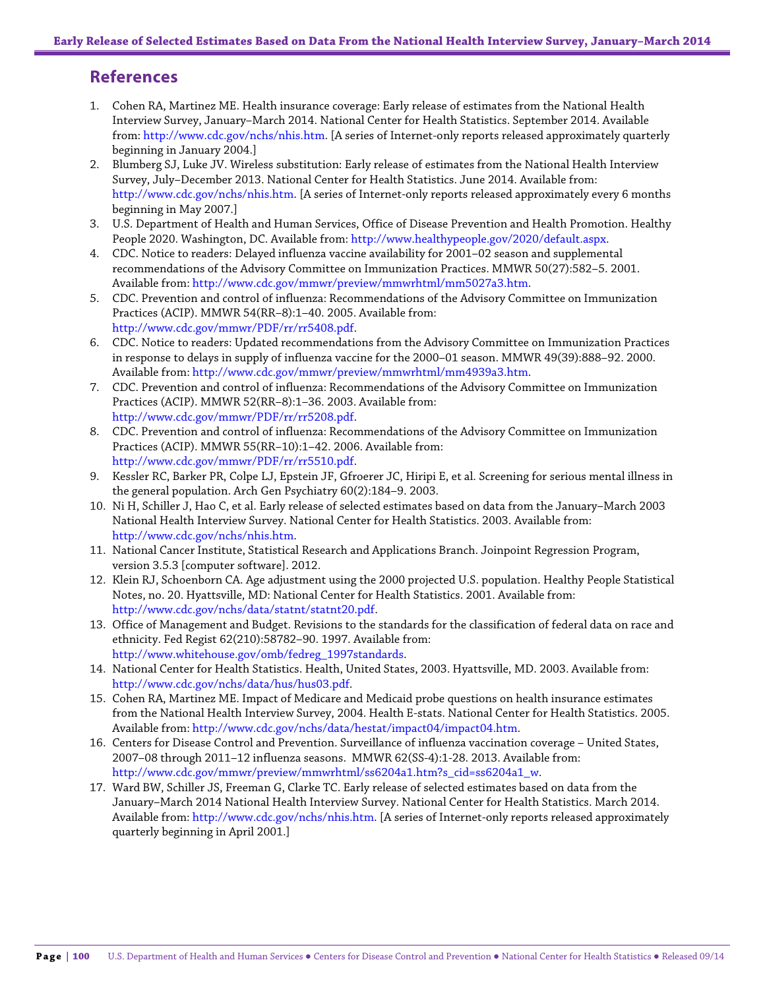# **References**

- 1. Cohen RA, Martinez ME. Health insurance coverage: Early release of estimates from the National Health Interview Survey, January–March 2014. National Center for Health Statistics. September 2014. Available from: [http://www.cdc.gov/nchs/nhis.htm.](http://www.cdc.gov/nchs/nhis.htm) [A series of Internet-only reports released approximately quarterly beginning in January 2004.]
- 2. Blumberg SJ, Luke JV. Wireless substitution: Early release of estimates from the National Health Interview Survey, July–December 2013. National Center for Health Statistics. June 2014. Available from: [http://www.cdc.gov/nchs/nhis.htm.](http://www.cdc.gov/nchs/nhis.htm) [A series of Internet-only reports released approximately every 6 months beginning in May 2007.]
- 3. U.S. Department of Health and Human Services, Office of Disease Prevention and Health Promotion. Healthy People 2020. Washington, DC. Available from: [http://www.healthypeople.gov/2020/default.aspx.](http://www.healthypeople.gov/2020/default.aspx)
- 4. CDC. Notice to readers: Delayed influenza vaccine availability for 2001–02 season and supplemental recommendations of the Advisory Committee on Immunization Practices. MMWR 50(27):582–5. 2001. Available from[: http://www.cdc.gov/mmwr/preview/mmwrhtml/mm5027a3.htm.](http://www.cdc.gov/mmwr/preview/mmwrhtml/mm5027a3.htm)
- 5. CDC. Prevention and control of influenza: Recommendations of the Advisory Committee on Immunization Practices (ACIP). MMWR 54(RR–8):1–40. 2005. Available from: [http://www.cdc.gov/mmwr/PDF/rr/rr5408.pdf.](http://www.cdc.gov/mmwr/PDF/rr/rr5408.pdf)
- 6. CDC. Notice to readers: Updated recommendations from the Advisory Committee on Immunization Practices in response to delays in supply of influenza vaccine for the 2000–01 season. MMWR 49(39):888–92. 2000. Available from[: http://www.cdc.gov/mmwr/preview/mmwrhtml/mm4939a3.htm.](http://www.cdc.gov/mmwr/preview/mmwrhtml/mm4939a3.htm)
- 7. CDC. Prevention and control of influenza: Recommendations of the Advisory Committee on Immunization Practices (ACIP). MMWR 52(RR–8):1–36. 2003. Available from: [http://www.cdc.gov/mmwr/PDF/rr/rr5208.pdf.](http://www.cdc.gov/mmwr/PDF/rr/rr5208.pdf)
- 8. CDC. Prevention and control of influenza: Recommendations of the Advisory Committee on Immunization Practices (ACIP). MMWR 55(RR–10):1–42. 2006. Available from: [http://www.cdc.gov/mmwr/PDF/rr/rr5510.pdf.](http://www.cdc.gov/mmwr/PDF/rr/rr5510.pdf)
- 9. Kessler RC, Barker PR, Colpe LJ, Epstein JF, Gfroerer JC, Hiripi E, et al. Screening for serious mental illness in the general population. Arch Gen Psychiatry 60(2):184–9. 2003.
- 10. Ni H, Schiller J, Hao C, et al. Early release of selected estimates based on data from the January–March 2003 National Health Interview Survey. National Center for Health Statistics. 2003. Available from: [http://www.cdc.gov/nchs/nhis.htm.](http://www.cdc.gov/nchs/nhis.htm)
- 11. National Cancer Institute, Statistical Research and Applications Branch. Joinpoint Regression Program, version 3.5.3 [computer software]. 2012.
- 12. Klein RJ, Schoenborn CA. Age adjustment using the 2000 projected U.S. population. Healthy People Statistical Notes, no. 20. Hyattsville, MD: National Center for Health Statistics. 2001. Available from: [http://www.cdc.gov/nchs/data/statnt/statnt20.pdf.](http://www.cdc.gov/nchs/data/statnt/statnt20.pdf)
- 13. Office of Management and Budget. Revisions to the standards for the classification of federal data on race and ethnicity. Fed Regist 62(210):58782–90. 1997. Available from: [http://www.whitehouse.gov/omb/fedreg\\_1997standards.](http://www.whitehouse.gov/omb/fedreg_1997standards)
- 14. National Center for Health Statistics. Health, United States, 2003. Hyattsville, MD. 2003. Available from: [http://www.cdc.gov/nchs/data/hus/hus03.pdf.](http://www.cdc.gov/nchs/data/hus/hus03.pdf)
- 15. Cohen RA, Martinez ME. Impact of Medicare and Medicaid probe questions on health insurance estimates from the National Health Interview Survey, 2004. Health E-stats. National Center for Health Statistics. 2005. Available from[: http://www.cdc.gov/nchs/data/hestat/impact04/impact04.htm.](http://www.cdc.gov/nchs/data/hestat/impact04/impact04.htm)
- 16. Centers for Disease Control and Prevention. Surveillance of influenza vaccination coverage United States, 2007–08 through 2011–12 influenza seasons. MMWR 62(SS-4):1-28. 2013. Available from: [http://www.cdc.gov/mmwr/preview/mmwrhtml/ss6204a1.htm?s\\_cid=ss6204a1\\_w.](http://www.cdc.gov/mmwr/preview/mmwrhtml/ss6204a1.htm?s_cid=ss6204a1_w)
- 17. Ward BW, Schiller JS, Freeman G, Clarke TC. Early release of selected estimates based on data from the January–March 2014 National Health Interview Survey. National Center for Health Statistics. March 2014. Available from: [http://www.cdc.gov/nchs/nhis.htm.](http://www.cdc.gov/nchs/nhis.htm) [A series of Internet-only reports released approximately quarterly beginning in April 2001.]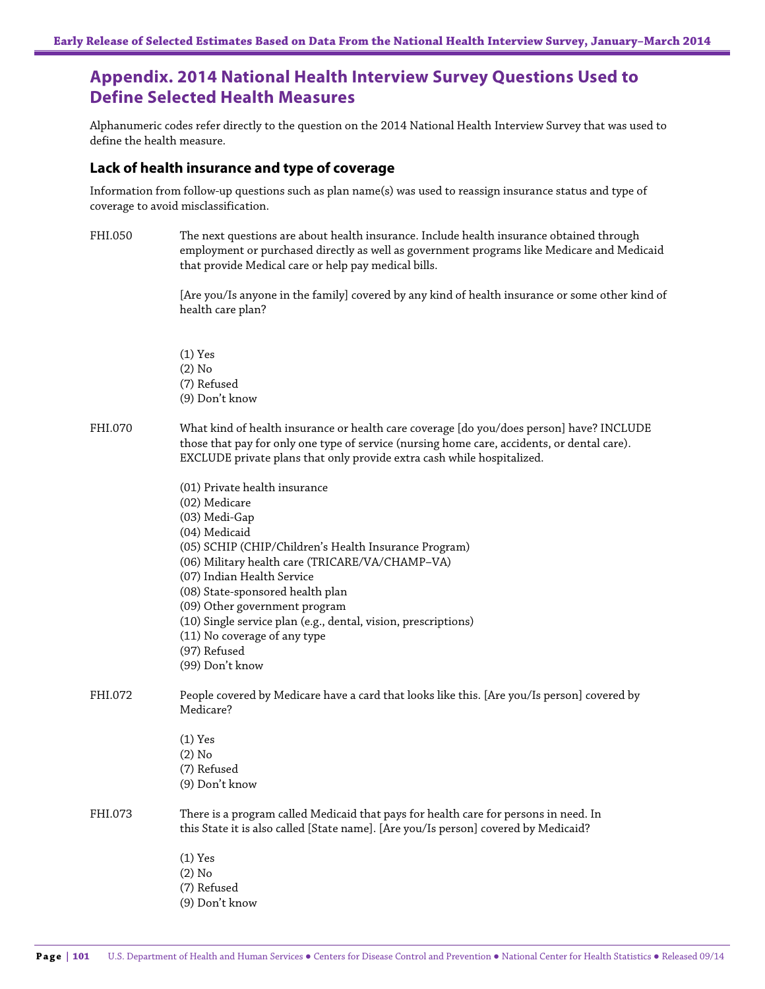# **Appendix. 2014 National Health Interview Survey Questions Used to Define Selected Health Measures**

Alphanumeric codes refer directly to the question on the 2014 National Health Interview Survey that was used to define the health measure.

#### **Lack of health insurance and type of coverage**

Information from follow-up questions such as plan name(s) was used to reassign insurance status and type of coverage to avoid misclassification.

FHI.050 The next questions are about health insurance. Include health insurance obtained through employment or purchased directly as well as government programs like Medicare and Medicaid that provide Medical care or help pay medical bills.

> [Are you/Is anyone in the family] covered by any kind of health insurance or some other kind of health care plan?

(1) Yes (2) No (7) Refused (9) Don't know

FHI.070 What kind of health insurance or health care coverage [do you/does person] have? INCLUDE those that pay for only one type of service (nursing home care, accidents, or dental care). EXCLUDE private plans that only provide extra cash while hospitalized.

|         | (01) Private health insurance                                                               |
|---------|---------------------------------------------------------------------------------------------|
|         | (02) Medicare                                                                               |
|         | (03) Medi-Gap                                                                               |
|         | (04) Medicaid                                                                               |
|         | (05) SCHIP (CHIP/Children's Health Insurance Program)                                       |
|         | (06) Military health care (TRICARE/VA/CHAMP-VA)                                             |
|         | (07) Indian Health Service                                                                  |
|         | (08) State-sponsored health plan                                                            |
|         | (09) Other government program                                                               |
|         | (10) Single service plan (e.g., dental, vision, prescriptions)                              |
|         | (11) No coverage of any type                                                                |
|         | (97) Refused                                                                                |
|         | (99) Don't know                                                                             |
| FHI.072 | People covered by Medicare have a card that looks like this. [Are you/Is person] covered by |
|         | Medicare?                                                                                   |
|         | $(1)$ Yes                                                                                   |
|         | $(2)$ No                                                                                    |
|         | (7) Refused                                                                                 |
|         | (9) Don't know                                                                              |
| FHI.073 | There is a program called Medicaid that pays for health care for persons in need. In        |
|         | this State it is also called [State name]. [Are you/Is person] covered by Medicaid?         |
|         | $(1)$ Yes                                                                                   |
|         | $(2)$ No                                                                                    |
|         | (7) Refused                                                                                 |
|         | (9) Don't know                                                                              |
|         |                                                                                             |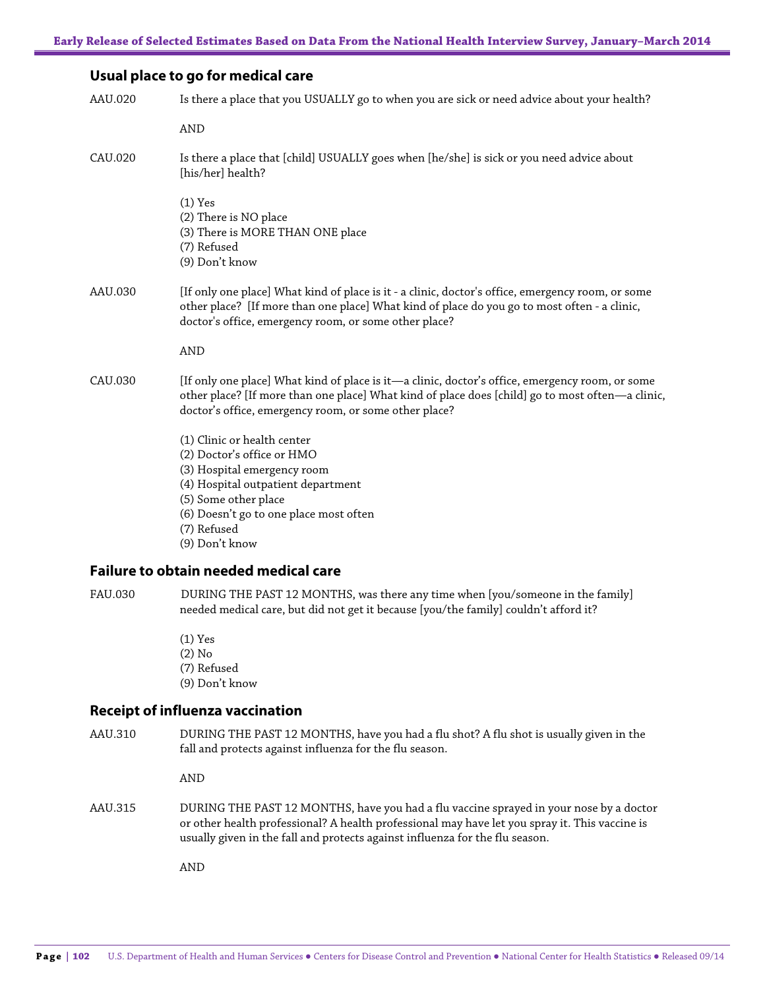#### **Usual place to go for medical care**

| AAU.020        | Is there a place that you USUALLY go to when you are sick or need advice about your health?                                                                                                                                                                  |
|----------------|--------------------------------------------------------------------------------------------------------------------------------------------------------------------------------------------------------------------------------------------------------------|
|                | <b>AND</b>                                                                                                                                                                                                                                                   |
| CAU.020        | Is there a place that [child] USUALLY goes when [he/she] is sick or you need advice about<br>[his/her] health?                                                                                                                                               |
|                | $(1)$ Yes<br>(2) There is NO place<br>(3) There is MORE THAN ONE place<br>(7) Refused<br>(9) Don't know                                                                                                                                                      |
| AAU.030        | [If only one place] What kind of place is it - a clinic, doctor's office, emergency room, or some<br>other place? [If more than one place] What kind of place do you go to most often - a clinic,<br>doctor's office, emergency room, or some other place?   |
|                | <b>AND</b>                                                                                                                                                                                                                                                   |
| CAU.030        | [If only one place] What kind of place is it-a clinic, doctor's office, emergency room, or some<br>other place? [If more than one place] What kind of place does [child] go to most often—a clinic,<br>doctor's office, emergency room, or some other place? |
|                | (1) Clinic or health center<br>(2) Doctor's office or HMO<br>(3) Hospital emergency room<br>(4) Hospital outpatient department<br>(5) Some other place<br>(6) Doesn't go to one place most often<br>(7) Refused<br>(9) Don't know                            |
|                | <b>Failure to obtain needed medical care</b>                                                                                                                                                                                                                 |
| <b>EATLOPO</b> | DIDING THE DACT 10 MONTHC rue thay entering when rue comeans in the family                                                                                                                                                                                   |

FAU.030 DURING THE PAST 12 MONTHS, was there any time when [you/someone in the family] needed medical care, but did not get it because [you/the family] couldn't afford it?

> (1) Yes (2) No (7) Refused (9) Don't know

## **Receipt of influenza vaccination**

AAU.310 DURING THE PAST 12 MONTHS, have you had a flu shot? A flu shot is usually given in the fall and protects against influenza for the flu season.

AND

AAU.315 DURING THE PAST 12 MONTHS, have you had a flu vaccine sprayed in your nose by a doctor or other health professional? A health professional may have let you spray it. This vaccine is usually given in the fall and protects against influenza for the flu season.

AND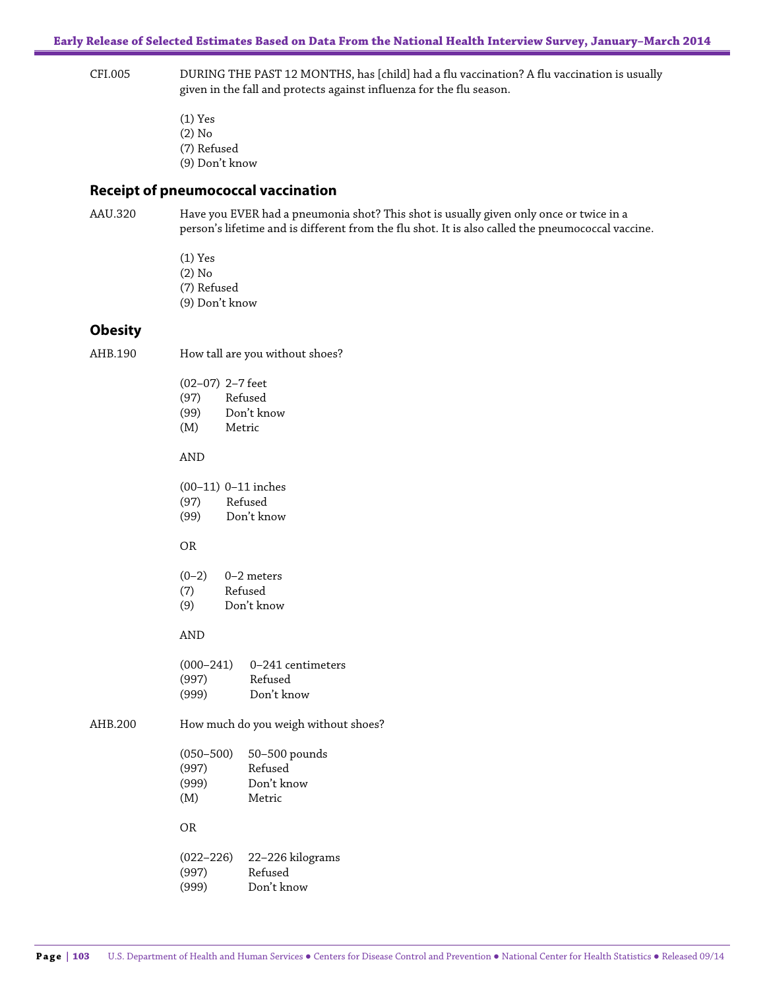#### CFI.005 DURING THE PAST 12 MONTHS, has [child] had a flu vaccination? A flu vaccination is usually given in the fall and protects against influenza for the flu season.

(1) Yes (2) No (7) Refused (9) Don't know

#### **Receipt of pneumococcal vaccination**

AAU.320 Have you EVER had a pneumonia shot? This shot is usually given only once or twice in a person's lifetime and is different from the flu shot. It is also called the pneumococcal vaccine.

> (1) Yes (2) No (7) Refused (9) Don't know

#### **Obesity**

AHB.190 How tall are you without shoes?

|      | $(02-07)$ 2-7 feet |
|------|--------------------|
| (97) | Refused            |
| (99) | Don't know         |
| (M)  | Metric             |
|      |                    |

#### AND

(00–11) 0–11 inches

(97) Refused

(99) Don't know

#### OR

| $(0-2)$ | $0-2$ meters |
|---------|--------------|
|         |              |

- (7) Refused
- (9) Don't know

#### AND

| $0 - 241$ centimeters |
|-----------------------|
| Refused               |
| Don't know            |
|                       |

AHB.200 How much do you weigh without shoes?

| $(050 - 500)$ | 50-500 pounds |
|---------------|---------------|
| (997)         | Refused       |
| (999)         | Don't know    |
| (M)           | Metric        |

#### OR

| $(022 - 226)$ | 22–226 kilograms |
|---------------|------------------|
| (997)         | Refused          |
| (999)         | Don't know       |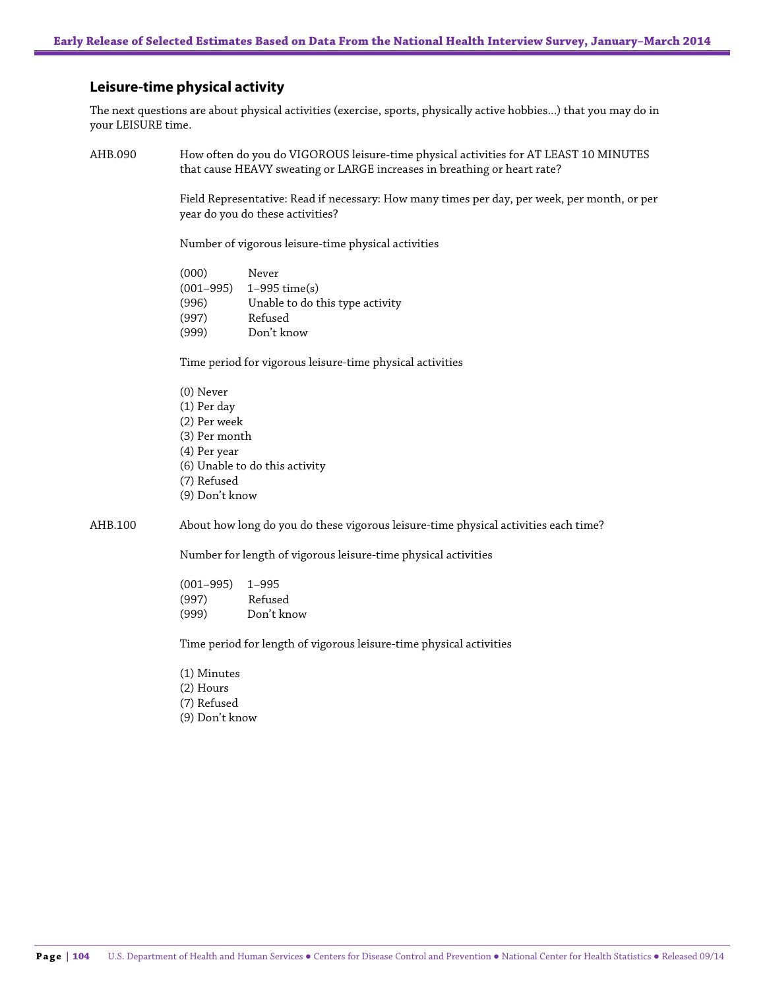#### **Leisure-time physical activity**

The next questions are about physical activities (exercise, sports, physically active hobbies...) that you may do in your LEISURE time.

AHB.090 How often do you do VIGOROUS leisure-time physical activities for AT LEAST 10 MINUTES that cause HEAVY sweating or LARGE increases in breathing or heart rate?

> Field Representative: Read if necessary: How many times per day, per week, per month, or per year do you do these activities?

Number of vigorous leisure-time physical activities

(000) Never (001–995) 1–995 time(s) (996) Unable to do this type activity (997) Refused (999) Don't know

Time period for vigorous leisure-time physical activities

(0) Never (1) Per day (2) Per week (3) Per month (4) Per year (6) Unable to do this activity (7) Refused (9) Don't know

AHB.100 About how long do you do these vigorous leisure-time physical activities each time?

Number for length of vigorous leisure-time physical activities

(001–995) 1–995 (997) Refused (999) Don't know

Time period for length of vigorous leisure-time physical activities

- (1) Minutes
- (2) Hours
- (7) Refused
- (9) Don't know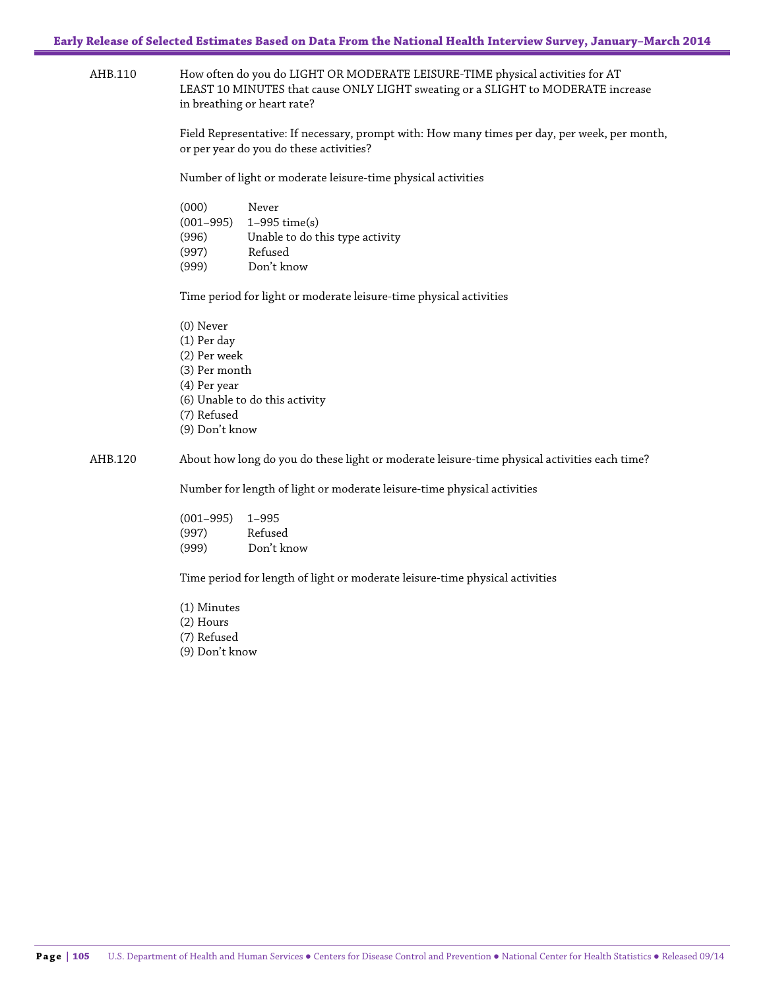AHB.110 How often do you do LIGHT OR MODERATE LEISURE-TIME physical activities for AT LEAST 10 MINUTES that cause ONLY LIGHT sweating or a SLIGHT to MODERATE increase in breathing or heart rate?

> Field Representative: If necessary, prompt with: How many times per day, per week, per month, or per year do you do these activities?

Number of light or moderate leisure-time physical activities

| (000)         | Never                           |
|---------------|---------------------------------|
| $(001 - 995)$ | $1-995$ time(s)                 |
| (996)         | Unable to do this type activity |
| (997)         | Refused                         |
| (999)         | Don't know                      |

Time period for light or moderate leisure-time physical activities

(0) Never (1) Per day (2) Per week (3) Per month (4) Per year (6) Unable to do this activity (7) Refused (9) Don't know

#### AHB.120 About how long do you do these light or moderate leisure-time physical activities each time?

Number for length of light or moderate leisure-time physical activities

(001–995) 1–995 (997) Refused (999) Don't know

Time period for length of light or moderate leisure-time physical activities

(1) Minutes (2) Hours (7) Refused (9) Don't know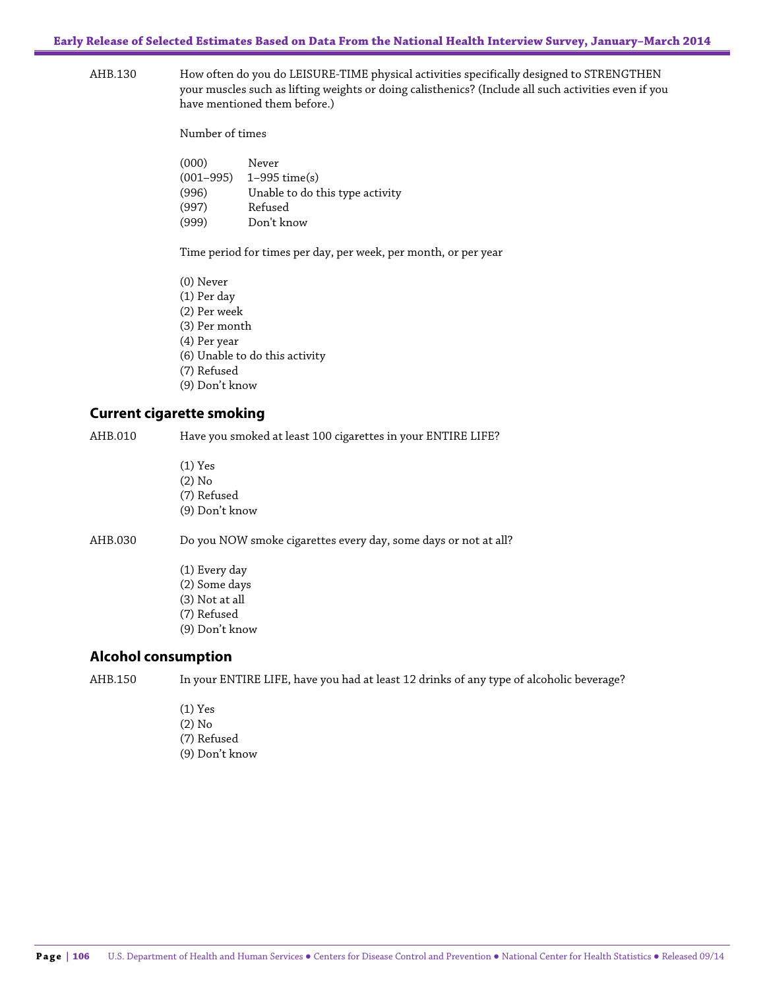**Early Release of Selected Estimates Based on Data From the National Health Interview Survey, January–March 2014**

AHB.130 How often do you do LEISURE-TIME physical activities specifically designed to STRENGTHEN your muscles such as lifting weights or doing calisthenics? (Include all such activities even if you have mentioned them before.)

Number of times

| (000)         | Never                           |
|---------------|---------------------------------|
| $(001 - 995)$ | $1-995$ time(s)                 |
| (996)         | Unable to do this type activity |
| (997)         | Refused                         |
| (999)         | Don't know                      |

Time period for times per day, per week, per month, or per year

(0) Never (1) Per day (2) Per week (3) Per month (4) Per year (6) Unable to do this activity (7) Refused (9) Don't know

#### **Current cigarette smoking**

AHB.010 Have you smoked at least 100 cigarettes in your ENTIRE LIFE?

(1) Yes (2) No (7) Refused (9) Don't know

AHB.030 Do you NOW smoke cigarettes every day, some days or not at all?

(1) Every day (2) Some days (3) Not at all (7) Refused (9) Don't know

#### **Alcohol consumption**

AHB.150 In your ENTIRE LIFE, have you had at least 12 drinks of any type of alcoholic beverage?

(1) Yes (2) No (7) Refused (9) Don't know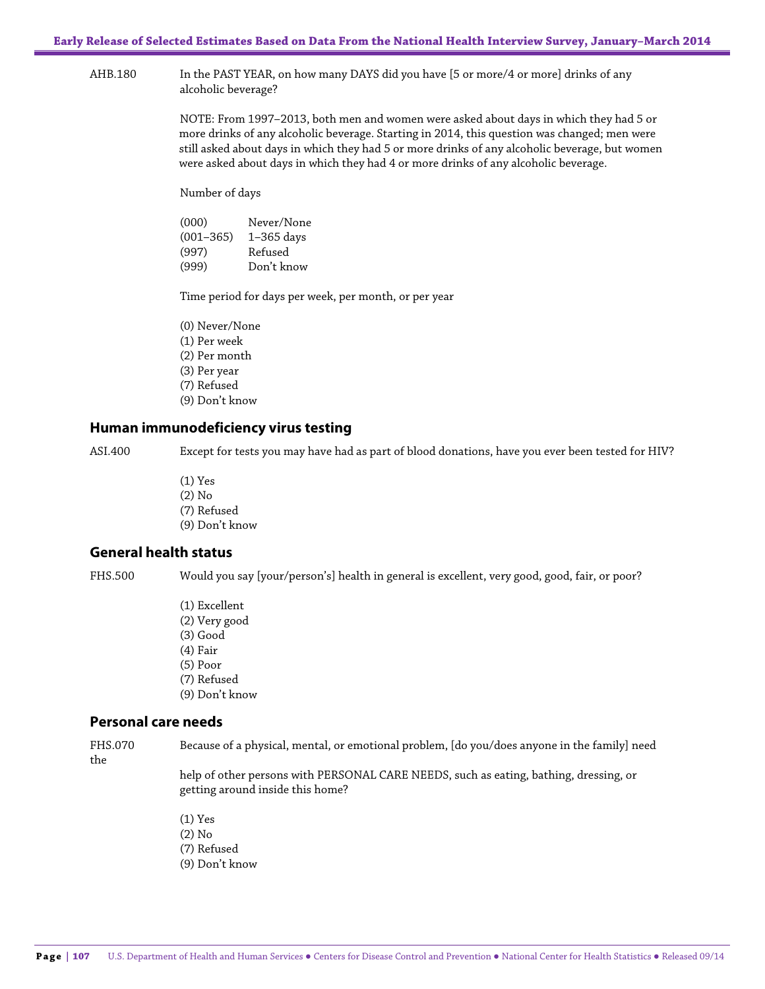AHB.180 In the PAST YEAR, on how many DAYS did you have [5 or more/4 or more] drinks of any alcoholic beverage?

> NOTE: From 1997–2013, both men and women were asked about days in which they had 5 or more drinks of any alcoholic beverage. Starting in 2014, this question was changed; men were still asked about days in which they had 5 or more drinks of any alcoholic beverage, but women were asked about days in which they had 4 or more drinks of any alcoholic beverage.

Number of days

(000) Never/None (001–365) 1–365 days (997) Refused (999) Don't know

Time period for days per week, per month, or per year

(0) Never/None (1) Per week (2) Per month (3) Per year (7) Refused (9) Don't know

#### **Human immunodeficiency virus testing**

ASI.400 Except for tests you may have had as part of blood donations, have you ever been tested for HIV?

(1) Yes (2) No (7) Refused (9) Don't know

### **General health status**

FHS.500 Would you say [your/person's] health in general is excellent, very good, good, fair, or poor?

(1) Excellent (2) Very good (3) Good (4) Fair (5) Poor (7) Refused (9) Don't know

# **Personal care needs**

the

FHS.070 Because of a physical, mental, or emotional problem, [do you/does anyone in the family] need

help of other persons with PERSONAL CARE NEEDS, such as eating, bathing, dressing, or getting around inside this home?

(1) Yes (2) No (7) Refused (9) Don't know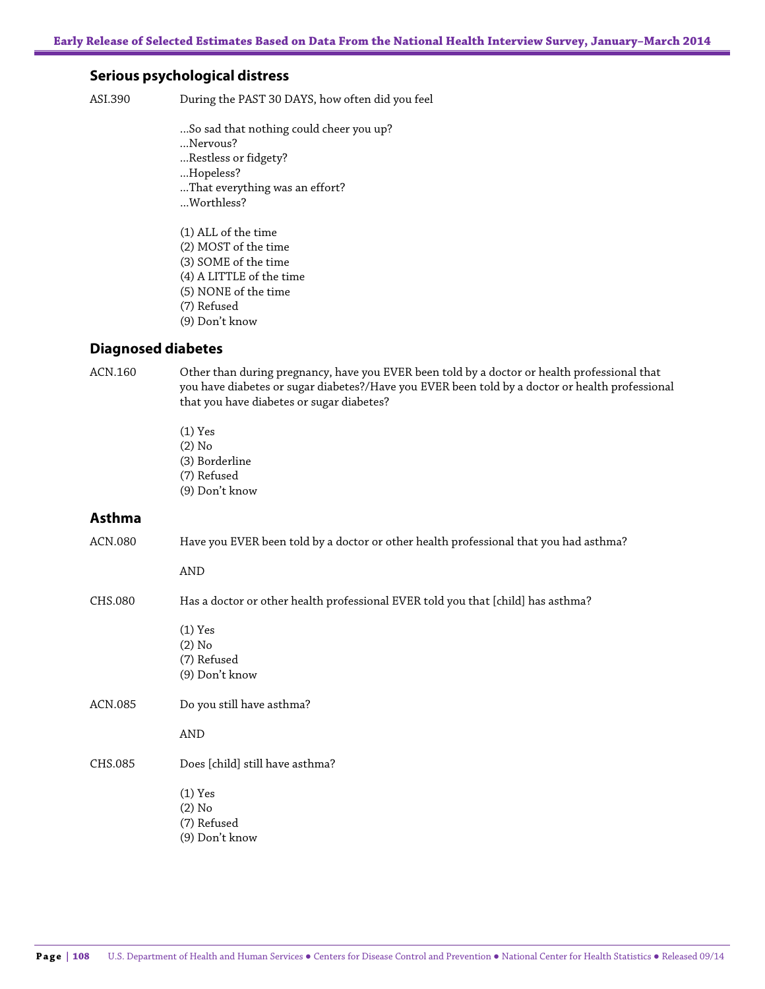#### **Serious psychological distress**

ASI.390 During the PAST 30 DAYS, how often did you feel

- ...So sad that nothing could cheer you up?
- ...Nervous?
- ...Restless or fidgety?
- ...Hopeless?
- ...That everything was an effort?
- ...Worthless?
- (1) ALL of the time
- (2) MOST of the time
- (3) SOME of the time
- (4) A LITTLE of the time
- (5) NONE of the time
- (7) Refused
- (9) Don't know

#### **Diagnosed diabetes**

ACN.160 Other than during pregnancy, have you EVER been told by a doctor or health professional that you have diabetes or sugar diabetes?/Have you EVER been told by a doctor or health professional that you have diabetes or sugar diabetes?

- (1) Yes (2) No (3) Borderline
- (7) Refused
- (9) Don't know

#### **Asthma**

ACN.080 Have you EVER been told by a doctor or other health professional that you had asthma? AND CHS.080 Has a doctor or other health professional EVER told you that [child] has asthma? (1) Yes (2) No (7) Refused (9) Don't know ACN.085 Do you still have asthma? AND CHS.085 Does [child] still have asthma? (1) Yes (2) No (7) Refused (9) Don't know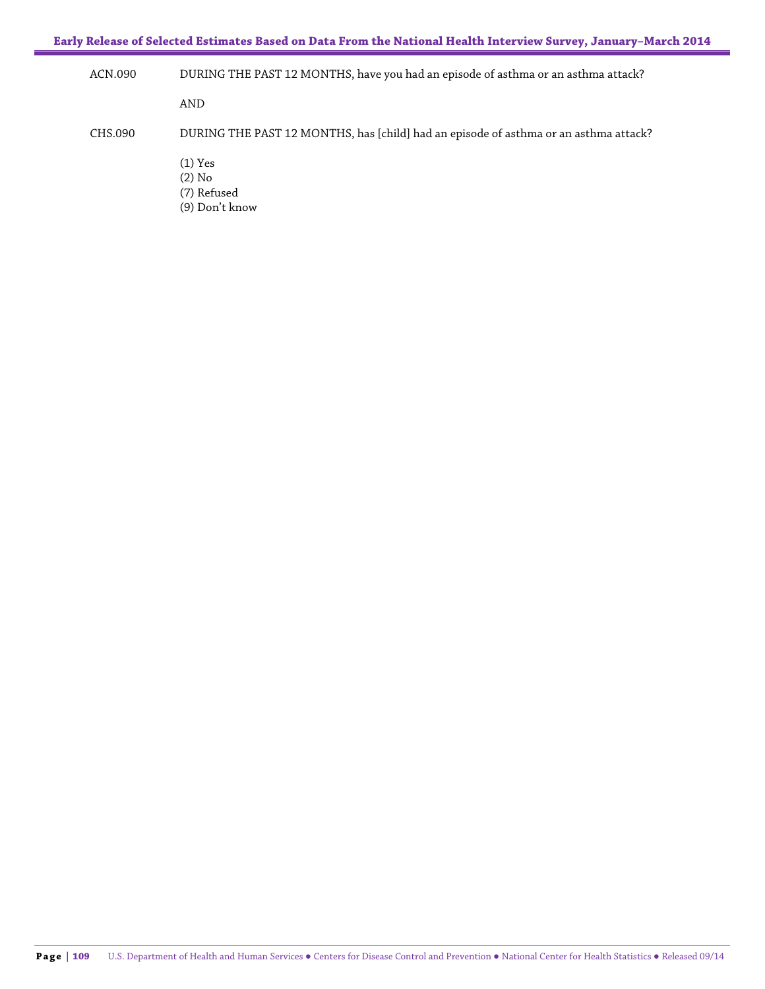**Early Release of Selected Estimates Based on Data From the National Health Interview Survey, January–March 2014**

ACN.090 DURING THE PAST 12 MONTHS, have you had an episode of asthma or an asthma attack? AND CHS.090 DURING THE PAST 12 MONTHS, has [child] had an episode of asthma or an asthma attack? (1) Yes (2) No (7) Refused

(9) Don't know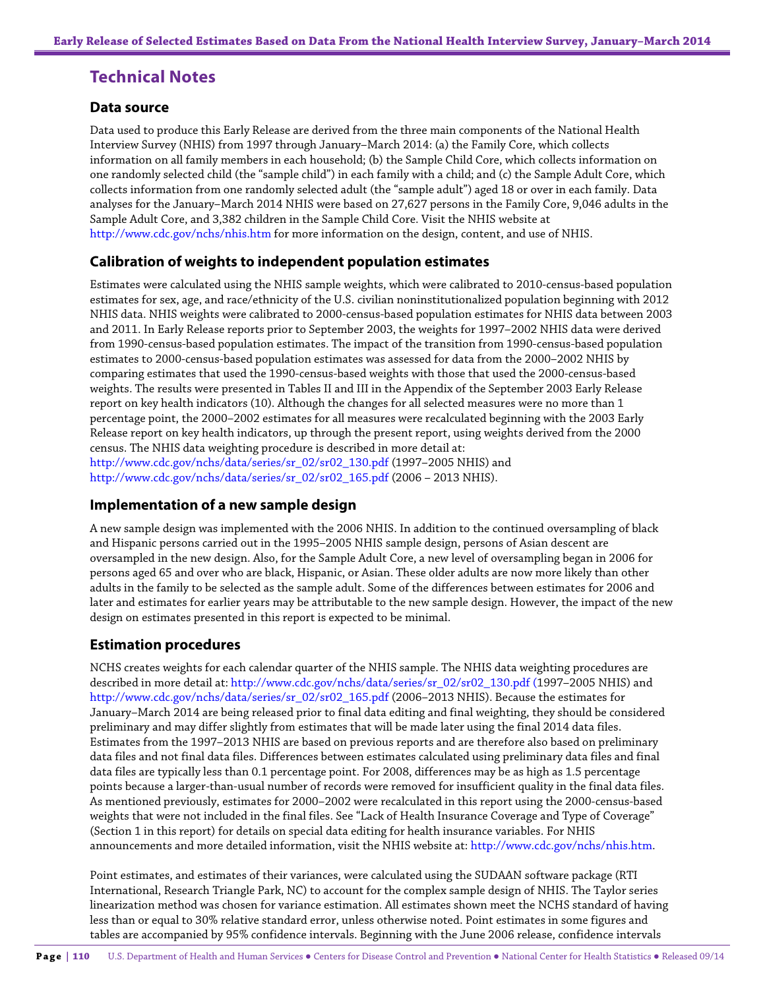# **Technical Notes**

#### **Data source**

Data used to produce this Early Release are derived from the three main components of the National Health Interview Survey (NHIS) from 1997 through January–March 2014: (a) the Family Core, which collects information on all family members in each household; (b) the Sample Child Core, which collects information on one randomly selected child (the "sample child") in each family with a child; and (c) the Sample Adult Core, which collects information from one randomly selected adult (the "sample adult") aged 18 or over in each family. Data analyses for the January–March 2014 NHIS were based on 27,627 persons in the Family Core, 9,046 adults in the Sample Adult Core, and 3,382 children in the Sample Child Core. Visit the NHIS website at <http://www.cdc.gov/nchs/nhis.htm> for more information on the design, content, and use of NHIS.

# **Calibration of weights to independent population estimates**

Estimates were calculated using the NHIS sample weights, which were calibrated to 2010-census-based population estimates for sex, age, and race/ethnicity of the U.S. civilian noninstitutionalized population beginning with 2012 NHIS data. NHIS weights were calibrated to 2000-census-based population estimates for NHIS data between 2003 and 2011. In Early Release reports prior to September 2003, the weights for 1997–2002 NHIS data were derived from 1990-census-based population estimates. The impact of the transition from 1990-census-based population estimates to 2000-census-based population estimates was assessed for data from the 2000–2002 NHIS by comparing estimates that used the 1990-census-based weights with those that used the 2000-census-based weights. The results were presented in Tables II and III in the Appendix of the September 2003 Early Release report on key health indicators (10). Although the changes for all selected measures were no more than 1 percentage point, the 2000–2002 estimates for all measures were recalculated beginning with the 2003 Early Release report on key health indicators, up through the present report, using weights derived from the 2000 census. The NHIS data weighting procedure is described in more detail at: [http://www.cdc.gov/nchs/data/series/sr\\_02/sr02\\_130.pdf](http://www.cdc.gov/nchs/data/series/sr_02/sr02_130.pdf) (1997–2005 NHIS) and [http://www.cdc.gov/nchs/data/series/sr\\_02/sr02\\_165.pdf](http://www.cdc.gov/nchs/data/series/sr_02/sr02_165.pdf) (2006 – 2013 NHIS).

### **Implementation of a new sample design**

A new sample design was implemented with the 2006 NHIS. In addition to the continued oversampling of black and Hispanic persons carried out in the 1995–2005 NHIS sample design, persons of Asian descent are oversampled in the new design. Also, for the Sample Adult Core, a new level of oversampling began in 2006 for persons aged 65 and over who are black, Hispanic, or Asian. These older adults are now more likely than other adults in the family to be selected as the sample adult. Some of the differences between estimates for 2006 and later and estimates for earlier years may be attributable to the new sample design. However, the impact of the new design on estimates presented in this report is expected to be minimal.

#### **Estimation procedures**

NCHS creates weights for each calendar quarter of the NHIS sample. The NHIS data weighting procedures are described in more detail at: [http://www.cdc.gov/nchs/data/series/sr\\_02/sr02\\_130.pdf](http://www.cdc.gov/nchs/data/series/sr_02/sr02_130.pdf) (1997–2005 NHIS) and [http://www.cdc.gov/nchs/data/series/sr\\_02/sr02\\_165.pdf](http://www.cdc.gov/nchs/data/series/sr_02/sr02_165.pdf) (2006–2013 NHIS). Because the estimates for January–March 2014 are being released prior to final data editing and final weighting, they should be considered preliminary and may differ slightly from estimates that will be made later using the final 2014 data files. Estimates from the 1997–2013 NHIS are based on previous reports and are therefore also based on preliminary data files and not final data files. Differences between estimates calculated using preliminary data files and final data files are typically less than 0.1 percentage point. For 2008, differences may be as high as 1.5 percentage points because a larger-than-usual number of records were removed for insufficient quality in the final data files. As mentioned previously, estimates for 2000–2002 were recalculated in this report using the 2000-census-based weights that were not included in the final files. See "Lack of Health Insurance Coverage and Type of Coverage" (Section 1 in this report) for details on special data editing for health insurance variables. For NHIS announcements and more detailed information, visit the NHIS website at: [http://www.cdc.gov/nchs/nhis.htm.](http://www.cdc.gov/nchs/nhis.htm)

Point estimates, and estimates of their variances, were calculated using the SUDAAN software package (RTI International, Research Triangle Park, NC) to account for the complex sample design of NHIS. The Taylor series linearization method was chosen for variance estimation. All estimates shown meet the NCHS standard of having less than or equal to 30% relative standard error, unless otherwise noted. Point estimates in some figures and tables are accompanied by 95% confidence intervals. Beginning with the June 2006 release, confidence intervals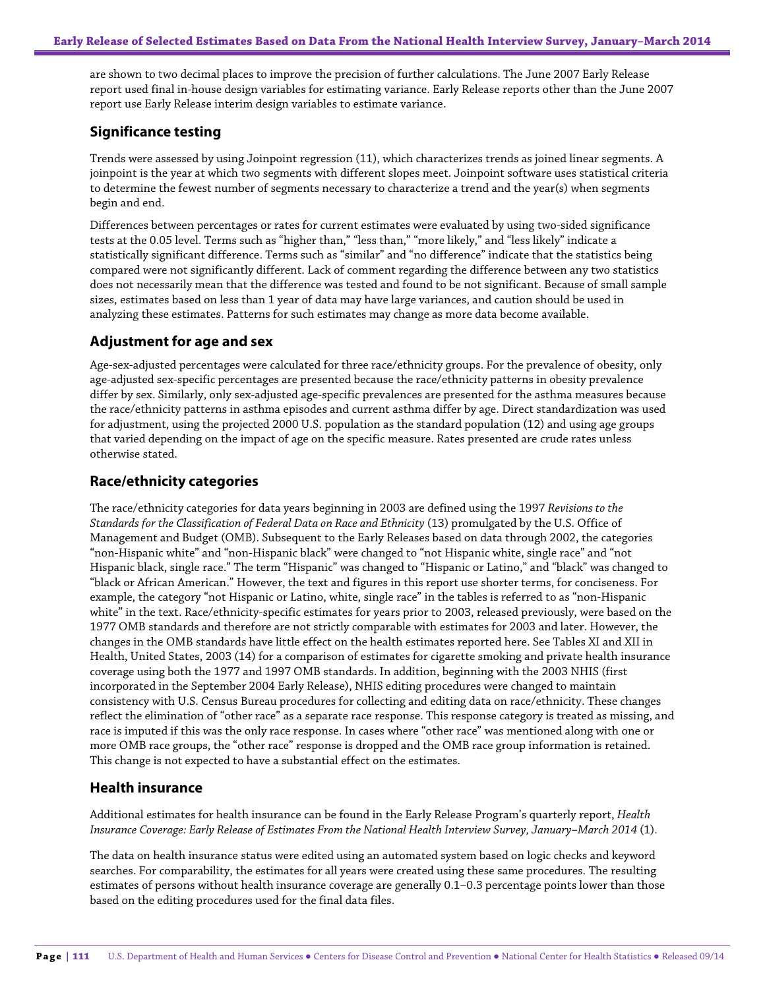are shown to two decimal places to improve the precision of further calculations. The June 2007 Early Release report used final in-house design variables for estimating variance. Early Release reports other than the June 2007 report use Early Release interim design variables to estimate variance.

# **Significance testing**

Trends were assessed by using Joinpoint regression (11), which characterizes trends as joined linear segments. A joinpoint is the year at which two segments with different slopes meet. Joinpoint software uses statistical criteria to determine the fewest number of segments necessary to characterize a trend and the year(s) when segments begin and end.

Differences between percentages or rates for current estimates were evaluated by using two-sided significance tests at the 0.05 level. Terms such as "higher than," "less than," "more likely," and "less likely" indicate a statistically significant difference. Terms such as "similar" and "no difference" indicate that the statistics being compared were not significantly different. Lack of comment regarding the difference between any two statistics does not necessarily mean that the difference was tested and found to be not significant. Because of small sample sizes, estimates based on less than 1 year of data may have large variances, and caution should be used in analyzing these estimates. Patterns for such estimates may change as more data become available.

### **Adjustment for age and sex**

Age-sex-adjusted percentages were calculated for three race/ethnicity groups. For the prevalence of obesity, only age-adjusted sex-specific percentages are presented because the race/ethnicity patterns in obesity prevalence differ by sex. Similarly, only sex-adjusted age-specific prevalences are presented for the asthma measures because the race/ethnicity patterns in asthma episodes and current asthma differ by age. Direct standardization was used for adjustment, using the projected 2000 U.S. population as the standard population (12) and using age groups that varied depending on the impact of age on the specific measure. Rates presented are crude rates unless otherwise stated.

# **Race/ethnicity categories**

The race/ethnicity categories for data years beginning in 2003 are defined using the 1997 *Revisions to the Standards for the Classification of Federal Data on Race and Ethnicity* (13) promulgated by the U.S. Office of Management and Budget (OMB). Subsequent to the Early Releases based on data through 2002, the categories "non-Hispanic white" and "non-Hispanic black" were changed to "not Hispanic white, single race" and "not Hispanic black, single race." The term "Hispanic" was changed to "Hispanic or Latino," and "black" was changed to "black or African American." However, the text and figures in this report use shorter terms, for conciseness. For example, the category "not Hispanic or Latino, white, single race" in the tables is referred to as "non-Hispanic white" in the text. Race/ethnicity-specific estimates for years prior to 2003, released previously, were based on the 1977 OMB standards and therefore are not strictly comparable with estimates for 2003 and later. However, the changes in the OMB standards have little effect on the health estimates reported here. See Tables XI and XII in Health, United States, 2003 (14) for a comparison of estimates for cigarette smoking and private health insurance coverage using both the 1977 and 1997 OMB standards. In addition, beginning with the 2003 NHIS (first incorporated in the September 2004 Early Release), NHIS editing procedures were changed to maintain consistency with U.S. Census Bureau procedures for collecting and editing data on race/ethnicity. These changes reflect the elimination of "other race" as a separate race response. This response category is treated as missing, and race is imputed if this was the only race response. In cases where "other race" was mentioned along with one or more OMB race groups, the "other race" response is dropped and the OMB race group information is retained. This change is not expected to have a substantial effect on the estimates.

### **Health insurance**

Additional estimates for health insurance can be found in the Early Release Program's quarterly report, *Health Insurance Coverage: Early Release of Estimates From the National Health Interview Survey, January–March 2014* (1).

The data on health insurance status were edited using an automated system based on logic checks and keyword searches. For comparability, the estimates for all years were created using these same procedures. The resulting estimates of persons without health insurance coverage are generally 0.1–0.3 percentage points lower than those based on the editing procedures used for the final data files.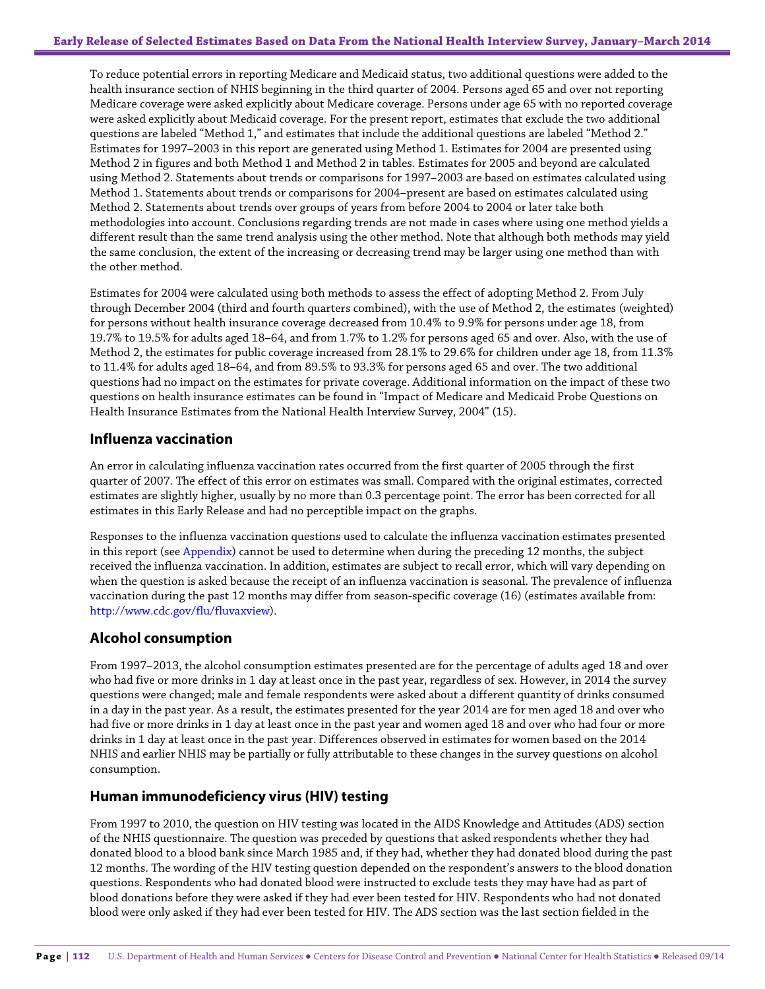To reduce potential errors in reporting Medicare and Medicaid status, two additional questions were added to the health insurance section of NHIS beginning in the third quarter of 2004. Persons aged 65 and over not reporting Medicare coverage were asked explicitly about Medicare coverage. Persons under age 65 with no reported coverage were asked explicitly about Medicaid coverage. For the present report, estimates that exclude the two additional questions are labeled "Method 1," and estimates that include the additional questions are labeled "Method 2." Estimates for 1997–2003 in this report are generated using Method 1. Estimates for 2004 are presented using Method 2 in figures and both Method 1 and Method 2 in tables. Estimates for 2005 and beyond are calculated using Method 2. Statements about trends or comparisons for 1997–2003 are based on estimates calculated using Method 1. Statements about trends or comparisons for 2004–present are based on estimates calculated using Method 2. Statements about trends over groups of years from before 2004 to 2004 or later take both methodologies into account. Conclusions regarding trends are not made in cases where using one method yields a different result than the same trend analysis using the other method. Note that although both methods may yield the same conclusion, the extent of the increasing or decreasing trend may be larger using one method than with the other method.

Estimates for 2004 were calculated using both methods to assess the effect of adopting Method 2. From July through December 2004 (third and fourth quarters combined), with the use of Method 2, the estimates (weighted) for persons without health insurance coverage decreased from 10.4% to 9.9% for persons under age 18, from 19.7% to 19.5% for adults aged 18–64, and from 1.7% to 1.2% for persons aged 65 and over. Also, with the use of Method 2, the estimates for public coverage increased from 28.1% to 29.6% for children under age 18, from 11.3% to 11.4% for adults aged 18–64, and from 89.5% to 93.3% for persons aged 65 and over. The two additional questions had no impact on the estimates for private coverage. Additional information on the impact of these two questions on health insurance estimates can be found in "Impact of Medicare and Medicaid Probe Questions on Health Insurance Estimates from the National Health Interview Survey, 2004" (15).

# **Influenza vaccination**

An error in calculating influenza vaccination rates occurred from the first quarter of 2005 through the first quarter of 2007. The effect of this error on estimates was small. Compared with the original estimates, corrected estimates are slightly higher, usually by no more than 0.3 percentage point. The error has been corrected for all estimates in this Early Release and had no perceptible impact on the graphs.

Responses to the influenza vaccination questions used to calculate the influenza vaccination estimates presented in this report (see Appendix) cannot be used to determine when during the preceding 12 months, the subject received the influenza vaccination. In addition, estimates are subject to recall error, which will vary depending on when the question is asked because the receipt of an influenza vaccination is seasonal. The prevalence of influenza vaccination during the past 12 months may differ from season-specific coverage (16) (estimates available from: [http://www.cdc.gov/flu/fluvaxview\)](http://www.cdc.gov/flu/fluvaxview).

# **Alcohol consumption**

From 1997–2013, the alcohol consumption estimates presented are for the percentage of adults aged 18 and over who had five or more drinks in 1 day at least once in the past year, regardless of sex. However, in 2014 the survey questions were changed; male and female respondents were asked about a different quantity of drinks consumed in a day in the past year. As a result, the estimates presented for the year 2014 are for men aged 18 and over who had five or more drinks in 1 day at least once in the past year and women aged 18 and over who had four or more drinks in 1 day at least once in the past year. Differences observed in estimates for women based on the 2014 NHIS and earlier NHIS may be partially or fully attributable to these changes in the survey questions on alcohol consumption.

### **Human immunodeficiency virus (HIV) testing**

From 1997 to 2010, the question on HIV testing was located in the AIDS Knowledge and Attitudes (ADS) section of the NHIS questionnaire. The question was preceded by questions that asked respondents whether they had donated blood to a blood bank since March 1985 and, if they had, whether they had donated blood during the past 12 months. The wording of the HIV testing question depended on the respondent's answers to the blood donation questions. Respondents who had donated blood were instructed to exclude tests they may have had as part of blood donations before they were asked if they had ever been tested for HIV. Respondents who had not donated blood were only asked if they had ever been tested for HIV. The ADS section was the last section fielded in the